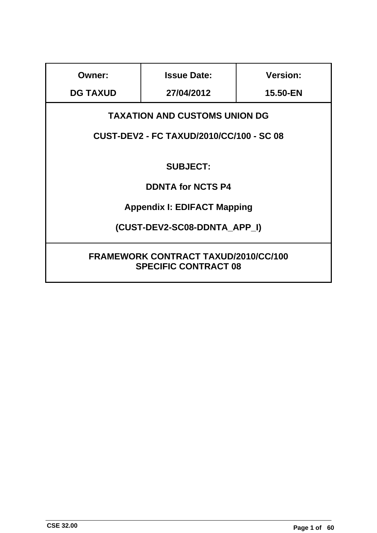| <b>Owner:</b>                                                              | <b>Issue Date:</b>                              | <b>Version:</b> |  |  |  |  |  |
|----------------------------------------------------------------------------|-------------------------------------------------|-----------------|--|--|--|--|--|
| <b>DG TAXUD</b>                                                            | 27/04/2012                                      |                 |  |  |  |  |  |
| <b>TAXATION AND CUSTOMS UNION DG</b>                                       |                                                 |                 |  |  |  |  |  |
|                                                                            | <b>CUST-DEV2 - FC TAXUD/2010/CC/100 - SC 08</b> |                 |  |  |  |  |  |
|                                                                            |                                                 |                 |  |  |  |  |  |
|                                                                            | <b>SUBJECT:</b>                                 |                 |  |  |  |  |  |
|                                                                            | <b>DDNTA for NCTS P4</b>                        |                 |  |  |  |  |  |
|                                                                            | <b>Appendix I: EDIFACT Mapping</b>              |                 |  |  |  |  |  |
| (CUST-DEV2-SC08-DDNTA APP I)                                               |                                                 |                 |  |  |  |  |  |
|                                                                            |                                                 |                 |  |  |  |  |  |
| <b>FRAMEWORK CONTRACT TAXUD/2010/CC/100</b><br><b>SPECIFIC CONTRACT 08</b> |                                                 |                 |  |  |  |  |  |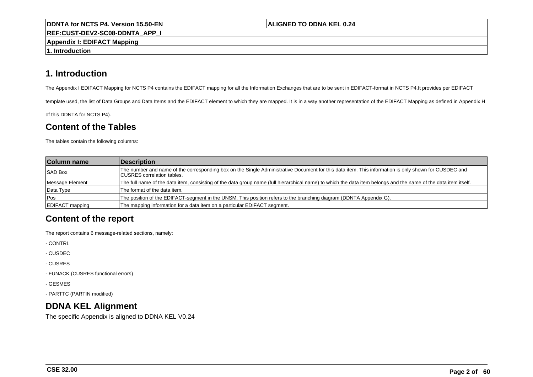#### **ALIGNED TO DDNA KEL 0.24**

**REF:CUST-DEV2-SC08-DDNTA\_APP\_I**

**Appendix I: EDIFACT Mapping**

**1. Introduction**

# **1. Introduction**

The Appendix I EDIFACT Mapping for NCTS P4 contains the EDIFACT mapping for all the Information Exchanges that are to be sent in EDIFACT-format in NCTS P4.It provides per EDIFACT

template used, the list of Data Groups and Data Items and the EDIFACT element to which they are mapped. It is in a way another representation of the EDIFACT Mapping as defined in Appendix H

of this DDNTA for NCTS P4).

# **Content of the Tables**

The tables contain the following columns:

| <b>Column name</b>     | Description                                                                                                                                                                        |
|------------------------|------------------------------------------------------------------------------------------------------------------------------------------------------------------------------------|
| <b>SAD Box</b>         | The number and name of the corresponding box on the Single Administrative Document for this data item. This information is only shown for CUSDEC and<br>CUSRES correlation tables. |
| Message Element        | The full name of the data item, consisting of the data group name (full hierarchical name) to which the data item belongs and the name of the data item itself.                    |
| Data Type              | The format of the data item.                                                                                                                                                       |
| <b>Pos</b>             | The position of the EDIFACT-segment in the UNSM. This position refers to the branching diagram (DDNTA Appendix G).                                                                 |
| <b>EDIFACT</b> mapping | The mapping information for a data item on a particular EDIFACT segment.                                                                                                           |

# **Content of the report**

The report contains 6 message-related sections, namely:

- CONTRL

- CUSDEC

- CUSRES

- FUNACK (CUSRES functional errors)

- GESMES

- PARTTC (PARTIN modified)

# **DDNA KEL Alignment**

The specific Appendix is aligned to DDNA KEL V0.24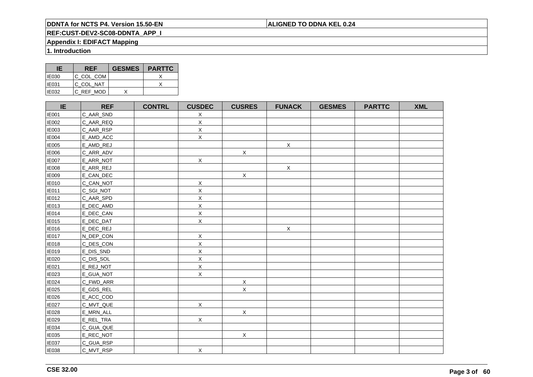## **ALIGNED TO DDNA KEL 0.24**

# **REF:CUST-DEV2-SC08-DDNTA\_APP\_I**

## **Appendix I: EDIFACT Mapping**

**1. Introduction**

| IE           | <b>REF</b> | <b>GESMES</b> | <b>PARTTC</b> |
|--------------|------------|---------------|---------------|
| <b>IE030</b> | IC COL COM |               |               |
| <b>IE031</b> | IC COL NAT |               |               |
| IE032        | C REF MOD  |               |               |

| IE           | <b>REF</b> | <b>CONTRL</b> | <b>CUSDEC</b> | <b>CUSRES</b> | <b>FUNACK</b> | <b>GESMES</b> | <b>PARTTC</b> | <b>XML</b> |
|--------------|------------|---------------|---------------|---------------|---------------|---------------|---------------|------------|
| <b>IE001</b> | C_AAR_SND  |               | $\mathsf X$   |               |               |               |               |            |
| IE002        | C_AAR_REQ  |               | $\mathsf X$   |               |               |               |               |            |
| <b>IE003</b> | C_AAR_RSP  |               | $\mathsf X$   |               |               |               |               |            |
| <b>IE004</b> | E_AMD_ACC  |               | $\mathsf X$   |               |               |               |               |            |
| <b>IE005</b> | E_AMD_REJ  |               |               |               | $\mathsf X$   |               |               |            |
| IE006        | C_ARR_ADV  |               |               | $\mathsf X$   |               |               |               |            |
| <b>IE007</b> | E_ARR_NOT  |               | $\mathsf X$   |               |               |               |               |            |
| <b>IE008</b> | E_ARR_REJ  |               |               |               | $\mathsf X$   |               |               |            |
| <b>IE009</b> | E_CAN_DEC  |               |               | $\mathsf X$   |               |               |               |            |
| <b>IE010</b> | C_CAN_NOT  |               | $\mathsf X$   |               |               |               |               |            |
| <b>IE011</b> | C_SGI_NOT  |               | $\mathsf X$   |               |               |               |               |            |
| <b>IE012</b> | C_AAR_SPD  |               | $\mathsf X$   |               |               |               |               |            |
| <b>IE013</b> | E_DEC_AMD  |               | X             |               |               |               |               |            |
| <b>IE014</b> | E_DEC_CAN  |               | $\mathsf X$   |               |               |               |               |            |
| <b>IE015</b> | E_DEC_DAT  |               | $\mathsf X$   |               |               |               |               |            |
| <b>IE016</b> | E_DEC_REJ  |               |               |               | $\mathsf X$   |               |               |            |
| IE017        | N_DEP_CON  |               | $\mathsf X$   |               |               |               |               |            |
| <b>IE018</b> | C_DES_CON  |               | X             |               |               |               |               |            |
| <b>IE019</b> | E_DIS_SND  |               | X             |               |               |               |               |            |
| <b>IE020</b> | C_DIS_SOL  |               | $\mathsf X$   |               |               |               |               |            |
| IE021        | E_REJ_NOT  |               | $\mathsf X$   |               |               |               |               |            |
| IE023        | E_GUA_NOT  |               | $\mathsf X$   |               |               |               |               |            |
| IE024        | C_FWD_ARR  |               |               | $\mathsf X$   |               |               |               |            |
| IE025        | E_GDS_REL  |               |               | $\mathsf X$   |               |               |               |            |
| <b>IE026</b> | E_ACC_COD  |               |               |               |               |               |               |            |
| <b>IE027</b> | C_MVT_QUE  |               | $\mathsf X$   |               |               |               |               |            |
| <b>IE028</b> | E_MRN_ALL  |               |               | $\mathsf X$   |               |               |               |            |
| IE029        | E_REL_TRA  |               | $\mathsf X$   |               |               |               |               |            |
| IE034        | C_GUA_QUE  |               |               |               |               |               |               |            |
| IE035        | E_REC_NOT  |               |               | $\mathsf X$   |               |               |               |            |
| <b>IE037</b> | C_GUA_RSP  |               |               |               |               |               |               |            |
| IE038        | C_MVT_RSP  |               | $\mathsf X$   |               |               |               |               |            |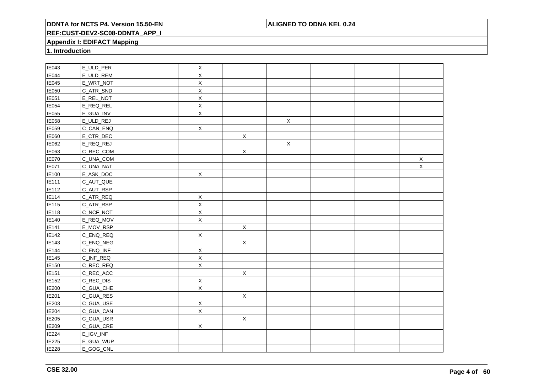## **ALIGNED TO DDNA KEL 0.24**

## **REF:CUST-DEV2-SC08-DDNTA\_APP\_I**

## **Appendix I: EDIFACT Mapping**

**1. Introduction**

| IE043             | E_ULD_PER | $\mathsf X$    |             |             |  |             |
|-------------------|-----------|----------------|-------------|-------------|--|-------------|
| <b>IE044</b>      | E_ULD_REM | X              |             |             |  |             |
| IE045             | E_WRT_NOT | $\mathsf X$    |             |             |  |             |
| IE050             | C_ATR_SND | X              |             |             |  |             |
| IE051             | E_REL_NOT | $\mathsf X$    |             |             |  |             |
| IE054             | E_REQ_REL | $\mathsf X$    |             |             |  |             |
| <b>IE055</b>      | E_GUA_INV | $\mathsf X$    |             |             |  |             |
| IE058             | E_ULD_REJ |                |             | $\mathsf X$ |  |             |
| IE059             | C_CAN_ENQ | $\mathsf X$    |             |             |  |             |
| IE060             | E_CTR_DEC |                | $\mathsf X$ |             |  |             |
| IE062             | E_REQ_REJ |                |             | $\mathsf X$ |  |             |
| IE063             | C_REC_COM |                | $\mathsf X$ |             |  |             |
| IE070             | C_UNA_COM |                |             |             |  | $\mathsf X$ |
| IE071             | C_UNA_NAT |                |             |             |  | $\mathsf X$ |
| IE100             | E_ASK_DOC | $\mathsf X$    |             |             |  |             |
| IE111             | C_AUT_QUE |                |             |             |  |             |
| IE112             | C_AUT_RSP |                |             |             |  |             |
| IE114             | C_ATR_REQ | $\mathsf X$    |             |             |  |             |
| E115              | C_ATR_RSP | $\mathsf X$    |             |             |  |             |
| IE118             | C_NCF_NOT | $\mathsf X$    |             |             |  |             |
| IE140             | E_REQ_MOV | $\mathsf X$    |             |             |  |             |
| IE141             | E_MOV_RSP |                | $\mathsf X$ |             |  |             |
| IE142             | C_ENQ_REQ | $\mathsf{X}$   |             |             |  |             |
| IE143             | C_ENQ_NEG |                | $\mathsf X$ |             |  |             |
| <b>IE144</b>      | C_ENQ_INF | $\mathsf X$    |             |             |  |             |
| IE145             | C_INF_REQ | $\mathsf X$    |             |             |  |             |
| IE150             | C_REC_REQ | $\overline{X}$ |             |             |  |             |
| IE <sub>151</sub> | C_REC_ACC |                | $\mathsf X$ |             |  |             |
| IE152             | C_REC_DIS | $\mathsf X$    |             |             |  |             |
| <b>IE200</b>      | C_GUA_CHE | $\sf X$        |             |             |  |             |
| <b>IE201</b>      | C_GUA_RES |                | X           |             |  |             |
| IE203             | C_GUA_USE | $\mathsf X$    |             |             |  |             |
| IE204             | C_GUA_CAN | $\mathsf X$    |             |             |  |             |
| IE205             | C_GUA_USR |                | $\mathsf X$ |             |  |             |
| IE209             | C_GUA_CRE | $\mathsf{X}$   |             |             |  |             |
| IE224             | E_IGV_INF |                |             |             |  |             |
| IE225             | E_GUA_WUP |                |             |             |  |             |
| IE228             | E_GOG_CNL |                |             |             |  |             |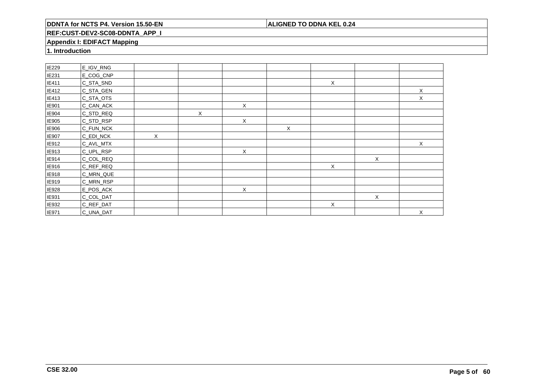## **ALIGNED TO DDNA KEL 0.24**

## **REF:CUST-DEV2-SC08-DDNTA\_APP\_I**

## **Appendix I: EDIFACT Mapping**

**1. Introduction**

| IE229        | E_IGV_RNG |          |   |   |              |              |   |   |
|--------------|-----------|----------|---|---|--------------|--------------|---|---|
| <b>IE231</b> | E_COG_CNP |          |   |   |              |              |   |   |
| IE411        | C_STA_SND |          |   |   |              | $\mathsf X$  |   |   |
| IE412        | C_STA_GEN |          |   |   |              |              |   | X |
| IE413        | C_STA_OTS |          |   |   |              |              |   | X |
| IE901        | C_CAN_ACK |          |   | Χ |              |              |   |   |
| IE904        | C_STD_REQ |          | X |   |              |              |   |   |
| IE905        | C_STD_RSP |          |   | X |              |              |   |   |
| IE906        | C_FUN_NCK |          |   |   | $\mathsf{X}$ |              |   |   |
| <b>IE907</b> | C_EDI_NCK | $\times$ |   |   |              |              |   |   |
| IE912        | C_AVL_MTX |          |   |   |              |              |   | X |
| IE913        | C_UPL_RSP |          |   | X |              |              |   |   |
| IE914        | C_COL_REQ |          |   |   |              |              | X |   |
| IE916        | C_REF_REQ |          |   |   |              | $\mathsf{X}$ |   |   |
| IE918        | C_MRN_QUE |          |   |   |              |              |   |   |
| IE919        | C_MRN_RSP |          |   |   |              |              |   |   |
| IE928        | E_POS_ACK |          |   | X |              |              |   |   |
| IE931        | C_COL_DAT |          |   |   |              |              | X |   |
| IE932        | C_REF_DAT |          |   |   |              | X            |   |   |
| <b>IE971</b> | C_UNA_DAT |          |   |   |              |              |   | X |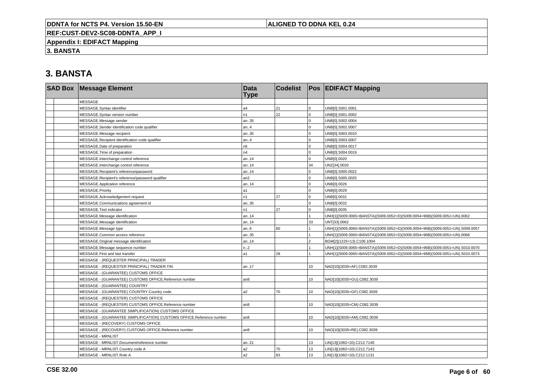## **ALIGNED TO DDNA KEL 0.24**

**REF:CUST-DEV2-SC08-DDNTA\_APP\_I**

**Appendix I: EDIFACT Mapping**

**3. BANSTA**

| <b>SAD Box Message Element</b>                                       | <b>Data</b><br><b>Type</b> | <b>Codelist</b> |                | <b>Pos EDIFACT Mapping</b>                                                   |
|----------------------------------------------------------------------|----------------------------|-----------------|----------------|------------------------------------------------------------------------------|
| <b>MESSAGE</b>                                                       |                            |                 |                |                                                                              |
| MESSAGE.Syntax identifier                                            | a4                         | 21              | $\mathbf 0$    | UNB[0].S001.0001                                                             |
| MESSAGE.Syntax version number                                        | n1                         | 22              | $\mathbf 0$    | UNB[0].S001.0002                                                             |
| MESSAGE.Message sender                                               | an35                       |                 | $\mathbf 0$    | UNB[0].S002.0004                                                             |
| MESSAGE.Sender identification code qualifier                         | an.4                       |                 | $\Omega$       | UNB[0].S002.0007                                                             |
| MESSAGE.Message recipient                                            | an35                       |                 | $\mathbf{0}$   | UNB[0].S003.0010                                                             |
| MESSAGE.Recipient identification code qualifier                      | an.4                       |                 | $\mathbf 0$    | UNB[0].S003.0007                                                             |
| MESSAGE.Date of preparation                                          | n6                         |                 | $\mathbf 0$    | UNB[0].S004.0017                                                             |
| MESSAGE. Time of preparation                                         | n4                         |                 | $\Omega$       | UNB[0].S004.0019                                                             |
| MESSAGE.Interchange control reference                                | an14                       |                 | $\mathbf{0}$   | UNB[0].0020                                                                  |
| MESSAGE.Interchange control reference                                | an14                       |                 | 34             | UNZ[34].0020                                                                 |
| MESSAGE.Recipient's reference/password                               | an14                       |                 | $\Omega$       | UNB[0].S005.0022                                                             |
| MESSAGE.Recipient's reference/password qualifier                     | an2                        |                 | $\mathbf 0$    | UNB[0].S005.0025                                                             |
| MESSAGE.Application reference                                        | an14                       |                 | $\mathbf 0$    | UNB[0].0026                                                                  |
| MESSAGE.Priority                                                     | a1                         |                 | $\mathbf 0$    | UNB[0].0029                                                                  |
| MESSAGE.Acknowledgement request                                      | n1                         | 27              | $\Omega$       | UNB[0].0031                                                                  |
| MESSAGE.Communications agreement id                                  | an35                       |                 | $\Omega$       | UNB[0].0032                                                                  |
| MESSAGE.Test indicator                                               | n1                         | 27              | $\overline{0}$ | UNB[0].0035                                                                  |
| MESSAGE.Message identification                                       | an14                       |                 |                | UNH[1](S009.0065=BANSTA)(S009.0052=D)(S009.0054=96B)(S009.0051=UN).0062      |
| MESSAGE.Message identification                                       | an14                       |                 | 33             | UNT[33].0062                                                                 |
| MESSAGE.Message type                                                 | an.6                       | 60              |                | UNH[1](S009.0065=BANSTA)(S009.0052=D)(S009.0054=96B)(S009.0051=UN).S009.0057 |
| MESSAGE.Common access reference                                      | an35                       |                 |                | UNH[1](S009.0065=BANSTA)(S009.0052=D)(S009.0054=96B)(S009.0051=UN).0068      |
| MESSAGE.Original message identification                              | an14                       |                 | $\mathcal{P}$  | BGM[2](1225=13).C106.1004                                                    |
| MESSAGE.Message sequence number                                      | n.2                        |                 |                | UNH[1](S009.0065=BANSTA)(S009.0052=D)(S009.0054=96B)(S009.0051=UN).S010.0070 |
| MESSAGE.First and last transfer                                      | a1                         | 28              |                | UNH[1](S009.0065=BANSTA)(S009.0052=D)(S009.0054=96B)(S009.0051=UN).S010.0073 |
| MESSAGE - (REQUESTER PRINCIPAL) TRADER                               |                            |                 |                |                                                                              |
| MESSAGE - (REQUESTER PRINCIPAL) TRADER.TIN                           | an17                       |                 | 10             | NAD[10](3035=AF).C082.3039                                                   |
| MESSAGE - (GUARANTEE) CUSTOMS OFFICE                                 |                            |                 |                |                                                                              |
| MESSAGE - (GUARANTEE) CUSTOMS OFFICE.Reference number                | an8                        |                 | 10             | NAD[10](3035=GU).C082.3039                                                   |
| MESSAGE - (GUARANTEE) COUNTRY                                        |                            |                 |                |                                                                              |
| MESSAGE - (GUARANTEE) COUNTRY.Country code                           | a2                         | 70              | 10             | NAD[10](3035=GF).C082.3039                                                   |
| MESSAGE - (REQUESTER) CUSTOMS OFFICE                                 |                            |                 |                |                                                                              |
| MESSAGE - (REQUESTER) CUSTOMS OFFICE.Reference number                | an8                        |                 | 10             | NAD[10](3035=CM).C082.3039                                                   |
| MESSAGE - (GUARANTEE SIMPLIFICATION) CUSTOMS OFFICE                  |                            |                 |                |                                                                              |
| MESSAGE - (GUARANTEE SIMPLIFICATION) CUSTOMS OFFICE.Reference number | an8                        |                 | 10             | NAD[10](3035=AM).C082.3039                                                   |
| MESSAGE - (RECOVERY) CUSTOMS OFFICE                                  |                            |                 |                |                                                                              |
| MESSAGE - (RECOVERY) CUSTOMS OFFICE.Reference number                 | an8                        |                 | 10             | NAD[10](3035=RE).C082.3039                                                   |
| <b>MESSAGE - MRNLIST</b>                                             |                            |                 |                |                                                                              |
| MESSAGE - MRNLIST.Document/reference number                          | an21                       |                 | 13             | LIN[13](1082=10).C212.7140                                                   |
| MESSAGE - MRNLIST.Country code A                                     | a2                         | 70              | 13             | LIN[13](1082=10).C212.7143                                                   |
| MESSAGE - MRNLIST.Role A                                             | a2                         | 83              | 13             | LIN[13](1082=10).C212.1131                                                   |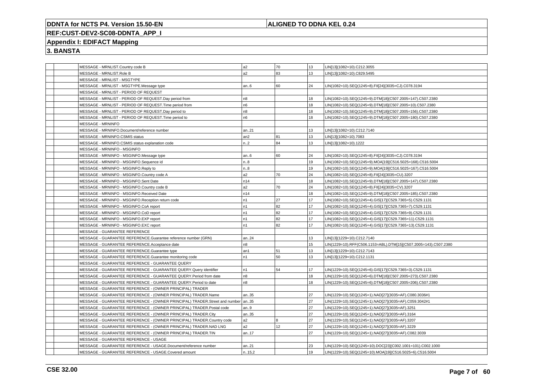## **ALIGNED TO DDNA KEL 0.24**

# **REF:CUST-DEV2-SC08-DDNTA\_APP\_I**

## **Appendix I: EDIFACT Mapping**

|  | MESSAGE - MRNLIST.Country code B                                                  | a2             | 70 | 13 | LIN[13](1082=10).C212.3055                                       |
|--|-----------------------------------------------------------------------------------|----------------|----|----|------------------------------------------------------------------|
|  | MESSAGE - MRNLIST.Role B                                                          | a2             | 83 | 13 | LIN[13](1082=10).C829.5495                                       |
|  | MESSAGE - MRNLIST - MSGTYPE                                                       |                |    |    |                                                                  |
|  | MESSAGE - MRNLIST - MSGTYPE.Message type                                          | an.6           | 60 | 24 | LIN(1082=10).SEQ(1245=8).FII[24](3035=CJ).C078.3194              |
|  | MESSAGE - MRNLIST - PERIOD OF REQUEST                                             |                |    |    |                                                                  |
|  | MESSAGE - MRNLIST - PERIOD OF REQUEST.Day period from                             | n8             |    | 18 | LIN(1082=10).SEQ(1245=9).DTM[18](C507.2005=147).C507.2380        |
|  | MESSAGE - MRNLIST - PERIOD OF REQUEST. Time period from                           | n6             |    | 18 | LIN(1082=10).SEQ(1245=9).DTM[18](C507.2005=10).C507.2380         |
|  | MESSAGE - MRNLIST - PERIOD OF REQUEST.Day period to                               | n8             |    | 18 | LIN(1082=10).SEQ(1245=9).DTM[18](C507.2005=156).C507.2380        |
|  | MESSAGE - MRNLIST - PERIOD OF REQUEST. Time period to                             | n6             |    | 18 | LIN(1082=10).SEQ(1245=9).DTM[18](C507.2005=180).C507.2380        |
|  | <b>MESSAGE - MRNINFO</b>                                                          |                |    |    |                                                                  |
|  | MESSAGE - MRNINFO.Document/reference number                                       | an21           |    | 13 | LIN[13](1082=10).C212.7140                                       |
|  | MESSAGE - MRNINFO.CSMIS status                                                    | an2            | 81 | 13 | LIN[13](1082=10).7083                                            |
|  | MESSAGE - MRNINFO.CSMIS status explanation code                                   | n.2            | 84 | 13 | LIN[13](1082=10).1222                                            |
|  | MESSAGE - MRNINFO - MSGINFO                                                       |                |    |    |                                                                  |
|  | MESSAGE - MRNINFO - MSGINFO.Message type                                          | an.6           | 60 | 24 | LIN(1082=10).SEQ(1245=8).FII[24](3035=CJ).C078.3194              |
|  | MESSAGE - MRNINFO - MSGINFO.Sequence id                                           | n8             |    | 19 | LIN(1082=10).SEQ(1245=9).MOA[19](C516.5025=168).C516.5004        |
|  | MESSAGE - MRNINFO - MSGINFO.Reply to                                              | n.8            |    | 19 | LIN(1082=10).SEQ(1245=9).MOA[19](C516.5025=167).C516.5004        |
|  | MESSAGE - MRNINFO - MSGINFO.Country code A                                        | a2             | 70 | 24 | LIN(1082=10).SEQ(1245=8).FII[24](3035=CU).3207                   |
|  | MESSAGE - MRNINFO - MSGINFO.Sent Date                                             | n14            |    | 18 | LIN(1082=10).SEQ(1245=9).DTM[18](C507.2005=147).C507.2380        |
|  | MESSAGE - MRNINFO - MSGINFO.Country code B                                        | a2             | 70 | 24 | LIN(1082=10).SEQ(1245=8).FII[24](3035=CV).3207                   |
|  | MESSAGE - MRNINFO - MSGINFO.Received Date                                         | n14            |    | 18 | LIN(1082=10).SEQ(1245=9).DTM[18](C507.2005=185).C507.2380        |
|  | MESSAGE - MRNINFO - MSGINFO.Reception return code                                 | n1             | 27 | 17 | LIN(1082=10).SEQ(1245=4).GIS[17](C529.7365=5).C529.1131          |
|  | MESSAGE - MRNINFO - MSGINFO.CoA report                                            | n1             | 82 | 17 | LIN(1082=10).SEQ(1245=4).GIS[17](C529.7365=7).C529.1131          |
|  | MESSAGE - MRNINFO - MSGINFO.CoD report                                            | n1             | 82 | 17 | LIN(1082=10).SEQ(1245=4).GIS[17](C529.7365=9).C529.1131          |
|  | MESSAGE - MRNINFO - MSGINFO.EXP report                                            | n1             | 82 | 17 | LIN(1082=10).SEQ(1245=4).GIS[17](C529.7365=11).C529.1131         |
|  | MESSAGE - MRNINFO - MSGINFO.EXC report                                            | n <sub>1</sub> | 82 | 17 | LIN(1082=10).SEQ(1245=4).GIS[17](C529.7365=13).C529.1131         |
|  | MESSAGE - GUARANTEE REFERENCE                                                     |                |    |    |                                                                  |
|  | MESSAGE - GUARANTEE REFERENCE.Guarantee reference number (GRN)                    | an24           |    | 13 | LIN[13](1229=10).C212.7140                                       |
|  | MESSAGE - GUARANTEE REFERENCE.Acceptance date                                     | n8             |    | 15 | LIN(1229=10).RFF(C506.1153=ABL).DTM[15](C507.2005=143).C507.2380 |
|  | MESSAGE - GUARANTEE REFERENCE.Guarantee type                                      | an1            | 51 | 13 | LIN[13](1229=10).C212.7143                                       |
|  | MESSAGE - GUARANTEE REFERENCE.Guarantee monitoring code                           | n <sub>1</sub> | 50 | 13 | LIN[13](1229=10).C212.1131                                       |
|  | MESSAGE - GUARANTEE REFERENCE - GUARANTEE QUERY                                   |                |    |    |                                                                  |
|  | MESSAGE - GUARANTEE REFERENCE - GUARANTEE QUERY.Query identifier                  | n1             | 54 | 17 | LIN(1229=10).SEQ(1245=6).GIS[17](C529.7365=3).C529.1131          |
|  | MESSAGE - GUARANTEE REFERENCE - GUARANTEE QUERY.Period from date                  | n <sub>8</sub> |    | 18 | LIN(1229=10).SEQ(1245=6).DTM[18](C507.2005=273).C507.2380        |
|  | MESSAGE - GUARANTEE REFERENCE - GUARANTEE QUERY.Period to date                    | n8             |    | 18 | LIN(1229=10).SEQ(1245=6).DTM[18](C507.2005=206).C507.2380        |
|  | MESSAGE - GUARANTEE REFERENCE - (OWNER PRINCIPAL) TRADER                          |                |    |    |                                                                  |
|  | MESSAGE - GUARANTEE REFERENCE - (OWNER PRINCIPAL) TRADER.Name                     | an35           |    | 27 |                                                                  |
|  |                                                                                   |                |    | 27 | LIN(1229=10).SEQ(1245=1).NAD[27](3035=AF).C080.3036#1            |
|  | MESSAGE - GUARANTEE REFERENCE - (OWNER PRINCIPAL) TRADER.Street and number   an35 |                |    | 27 | LIN(1229=10).SEQ(1245=1).NAD[27](3035=AF).C059.3042#1            |
|  | MESSAGE - GUARANTEE REFERENCE - (OWNER PRINCIPAL) TRADER.Postal code              | an9            |    |    | LIN(1229=10).SEQ(1245=1).NAD[27](3035=AF).3251                   |
|  | MESSAGE - GUARANTEE REFERENCE - (OWNER PRINCIPAL) TRADER.City                     | an35           |    | 27 | LIN(1229=10).SEQ(1245=1).NAD[27](3035=AF).3164                   |
|  | MESSAGE - GUARANTEE REFERENCE - (OWNER PRINCIPAL) TRADER.Country code             | a2             | 8  | 27 | LIN(1229=10).SEQ(1245=1).NAD[27](3035=AF).3207                   |
|  | MESSAGE - GUARANTEE REFERENCE - (OWNER PRINCIPAL) TRADER.NAD LNG                  | a2             | 12 | 27 | LIN(1229=10).SEQ(1245=1).NAD[27](3035=AF).3229                   |
|  | MESSAGE - GUARANTEE REFERENCE - (OWNER PRINCIPAL) TRADER.TIN                      | an17           |    | 27 | LIN(1229=10).SEQ(1245=1).NAD[27](3035=AF).C082.3039              |
|  | MESSAGE - GUARANTEE REFERENCE - USAGE                                             |                |    |    |                                                                  |
|  | MESSAGE - GUARANTEE REFERENCE - USAGE.Document/reference number                   | an21           |    | 23 | LIN(1229=10).SEQ(1245=10).DOC[23](C002.1001=101).C002.1000       |
|  | MESSAGE - GUARANTEE REFERENCE - USAGE.Covered amount                              | n.15,2         |    | 19 | LIN(1229=10).SEQ(1245=10).MOA[19](C516.5025=6).C516.5004         |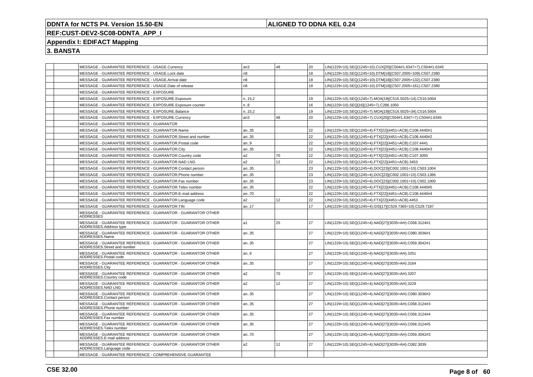## **ALIGNED TO DDNA KEL 0.24**

# **REF:CUST-DEV2-SC08-DDNTA\_APP\_I**

## **Appendix I: EDIFACT Mapping**

| MESSAGE - GUARANTEE REFERENCE - USAGE.Currency                                             | an3            | 48 | 20 | LIN(1229=10).SEQ(1245=10).CUX[20](C504#1.6347=7).C504#1.6345 |
|--------------------------------------------------------------------------------------------|----------------|----|----|--------------------------------------------------------------|
| MESSAGE - GUARANTEE REFERENCE - USAGE.Lock date                                            | n8             |    | 18 | LIN(1229=10).SEQ(1245=10).DTM[18](C507.2005=109).C507.2380   |
| MESSAGE - GUARANTEE REFERENCE - USAGE.Arrival date                                         | n8             |    | 18 | IN(1229=10).SEQ(1245=10).DTM[18](C507.2005=132).C507.2380    |
| MESSAGE - GUARANTEE REFERENCE - USAGE.Date of release                                      | n <sub>8</sub> |    | 18 | LIN(1229=10).SEQ(1245=10).DTM[18](C507.2005=161).C507.2380   |
| MESSAGE - GUARANTEE REFERENCE - EXPOSURE                                                   |                |    |    |                                                              |
| MESSAGE - GUARANTEE REFERENCE - EXPOSURE.Exposure                                          | n.15,2         |    | 19 | LIN(1229=10).SEQ(1245=7).MOA[19](C516.5025=14).C516.5004     |
| MESSAGE - GUARANTEE REFERENCE - EXPOSURE.Exposure counter                                  | n.8            |    | 16 | LIN(1229=10).SEQ[16](1245=7).C286.1050                       |
| MESSAGE - GUARANTEE REFERENCE - EXPOSURE.Balance                                           | n15,2          |    | 19 | LIN(1229=10).SEQ(1245=7).MOA[19](C516.5025=34).C516.5004     |
| MESSAGE - GUARANTEE REFERENCE - EXPOSURE.Currency                                          | an3            | 48 | 20 | LIN(1229=10).SEQ(1245=7).CUX[20](C504#1.6347=7).C504#1.6345  |
| MESSAGE - GUARANTEE REFERENCE - GUARANTOR                                                  |                |    |    |                                                              |
| MESSAGE - GUARANTEE REFERENCE - GUARANTOR.Name                                             | an35           |    | 22 | LIN(1229=10).SEQ(1245=4).FTX[22](4451=ACB).C108.4440#1       |
| MESSAGE - GUARANTEE REFERENCE - GUARANTOR.Street and number                                | l an35         |    | 22 | LIN(1229=10).SEQ(1245=4).FTX[22](4451=ACB).C108.4440#2       |
| MESSAGE - GUARANTEE REFERENCE - GUARANTOR.Postal code                                      | an9            |    | 22 | LIN(1229=10).SEQ(1245=4).FTX[22](4451=ACB).C107.4441         |
| MESSAGE - GUARANTEE REFERENCE - GUARANTOR.City                                             | an35           |    | 22 | LIN(1229=10).SEQ(1245=4).FTX[22](4451=ACB).C108.4440#3       |
| MESSAGE - GUARANTEE REFERENCE - GUARANTOR.Country code                                     | a2             | 70 | 22 | LIN(1229=10).SEQ(1245=4).FTX[22](4451=ACB).C107.3055         |
| MESSAGE - GUARANTEE REFERENCE - GUARANTOR.NAD LNG                                          | a <sub>2</sub> | 12 | 22 | LIN(1229=10).SEQ(1245=4).FTX[22](4451=ACB).3453              |
| MESSAGE - GUARANTEE REFERENCE - GUARANTOR.Contact person                                   | an35           |    | 23 | LIN(1229=10).SEQ(1245=4).DOC[23](C002.1001=10).C503.1004     |
| MESSAGE - GUARANTEE REFERENCE - GUARANTOR.Phone number                                     | an35           |    | 23 | LIN(1229=10).SEQ(1245=4).DOC[23](C002.1001=10).C503.1366     |
| MESSAGE - GUARANTEE REFERENCE - GUARANTOR.Fax number                                       | an35           |    | 23 | LIN(1229=10).SEQ(1245=4).DOC[23](C002.1001=10).C002.1000     |
| MESSAGE - GUARANTEE REFERENCE - GUARANTOR. Telex number                                    | an35           |    | 22 | LIN(1229=10).SEQ(1245=4).FTX[22](4451=ACB).C108.4440#5       |
| MESSAGE - GUARANTEE REFERENCE - GUARANTOR.E-mail address                                   | an70           |    | 22 | LIN(1229=10).SEQ(1245=4).FTX[22](4451=ACB).C108.4440#4       |
| MESSAGE - GUARANTEE REFERENCE - GUARANTOR.Language code                                    | a2             | 12 | 22 | LIN(1229=10).SEQ(1245=4).FTX[22](4451=ACB).4453              |
| MESSAGE - GUARANTEE REFERENCE - GUARANTOR.TIN                                              | an17           |    | 17 | LIN(1229=10).SEQ(1245=4).GIS[17](C529.7365=10).C529.7187     |
| MESSAGE - GUARANTEE REFERENCE - GUARANTOR - GUARANTOR OTHER<br>ADDRESSES                   |                |    |    |                                                              |
| MESSAGE - GUARANTEE REFERENCE - GUARANTOR - GUARANTOR OTHER<br>ADDRESSES.Address type      | l a1           | 25 | 27 | LIN(1229=10).SEQ(1245=4).NAD[27](3035=AH).C058.3124#1        |
| MESSAGE - GUARANTEE REFERENCE - GUARANTOR - GUARANTOR OTHER<br>ADDRESSES.Name              | an35           |    | 27 | LIN(1229=10).SEQ(1245=4).NAD[27](3035=AH).C080.3036#1        |
| MESSAGE - GUARANTEE REFERENCE - GUARANTOR - GUARANTOR OTHER<br>ADDRESSES.Street and number | an35           |    | 27 | LIN(1229=10).SEQ(1245=4).NAD[27](3035=AH).C059.3042#1        |
| MESSAGE - GUARANTEE REFERENCE - GUARANTOR - GUARANTOR OTHER<br>ADDRESSES.Postal code       | an.9           |    | 27 | LIN(1229=10).SEQ(1245=4).NAD[27](3035=AH).3251               |
| MESSAGE - GUARANTEE REFERENCE - GUARANTOR - GUARANTOR OTHER<br>ADDRESSES.City              | an35           |    | 27 | LIN(1229=10).SEQ(1245=4).NAD[27](3035=AH).3164               |
| MESSAGE - GUARANTEE REFERENCE - GUARANTOR - GUARANTOR OTHER<br>ADDRESSES.Country code      | a <sub>2</sub> | 70 | 27 | LIN(1229=10).SEQ(1245=4).NAD[27](3035=AH).3207               |
| MESSAGE - GUARANTEE REFERENCE - GUARANTOR - GUARANTOR OTHER<br>ADDRESSES.NAD LNG           | a <sub>2</sub> | 12 | 27 | LIN(1229=10).SEQ(1245=4).NAD[27](3035=AH).3229               |
| MESSAGE - GUARANTEE REFERENCE - GUARANTOR - GUARANTOR OTHER<br>ADDRESSES.Contact person    | an35           |    | 27 | LIN(1229=10).SEQ(1245=4).NAD[27](3035=AH).C080.3036#2        |
| MESSAGE - GUARANTEE REFERENCE - GUARANTOR - GUARANTOR OTHER<br>ADDRESSES.Phone number      | an35           |    | 27 | LIN(1229=10).SEQ(1245=4).NAD[27](3035=AH).C058.3124#3        |
| MESSAGE - GUARANTEE REFERENCE - GUARANTOR - GUARANTOR OTHER<br>ADDRESSES.Fax number        | an35           |    | 27 | LIN(1229=10).SEQ(1245=4).NAD[27](3035=AH).C058.3124#4        |
| MESSAGE - GUARANTEE REFERENCE - GUARANTOR - GUARANTOR OTHER<br>ADDRESSES.Telex number      | an35           |    | 27 | LIN(1229=10).SEQ(1245=4).NAD[27](3035=AH).C058.3124#5        |
| MESSAGE - GUARANTEE REFERENCE - GUARANTOR - GUARANTOR OTHER<br>ADDRESSES.E-mail address    | an70           |    | 27 | LIN(1229=10).SEQ(1245=4).NAD[27](3035=AH).C059.3042#3        |
| MESSAGE - GUARANTEE REFERENCE - GUARANTOR - GUARANTOR OTHER<br>ADDRESSES.Language code     | a <sub>2</sub> | 12 | 27 | LIN(1229=10).SEQ(1245=4).NAD[27](3035=AH).C082.3039          |
| MESSAGE - GUARANTEE REFERENCE - COMPREHENSIVE GUARANTEE                                    |                |    |    |                                                              |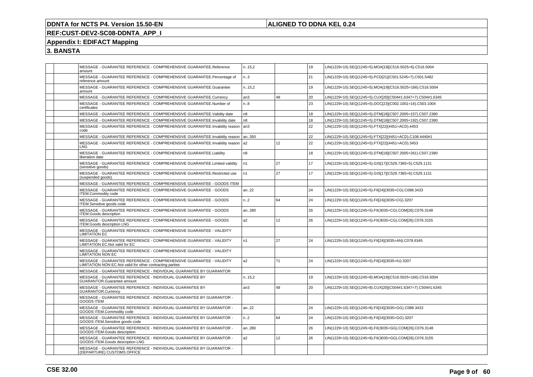## **ALIGNED TO DDNA KEL 0.24**

# **REF:CUST-DEV2-SC08-DDNTA\_APP\_I**

## **Appendix I: EDIFACT Mapping**

| MESSAGE - GUARANTEE REFERENCE - COMPREHENSIVE GUARANTEE.Reference<br>amount                                                     | n.15,2           |    | 19 | LIN(1229=10).SEQ(1245=5).MOA[19](C516.5025=6).C516.5004     |
|---------------------------------------------------------------------------------------------------------------------------------|------------------|----|----|-------------------------------------------------------------|
| MESSAGE - GUARANTEE REFERENCE - COMPREHENSIVE GUARANTEE.Percentage of<br>reference amount                                       | n.3              |    | 21 | LIN(1229=10).SEQ(1245=5).PCD[21](C501.5245=7).C501.5482     |
| MESSAGE - GUARANTEE REFERENCE - COMPREHENSIVE GUARANTEE.Guarantee<br>amount                                                     | n.15,2           |    | 19 | LIN(1229=10).SEQ(1245=5).MOA[19](C516.5025=166).C516.5004   |
| MESSAGE - GUARANTEE REFERENCE - COMPREHENSIVE GUARANTEE.Currency                                                                | an3              | 48 | 20 | LIN(1229=10).SEQ(1245=5).CUX[20](C504#1.6347=7).C504#1.6345 |
| MESSAGE - GUARANTEE REFERENCE - COMPREHENSIVE GUARANTEE.Number of<br>certificates                                               | n.8              |    | 23 | LIN(1229=10).SEQ(1245=5).DOC[23](C002.1001=16).C503.1004    |
| MESSAGE - GUARANTEE REFERENCE - COMPREHENSIVE GUARANTEE. Validity date                                                          | n8               |    | 18 | LIN(1229=10).SEQ(1245=5).DTM[18](C507.2005=157).C507.2380   |
| MESSAGE - GUARANTEE REFERENCE - COMPREHENSIVE GUARANTEE.Invalidity date                                                         | n <sub>8</sub>   |    | 18 | LIN(1229=10).SEQ(1245=5).DTM[18](C507.2005=192).C507.2380   |
| MESSAGE - GUARANTEE REFERENCE - COMPREHENSIVE GUARANTEE.Invalidity reason<br>code                                               | an <sub>3</sub>  |    | 22 | LIN(1229=10).SEQ(1245=5).FTX[22](4451=ACD).4453             |
| MESSAGE - GUARANTEE REFERENCE - COMPREHENSIVE GUARANTEE.Invalidity reason                                                       | an350            |    | 22 | LIN(1229=10).SEQ(1245=5).FTX[22](4451=ACD).C108.4440#1      |
| MESSAGE - GUARANTEE REFERENCE - COMPREHENSIVE GUARANTEE.Invalidity reason<br>LNG                                                | a2               | 12 | 22 | LIN(1229=10).SEQ(1245=5).FTX[22](4451=ACD).3453             |
| MESSAGE - GUARANTEE REFERENCE - COMPREHENSIVE GUARANTEE.Liability<br>liberation date                                            | n8               |    | 18 | LIN(1229=10).SEQ(1245=5).DTM[18](C507.2005=261).C507.2380   |
| MESSAGE - GUARANTEE REFERENCE - COMPREHENSIVE GUARANTEE.Limited validity<br>(sensitive goods)                                   | n1               | 27 | 17 | LIN(1229=10).SEQ(1245=5).GIS[17](C529.7365=5).C529.1131     |
| MESSAGE - GUARANTEE REFERENCE - COMPREHENSIVE GUARANTEE.Restricted use<br>(suspended goods)                                     | n <sub>1</sub>   | 27 | 17 | LIN(1229=10).SEQ(1245=5).GIS[17](C529.7365=6).C529.1131     |
| MESSAGE - GUARANTEE REFERENCE - COMPREHENSIVE GUARANTEE - GOODS ITEM                                                            |                  |    |    |                                                             |
| MESSAGE - GUARANTEE REFERENCE - COMPREHENSIVE GUARANTEE - GOODS<br><b>ITEM.Commodity code</b>                                   | an22             |    | 24 | LIN(1229=10).SEQ(1245=5).FII[24](3035=CG).C088.3433         |
| MESSAGE - GUARANTEE REFERENCE - COMPREHENSIVE GUARANTEE - GOODS<br>ITEM.Sensitive goods code                                    | n.2              | 64 | 24 | LIN(1229=10).SEQ(1245=5).FII[24](3035=CG).3207              |
| MESSAGE - GUARANTEE REFERENCE - COMPREHENSIVE GUARANTEE - GOODS<br><b>ITEM.Goods description</b>                                | an280            |    | 26 | LIN(1229=10).SEQ(1245=5).FII(3035=CG).COM[26].C076.3148     |
| MESSAGE - GUARANTEE REFERENCE - COMPREHENSIVE GUARANTEE - GOODS<br><b>ITEM.Goods description LNG</b>                            | a2               | 12 | 26 | LIN(1229=10).SEQ(1245=5).FII(3035=CG).COM[26].C076.3155     |
| MESSAGE - GUARANTEE REFERENCE - COMPREHENSIVE GUARANTEE - VALIDITY<br><b>LIMITATION EC</b>                                      |                  |    |    |                                                             |
| MESSAGE - GUARANTEE REFERENCE - COMPREHENSIVE GUARANTEE - VALIDITY<br><b>LIMITATION EC.Not valid for EC</b>                     | n <sub>1</sub>   | 27 | 24 | LIN(1229=10).SEQ(1245=5).FII[24](3035=AN).C078.6345         |
| MESSAGE - GUARANTEE REFERENCE - COMPREHENSIVE GUARANTEE - VALIDITY<br><b>LIMITATION NON EC</b>                                  |                  |    |    |                                                             |
| MESSAGE - GUARANTEE REFERENCE - COMPREHENSIVE GUARANTEE - VALIDITY<br>LIMITATION NON EC.Not valid for other contracting parties | a <sub>2</sub>   | 71 | 24 | LIN(1229=10).SEQ(1245=5).FII[24](3035=IU).3207              |
| MESSAGE - GUARANTEE REFERENCE - INDIVIDUAL GUARANTEE BY GUARANTOR                                                               |                  |    |    |                                                             |
| MESSAGE - GUARANTEE REFERENCE - INDIVIDUAL GUARANTEE BY<br><b>GUARANTOR.Guarantee amount</b>                                    | n.15,2           |    | 19 | LIN(1229=10).SEQ(1245=8).MOA[19](C516.5025=166).C516.5004   |
| MESSAGE - GUARANTEE REFERENCE - INDIVIDUAL GUARANTEE BY<br><b>GUARANTOR.Currency</b>                                            | an3              | 48 | 20 | LIN(1229=10).SEQ(1245=8).CUX[20](C504#1.6347=7).C504#1.6345 |
| MESSAGE - GUARANTEE REFERENCE - INDIVIDUAL GUARANTEE BY GUARANTOR -<br>GOODS ITEM                                               |                  |    |    |                                                             |
| MESSAGE - GUARANTEE REFERENCE - INDIVIDUAL GUARANTEE BY GUARANTOR -<br>GOODS ITEM.Commodity code                                | an22             |    | 24 | LIN(1229=10).SEQ(1245=8).FII[24](3035=GG).C088.3433         |
| MESSAGE - GUARANTEE REFERENCE - INDIVIDUAL GUARANTEE BY GUARANTOR -<br>GOODS ITEM.Sensitive goods code                          | n <sub>1</sub> 2 | 64 | 24 | LIN(1229=10).SEQ(1245=8).FII[24](3035=GG).3207              |
| MESSAGE - GUARANTEE REFERENCE - INDIVIDUAL GUARANTEE BY GUARANTOR -<br>GOODS ITEM.Goods description                             | an280            |    | 26 | LIN(1229=10).SEQ(1245=8).FII(3035=GG).COM[26].C076.3148     |
| MESSAGE - GUARANTEE REFERENCE - INDIVIDUAL GUARANTEE BY GUARANTOR -<br>GOODS ITEM.Goods description LNG                         | a2               | 12 | 26 | LIN(1229=10).SEQ(1245=8).FII(3035=GG).COM[26].C076.3155     |
| MESSAGE - GUARANTEE REFERENCE - INDIVIDUAL GUARANTEE BY GUARANTOR -<br>(DEPARTURE) CUSTOMS OFFICE                               |                  |    |    |                                                             |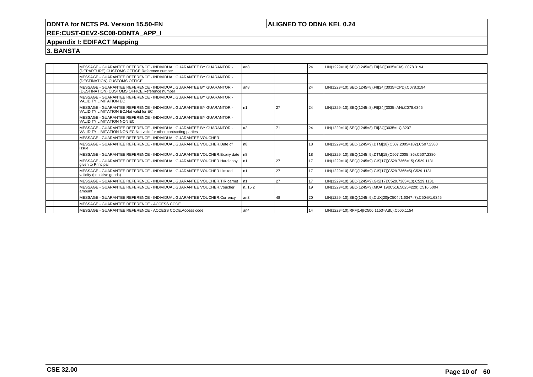## **ALIGNED TO DDNA KEL 0.24**

## **REF:CUST-DEV2-SC08-DDNTA\_APP\_I**

## **Appendix I: EDIFACT Mapping**

|  | MESSAGE - GUARANTEE REFERENCE - INDIVIDUAL GUARANTEE BY GUARANTOR -<br>(DEPARTURE) CUSTOMS OFFICE.Reference number                         | l an8          |    | 24 | LIN(1229=10).SEQ(1245=8).FII[24](3035=CM).C078.3194         |
|--|--------------------------------------------------------------------------------------------------------------------------------------------|----------------|----|----|-------------------------------------------------------------|
|  | MESSAGE - GUARANTEE REFERENCE - INDIVIDUAL GUARANTEE BY GUARANTOR -<br>(DESTINATION) CUSTOMS OFFICE                                        |                |    |    |                                                             |
|  | MESSAGE - GUARANTEE REFERENCE - INDIVIDUAL GUARANTEE BY GUARANTOR -<br>(DESTINATION) CUSTOMS OFFICE.Reference number                       | l an8          |    | 24 | LIN(1229=10).SEQ(1245=8).FII[24](3035=CPD).C078.3194        |
|  | MESSAGE - GUARANTEE REFERENCE - INDIVIDUAL GUARANTEE BY GUARANTOR -<br><b>VALIDITY LIMITATION EC</b>                                       |                |    |    |                                                             |
|  | MESSAGE - GUARANTEE REFERENCE - INDIVIDUAL GUARANTEE BY GUARANTOR -<br>VALIDITY LIMITATION EC. Not valid for EC                            | n1             | 27 | 24 | LIN(1229=10).SEQ(1245=8).FII[24](3035=AN).C078.6345         |
|  | MESSAGE - GUARANTEE REFERENCE - INDIVIDUAL GUARANTEE BY GUARANTOR -<br>VALIDITY LIMITATION NON EC                                          |                |    |    |                                                             |
|  | MESSAGE - GUARANTEE REFERENCE - INDIVIDUAL GUARANTEE BY GUARANTOR -<br>VALIDITY LIMITATION NON EC. Not valid for other contracting parties | a <sub>2</sub> | 71 | 24 | LIN(1229=10).SEQ(1245=8).FII[24](3035=IU).3207              |
|  | MESSAGE - GUARANTEE REFERENCE - INDIVIDUAL GUARANTEE VOUCHER                                                                               |                |    |    |                                                             |
|  | MESSAGE - GUARANTEE REFERENCE - INDIVIDUAL GUARANTEE VOUCHER. Date of<br>issue                                                             | n8             |    | 18 | LIN(1229=10).SEQ(1245=9).DTM[18](C507.2005=182).C507.2380   |
|  | MESSAGE - GUARANTEE REFERENCE - INDIVIDUAL GUARANTEE VOUCHER. Expiry date   n8                                                             |                |    | 18 | LIN(1229=10).SEQ(1245=9).DTM[18](C507.2005=36).C507.2380    |
|  | MESSAGE - GUARANTEE REFERENCE - INDIVIDUAL GUARANTEE VOUCHER. Hard copy<br>given to Principal                                              | n1             | 27 | 17 | LIN(1229=10).SEQ(1245=9).GIS[17](C529.7365=15).C529.1131    |
|  | MESSAGE - GUARANTEE REFERENCE - INDIVIDUAL GUARANTEE VOUCHER.Limited<br>validity (sensitive goods)                                         | n1             | 27 | 17 | LIN(1229=10).SEQ(1245=9).GIS[17](C529.7365=5).C529.1131     |
|  | MESSAGE - GUARANTEE REFERENCE - INDIVIDUAL GUARANTEE VOUCHER.TIR carnet                                                                    | n1             | 27 | 17 | LIN(1229=10).SEQ(1245=9).GIS[17](C529.7365=13).C529.1131    |
|  | MESSAGE - GUARANTEE REFERENCE - INDIVIDUAL GUARANTEE VOUCHER.Voucher<br>amount                                                             | n15,2          |    | 19 | LIN(1229=10).SEQ(1245=9).MOA[19](C516.5025=229).C516.5004   |
|  | MESSAGE - GUARANTEE REFERENCE - INDIVIDUAL GUARANTEE VOUCHER.Currency                                                                      | l an3          | 48 | 20 | LIN(1229=10).SEQ(1245=9).CUX[20](C504#1.6347=7).C504#1.6345 |
|  | MESSAGE - GUARANTEE REFERENCE - ACCESS CODE                                                                                                |                |    |    |                                                             |
|  | MESSAGE - GUARANTEE REFERENCE - ACCESS CODE.Access code                                                                                    | l an4          |    | 14 | LIN(1229=10).RFF[14](C506.1153=ABL).C506.1154               |
|  |                                                                                                                                            |                |    |    |                                                             |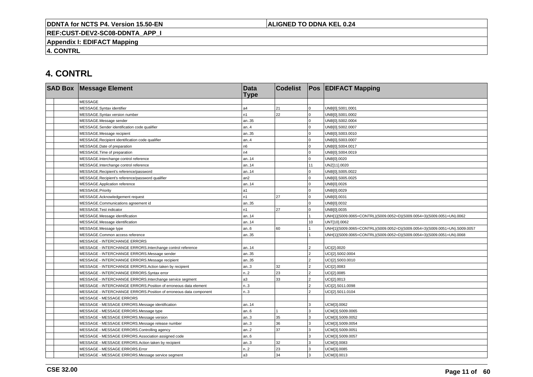## **ALIGNED TO DDNA KEL 0.24**

**REF:CUST-DEV2-SC08-DDNTA\_APP\_I**

**Appendix I: EDIFACT Mapping**

**4. CONTRL**

# **4. CONTRL**

| <b>SAD Box Message Element</b>                                     | <b>Data</b><br><b>Type</b> | <b>Codelist</b> |                | <b>Pos EDIFACT Mapping</b>                                                 |
|--------------------------------------------------------------------|----------------------------|-----------------|----------------|----------------------------------------------------------------------------|
| <b>MESSAGE</b>                                                     |                            |                 |                |                                                                            |
| MESSAGE.Syntax identifier                                          | a <sub>4</sub>             | 21              | $\Omega$       | UNB[0].S001.0001                                                           |
| MESSAGE.Syntax version number                                      | n1                         | 22              | $\Omega$       | UNB[0].S001.0002                                                           |
| MESSAGE.Message sender                                             | an35                       |                 | $\Omega$       | UNB[0].S002.0004                                                           |
| MESSAGE.Sender identification code qualifier                       | an.4                       |                 |                | UNB[0].S002.0007                                                           |
| MESSAGE.Message recipient                                          | an35                       |                 | $\Omega$       | UNB[0].S003.0010                                                           |
| MESSAGE.Recipient identification code qualifier                    | an4                        |                 | $\Omega$       | UNB[0].S003.0007                                                           |
| MESSAGE.Date of preparation                                        | n6                         |                 | $\Omega$       | UNB[0].S004.0017                                                           |
| MESSAGE.Time of preparation                                        | n4                         |                 | $\Omega$       | UNB[0].S004.0019                                                           |
| MESSAGE.Interchange control reference                              | an14                       |                 | $\Omega$       | UNB[0].0020                                                                |
| MESSAGE.Interchange control reference                              | an14                       |                 | 11             | UNZ[11].0020                                                               |
| MESSAGE.Recipient's reference/password                             | an14                       |                 |                | UNB[0].S005.0022                                                           |
| MESSAGE.Recipient's reference/password qualifier                   | an2                        |                 | $\Omega$       | UNB[0].S005.0025                                                           |
| MESSAGE.Application reference                                      | an14                       |                 | $\Omega$       | UNB[0].0026                                                                |
| MESSAGE.Priority                                                   | a1                         |                 | $\Omega$       | UNB[0].0029                                                                |
| MESSAGE.Acknowledgement request                                    | n1                         | 27              | $\Omega$       | UNB[0].0031                                                                |
| MESSAGE.Communications agreement id                                | an35                       |                 | $\Omega$       | UNB[0].0032                                                                |
| MESSAGE.Test indicator                                             | n1                         | 27              | 0              | UNB[0].0035                                                                |
| MESSAGE.Message identification                                     | an14                       |                 |                | UNH[1](S009.0065=CONTRL)(S009.0052=D)(S009.0054=3)(S009.0051=UN).0062      |
| MESSAGE.Message identification                                     | an14                       |                 | 10             | UNT[10].0062                                                               |
| MESSAGE.Message type                                               | an6                        | 60              |                | UNH[1](S009.0065=CONTRL)(S009.0052=D)(S009.0054=3)(S009.0051=UN).S009.0057 |
| MESSAGE.Common access reference                                    | an35                       |                 |                | UNH[1](S009.0065=CONTRL)(S009.0052=D)(S009.0054=3)(S009.0051=UN).0068      |
| <b>MESSAGE - INTERCHANGE ERRORS</b>                                |                            |                 |                |                                                                            |
| MESSAGE - INTERCHANGE ERRORS.Interchange control reference         | an14                       |                 | っ              | UCI[2].0020                                                                |
| MESSAGE - INTERCHANGE ERRORS.Message sender                        | an35                       |                 | $\mathfrak{p}$ | UCI[2].S002.0004                                                           |
| MESSAGE - INTERCHANGE ERRORS.Message recipient                     | an35                       |                 | <sup>2</sup>   | UCI[2].S003.0010                                                           |
| MESSAGE - INTERCHANGE ERRORS.Action taken by recipient             | an.3                       | 32              | $\mathfrak{p}$ | UCI[2].0083                                                                |
| MESSAGE - INTERCHANGE ERRORS.Syntax error                          | n.2                        | 23              | $\mathcal{P}$  | UCI[2].0085                                                                |
| MESSAGE - INTERCHANGE ERRORS.Interchange service segment           | a3                         | 33              | $\mathcal{P}$  | UCI[2].0013                                                                |
| MESSAGE - INTERCHANGE ERRORS. Position of erroneous data element   | n.3                        |                 | $\mathfrak{p}$ | UCI[2].S011.0098                                                           |
| MESSAGE - INTERCHANGE ERRORS. Position of erroneous data component | n.3                        |                 | っ              | UCI[2].S011.0104                                                           |
| MESSAGE - MESSAGE ERRORS                                           |                            |                 |                |                                                                            |
| MESSAGE - MESSAGE ERRORS.Message identification                    | an14                       |                 | 3              | UCM[3].0062                                                                |
| MESSAGE - MESSAGE ERRORS.Message type                              | an.6                       |                 | 3              | UCM[3].S009.0065                                                           |
| MESSAGE - MESSAGE ERRORS.Message version                           | an3                        | 35              | 3              | UCM[3].S009.0052                                                           |
| MESSAGE - MESSAGE ERRORS.Message release number                    | an.3                       | 36              | 3              | UCM[3].S009.0054                                                           |
| MESSAGE - MESSAGE ERRORS.Controlling agency                        | an.2                       | 37              | 3              | UCM[3].S009.0051                                                           |
| MESSAGE - MESSAGE ERRORS.Association assigned code                 | an.6                       |                 | 3              | UCM[3].S009.0057                                                           |
| MESSAGE - MESSAGE ERRORS.Action taken by recipient                 | an3                        | 32              | 3              | UCM[3].0083                                                                |
| MESSAGE - MESSAGE ERRORS.Error                                     | n.2                        | 23              | 3              | UCM[3].0085                                                                |
| MESSAGE - MESSAGE ERRORS.Message service segment                   | a <sub>3</sub>             | 34              | 3              | UCM[3].0013                                                                |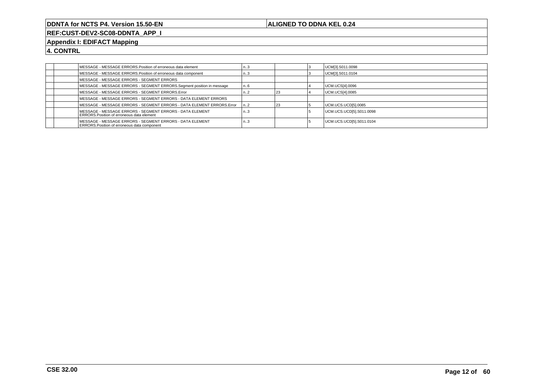## **ALIGNED TO DDNA KEL 0.24**

**REF:CUST-DEV2-SC08-DDNTA\_APP\_I**

## **Appendix I: EDIFACT Mapping**

**4. CONTRL**

| MESSAGE - MESSAGE ERRORS. Position of erroneous data element                                                   | کا   |  | UCM[3].S011.0098         |
|----------------------------------------------------------------------------------------------------------------|------|--|--------------------------|
| MESSAGE - MESSAGE ERRORS. Position of erroneous data component                                                 | د۱   |  | UCM[3].S011.0104         |
| MESSAGE - MESSAGE ERRORS - SEGMENT ERRORS                                                                      |      |  |                          |
| MESSAGE - MESSAGE ERRORS - SEGMENT ERRORS.Segment position in message                                          | n. 6 |  | UCM.UCS[4].0096          |
| MESSAGE - MESSAGE ERRORS - SEGMENT ERRORS.Error                                                                | ı. 2 |  | UCM.UCS[4].0085          |
| MESSAGE - MESSAGE ERRORS - SEGMENT ERRORS - DATA ELEMENT ERRORS                                                |      |  |                          |
| MESSAGE - MESSAGE ERRORS - SEGMENT ERRORS - DATA ELEMENT ERRORS. Error                                         | n2   |  | UCM.UCS.UCD[5].0085      |
| MESSAGE - MESSAGE ERRORS - SEGMENT ERRORS - DATA ELEMENT<br><b>ERRORS.Position of erroneous data element</b>   | า3   |  | UCM.UCS.UCD[5].S011.0098 |
| MESSAGE - MESSAGE ERRORS - SEGMENT ERRORS - DATA ELEMENT<br><b>ERRORS.Position of erroneous data component</b> | n3   |  | UCM.UCS.UCD[5].S011.0104 |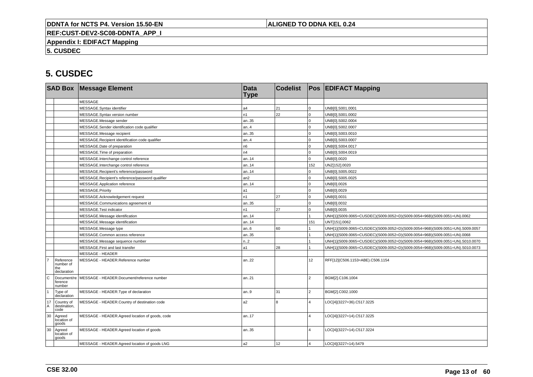## **ALIGNED TO DDNA KEL 0.24**

**REF:CUST-DEV2-SC08-DDNTA\_APP\_I**

**Appendix I: EDIFACT Mapping**

**5. CUSDEC**

|                   |                                              | <b>SAD Box Message Element</b>                   | <b>Data</b><br><b>Type</b> | <b>Codelist</b> |                         | <b>Pos EDIFACT Mapping</b>                                                   |
|-------------------|----------------------------------------------|--------------------------------------------------|----------------------------|-----------------|-------------------------|------------------------------------------------------------------------------|
|                   |                                              | <b>MESSAGE</b>                                   |                            |                 |                         |                                                                              |
|                   |                                              | MESSAGE.Syntax identifier                        | a4                         | 21              | $\mathbf 0$             | UNB[0].S001.0001                                                             |
|                   |                                              | MESSAGE.Syntax version number                    | n1                         | 22              | $\overline{0}$          | UNB[0].S001.0002                                                             |
|                   |                                              | MESSAGE.Message sender                           | an35                       |                 | $\Omega$                | UNB[0].S002.0004                                                             |
|                   |                                              | MESSAGE.Sender identification code qualifier     | an.4                       |                 | $\overline{0}$          | UNB[0].S002.0007                                                             |
|                   |                                              | MESSAGE.Message recipient                        | an35                       |                 | $\mathbf 0$             | UNB[0].S003.0010                                                             |
|                   |                                              | MESSAGE.Recipient identification code qualifier  | an.4                       |                 | $\mathbf 0$             | UNB[0].S003.0007                                                             |
|                   |                                              | MESSAGE.Date of preparation                      | n <sub>6</sub>             |                 | $\Omega$                | UNB[0].S004.0017                                                             |
|                   |                                              | MESSAGE.Time of preparation                      | n4                         |                 | $\overline{0}$          | UNB[0].S004.0019                                                             |
|                   |                                              | MESSAGE.Interchange control reference            | an.14                      |                 | $\overline{0}$          | UNB[0].0020                                                                  |
|                   |                                              | MESSAGE.Interchange control reference            | an.14                      |                 | 152                     | UNZ[152].0020                                                                |
|                   |                                              | MESSAGE.Recipient's reference/password           | an14                       |                 | $\Omega$                | UNB[0].S005.0022                                                             |
|                   |                                              | MESSAGE.Recipient's reference/password qualifier | an2                        |                 | $\overline{0}$          | UNB[0].S005.0025                                                             |
|                   |                                              | MESSAGE.Application reference                    | an14                       |                 | $\Omega$                | UNB[0].0026                                                                  |
|                   |                                              | MESSAGE.Priority                                 | a1                         |                 | $\overline{0}$          | UNB[0].0029                                                                  |
|                   |                                              | MESSAGE.Acknowledgement request                  | n1                         | 27              | $\overline{0}$          | UNB[0].0031                                                                  |
|                   |                                              | MESSAGE.Communications agreement id              | an35                       |                 | $\mathbf 0$             | UNB[0].0032                                                                  |
|                   |                                              | MESSAGE.Test indicator                           | n1                         | 27              | $\mathbf 0$             | UNB[0].0035                                                                  |
|                   |                                              | MESSAGE.Message identification                   | an14                       |                 |                         | UNH[1](S009.0065=CUSDEC)(S009.0052=D)(S009.0054=96B)(S009.0051=UN).0062      |
|                   |                                              | MESSAGE.Message identification                   | an14                       |                 | 151                     | UNT[151].0062                                                                |
|                   |                                              | MESSAGE.Message type                             | an.6                       | 60              |                         | UNH[1](S009.0065=CUSDEC)(S009.0052=D)(S009.0054=96B)(S009.0051=UN).S009.0057 |
|                   |                                              | MESSAGE.Common access reference                  | an35                       |                 |                         | UNH[1](S009.0065=CUSDEC)(S009.0052=D)(S009.0054=96B)(S009.0051=UN).0068      |
|                   |                                              | MESSAGE.Message sequence number                  | n.2                        |                 |                         | UNH[1](S009.0065=CUSDEC)(S009.0052=D)(S009.0054=96B)(S009.0051=UN).S010.0070 |
|                   |                                              | MESSAGE.First and last transfer                  | a1                         | 28              |                         | UNH[1](S009.0065=CUSDEC)(S009.0052=D)(S009.0054=96B)(S009.0051=UN).S010.0073 |
|                   |                                              | MESSAGE - HEADER                                 |                            |                 |                         |                                                                              |
|                   | Reference<br>number of<br>the<br>declaration | MESSAGE - HEADER.Reference number                | an22                       |                 | 12 <sup>°</sup>         | RFF[12](C506.1153=ABE).C506.1154                                             |
| l c               | Document/re<br>ference<br>number             | MESSAGE - HEADER.Document/reference number       | an21                       |                 | $\overline{2}$          | BGM[2].C106.1004                                                             |
| $\mathbf{1}$      | Type of<br>declaration                       | MESSAGE - HEADER. Type of declaration            | an.9                       | 31              | $\overline{2}$          | BGM[2].C002.1000                                                             |
| $^{17}_{\Lambda}$ | Country of<br>destination,<br>code           | MESSAGE - HEADER.Country of destination code     | a2                         | $\mathsf{R}$    | 4                       | LOC[4](3227=36).C517.3225                                                    |
| 30                | Agreed<br>location of<br>goods               | MESSAGE - HEADER.Agreed location of goods, code  | an17                       |                 | $\Delta$                | LOC[4](3227=14).C517.3225                                                    |
| 30                | Agreed<br>location of<br>goods               | MESSAGE - HEADER.Agreed location of goods        | an35                       |                 | 4                       | LOC[4](3227=14).C517.3224                                                    |
|                   |                                              | MESSAGE - HEADER.Agreed location of goods LNG    | a2                         | 12              | $\overline{\mathbf{A}}$ | LOC[4](3227=14).5479                                                         |
|                   |                                              |                                                  |                            |                 |                         |                                                                              |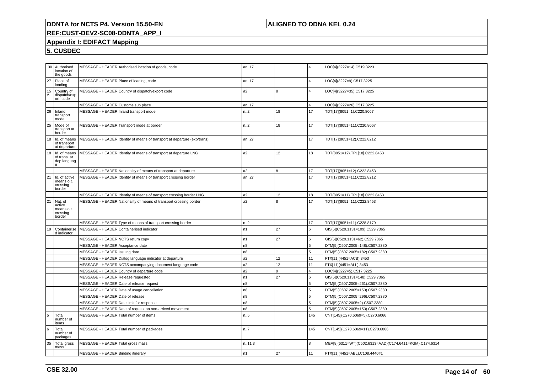## **ALIGNED TO DDNA KEL 0.24**

## **REF:CUST-DEV2-SC08-DDNTA\_APP\_I**

## **Appendix I: EDIFACT Mapping**

| 30                | Authorised<br>location of<br>the goods                | MESSAGE - HEADER.Authorised location of goods, code                      | an17           |    |                | LOC[4](3227=14).C519.3223                               |
|-------------------|-------------------------------------------------------|--------------------------------------------------------------------------|----------------|----|----------------|---------------------------------------------------------|
| 27                | Place of<br>loading                                   | MESSAGE - HEADER.Place of loading, code                                  | an17           |    | $\overline{4}$ | LOC[4](3227=9).C517.3225                                |
| $^{15}_{\Lambda}$ | Country of<br>dispatch/exp<br>ort, code               | MESSAGE - HEADER.Country of dispatch/export code                         | a2             | 8  |                | LOC[4](3227=35).C517.3225                               |
|                   |                                                       | MESSAGE - HEADER.Customs sub place                                       | an17           |    |                | LOC[4](3227=26).C517.3225                               |
| 26                | Inland<br>transport<br>mode                           | MESSAGE - HEADER.Inland transport mode                                   | n2             | 18 | 17             | TDT[17](8051=1).C220.8067                               |
| 25                | Mode of<br>transport at<br>border                     | MESSAGE - HEADER.Transport mode at border                                | n2             | 18 | 17             | TDT[17](8051=11).C220.8067                              |
| 18                | Id. of means<br>of transport<br>at departure          | MESSAGE - HEADER.Identity of means of transport at departure (exp/trans) | an27           |    | 17             | TDT[17](8051=12).C222.8212                              |
| 18                | Id. of means<br>of trans. at<br>dep.languag<br>e      | MESSAGE - HEADER.Identity of means of transport at departure LNG         | 12<br>a2       |    | 18             | TDT(8051=12).TPL[18].C222.8453                          |
|                   |                                                       | MESSAGE - HEADER. Nationality of means of transport at departure         | a <sub>2</sub> | 8  | 17             | TDT[17](8051=12).C222.8453                              |
| 21                | Id. of active<br>means o.t.<br>crossing<br>border     | MESSAGE - HEADER.Identity of means of transport crossing border          | an27           |    | 17             | TDT[17](8051=11).C222.8212                              |
|                   |                                                       | MESSAGE - HEADER.Identity of means of transport crossing border LNG      | a <sub>2</sub> | 12 | 18             | TDT(8051=11).TPL[18].C222.8453                          |
| 21                | Nat. of<br>active<br>means o.t.<br>crossing<br>border | MESSAGE - HEADER. Nationality of means of transport crossing border      | a2             | 8  | 17             | TDT[17](8051=11).C222.8453                              |
|                   |                                                       | MESSAGE - HEADER. Type of means of transport crossing border             | n2             |    | 17             | TDT[17](8051=11).C228.8179                              |
| 19                | Containerise<br>d indicator                           | MESSAGE - HEADER.Containerised indicator                                 | n <sub>1</sub> | 27 | 6              | GIS[6](C529.1131=109).C529.7365                         |
|                   |                                                       | MESSAGE - HEADER.NCTS return copy                                        | n <sub>1</sub> | 27 | 6              | GIS[6](C529.1131=62).C529.7365                          |
|                   |                                                       | MESSAGE - HEADER.Acceptance date                                         | n8             |    | 5              | DTM[5](C507.2005=148).C507.2380                         |
|                   |                                                       | MESSAGE - HEADER.Issuing date                                            | n8             |    | 5              | DTM[5](C507.2005=182).C507.2380                         |
|                   |                                                       | MESSAGE - HEADER.Dialog language indicator at departure                  | a2             | 12 | 11             | FTX[11](4451=ACB).3453                                  |
|                   |                                                       | MESSAGE - HEADER.NCTS accompanying document language code                | a2             | 12 | 11             | FTX[11](4451=ALL).3453                                  |
|                   |                                                       | MESSAGE - HEADER.Country of departure code                               | a2             | 9  | $\overline{a}$ | LOC[4](3227=5).C517.3225                                |
|                   |                                                       | MESSAGE - HEADER.Release requested                                       | n <sub>1</sub> | 27 | 6              | GIS[6](C529.1131=148).C529.7365                         |
|                   |                                                       | MESSAGE - HEADER.Date of release request                                 | n8             |    | 5              | DTM[5](C507.2005=261).C507.2380                         |
|                   |                                                       | MESSAGE - HEADER.Date of usage cancellation                              | n8             |    | 5              | DTM[5](C507.2005=153).C507.2380                         |
|                   |                                                       | MESSAGE - HEADER.Date of release                                         | n8             |    | 5              | DTM[5](C507.2005=296).C507.2380                         |
|                   |                                                       | MESSAGE - HEADER.Date limit for response                                 | n8             |    | 5              | DTM[5](C507.2005=2).C507.2380                           |
|                   |                                                       | MESSAGE - HEADER.Date of request on non-arrived movement                 | n8             |    | 5              | DTM[5](C507.2005=153).C507.2380                         |
| 5                 | Total<br>number of<br>items                           | MESSAGE - HEADER.Total number of items                                   | n.5            |    | 145            | CNT[145](C270.6069=5).C270.6066                         |
| 6                 | Total<br>number of<br>packages                        | MESSAGE - HEADER. Total number of packages                               | n.7            |    | 145            | CNT[145](C270.6069=11).C270.6066                        |
| 35                | <b>Total gross</b><br>mass                            | MESSAGE - HEADER. Total gross mass                                       | n.11,3         |    | 8              | MEA[8](6311=WT)(C502.6313=AAD)(C174.6411=KGM).C174.6314 |
|                   |                                                       | MESSAGE - HEADER.Binding itinerary                                       | n <sub>1</sub> | 27 | 11             | FTX[11](4451=ABL).C108.4440#1                           |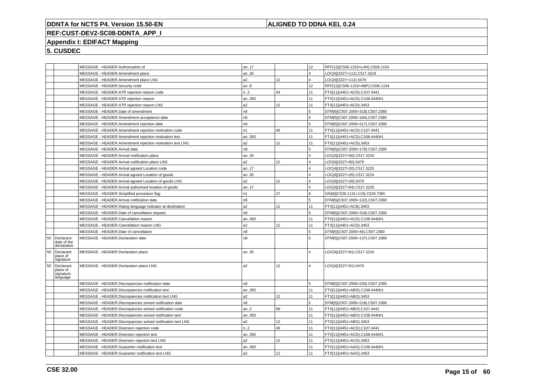## **ALIGNED TO DDNA KEL 0.24**

# **REF:CUST-DEV2-SC08-DDNTA\_APP\_I**

## **Appendix I: EDIFACT Mapping**

|    |                                                 | MESSAGE - HEADER.Authorisation id                           | an17           |    | 12             | RFF[12](C506.1153=LAN).C506.1154 |
|----|-------------------------------------------------|-------------------------------------------------------------|----------------|----|----------------|----------------------------------|
|    |                                                 | MESSAGE - HEADER.Amendment place                            | an35           |    | 4              | LOC[4](3227=112).C517.3224       |
|    |                                                 | MESSAGE - HEADER.Amendment place LNG                        | a2             | 12 | 4              | LOC[4](3227=112).5479            |
|    |                                                 | MESSAGE - HEADER.Security code                              | an.8           |    | 12             | RFF[12](C506.1153=ABP).C506.1154 |
|    |                                                 | MESSAGE - HEADER.ATR rejection reason code                  | n.2            | 44 | 11             | FTX[11](4451=ACD).C107.4441      |
|    |                                                 | MESSAGE - HEADER.ATR rejection reason                       | an350          |    | 11             | FTX[11](4451=ACD).C108.4440#1    |
|    |                                                 | MESSAGE - HEADER.ATR rejection reason LNG                   | a2             | 12 | 11             | FTX[11](4451=ACD).3453           |
|    |                                                 | MESSAGE - HEADER.Date of amendment                          | n <sub>8</sub> |    | 5              | DTM[5](C507.2005=318).C507.2380  |
|    |                                                 | MESSAGE - HEADER.Amendment acceptance date                  | n8             |    | 5              | DTM[5](C507.2005=184).C507.2380  |
|    |                                                 | MESSAGE - HEADER.Amendment rejection date                   | n8             |    | 5              | DTM[5](C507.2005=317).C507.2380  |
|    |                                                 | MESSAGE - HEADER.Amendment rejection motivation code        | n1             | 45 | 11             | FTX[11](4451=ACD).C107.4441      |
|    |                                                 | MESSAGE - HEADER.Amendment rejection motivation text        | an350          |    | 11             | FTX[11](4451=ACD).C108.4440#1    |
|    |                                                 | MESSAGE - HEADER.Amendment rejection motivation text LNG    | a2             | 12 | 11             | FTX[11](4451=ACD).3453           |
|    |                                                 | MESSAGE - HEADER.Arrival date                               | n8             |    | 5              | DTM[5](C507.2005=178).C507.2380  |
|    |                                                 | MESSAGE - HEADER.Arrival notification place                 | an35           |    | 4              | LOC[4](3227=60).C517.3224        |
|    |                                                 | MESSAGE - HEADER.Arrival notification place LNG             | a2             | 12 | $\overline{4}$ | LOC[4](3227=60).5479             |
|    |                                                 | MESSAGE - HEADER.Arrival agreed Location code               | an17           |    |                | LOC[4](3227=20).C517.3225        |
|    |                                                 | MESSAGE - HEADER.Arrival agreed Location of goods           | an35           |    |                | LOC[4](3227=20).C517.3224        |
|    |                                                 | MESSAGE - HEADER.Arrival agreed Location of goods LNG       | a2             | 12 | Δ              | LOC[4](3227=20).5479             |
|    |                                                 | MESSAGE - HEADER.Arrival authorised location of goods       | an17           |    | 4              | LOC[4](3227=84).C517.3225        |
|    |                                                 | MESSAGE - HEADER.Simplified procedure flag                  | n1             | 27 | 6              | GIS[6](C529.1131=119).C529.7365  |
|    |                                                 | MESSAGE - HEADER.Arrival notification date                  | n8             |    | 5              | DTM[5](C507.2005=132).C507.2380  |
|    |                                                 | MESSAGE - HEADER.Dialog language indicator at destination   | a2             | 12 | 11             | FTX[11](4451=ACB).3453           |
|    |                                                 | MESSAGE - HEADER.Date of cancellation request               | n8             |    | 5              | DTM[5](C507.2005=318).C507.2380  |
|    |                                                 | MESSAGE - HEADER.Cancellation reason                        | an350          |    | 11             | FTX[11](4451=ACD).C108.4440#1    |
|    |                                                 | MESSAGE - HEADER.Cancellation reason LNG                    | a2             | 12 | 11             | FTX[11](4451=ACD).3453           |
|    |                                                 | MESSAGE - HEADER.Date of cancellation                       | n8             |    | 5              | DTM[5](C507.2005=46).C507.2380   |
| 50 | Declarant:<br>date of the                       | MESSAGE - HEADER.Declaration date                           | n8             |    | 5              | DTM[5](C507.2005=137).C507.2380  |
|    | declaration                                     |                                                             |                |    |                |                                  |
| 50 | Declarant:<br>place of<br>signature             | MESSAGE - HEADER.Declaration place                          | an35           |    | $\overline{4}$ | LOC[4](3227=91).C517.3224        |
| 50 | Declarant:<br>place of<br>signature<br>language | MESSAGE - HEADER.Declaration place LNG                      | a <sub>2</sub> | 12 | $\overline{4}$ | LOC[4](3227=91).5479             |
|    |                                                 | MESSAGE - HEADER.Discrepancies notification date            | n8             |    | 5              | DTM[5](C507.2005=226).C507.2380  |
|    |                                                 | MESSAGE - HEADER.Discrepancies notification text            | an350          |    | 11             | FTX[11](4451=ABO).C108.4440#1    |
|    |                                                 | MESSAGE - HEADER.Discrepancies notification text LNG        | a2             | 12 | 11             | FTX[11](4451=ABO).3453           |
|    |                                                 | MESSAGE - HEADER.Discrepancies solved notification date     | n8             |    | 5              | DTM[5](C507.2005=218).C507.2380  |
|    |                                                 | MESSAGE - HEADER.Discrepancies solved notification code     | an.2           | 69 | 11             | FTX[11](4451=ABO).C107.4441      |
|    |                                                 | MESSAGE - HEADER.Discrepancies solved notification text     | an350          |    | 11             | FTX[11](4451=ABO).C108.4440#1    |
|    |                                                 | MESSAGE - HEADER.Discrepancies solved notification text LNG | a2             | 12 | 11             | FTX[11](4451=ABO).3453           |
|    |                                                 | MESSAGE - HEADER.Diversion rejection code                   | n2             | 46 | 11             | FTX[11](4451=ACD).C107.4441      |
|    |                                                 | MESSAGE - HEADER.Diversion rejection text                   | an350          |    | 11             | FTX[11](4451=ACD).C108.4440#1    |
|    |                                                 | MESSAGE - HEADER. Diversion rejection text LNG              | a2             | 12 | 11             | FTX[11](4451=ACD).3453           |
|    |                                                 | MESSAGE - HEADER.Guarantor notification text                | an350          |    | 11             | FTX[11](4451=AAG).C108.4440#1    |
|    |                                                 | MESSAGE - HEADER.Guarantor notification text LNG            | a2             | 12 | 11             | FTX[11](4451=AAG).3453           |
|    |                                                 |                                                             |                |    |                |                                  |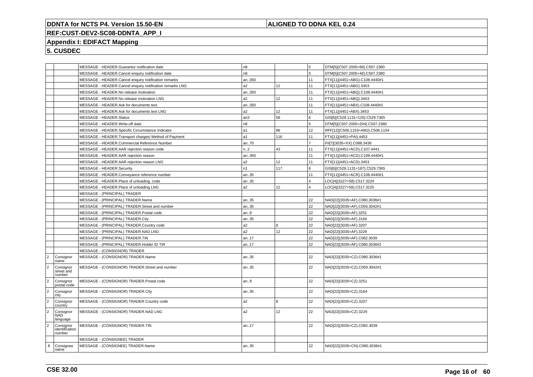## **ALIGNED TO DDNA KEL 0.24**

# **REF:CUST-DEV2-SC08-DDNTA\_APP\_I**

## **Appendix I: EDIFACT Mapping**

|                      |                                       | MESSAGE - HEADER.Guarantor notification date             | n <sub>8</sub>       |     | 5              | DTM[5](C507.2005=89).C507.2380   |
|----------------------|---------------------------------------|----------------------------------------------------------|----------------------|-----|----------------|----------------------------------|
|                      |                                       | MESSAGE - HEADER.Cancel enquiry notification date        | n8                   |     | 5              | DTM[5](C507.2005=46).C507.2380   |
|                      |                                       | MESSAGE - HEADER.Cancel enquiry notification remarks     | an350                |     | 11             | FTX[11](4451=ABG).C108.4440#1    |
|                      |                                       | MESSAGE - HEADER.Cancel enquiry notification remarks LNG | a2                   | 12  | 11             | FTX[11](4451=ABG).3453           |
|                      |                                       | MESSAGE - HEADER.No release motivation                   | an350                |     | 11             | FTX[11](4451=ABQ).C108.4440#1    |
|                      |                                       | MESSAGE - HEADER.No release motivation LNG               | a <sub>2</sub>       | 12  | 11             | FTX[11](4451=ABQ).3453           |
|                      |                                       | MESSAGE - HEADER.Ask for documents text                  | an350                |     | 11             | FTX[11](4451=ABX).C108.4440#1    |
|                      |                                       | MESSAGE - HEADER.Ask for documents text LNG              | a2                   | 12  | 11             | FTX[11](4451=ABX).3453           |
|                      |                                       | MESSAGE - HEADER.Status                                  | an <sub>3</sub>      | 58  | 6              | GIS[6](C529.1131=120).C529.7365  |
|                      |                                       | MESSAGE - HEADER.Write-off date<br>n8                    |                      |     | 5              | DTM[5](C507.2005=204).C507.2380  |
|                      |                                       | MESSAGE - HEADER.Specific Circumstance Indicator         | a1                   | 96  | 12             | RFF[12](C506.1153=AMJ).C506.1154 |
|                      |                                       | MESSAGE - HEADER. Transport charges/ Method of Payment   | a1                   | 116 | 11             | FTX[11](4451=PAI).4453           |
|                      |                                       | MESSAGE - HEADER.Commercial Reference Number             | an70                 |     | $\overline{ }$ | FII[7](3035=XX).C088.3436        |
|                      |                                       | MESSAGE - HEADER.AAR rejection reason code               | n2                   | 43  | 11             | FTX[11](4451=ACD).C107.4441      |
|                      |                                       | MESSAGE - HEADER.AAR rejection reason                    | an350                |     | 11             | FTX[11](4451=ACD).C108.4440#1    |
|                      |                                       | MESSAGE - HEADER.AAR rejection reason LNG                | a <sub>2</sub>       | 12  | 11             | FTX[11](4451=ACD).3453           |
|                      |                                       | MESSAGE - HEADER.Security                                | n <sub>1</sub>       | 117 | 6              | GIS[6](C529.1131=187).C529.7365  |
|                      |                                       | MESSAGE - HEADER.Conveyance reference number             | an35                 |     | 11             | FTX[11](4451=ACR).C108.4440#1    |
|                      |                                       | MESSAGE - HEADER.Place of unloading, code                | an35                 |     | 4              | LOC[4](3227=58).C517.3224        |
|                      |                                       | MESSAGE - HEADER.Place of unloading LNG                  | a <sub>2</sub>       | 12  | 4              | LOC[4](3227=58).C517.3225        |
|                      |                                       | MESSAGE - (PRINCIPAL) TRADER                             |                      |     |                |                                  |
|                      |                                       | MESSAGE - (PRINCIPAL) TRADER.Name                        | an35                 |     | 22             | NAD[22](3035=AF).C080.3036#1     |
|                      |                                       | MESSAGE - (PRINCIPAL) TRADER.Street and number           | an35                 |     | 22             | NAD[22](3035=AF).C059.3042#1     |
|                      |                                       | MESSAGE - (PRINCIPAL) TRADER.Postal code                 | an9                  |     | 22             | NAD[22](3035=AF).3251            |
|                      |                                       | MESSAGE - (PRINCIPAL) TRADER.City                        | an35                 |     | 22             | NAD[22](3035=AF).3164            |
|                      |                                       | MESSAGE - (PRINCIPAL) TRADER.Country code                | a2                   | 8   | 22             | NAD[22](3035=AF).3207            |
|                      |                                       | MESSAGE - (PRINCIPAL) TRADER.NAD LNG                     | a <sub>2</sub>       | 12  | 22             | NAD[22](3035=AF).3229            |
|                      |                                       | MESSAGE - (PRINCIPAL) TRADER.TIN                         | an17                 |     | 22             | NAD[22](3035=AF).C082.3039       |
|                      |                                       | MESSAGE - (PRINCIPAL) TRADER.Holder ID TIR               | an17                 |     | 22             | NAD[22](3035=AF).C080.3036#2     |
|                      |                                       | MESSAGE - (CONSIGNOR) TRADER                             |                      |     |                |                                  |
| $\vert$ <sub>2</sub> | Consignor<br>name                     | MESSAGE - (CONSIGNOR) TRADER.Name                        | an35                 |     | 22             | NAD[22](3035=CZ).C080.3036#1     |
| $\vert$ <sub>2</sub> | Consignor<br>street and<br>number     | MESSAGE - (CONSIGNOR) TRADER.Street and number           | an35                 |     | 22             | NAD[22](3035=CZ).C059.3042#1     |
| $\vert$ <sub>2</sub> | Consignor<br>postal code              | MESSAGE - (CONSIGNOR) TRADER.Postal code                 | an9                  |     | 22             | NAD[22](3035=CZ).3251            |
| $\overline{2}$       | Consignor<br>city                     | MESSAGE - (CONSIGNOR) TRADER.City                        | an35                 |     | 22             | NAD[22](3035=CZ).3164            |
| $\vert$ 2            | Consignor<br>country                  | MESSAGE - (CONSIGNOR) TRADER.Country code                | a <sub>2</sub>       | 8   | 22             | NAD[22](3035=CZ).3207            |
| $\overline{2}$       | Consignor<br><b>NAD</b><br>language   | MESSAGE - (CONSIGNOR) TRADER.NAD LNG                     | 12<br>a <sub>2</sub> |     | 22             | NAD[22](3035=CZ).3229            |
| $\vert$ 2            | Consignor<br>identification<br>number | MESSAGE - (CONSIGNOR) TRADER.TIN                         | an17                 |     | 22             | NAD[22](3035=CZ).C082.3039       |
|                      |                                       | MESSAGE - (CONSIGNEE) TRADER                             |                      |     |                |                                  |
| 8                    | Consignee<br>name                     | MESSAGE - (CONSIGNEE) TRADER.Name                        | an35                 |     | 22             | NAD[22](3035=CN).C080.3036#1     |
|                      |                                       |                                                          |                      |     |                |                                  |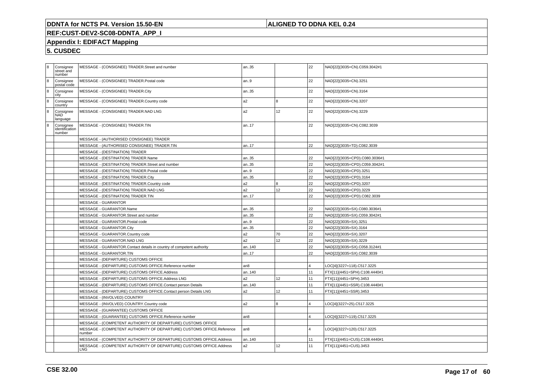## **ALIGNED TO DDNA KEL 0.24**

# **REF:CUST-DEV2-SC08-DDNTA\_APP\_I**

## **Appendix I: EDIFACT Mapping**

| 8          | Consignee<br>street and<br>number     | MESSAGE - (CONSIGNEE) TRADER.Street and number                                  | an35            |    | 22             | NAD[22](3035=CN).C059.3042#1  |
|------------|---------------------------------------|---------------------------------------------------------------------------------|-----------------|----|----------------|-------------------------------|
| 8          | Consignee<br>postal code              | MESSAGE - (CONSIGNEE) TRADER.Postal code                                        | an9             |    | 22             | NAD[22](3035=CN).3251         |
| $\sqrt{8}$ | Consignee<br>city                     | MESSAGE - (CONSIGNEE) TRADER.City                                               | an35            |    | 22             | NAD[22](3035=CN).3164         |
| 8          | Consignee<br>country                  | MESSAGE - (CONSIGNEE) TRADER.Country code                                       | a <sub>2</sub>  | 8  | 22             | NAD[22](3035=CN).3207         |
| $ _8$      | Consignee<br><b>NAD</b><br>language   | MESSAGE - (CONSIGNEE) TRADER.NAD LNG                                            | a <sub>2</sub>  | 12 | 22             | NAD[22](3035=CN).3229         |
| 8          | Consignee<br>identification<br>number | MESSAGE - (CONSIGNEE) TRADER.TIN                                                | an17            |    | 22             | NAD[22](3035=CN).C082.3039    |
|            |                                       | MESSAGE - (AUTHORISED CONSIGNEE) TRADER                                         |                 |    |                |                               |
|            |                                       | MESSAGE - (AUTHORISED CONSIGNEE) TRADER.TIN                                     | an17            |    | 22             | NAD[22](3035=TD).C082.3039    |
|            |                                       | MESSAGE - (DESTINATION) TRADER                                                  |                 |    |                |                               |
|            |                                       | MESSAGE - (DESTINATION) TRADER.Name                                             | an35            |    | 22             | NAD[22](3035=CPD).C080.3036#1 |
|            |                                       | MESSAGE - (DESTINATION) TRADER.Street and number                                | an35            |    | 22             | NAD[22](3035=CPD).C059.3042#1 |
|            |                                       | MESSAGE - (DESTINATION) TRADER.Postal code                                      | an9             |    | 22             | NAD[22](3035=CPD).3251        |
|            |                                       | MESSAGE - (DESTINATION) TRADER.City                                             | an35            |    | 22             | NAD[22](3035=CPD).3164        |
|            |                                       | MESSAGE - (DESTINATION) TRADER.Country code                                     | a2              | R. | 22             | NAD[22](3035=CPD).3207        |
|            |                                       | MESSAGE - (DESTINATION) TRADER.NAD LNG                                          | a2              | 12 | 22             | NAD[22](3035=CPD).3229        |
|            |                                       | MESSAGE - (DESTINATION) TRADER.TIN                                              | an17            |    | 22             | NAD[22](3035=CPD).C082.3039   |
|            |                                       | <b>MESSAGE - GUARANTOR</b>                                                      |                 |    |                |                               |
|            |                                       | MESSAGE - GUARANTOR.Name                                                        | an35            |    | 22             | NAD[22](3035=SX).C080.3036#1  |
|            |                                       | MESSAGE - GUARANTOR.Street and number                                           | an35            |    | 22             | NAD[22](3035=SX).C059.3042#1  |
|            |                                       | MESSAGE - GUARANTOR.Postal code<br>an9                                          |                 |    | 22             | NAD[22](3035=SX).3251         |
|            |                                       | MESSAGE - GUARANTOR.City                                                        | an35            |    | 22             | NAD[22](3035=SX).3164         |
|            |                                       | MESSAGE - GUARANTOR.Country code                                                | a2              | 70 | 22             | NAD[22](3035=SX).3207         |
|            |                                       | MESSAGE - GUARANTOR.NAD LNG                                                     | a <sub>2</sub>  | 12 | 22             | NAD[22](3035=SX).3229         |
|            |                                       | MESSAGE - GUARANTOR.Contact details in country of competent authority           | an140           |    | 22             | NAD[22](3035=SX).C058.3124#1  |
|            |                                       | MESSAGE - GUARANTOR.TIN                                                         | an17            |    | 22             | NAD[22](3035=SX).C082.3039    |
|            |                                       | MESSAGE - (DEPARTURE) CUSTOMS OFFICE                                            |                 |    |                |                               |
|            |                                       | MESSAGE - (DEPARTURE) CUSTOMS OFFICE.Reference number                           | an <sub>8</sub> |    | $\overline{4}$ | LOC[4](3227=118).C517.3225    |
|            |                                       | MESSAGE - (DEPARTURE) CUSTOMS OFFICE.Address                                    | an140           |    | 11             | FTX[11](4451=SPH).C108.4440#1 |
|            |                                       | MESSAGE - (DEPARTURE) CUSTOMS OFFICE.Address LNG                                | a2              | 12 | 11             | FTX[11](4451=SPH).3453        |
|            |                                       | MESSAGE - (DEPARTURE) CUSTOMS OFFICE.Contact person Details                     | an140           |    | 11             | FTX[11](4451=SSR).C108.4440#1 |
|            |                                       | MESSAGE - (DEPARTURE) CUSTOMS OFFICE.Contact person Details LNG                 | a <sub>2</sub>  | 12 | 11             | FTX[11](4451=SSR).3453        |
|            |                                       | MESSAGE - (INVOLVED) COUNTRY                                                    |                 |    |                |                               |
|            |                                       | MESSAGE - (INVOLVED) COUNTRY.Country code                                       | a <sub>2</sub>  | 8  |                | OC[4](3227=25).C517.3225      |
|            |                                       | MESSAGE - (GUARANTEE) CUSTOMS OFFICE                                            |                 |    |                |                               |
|            |                                       | MESSAGE - (GUARANTEE) CUSTOMS OFFICE.Reference number                           | an <sub>8</sub> |    |                | LOC[4](3227=119).C517.3225    |
|            |                                       | MESSAGE - (COMPETENT AUTHORITY OF DEPARTURE) CUSTOMS OFFICE                     |                 |    |                |                               |
|            |                                       | MESSAGE - (COMPETENT AUTHORITY OF DEPARTURE) CUSTOMS OFFICE.Reference<br>number | an8             |    | 4              | LOC[4](3227=120).C517.3225    |
|            |                                       | MESSAGE - (COMPETENT AUTHORITY OF DEPARTURE) CUSTOMS OFFICE.Address             | an140           |    | 11             | FTX[11](4451=CUS).C108.4440#1 |
|            |                                       | MESSAGE - (COMPETENT AUTHORITY OF DEPARTURE) CUSTOMS OFFICE.Address<br>LNG      | a <sub>2</sub>  | 12 | 11             | FTX[11](4451=CUS).3453        |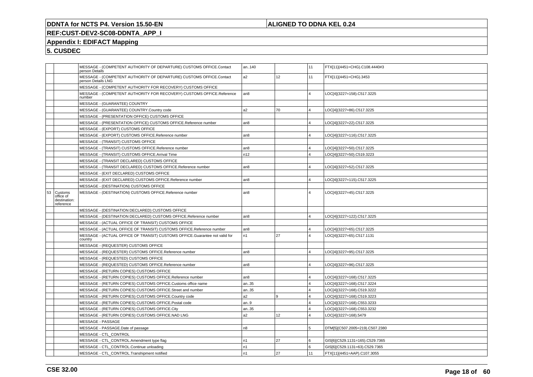## **ALIGNED TO DDNA KEL 0.24**

## **REF:CUST-DEV2-SC08-DDNTA\_APP\_I**

## **Appendix I: EDIFACT Mapping**

|    |                                                   | MESSAGE - (COMPETENT AUTHORITY OF DEPARTURE) CUSTOMS OFFICE.Contact<br>person Details     | an140           |     | 11             | FTX[11](4451=CHG).C108.4440#3   |
|----|---------------------------------------------------|-------------------------------------------------------------------------------------------|-----------------|-----|----------------|---------------------------------|
|    |                                                   | MESSAGE - (COMPETENT AUTHORITY OF DEPARTURE) CUSTOMS OFFICE.Contact<br>person Details LNG | a2              | 12  | 11             | FTX[11](4451=CHG).3453          |
|    |                                                   | MESSAGE - (COMPETENT AUTHORITY FOR RECOVERY) CUSTOMS OFFICE                               |                 |     |                |                                 |
|    |                                                   | MESSAGE - (COMPETENT AUTHORITY FOR RECOVERY) CUSTOMS OFFICE.Reference<br>number           | an <sub>8</sub> |     | $\overline{4}$ | LOC[4](3227=158).C517.3225      |
|    |                                                   | MESSAGE - (GUARANTEE) COUNTRY                                                             |                 |     |                |                                 |
|    |                                                   | MESSAGE - (GUARANTEE) COUNTRY.Country code                                                | a <sub>2</sub>  | 170 | 4              | LOC[4](3227=86).C517.3225       |
|    |                                                   | MESSAGE - (PRESENTATION OFFICE) CUSTOMS OFFICE                                            |                 |     |                |                                 |
|    |                                                   | MESSAGE - (PRESENTATION OFFICE) CUSTOMS OFFICE.Reference number                           | l an8           |     | $\overline{4}$ | LOC[4](3227=22).C517.3225       |
|    |                                                   | MESSAGE - (EXPORT) CUSTOMS OFFICE                                                         |                 |     |                |                                 |
|    |                                                   | MESSAGE - (EXPORT) CUSTOMS OFFICE.Reference number                                        | an8             |     | 4              | LOC[4](3227=116).C517.3225      |
|    |                                                   | MESSAGE - (TRANSIT) CUSTOMS OFFICE                                                        |                 |     |                |                                 |
|    |                                                   | MESSAGE - (TRANSIT) CUSTOMS OFFICE.Reference number                                       | an <sub>8</sub> |     | 4              | LOC[4](3227=50).C517.3225       |
|    |                                                   | MESSAGE - (TRANSIT) CUSTOMS OFFICE.Arrival Time                                           | n12             |     | $\overline{4}$ | LOC[4](3227=50).C519.3223       |
|    |                                                   | MESSAGE - (TRANSIT DECLARED) CUSTOMS OFFICE                                               |                 |     |                |                                 |
|    |                                                   | MESSAGE - (TRANSIT DECLARED) CUSTOMS OFFICE.Reference number                              | an <sub>8</sub> |     | $\overline{4}$ | LOC[4](3227=52).C517.3225       |
|    |                                                   | MESSAGE - (EXIT DECLARED) CUSTOMS OFFICE                                                  |                 |     |                |                                 |
|    |                                                   | MESSAGE - (EXIT DECLARED) CUSTOMS OFFICE.Reference number                                 | an8             |     | 4              | LOC[4](3227=115).C517.3225      |
|    |                                                   | MESSAGE - (DESTINATION) CUSTOMS OFFICE                                                    |                 |     |                |                                 |
| 53 | Customs<br>office of<br>destination:<br>reference | MESSAGE - (DESTINATION) CUSTOMS OFFICE.Reference number                                   | an8             |     | $\overline{4}$ | LOC[4](3227=45).C517.3225       |
|    |                                                   | MESSAGE - (DESTINATION DECLARED) CUSTOMS OFFICE                                           |                 |     |                |                                 |
|    |                                                   | MESSAGE - (DESTINATION DECLARED) CUSTOMS OFFICE.Reference number                          | an <sub>8</sub> |     | 4              | LOC[4](3227=122).C517.3225      |
|    |                                                   | MESSAGE - (ACTUAL OFFICE OF TRANSIT) CUSTOMS OFFICE                                       |                 |     |                |                                 |
|    |                                                   | MESSAGE - (ACTUAL OFFICE OF TRANSIT) CUSTOMS OFFICE.Reference number                      | an <sub>8</sub> |     |                | LOC[4](3227=65).C517.3225       |
|    |                                                   | MESSAGE - (ACTUAL OFFICE OF TRANSIT) CUSTOMS OFFICE.Guarantee not valid for<br>country    | n1              | 27  | $\overline{4}$ | LOC[4](3227=65).C517.1131       |
|    |                                                   | MESSAGE - (REQUESTER) CUSTOMS OFFICE                                                      |                 |     |                |                                 |
|    |                                                   | MESSAGE - (REQUESTER) CUSTOMS OFFICE.Reference number                                     | an <sub>8</sub> |     | $\overline{4}$ | LOC[4](3227=95).C517.3225       |
|    |                                                   | MESSAGE - (REQUESTED) CUSTOMS OFFICE                                                      |                 |     |                |                                 |
|    |                                                   | MESSAGE - (REQUESTED) CUSTOMS OFFICE.Reference number                                     | an <sub>8</sub> |     |                | LOC[4](3227=96).C517.3225       |
|    |                                                   | MESSAGE - (RETURN COPIES) CUSTOMS OFFICE                                                  |                 |     |                |                                 |
|    |                                                   | MESSAGE - (RETURN COPIES) CUSTOMS OFFICE.Reference number                                 | an8             |     | 4              | LOC[4](3227=168).C517.3225      |
|    |                                                   | MESSAGE - (RETURN COPIES) CUSTOMS OFFICE.Customs office name                              | an35            |     | 4              | LOC[4](3227=168).C517.3224      |
|    |                                                   | MESSAGE - (RETURN COPIES) CUSTOMS OFFICE.Street and number                                | an35            |     | $\overline{4}$ | LOC[4](3227=168).C519.3222      |
|    |                                                   | MESSAGE - (RETURN COPIES) CUSTOMS OFFICE.Country code                                     | a2              | l 9 | $\overline{4}$ | LOC[4](3227=168).C519.3223      |
|    |                                                   | MESSAGE - (RETURN COPIES) CUSTOMS OFFICE.Postal code                                      | an9             |     | 4              | LOC[4](3227=168).C553.3233      |
|    |                                                   | MESSAGE - (RETURN COPIES) CUSTOMS OFFICE.City                                             | an35            |     | $\overline{4}$ | LOC[4](3227=168).C553.3232      |
|    |                                                   | MESSAGE - (RETURN COPIES) CUSTOMS OFFICE.NAD LNG                                          | a2              | 12  | $\overline{4}$ | LOC[4](3227=168).5479           |
|    |                                                   | MESSAGE - PASSAGE                                                                         |                 |     |                |                                 |
|    |                                                   | MESSAGE - PASSAGE.Date of passage                                                         | n8              |     | 5              | DTM[5](C507.2005=219).C507.2380 |
|    |                                                   | MESSAGE - CTL_CONTROL                                                                     |                 |     |                |                                 |
|    |                                                   | MESSAGE - CTL_CONTROL.Amendment type flag                                                 | n <sub>1</sub>  | 27  | 6              | GIS[6](C529.1131=165).C529.7365 |
|    |                                                   | MESSAGE - CTL CONTROL.Continue unloading                                                  | n1              |     | 6              | GIS[6](C529.1131=63).C529.7365  |
|    |                                                   | MESSAGE - CTL CONTROL.Transhipment notified                                               | n <sub>1</sub>  | 27  | 11             | FTX[11](4451=AAP).C107.3055     |
|    |                                                   |                                                                                           |                 |     |                |                                 |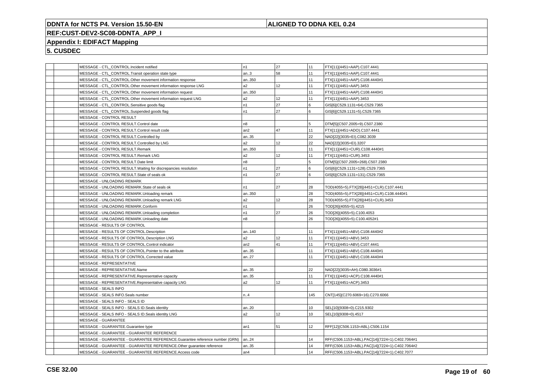## **ALIGNED TO DDNA KEL 0.24**

## **REF:CUST-DEV2-SC08-DDNTA\_APP\_I**

## **Appendix I: EDIFACT Mapping**

| MESSAGE - CTL_CONTROL.Incident notified                                    | n <sub>1</sub> | 27              | 11  | FTX[11](4451=AAP).C107.4441                    |
|----------------------------------------------------------------------------|----------------|-----------------|-----|------------------------------------------------|
| MESSAGE - CTL_CONTROL.Transit operation state type                         | an.3           | 58              | 11  | FTX[11](4451=AAP).C107.4441                    |
| MESSAGE - CTL_CONTROL.Other movement information response                  | an350          |                 | 11  | FTX[11](4451=AAP).C108.4440#1                  |
| MESSAGE - CTL_CONTROL.Other movement information response LNG              | a2             | 12              | 11  | FTX[11](4451=AAP).3453                         |
| MESSAGE - CTL_CONTROL.Other movement information request                   | an350          |                 | 11  | FTX[11](4451=AAP).C108.4440#1                  |
| MESSAGE - CTL_CONTROL.Other movement information request LNG               | a2             | 12              | 11  | FTX[11](4451=AAP).3453                         |
| MESSAGE - CTL_CONTROL.Sensitive goods flag                                 | n1             | 27              | 6   | GIS[6](C529.1131=64).C529.7365                 |
| MESSAGE - CTL_CONTROL.Suspended goods flag                                 | n1             | 27              | l 6 | GIS[6](C529.1131=5).C529.7365                  |
| MESSAGE - CONTROL RESULT                                                   |                |                 |     |                                                |
| MESSAGE - CONTROL RESULT.Control date                                      | n8             |                 | 5   | DTM[5](C507.2005=9).C507.2380                  |
| MESSAGE - CONTROL RESULT.Control result code                               | an2            | 47              | 11  | FTX[11](4451=ADO).C107.4441                    |
| MESSAGE - CONTROL RESULT.Controlled by                                     | an35           |                 | 22  | NAD[22](3035=EI).C082.3039                     |
| MESSAGE - CONTROL RESULT.Controlled by LNG                                 | a2             | 12 <sup>°</sup> | 22  | NAD[22](3035=EI).3207                          |
| MESSAGE - CONTROL RESULT.Remark                                            | an350          |                 | 11  | FTX[11](4451=CUR).C108.4440#1                  |
| MESSAGE - CONTROL RESULT.Remark LNG                                        | a2             | 12              | 11  | FTX[11](4451=CUR).3453                         |
| MESSAGE - CONTROL RESULT.Date limit                                        | n8             |                 | 5   | DTM[5](C507.2005=268).C507.2380                |
| MESSAGE - CONTROL RESULT. Waiting for discrepancies resolution             | n1             | 27              | l 6 | GIS[6](C529.1131=128).C529.7365                |
| MESSAGE - CONTROL RESULT.State of seals ok                                 | n <sub>1</sub> | 27              | 6   | GIS[6](C529.1131=131).C529.7365                |
| MESSAGE - UNLOADING REMARK                                                 |                |                 |     |                                                |
| MESSAGE - UNLOADING REMARK.State of seals ok                               | n1             | 27              | 28  | TOD(4055=5).FTX[28](4451=CLR).C107.4441        |
| MESSAGE - UNLOADING REMARK.Unloading remark                                | an350          |                 | 28  | TOD(4055=5).FTX[28](4451=CLR).C108.4440#1      |
| MESSAGE - UNLOADING REMARK.Unloading remark LNG                            | a <sub>2</sub> | 12              | 28  | TOD(4055=5).FTX[28](4451=CLR).3453             |
| MESSAGE - UNLOADING REMARK.Conform                                         | n1             |                 | 26  | TOD[26](4055=5).4215                           |
| MESSAGE - UNLOADING REMARK.Unloading completion                            | n1             | 27              | 26  | TOD[26](4055=5).C100.4053                      |
| MESSAGE - UNLOADING REMARK.Unloading date                                  | n8             |                 | 26  | TOD[26](4055=5).C100.4052#1                    |
| MESSAGE - RESULTS OF CONTROL                                               |                |                 |     |                                                |
| MESSAGE - RESULTS OF CONTROL.Description                                   | an140          |                 | 11  | FTX[11](4451=ABV).C108.4440#2                  |
| MESSAGE - RESULTS OF CONTROL.Description LNG                               | a2             | 12              | 11  | FTX[11](4451=ABV).3453                         |
| MESSAGE - RESULTS OF CONTROL.Control indicator                             | an2            | 41              | 11  | FTX[11](4451=ABV).C107.4441                    |
| MESSAGE - RESULTS OF CONTROL.Pointer to the attribute                      | an35           |                 | 11  | FTX[11](4451=ABV).C108.4440#1                  |
| MESSAGE - RESULTS OF CONTROL.Corrected value                               | an27           |                 | 11  | FTX[11](4451=ABV).C108.4440#4                  |
| MESSAGE - REPRESENTATIVE                                                   |                |                 |     |                                                |
| MESSAGE - REPRESENTATIVE.Name                                              | an35           |                 | 22  | NAD[22](3035=AH).C080.3036#1                   |
| MESSAGE - REPRESENTATIVE.Representative capacity                           | an35           |                 | 11  | FTX[11](4451=ACP).C108.4440#1                  |
| MESSAGE - REPRESENTATIVE.Representative capacity LNG                       | a2             | 12 <sup>°</sup> | 11  | FTX[11](4451=ACP).3453                         |
| MESSAGE - SEALS INFO                                                       |                |                 |     |                                                |
| MESSAGE - SEALS INFO.Seals number                                          | n.4            |                 | 145 | CNT[145](C270.6069=16).C270.6066               |
| MESSAGE - SEALS INFO - SEALS ID                                            |                |                 |     |                                                |
| MESSAGE - SEALS INFO - SEALS ID. Seals identity                            | an20           |                 | 10  | SEL[10](9308=0).C215.9302                      |
| MESSAGE - SEALS INFO - SEALS ID. Seals identity LNG                        | a2             | 12              | 10  | SEL[10](9308=0).4517                           |
| MESSAGE - GUARANTEE                                                        |                |                 |     |                                                |
| MESSAGE - GUARANTEE.Guarantee type                                         | an1            | 51              | 12  | RFF[12](C506.1153=ABL).C506.1154               |
| MESSAGE - GUARANTEE - GUARANTEE REFERENCE                                  |                |                 |     |                                                |
| MESSAGE - GUARANTEE - GUARANTEE REFERENCE.Guarantee reference number (GRN) | an24           |                 | 14  | RFF(C506.1153=ABL).PAC[14](7224=1).C402.7064#1 |
| MESSAGE - GUARANTEE - GUARANTEE REFERENCE.Other guarantee reference        | an35           |                 | 14  | RFF(C506.1153=ABL).PAC[14](7224=1).C402.7064#2 |
| MESSAGE - GUARANTEE - GUARANTEE REFERENCE.Access code                      | an4            |                 | 14  | RFF(C506.1153=ABL).PAC[14](7224=1).C402.7077   |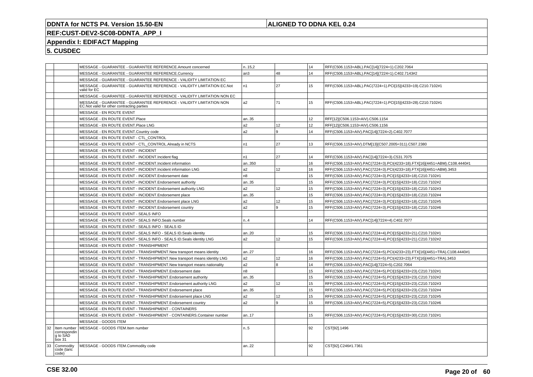## **ALIGNED TO DDNA KEL 0.24**

# **REF:CUST-DEV2-SC08-DDNTA\_APP\_I**

## **Appendix I: EDIFACT Mapping**

|    |                                    | MESSAGE - GUARANTEE - GUARANTEE REFERENCE.Amount concerned                                                         | n.15,2         |     | 14 | RFF(C506.1153=ABL).PAC[14](7224=1).C202.7064                              |
|----|------------------------------------|--------------------------------------------------------------------------------------------------------------------|----------------|-----|----|---------------------------------------------------------------------------|
|    |                                    | MESSAGE - GUARANTEE - GUARANTEE REFERENCE.Currency                                                                 | an3            | 48  | 14 | RFF(C506.1153=ABL).PAC[14](7224=1).C402.7143#2                            |
|    |                                    | MESSAGE - GUARANTEE - GUARANTEE REFERENCE - VALIDITY LIMITATION EC                                                 |                |     |    |                                                                           |
|    |                                    | MESSAGE - GUARANTEE - GUARANTEE REFERENCE - VALIDITY LIMITATION EC.Not<br>valid for EC                             | n <sub>1</sub> | 27  | 15 | RFF(C506.1153=ABL).PAC(7224=1).PCI[15](4233=19).C210.7102#1               |
|    |                                    | MESSAGE - GUARANTEE - GUARANTEE REFERENCE - VALIDITY LIMITATION NON EC                                             |                |     |    |                                                                           |
|    |                                    | MESSAGE - GUARANTEE - GUARANTEE REFERENCE - VALIDITY LIMITATION NON<br>EC. Not valid for other contracting parties | a2             | 71  | 15 | RFF(C506.1153=ABL).PAC(7224=1).PCI[15](4233=28).C210.7102#1               |
|    |                                    | MESSAGE - EN ROUTE EVENT                                                                                           |                |     |    |                                                                           |
|    |                                    | MESSAGE - EN ROUTE EVENT.Place                                                                                     | an35           |     | 12 | RFF[12](C506.1153=AIV).C506.1154                                          |
|    |                                    | MESSAGE - EN ROUTE EVENT.Place LNG                                                                                 | a2             | 12  | 12 | RFF[12](C506.1153=AIV).C506.1156                                          |
|    |                                    | MESSAGE - EN ROUTE EVENT.Country code                                                                              | a2             | 9   | 14 | RFF(C506.1153=AIV).PAC[14](7224=2).C402.7077                              |
|    |                                    | MESSAGE - EN ROUTE EVENT - CTL_CONTROL                                                                             |                |     |    |                                                                           |
|    |                                    | MESSAGE - EN ROUTE EVENT - CTL CONTROL. Already in NCTS                                                            | n <sub>1</sub> | 27  | 13 | RFF(C506.1153=AIV).DTM[13](C507.2005=311).C507.2380                       |
|    |                                    | MESSAGE - EN ROUTE EVENT - INCIDENT                                                                                |                |     |    |                                                                           |
|    |                                    | MESSAGE - EN ROUTE EVENT - INCIDENT.Incident flag                                                                  | n1             | 27  | 14 | RFF(C506.1153=AIV).PAC[14](7224=3).C531.7075                              |
|    |                                    | MESSAGE - EN ROUTE EVENT - INCIDENT.Incident information                                                           | an350          |     | 16 | RFF(C506.1153=AIV).PAC(7224=3).PCI(4233=18).FTX[16](4451=ABM).C108.4440#1 |
|    |                                    | MESSAGE - EN ROUTE EVENT - INCIDENT. Incident information LNG                                                      | a <sub>2</sub> | 12  | 16 | RFF(C506.1153=AIV).PAC(7224=3).PCI(4233=18).FTX[16](4451=ABM).3453        |
|    |                                    | MESSAGE - EN ROUTE EVENT - INCIDENT. Endorsement date                                                              | n <sub>8</sub> |     | 15 | RFF(C506.1153=AIV).PAC(7224=3).PCI[15](4233=18).C210.7102#1               |
|    |                                    | MESSAGE - EN ROUTE EVENT - INCIDENT. Endorsement authority                                                         | an35           |     | 15 | RFF(C506.1153=AIV).PAC(7224=3).PCI[15](4233=18).C210.7102#2               |
|    |                                    | MESSAGE - EN ROUTE EVENT - INCIDENT. Endorsement authority LNG                                                     | a2             | 12  | 15 | RFF(C506.1153=AIV).PAC(7224=3).PCI[15](4233=18).C210.7102#3               |
|    |                                    | MESSAGE - EN ROUTE EVENT - INCIDENT. Endorsement place                                                             | an35           |     | 15 | RFF(C506.1153=AIV).PAC(7224=3).PCI[15](4233=18).C210.7102#4               |
|    |                                    | MESSAGE - EN ROUTE EVENT - INCIDENT. Endorsement place LNG                                                         | a2             | 12  | 15 | RFF(C506.1153=AIV).PAC(7224=3).PCI[15](4233=18).C210.7102#5               |
|    |                                    | MESSAGE - EN ROUTE EVENT - INCIDENT. Endorsement country                                                           | a2             | و ا | 15 | RFF(C506.1153=AIV).PAC(7224=3).PCI[15](4233=18).C210.7102#6               |
|    |                                    | MESSAGE - EN ROUTE EVENT - SEALS INFO                                                                              |                |     |    |                                                                           |
|    |                                    | MESSAGE - EN ROUTE EVENT - SEALS INFO.Seals number                                                                 | n.4            |     | 14 | RFF(C506.1153=AIV).PAC[14](7224=4).C402.7077                              |
|    |                                    | MESSAGE - EN ROUTE EVENT - SEALS INFO - SEALS ID                                                                   |                |     |    |                                                                           |
|    |                                    | MESSAGE - EN ROUTE EVENT - SEALS INFO - SEALS ID. Seals identity                                                   | an20           |     | 15 | RFF(C506.1153=AIV).PAC(7224=4).PCI[15](4233=21).C210.7102#1               |
|    |                                    | MESSAGE - EN ROUTE EVENT - SEALS INFO - SEALS ID. Seals identity LNG                                               | a2             | 12  | 15 | RFF(C506.1153=AIV).PAC(7224=4).PCI[15](4233=21).C210.7102#2               |
|    |                                    | MESSAGE - EN ROUTE EVENT - TRANSHIPMENT                                                                            |                |     |    |                                                                           |
|    |                                    | MESSAGE - EN ROUTE EVENT - TRANSHIPMENT. New transport means identity                                              | an27           |     | 16 | RFF(C506.1153=AIV).PAC(7224=5).PCI(4233=23).FTX[16](4451=TRA).C108.4440#1 |
|    |                                    | MESSAGE - EN ROUTE EVENT - TRANSHIPMENT. New transport means identity LNG                                          | a2             | 12  | 16 | RFF(C506.1153=AIV).PAC(7224=5).PCI(4233=23).FTX[16](4451=TRA).3453        |
|    |                                    | MESSAGE - EN ROUTE EVENT - TRANSHIPMENT.New transport means nationality                                            | a2             | 8   | 14 | RFF(C506.1153=AIV).PAC[14](7224=5).C202.7064                              |
|    |                                    | MESSAGE - EN ROUTE EVENT - TRANSHIPMENT.Endorsement date                                                           | n8             |     | 15 | RFF(C506.1153=AIV).PAC(7224=5).PCI[15](4233=23).C210.7102#1               |
|    |                                    | MESSAGE - EN ROUTE EVENT - TRANSHIPMENT. Endorsement authority                                                     | an35           |     | 15 | RFF(C506.1153=AIV).PAC(7224=5).PCI[15](4233=23).C210.7102#2               |
|    |                                    | MESSAGE - EN ROUTE EVENT - TRANSHIPMENT. Endorsement authority LNG                                                 | a2             | 12  | 15 | RFF(C506.1153=AIV).PAC(7224=5).PCI[15](4233=23).C210.7102#3               |
|    |                                    | MESSAGE - EN ROUTE EVENT - TRANSHIPMENT. Endorsement place                                                         | an35           |     | 15 | RFF(C506.1153=AIV).PAC(7224=5).PCI[15](4233=23).C210.7102#4               |
|    |                                    | MESSAGE - EN ROUTE EVENT - TRANSHIPMENT. Endorsement place LNG                                                     | a <sub>2</sub> | 12  | 15 | RFF(C506.1153=AIV).PAC(7224=5).PCI[15](4233=23).C210.7102#5               |
|    |                                    | MESSAGE - EN ROUTE EVENT - TRANSHIPMENT. Endorsement country                                                       | a <sub>2</sub> | ۱9. | 15 | RFF(C506.1153=AIV).PAC(7224=5).PCI[15](4233=23).C210.7102#6               |
|    |                                    | MESSAGE - EN ROUTE EVENT - TRANSHIPMENT - CONTAINERS                                                               |                |     |    |                                                                           |
|    |                                    | MESSAGE - EN ROUTE EVENT - TRANSHIPMENT - CONTAINERS.Container number                                              | an17           |     | 15 | RFF(C506.1153=AIV).PAC(7224=5).PCI[15](4233=30).C210.7102#1               |
|    |                                    | MESSAGE - GOODS ITEM                                                                                               |                |     |    |                                                                           |
| 32 | Item number                        | MESSAGE - GOODS ITEM.Item number                                                                                   | n.5            |     | 92 | CST[92].1496                                                              |
|    | correspondin<br>g to SAD<br>box 31 |                                                                                                                    |                |     |    |                                                                           |
| 33 | Commodity<br>code (taric<br>code)  | MESSAGE - GOODS ITEM.Commodity code                                                                                | an22           |     | 92 | CST[92].C246#1.7361                                                       |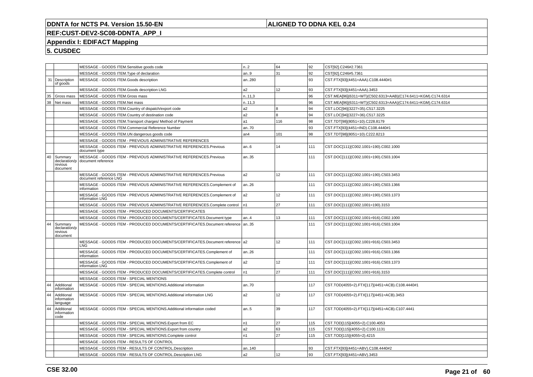## **ALIGNED TO DDNA KEL 0.24**

# **REF:CUST-DEV2-SC08-DDNTA\_APP\_I**

## **Appendix I: EDIFACT Mapping**

|    |                                                 | MESSAGE - GOODS ITEM.Sensitive goods code                                                    | n.2             | 64  | 92  | CST[92].C246#2.7361                                          |
|----|-------------------------------------------------|----------------------------------------------------------------------------------------------|-----------------|-----|-----|--------------------------------------------------------------|
|    |                                                 | MESSAGE - GOODS ITEM. Type of declaration                                                    | an.9            | 31  | 92  | CST[92].C246#5.7361                                          |
|    | 31   Description<br>of goods                    | MESSAGE - GOODS ITEM.Goods description                                                       | an280           |     | 93  | CST.FTX[93](4451=AAA).C108.4440#1                            |
|    |                                                 | MESSAGE - GOODS ITEM.Goods description LNG                                                   | a2              | 12  | 93  | CST.FTX[93](4451=AAA).3453                                   |
| 35 | Gross mass                                      | MESSAGE - GOODS ITEM.Gross mass                                                              | n.11,3          |     | 96  | CST.MEA[96](6311=WT)(C502.6313=AAB)(C174.6411=KGM).C174.6314 |
| 38 | Net mass                                        | MESSAGE - GOODS ITEM.Net mass                                                                | n.11,3          |     | 96  | CST.MEA[96](6311=WT)(C502.6313=AAA)(C174.6411=KGM).C174.6314 |
|    |                                                 | MESSAGE - GOODS ITEM.Country of dispatch/export code                                         | a2              | l 8 | 94  | CST.LOC[94](3227=35).C517.3225                               |
|    |                                                 | MESSAGE - GOODS ITEM.Country of destination code                                             | a <sub>2</sub>  | l 8 | 94  | CST.LOC[94](3227=36).C517.3225                               |
|    |                                                 | MESSAGE - GOODS ITEM. Transport charges/ Method of Payment                                   | a1              | 116 | 98  | CST.TDT[98](8051=10).C228.8179                               |
|    |                                                 | MESSAGE - GOODS ITEM.Commercial Reference Number                                             | an70            |     | 93  | CST.FTX[93](4451=IND).C108.4440#1                            |
|    |                                                 | MESSAGE - GOODS ITEM.UN dangerous goods code                                                 | an <sub>4</sub> | 101 | 98  | CST.TDT[98](8051=10).C222.8213                               |
|    |                                                 | MESSAGE - GOODS ITEM - PREVIOUS ADMINISTRATIVE REFERENCES                                    |                 |     |     |                                                              |
|    |                                                 | MESSAGE - GOODS ITEM - PREVIOUS ADMINISTRATIVE REFERENCES.Previous<br>document type          | an.6            | 14  | 111 | CST.DOC[111](C002.1001=190).C002.1000                        |
| 40 | Summary<br>declaration/p<br>revious<br>document | MESSAGE - GOODS ITEM - PREVIOUS ADMINISTRATIVE REFERENCES.Previous<br>document reference     | an35            |     | 111 | CST.DOC[111](C002.1001=190).C503.1004                        |
|    |                                                 | MESSAGE - GOODS ITEM - PREVIOUS ADMINISTRATIVE REFERENCES.Previous<br>document reference LNG | a2              | 12  | 111 | CST.DOC[111](C002.1001=190).C503.3453                        |
|    |                                                 | MESSAGE - GOODS ITEM - PREVIOUS ADMINISTRATIVE REFERENCES.Complement of<br>information       | an26            |     | 111 | CST.DOC[111](C002.1001=190).C503.1366                        |
|    |                                                 | MESSAGE - GOODS ITEM - PREVIOUS ADMINISTRATIVE REFERENCES.Complement of<br>information LNG   | a2              | 12  | 111 | CST.DOC[111](C002.1001=190).C503.1373                        |
|    |                                                 | MESSAGE - GOODS ITEM - PREVIOUS ADMINISTRATIVE REFERENCES.Complete control                   | In1             | 27  | 111 | CST.DOC[111](C002.1001=190).3153                             |
|    |                                                 | MESSAGE - GOODS ITEM - PRODUCED DOCUMENTS/CERTIFICATES                                       |                 |     |     |                                                              |
|    |                                                 | MESSAGE - GOODS ITEM - PRODUCED DOCUMENTS/CERTIFICATES. Document type                        | an4             | 13  | 111 | CST.DOC[111](C002.1001=916).C002.1000                        |
| 44 | Summary<br>declaration/p<br>revious<br>document | MESSAGE - GOODS ITEM - PRODUCED DOCUMENTS/CERTIFICATES.Document reference                    | an35            |     | 111 | CST.DOC[111](C002.1001=916).C503.1004                        |
|    |                                                 | MESSAGE - GOODS ITEM - PRODUCED DOCUMENTS/CERTIFICATES.Document reference a2<br><b>LNG</b>   |                 | 12  | 111 | CST.DOC[111](C002.1001=916).C503.3453                        |
|    |                                                 | MESSAGE - GOODS ITEM - PRODUCED DOCUMENTS/CERTIFICATES.Complement of<br>information          | an.26           |     | 111 | CST.DOC[111](C002.1001=916).C503.1366                        |
|    |                                                 | MESSAGE - GOODS ITEM - PRODUCED DOCUMENTS/CERTIFICATES.Complement of<br>information LNG      | a <sub>2</sub>  | 12  | 111 | CST.DOC[111](C002.1001=916).C503.1373                        |
|    |                                                 | MESSAGE - GOODS ITEM - PRODUCED DOCUMENTS/CERTIFICATES.Complete control                      | n1              | 27  | 111 | CST.DOC[111](C002.1001=916).3153                             |
|    |                                                 | MESSAGE - GOODS ITEM - SPECIAL MENTIONS                                                      |                 |     |     |                                                              |
| 44 | Additional<br>information                       | MESSAGE - GOODS ITEM - SPECIAL MENTIONS.Additional information                               | an70            |     | 117 | CST.TOD(4055=2).FTX[117](4451=ACB).C108.4440#1               |
| 44 | Additional<br>information<br>language           | MESSAGE - GOODS ITEM - SPECIAL MENTIONS.Additional information LNG                           | a2              | 12  | 117 | CST.TOD(4055=2).FTX[117](4451=ACB).3453                      |
| 44 | Additional<br>information<br>code               | MESSAGE - GOODS ITEM - SPECIAL MENTIONS.Additional information coded                         | an.5            | 39  | 117 | CST.TOD(4055=2).FTX[117](4451=ACB).C107.4441                 |
|    |                                                 | MESSAGE - GOODS ITEM - SPECIAL MENTIONS. Export from EC                                      | n1              | 27  | 115 | CST.TOD[115](4055=2).C100.4053                               |
|    |                                                 | MESSAGE - GOODS ITEM - SPECIAL MENTIONS. Export from country                                 | a2              | 63  | 115 | CST.TOD[115](4055=2).C100.1131                               |
|    |                                                 | MESSAGE - GOODS ITEM - SPECIAL MENTIONS.Complete control                                     | n1              | 27  | 115 | CST.TOD[115](4055=2).4215                                    |
|    |                                                 | MESSAGE - GOODS ITEM - RESULTS OF CONTROL                                                    |                 |     |     |                                                              |
|    |                                                 | MESSAGE - GOODS ITEM - RESULTS OF CONTROL.Description                                        | an140           |     | 93  | CST.FTX[93](4451=ABV).C108.4440#2                            |
|    |                                                 | MESSAGE - GOODS ITEM - RESULTS OF CONTROL.Description LNG                                    | a2              | 12  | 93  | CST.FTX[93](4451=ABV).3453                                   |
|    |                                                 |                                                                                              |                 |     |     |                                                              |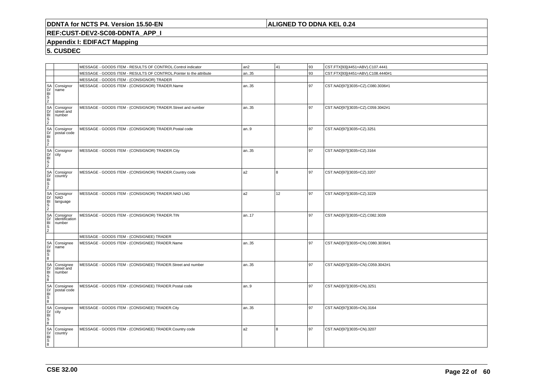## **ALIGNED TO DDNA KEL 0.24**

## **REF:CUST-DEV2-SC08-DDNTA\_APP\_I**

## **Appendix I: EDIFACT Mapping**

|                                           |                                                                                                                                                                                                                                                                | MESSAGE - GOODS ITEM - RESULTS OF CONTROL.Control indicator        | an <sub>2</sub> | 41  | 93 | CST.FTX[93](4451=ABV).C107.4441   |
|-------------------------------------------|----------------------------------------------------------------------------------------------------------------------------------------------------------------------------------------------------------------------------------------------------------------|--------------------------------------------------------------------|-----------------|-----|----|-----------------------------------|
|                                           |                                                                                                                                                                                                                                                                | MESSAGE - GOODS ITEM - RESULTS OF CONTROL.Pointer to the attribute | an35            |     | 93 | CST.FTX[93](4451=ABV).C108.4440#1 |
|                                           |                                                                                                                                                                                                                                                                | MESSAGE - GOODS ITEM - (CONSIGNOR) TRADER                          |                 |     |    |                                   |
|                                           |                                                                                                                                                                                                                                                                | MESSAGE - GOODS ITEM - (CONSIGNOR) TRADER.Name                     | an35            |     | 97 | CST.NAD[97](3035=CZ).C080.3036#1  |
|                                           | SA Consignor<br>DH Consignor<br>SA Consignor<br>SA Consignor<br>SA Consignor<br>SA Consignor<br>DH Consignor<br>SA Consignor<br>CH Consignor<br>SA Consignor<br>SA Consignor<br>DH Country<br>SA Consignor<br>DH Country<br>SA Consignor<br>SA Consignor<br>SA | MESSAGE - GOODS ITEM - (CONSIGNOR) TRADER.Street and number        | an35            |     | 97 | CST.NAD[97](3035=CZ).C059.3042#1  |
|                                           | postal code                                                                                                                                                                                                                                                    | MESSAGE - GOODS ITEM - (CONSIGNOR) TRADER.Postal code              | an.9            |     | 97 | CST.NAD[97](3035=CZ).3251         |
|                                           |                                                                                                                                                                                                                                                                | MESSAGE - GOODS ITEM - (CONSIGNOR) TRADER.City                     | an35            |     | 97 | CST.NAD[97](3035=CZ).3164         |
|                                           |                                                                                                                                                                                                                                                                | MESSAGE - GOODS ITEM - (CONSIGNOR) TRADER.Country code             | a <sub>2</sub>  | l 8 | 97 | CST.NAD[97](3035=CZ).3207         |
|                                           |                                                                                                                                                                                                                                                                | MESSAGE - GOODS ITEM - (CONSIGNOR) TRADER.NAD LNG                  | a2              | 12  | 97 | CST.NAD[97](3035=CZ).3229         |
|                                           | identification                                                                                                                                                                                                                                                 | MESSAGE - GOODS ITEM - (CONSIGNOR) TRADER.TIN                      | an17            |     | 97 | CST.NAD[97](3035=CZ).C082.3039    |
|                                           |                                                                                                                                                                                                                                                                | MESSAGE - GOODS ITEM - (CONSIGNEE) TRADER                          |                 |     |    |                                   |
|                                           | Consignee<br>name                                                                                                                                                                                                                                              | MESSAGE - GOODS ITEM - (CONSIGNEE) TRADER.Name                     | an35            |     | 97 | CST.NAD[97](3035=CN).C080.3036#1  |
|                                           | Consignee<br>street and<br>number                                                                                                                                                                                                                              | MESSAGE - GOODS ITEM - (CONSIGNEE) TRADER.Street and number        | an35            |     | 97 | CST.NAD[97](3035=CN).C059.3042#1  |
|                                           | Consignee<br>postal code                                                                                                                                                                                                                                       | MESSAGE - GOODS ITEM - (CONSIGNEE) TRADER.Postal code              | an9             |     | 97 | CST.NAD[97](3035=CN).3251         |
| RUMBOS RUMBOS RUMBOS RUMBOS RUMBOS RUMBOS | Consignee<br>city                                                                                                                                                                                                                                              | MESSAGE - GOODS ITEM - (CONSIGNEE) TRADER.City                     | an35            |     | 97 | CST.NAD[97](3035=CN).3164         |
|                                           | Consignee<br>country                                                                                                                                                                                                                                           | MESSAGE - GOODS ITEM - (CONSIGNEE) TRADER.Country code             | a <sub>2</sub>  | 8   | 97 | CST.NAD[97](3035=CN).3207         |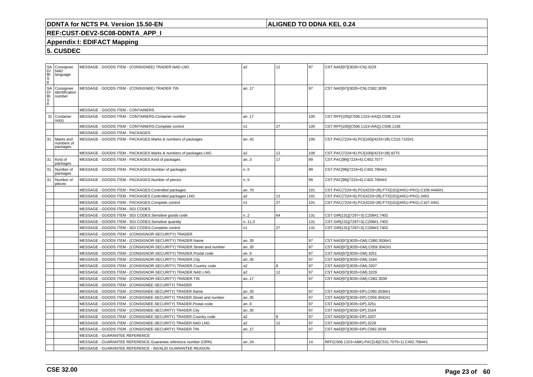## **ALIGNED TO DDNA KEL 0.24**

## **REF:CUST-DEV2-SC08-DDNTA\_APP\_I**

## **Appendix I: EDIFACT Mapping**

| $rac{S}{\text{S}}$ | Consignee<br><b>NAD</b><br>language   |                                   | MESSAGE - GOODS ITEM - (CONSIGNEE) TRADER.NAD LNG                    | a2     | 12 | l 97 | CST.NAD[97](3035=CN).3229                                   |
|--------------------|---------------------------------------|-----------------------------------|----------------------------------------------------------------------|--------|----|------|-------------------------------------------------------------|
|                    | Consignee<br>identification<br>number |                                   | MESSAGE - GOODS ITEM - (CONSIGNEE) TRADER.TIN                        | an17   |    | 97   | CST.NAD[97](3035=CN).C082.3039                              |
|                    |                                       | MESSAGE - GOODS ITEM - CONTAINERS |                                                                      |        |    |      |                                                             |
| 31                 | Container<br>no(s)                    |                                   | MESSAGE - GOODS ITEM - CONTAINERS.Container number                   | an17   |    | 105  | CST.RFF[105](C506.1153=AAQ).C506.1154                       |
|                    |                                       |                                   | MESSAGE - GOODS ITEM - CONTAINERS.Complete control                   | n1     | 27 | 105  | CST.RFF[105](C506.1153=AAQ).C506.1156                       |
|                    |                                       | MESSAGE - GOODS ITEM - PACKAGES   |                                                                      |        |    |      |                                                             |
| 31                 | Marks and<br>numbers of<br>packages   |                                   | MESSAGE - GOODS ITEM - PACKAGES.Marks & numbers of packages          | an42   |    | 100  | CST.PAC(7224=6).PCI[100](4233=28).C210.7102#1               |
|                    |                                       |                                   | MESSAGE - GOODS ITEM - PACKAGES.Marks & numbers of packages LNG      | a2     | 12 | 100  | CST.PAC(7224=6).PCI[100](4233=28).8275                      |
| 31                 | Kind of<br>packages                   |                                   | MESSAGE - GOODS ITEM - PACKAGES.Kind of packages                     | an.3   | 17 | 99   | CST.PAC[99](7224=6).C402.7077                               |
| 31                 | Number of<br>packages                 |                                   | MESSAGE - GOODS ITEM - PACKAGES.Number of packages                   | n.5    |    | 99   | CST.PAC[99](7224=6).C402.7064#1                             |
| 31                 | Number of<br>pieces                   |                                   | MESSAGE - GOODS ITEM - PACKAGES.Number of pieces                     | n5     |    | 99   | CST.PAC[99](7224=6).C402.7064#2                             |
|                    |                                       |                                   | MESSAGE - GOODS ITEM - PACKAGES.Controlled packages                  | an70   |    | 101  | CST.PAC(7224=6).PCI(4233=28).FTX[101](4451=PKG).C108.4440#1 |
|                    |                                       |                                   | MESSAGE - GOODS ITEM - PACKAGES.Controlled packages LNG              | a2     | 12 | 101  | CST.PAC(7224=6).PCI(4233=28).FTX[101](4451=PKG).3453        |
|                    |                                       |                                   | MESSAGE - GOODS ITEM - PACKAGES.Complete control                     | n1     | 27 | 101  | CST.PAC(7224=6).PCI(4233=28).FTX[101](4451=PKG).C107.4441   |
|                    |                                       | MESSAGE - GOODS ITEM - SGI CODES  |                                                                      |        |    |      |                                                             |
|                    |                                       |                                   | MESSAGE - GOODS ITEM - SGI CODES.Sensitive goods code                | n.2    | 64 | 131  | CST.GIR[131](7297=3).C206#2.7402                            |
|                    |                                       |                                   | MESSAGE - GOODS ITEM - SGI CODES.Sensitive quantity                  | n.11,3 |    | 131  | CST.GIR[131](7297=3).C206#1.7402                            |
|                    |                                       |                                   | MESSAGE - GOODS ITEM - SGI CODES.Complete control                    | n1     | 27 | 131  | CST.GIR[131](7297=3).C206#3.7402                            |
|                    |                                       |                                   | MESSAGE - GOODS ITEM - (CONSIGNOR-SECURITY) TRADER                   |        |    |      |                                                             |
|                    |                                       |                                   | MESSAGE - GOODS ITEM - (CONSIGNOR-SECURITY) TRADER.Name              | an35   |    | 97   | CST.NAD[97](3035=GM).C080.3036#1                            |
|                    |                                       |                                   | MESSAGE - GOODS ITEM - (CONSIGNOR-SECURITY) TRADER.Street and number | an35   |    | 97   | CST.NAD[97](3035=GM).C059.3042#1                            |
|                    |                                       |                                   | MESSAGE - GOODS ITEM - (CONSIGNOR-SECURITY) TRADER.Postal code       | an.9   |    | 97   | CST.NAD[97](3035=GM).3251                                   |
|                    |                                       |                                   | MESSAGE - GOODS ITEM - (CONSIGNOR-SECURITY) TRADER.City              | an35   |    | 97   | CST.NAD[97](3035=GM).3164                                   |
|                    |                                       |                                   | MESSAGE - GOODS ITEM - (CONSIGNOR-SECURITY) TRADER.Country code      | a2     | 8  | 97   | CST.NAD[97](3035=GM).3207                                   |
|                    |                                       |                                   | MESSAGE - GOODS ITEM - (CONSIGNOR-SECURITY) TRADER.NAD LNG           | a2     | 12 | 97   | CST.NAD[97](3035=GM).3229                                   |
|                    |                                       |                                   | MESSAGE - GOODS ITEM - (CONSIGNOR-SECURITY) TRADER.TIN               | an17   |    | 97   | CST.NAD[97](3035=GM).C082.3039                              |
|                    |                                       |                                   | MESSAGE - GOODS ITEM - (CONSIGNEE-SECURITY) TRADER                   |        |    |      |                                                             |
|                    |                                       |                                   | MESSAGE - GOODS ITEM - (CONSIGNEE-SECURITY) TRADER.Name              | an35   |    | l 97 | CST.NAD[97](3035=DP).C080.3036#1                            |
|                    |                                       |                                   | MESSAGE - GOODS ITEM - (CONSIGNEE-SECURITY) TRADER.Street and number | an35   |    | 97   | CST.NAD[97](3035=DP).C059.3042#1                            |
|                    |                                       |                                   | MESSAGE - GOODS ITEM - (CONSIGNEE-SECURITY) TRADER.Postal code       | an.9   |    | 97   | CST.NAD[97](3035=DP).3251                                   |
|                    |                                       |                                   | MESSAGE - GOODS ITEM - (CONSIGNEE-SECURITY) TRADER.City              | an35   |    | 97   | CST.NAD[97](3035=DP).3164                                   |
|                    |                                       |                                   | MESSAGE - GOODS ITEM - (CONSIGNEE-SECURITY) TRADER.Country code      | a2     | 8  | 97   | CST.NAD[97](3035=DP).3207                                   |
|                    |                                       |                                   | MESSAGE - GOODS ITEM - (CONSIGNEE-SECURITY) TRADER.NAD LNG           | a2     | 12 | 97   | CST.NAD[97](3035=DP).3229                                   |
|                    |                                       |                                   | MESSAGE - GOODS ITEM - (CONSIGNEE-SECURITY) TRADER.TIN               | an17   |    | 97   | CST.NAD[97](3035=DP).C082.3039                              |
|                    |                                       | MESSAGE - GUARANTEE REFERENCE     |                                                                      |        |    |      |                                                             |
|                    |                                       |                                   | MESSAGE - GUARANTEE REFERENCE.Guarantee reference number (GRN)       | an24   |    | 14   | RFF(C506.1153=ABK).PAC[14](C531.7075=1).C402.7064#1         |
|                    |                                       |                                   | MESSAGE - GUARANTEE REFERENCE - INVALID GUARANTEE REASON             |        |    |      |                                                             |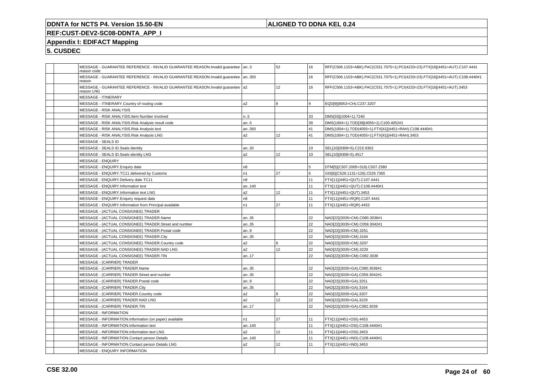## **ALIGNED TO DDNA KEL 0.24**

## **REF:CUST-DEV2-SC08-DDNTA\_APP\_I**

## **Appendix I: EDIFACT Mapping**

| MESSAGE - GUARANTEE REFERENCE - INVALID GUARANTEE REASON.Invalid quarantee   an3<br>reason code |                | 52  | 16  | RFF(C506.1153=ABK).PAC(C531.7075=1).PCI(4233=23).FTX[16](4451=AUT).C107.4441   |
|-------------------------------------------------------------------------------------------------|----------------|-----|-----|--------------------------------------------------------------------------------|
| MESSAGE - GUARANTEE REFERENCE - INVALID GUARANTEE REASON.Invalid quarantee<br>reason            | an350          |     | 16  | RFF(C506.1153=ABK).PAC(C531.7075=1).PCI(4233=23).FTX[16](4451=AUT).C108.4440#1 |
| MESSAGE - GUARANTEE REFERENCE - INVALID GUARANTEE REASON.Invalid quarantee   a2<br>reason LNG   |                | 12  | 16  | RFF(C506.1153=ABK).PAC(C531.7075=1).PCI(4233=23).FTX[16](4451=AUT).3453        |
| <b>MESSAGE - ITINERARY</b>                                                                      |                |     |     |                                                                                |
| MESSAGE - ITINERARY.Country of routing code                                                     | a <sub>2</sub> | 8   | l 9 | EQD[9](8053=CH).C237.3207                                                      |
| MESSAGE - RISK ANALYSIS                                                                         |                |     |     |                                                                                |
| MESSAGE - RISK ANALYSIS.Item Number involved                                                    | n.5            |     | 33  | DMS[33](1004=1).7240                                                           |
| MESSAGE - RISK ANALYSIS.Risk Analysis result code                                               | an5            |     | 39  | DMS(1004=1).TOD[39](4055=1).C100.4052#1                                        |
| MESSAGE - RISK ANALYSIS.Risk Analysis text                                                      | an350          |     | 41  | DMS(1004=1).TOD(4055=1).FTX[41](4451=RAH).C108.4440#1                          |
| MESSAGE - RISK ANALYSIS.Risk Analysis LNG                                                       | a <sub>2</sub> | 12  | 41  | DMS(1004=1).TOD(4055=1).FTX[41](4451=RAH).3453                                 |
| MESSAGE - SEALS ID                                                                              |                |     |     |                                                                                |
| MESSAGE - SEALS ID.Seals identity                                                               | an20           |     | 10  | SEL[10](9308=5).C215.9302                                                      |
| MESSAGE - SEALS ID.Seals identity LNG                                                           | a <sub>2</sub> | 12  | 10  | SEL[10](9308=5).4517                                                           |
| <b>MESSAGE - ENQUIRY</b>                                                                        |                |     |     |                                                                                |
| MESSAGE - ENQUIRY. Enquiry date                                                                 | n <sub>8</sub> |     | 5   | DTM[5](C507.2005=316).C507.2380                                                |
| MESSAGE - ENQUIRY.TC11 delivered by Customs                                                     | n1             | 27  | l 6 | GIS[6](C529.1131=126).C529.7365                                                |
| MESSAGE - ENQUIRY.Delivery date TC11                                                            | n <sub>8</sub> |     | 11  | FTX[11](4451=QUT).C107.4441                                                    |
| MESSAGE - ENQUIRY.Information text                                                              | an140          |     | 11  | FTX[11](4451=QUT).C108.4440#1                                                  |
| MESSAGE - ENQUIRY.Information text LNG                                                          | a <sub>2</sub> | 12  | 11  | FTX[11](4451=QUT).3453                                                         |
| MESSAGE - ENQUIRY. Enquiry request date                                                         | n <sub>8</sub> |     | 11  | FTX[11](4451=RQR).C107.4441                                                    |
| MESSAGE - ENQUIRY.Information from Principal available                                          | n <sub>1</sub> | 27  | 11  | FTX[11](4451=RQR).4453                                                         |
| MESSAGE - (ACTUAL CONSIGNEE) TRADER                                                             |                |     |     |                                                                                |
| MESSAGE - (ACTUAL CONSIGNEE) TRADER.Name                                                        | an35           |     | 22  | NAD[22](3035=CM).C080.3036#1                                                   |
| MESSAGE - (ACTUAL CONSIGNEE) TRADER.Street and number                                           | an35           |     | 22  | NAD[22](3035=CM).C059.3042#1                                                   |
| MESSAGE - (ACTUAL CONSIGNEE) TRADER.Postal code                                                 | an9            |     | 22  | NAD[22](3035=CM).3251                                                          |
| MESSAGE - (ACTUAL CONSIGNEE) TRADER.City                                                        | an35           |     | 22  | NAD[22](3035=CM).3164                                                          |
| MESSAGE - (ACTUAL CONSIGNEE) TRADER.Country code                                                | a <sub>2</sub> | l 8 | 22  | NAD[22](3035=CM).3207                                                          |
| MESSAGE - (ACTUAL CONSIGNEE) TRADER.NAD LNG                                                     | a <sub>2</sub> | 12  | 22  | NAD[22](3035=CM).3229                                                          |
| MESSAGE - (ACTUAL CONSIGNEE) TRADER.TIN                                                         | an17           |     | 22  | NAD[22](3035=CM).C082.3039                                                     |
| <b>MESSAGE - (CARRIER) TRADER</b>                                                               |                |     |     |                                                                                |
| MESSAGE - (CARRIER) TRADER.Name                                                                 | an35           |     | 22  | NAD[22](3035=GA).C080.3036#1                                                   |
| MESSAGE - (CARRIER) TRADER.Street and number                                                    | an35           |     | 22  | NAD[22](3035=GA).C059.3042#1                                                   |
| MESSAGE - (CARRIER) TRADER.Postal code                                                          | an9            |     | 22  | NAD[22](3035=GA).3251                                                          |
| MESSAGE - (CARRIER) TRADER.City                                                                 | an35           |     | 22  | NAD[22](3035=GA).3164                                                          |
| MESSAGE - (CARRIER) TRADER.Country code                                                         | a <sub>2</sub> | 8   | 22  | NAD[22](3035=GA).3207                                                          |
| MESSAGE - (CARRIER) TRADER.NAD LNG                                                              | a <sub>2</sub> | 12  | 22  | NAD[22](3035=GA).3229                                                          |
| MESSAGE - (CARRIER) TRADER.TIN                                                                  | an17           |     | 22  | NAD[22](3035=GA).C082.3039                                                     |
| <b>MESSAGE - INFORMATION</b>                                                                    |                |     |     |                                                                                |
| MESSAGE - INFORMATION.Information (on paper) available                                          | n <sub>1</sub> | 27  | 11  | FTX[11](4451=OSI).4453                                                         |
| MESSAGE - INFORMATION.Information text                                                          | an140          |     | 11  | FTX[11](4451=OSI).C108.4440#1                                                  |
| MESSAGE - INFORMATION.Information text LNG                                                      | a <sub>2</sub> | 12  | 11  | FTX[11](4451=OSI).3453                                                         |
| MESSAGE - INFORMATION.Contact person Details                                                    | an140          |     | 11  | FTX[11](4451=IND).C108.4440#1                                                  |
| MESSAGE - INFORMATION.Contact person Details LNG                                                | a <sub>2</sub> | 12  | 11  | FTX[11](4451=IND).3453                                                         |
| MESSAGE - ENQUIRY INFORMATION                                                                   |                |     |     |                                                                                |
|                                                                                                 |                |     |     |                                                                                |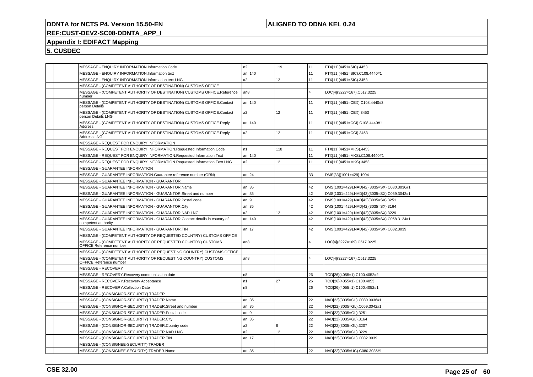## **ALIGNED TO DDNA KEL 0.24**

## **REF:CUST-DEV2-SC08-DDNTA\_APP\_I**

## **Appendix I: EDIFACT Mapping**

| MESSAGE - ENQUIRY INFORMATION.Information Code                                                   | n2             | 119             | 11             | FTX[11](4451=SIC).4453                     |
|--------------------------------------------------------------------------------------------------|----------------|-----------------|----------------|--------------------------------------------|
| MESSAGE - ENQUIRY INFORMATION.Information text                                                   | an140          |                 | 11             | FTX[11](4451=SIC).C108.4440#1              |
| MESSAGE - ENQUIRY INFORMATION.Information text LNG                                               | a2             | 12 <sup>°</sup> | 11             | FTX[11](4451=SIC).3453                     |
| MESSAGE - (COMPETENT AUTHORITY OF DESTINATION) CUSTOMS OFFICE                                    |                |                 |                |                                            |
| MESSAGE - (COMPETENT AUTHORITY OF DESTINATION) CUSTOMS OFFICE.Reference<br>number                | an8            |                 | $\overline{4}$ | LOC[4](3227=167).C517.3225                 |
| MESSAGE - (COMPETENT AUTHORITY OF DESTINATION) CUSTOMS OFFICE.Contact<br>person Details          | an140          |                 | 11             | FTX[11](4451=CEX).C108.4440#3              |
| MESSAGE - (COMPETENT AUTHORITY OF DESTINATION) CUSTOMS OFFICE.Contact<br>person Details LNG      | a <sub>2</sub> | 12              | 11             | FTX[11](4451=CEX).3453                     |
| MESSAGE - (COMPETENT AUTHORITY OF DESTINATION) CUSTOMS OFFICE.Reply<br>Address                   | an140          |                 | 11             | FTX[11](4451=CCI).C108.4440#1              |
| MESSAGE - (COMPETENT AUTHORITY OF DESTINATION) CUSTOMS OFFICE.Reply<br>Address LNG               | a2             | 12              | 11             | FTX[11](4451=CCI).3453                     |
| MESSAGE - REQUEST FOR ENQUIRY INFORMATION                                                        |                |                 |                |                                            |
| MESSAGE - REQUEST FOR ENQUIRY INFORMATION.Requested Information Code                             | n1             | 118             | 11             | FTX[11](4451=MKS).4453                     |
| MESSAGE - REQUEST FOR ENQUIRY INFORMATION.Requested Information Text                             | an140          |                 | 11             | FTX[11](4451=MKS).C108.4440#1              |
| MESSAGE - REQUEST FOR ENQUIRY INFORMATION.Requested Information Text LNG                         | a2             | 12              | 11             | FTX[11](4451=MKS).3453                     |
| MESSAGE - GUARANTEE INFORMATION                                                                  |                |                 |                |                                            |
| MESSAGE - GUARANTEE INFORMATION.Guarantee reference number (GRN)                                 | an24           |                 | 33             | DMS[33](1001=429).1004                     |
| MESSAGE - GUARANTEE INFORMATION - GUARANTOR                                                      |                |                 |                |                                            |
| MESSAGE - GUARANTEE INFORMATION - GUARANTOR.Name                                                 | an35           |                 | 42             | DMS(1001=429).NAD[42](3035=SX).C080.3036#1 |
| MESSAGE - GUARANTEE INFORMATION - GUARANTOR.Street and number                                    | an35           |                 | 42             | DMS(1001=429).NAD[42](3035=SX).C059.3042#1 |
| MESSAGE - GUARANTEE INFORMATION - GUARANTOR.Postal code                                          | an.9           |                 | 42             | DMS(1001=429).NAD[42](3035=SX).3251        |
| MESSAGE - GUARANTEE INFORMATION - GUARANTOR.City                                                 | an35           |                 | 42             | DMS(1001=429).NAD[42](3035=SX).3164        |
| MESSAGE - GUARANTEE INFORMATION - GUARANTOR.NAD LNG                                              | a2             | 12              | 42             | DMS(1001=429).NAD[42](3035=SX).3229        |
| MESSAGE - GUARANTEE INFORMATION - GUARANTOR.Contact details in country of<br>competent authority | an140          |                 | 42             | DMS(1001=429).NAD[42](3035=SX).C058.3124#1 |
| MESSAGE - GUARANTEE INFORMATION - GUARANTOR.TIN                                                  | an17           |                 | 42             | DMS(1001=429).NAD[42](3035=SX).C082.3039   |
| MESSAGE - (COMPETENT AUTHORITY OF REQUESTED COUNTRY) CUSTOMS OFFICE                              |                |                 |                |                                            |
| MESSAGE - (COMPETENT AUTHORITY OF REQUESTED COUNTRY) CUSTOMS<br>OFFICE.Reference number          | an8            |                 | $\Delta$       | LOC[4](3227=169).C517.3225                 |
| MESSAGE - (COMPETENT AUTHORITY OF REQUESTING COUNTRY) CUSTOMS OFFICE                             |                |                 |                |                                            |
| MESSAGE - (COMPETENT AUTHORITY OF REQUESTING COUNTRY) CUSTOMS<br>OFFICE.Reference number         | an8            |                 | $\overline{4}$ | LOC[4](3227=167).C517.3225                 |
| MESSAGE - RECOVERY                                                                               |                |                 |                |                                            |
| MESSAGE - RECOVERY.Recovery communication date                                                   | n8             |                 | 26             | TOD[26](4055=1).C100.4052#2                |
| MESSAGE - RECOVERY.Recovery Acceptance                                                           | n1             | 27              | 26             | TOD[26](4055=1).C100.4053                  |
| MESSAGE - RECOVERY.Collection Date                                                               | n8             |                 | 26             | TOD[26](4055=1).C100.4052#1                |
| MESSAGE - (CONSIGNOR-SECURITY) TRADER                                                            |                |                 |                |                                            |
| MESSAGE - (CONSIGNOR-SECURITY) TRADER.Name                                                       | an35           |                 | 22             | NAD[22](3035=GL).C080.3036#1               |
| MESSAGE - (CONSIGNOR-SECURITY) TRADER.Street and number                                          | an35           |                 | 22             | NAD[22](3035=GL).C059.3042#1               |
| MESSAGE - (CONSIGNOR-SECURITY) TRADER.Postal code                                                | an.9           |                 | 22             | NAD[22](3035=GL).3251                      |
| MESSAGE - (CONSIGNOR-SECURITY) TRADER.City                                                       | an35           |                 | 22             | NAD[22](3035=GL).3164                      |
| MESSAGE - (CONSIGNOR-SECURITY) TRADER.Country code                                               | a <sub>2</sub> | $\overline{8}$  | 22             | NAD[22](3035=GL).3207                      |
| MESSAGE - (CONSIGNOR-SECURITY) TRADER.NAD LNG                                                    | a2             | 12              | 22             | NAD[22](3035=GL).3229                      |
| MESSAGE - (CONSIGNOR-SECURITY) TRADER.TIN                                                        | an17           |                 | 22             | NAD[22](3035=GL).C082.3039                 |
| MESSAGE - (CONSIGNEE-SECURITY) TRADER                                                            |                |                 |                |                                            |
| MESSAGE - (CONSIGNEE-SECURITY) TRADER.Name                                                       | an35           |                 | 22             | NAD[22](3035=UC).C080.3036#1               |
|                                                                                                  |                |                 |                |                                            |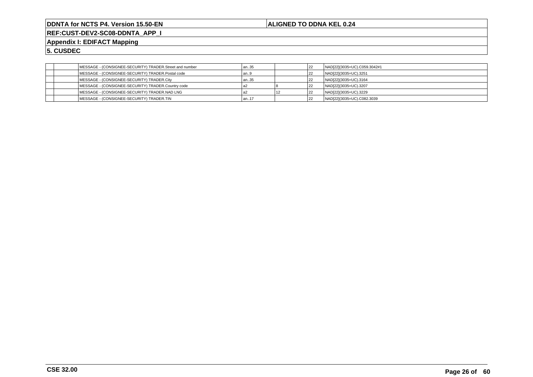**ALIGNED TO DDNA KEL 0.24**

**REF:CUST-DEV2-SC08-DDNTA\_APP\_I**

**Appendix I: EDIFACT Mapping**

| MESSAGE - (CONSIGNEE-SECURITY) TRADER.Street and number | an35   | 22 | NAD[22](3035=UC).C059.3042#1 |
|---------------------------------------------------------|--------|----|------------------------------|
| MESSAGE - (CONSIGNEE-SECURITY) TRADER.Postal code       | an9    | 22 | NAD[22](3035=UC).3251        |
| MESSAGE - (CONSIGNEE-SECURITY) TRADER.City              | l an35 |    | NAD[22](3035=UC).3164        |
| MESSAGE - (CONSIGNEE-SECURITY) TRADER.Country code      |        |    | NAD[22](3035=UC).3207        |
| MESSAGE - (CONSIGNEE-SECURITY) TRADER.NAD LNG           |        |    | NAD[22](3035=UC).3229        |
| MESSAGE - (CONSIGNEE-SECURITY) TRADER.TIN               | l an17 | 22 | NAD[22](3035=UC).C082.3039   |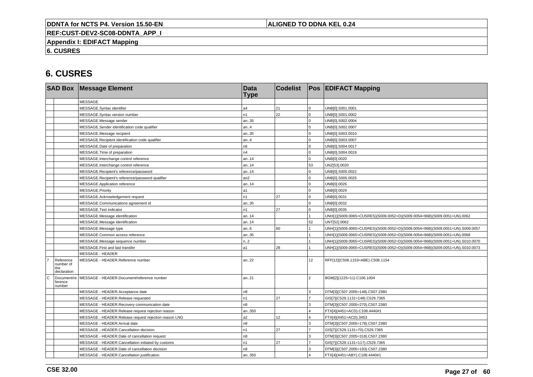## **ALIGNED TO DDNA KEL 0.24**

**REF:CUST-DEV2-SC08-DDNTA\_APP\_I**

**Appendix I: EDIFACT Mapping**

**6. CUSRES**

|             |                                       | <b>SAD Box Message Element</b>                        | <b>Data</b><br><b>Type</b> | <b>Codelist</b> |                 | <b>Pos EDIFACT Mapping</b>                                                   |
|-------------|---------------------------------------|-------------------------------------------------------|----------------------------|-----------------|-----------------|------------------------------------------------------------------------------|
|             |                                       | <b>MESSAGE</b>                                        |                            |                 |                 |                                                                              |
|             |                                       | MESSAGE.Syntax identifier                             | a4                         | 21              | $\mathbf 0$     | UNB[0].S001.0001                                                             |
|             |                                       | MESSAGE.Syntax version number                         | n1                         | 22              | $\Omega$        | UNB[0].S001.0002                                                             |
|             |                                       | MESSAGE.Message sender                                | an35                       |                 | $\Omega$        | UNB[0].S002.0004                                                             |
|             |                                       | MESSAGE.Sender identification code qualifier          | an4                        |                 | $\Omega$        | UNB[0].S002.0007                                                             |
|             |                                       | MESSAGE.Message recipient                             | an35                       |                 | $\Omega$        | UNB[0].S003.0010                                                             |
|             |                                       | MESSAGE.Recipient identification code qualifier       | an.4                       |                 | $\Omega$        | UNB[0].S003.0007                                                             |
|             |                                       | MESSAGE.Date of preparation                           | n6                         |                 | $\Omega$        | UNB[0].S004.0017                                                             |
|             |                                       | MESSAGE. Time of preparation                          | n4                         |                 | $\Omega$        | UNB[0].S004.0019                                                             |
|             |                                       | MESSAGE.Interchange control reference                 | an14                       |                 | $\Omega$        | UNB[0].0020                                                                  |
|             |                                       | MESSAGE.Interchange control reference                 | an14                       |                 | 53              | UNZ[53].0020                                                                 |
|             |                                       | MESSAGE.Recipient's reference/password                | an14                       |                 | O               | UNB[0].S005.0022                                                             |
|             |                                       | MESSAGE.Recipient's reference/password qualifier      | an2                        |                 | $\Omega$        | UNB[0].S005.0025                                                             |
|             |                                       | MESSAGE.Application reference                         | an14                       |                 | $\Omega$        | UNB[0].0026                                                                  |
|             |                                       | MESSAGE.Priority                                      | a1                         |                 | $\Omega$        | UNB[0].0029                                                                  |
|             |                                       | MESSAGE.Acknowledgement request                       | n1                         | 27              | $\Omega$        | UNB[0].0031                                                                  |
|             |                                       | MESSAGE.Communications agreement id                   | an35                       |                 | $\Omega$        | UNB[0].0032                                                                  |
|             |                                       | MESSAGE.Test indicator                                | n1                         | 27              | $\mathbf 0$     | UNB[0].0035                                                                  |
|             |                                       | MESSAGE.Message identification                        | an14                       |                 |                 | UNH[1](S009.0065=CUSRES)(S009.0052=D)(S009.0054=96B)(S009.0051=UN).0062      |
|             |                                       | MESSAGE.Message identification                        | an14                       |                 | 52              | UNT[52].0062                                                                 |
|             |                                       | MESSAGE.Message type                                  | an6                        | 60              |                 | UNH[1](S009.0065=CUSRES)(S009.0052=D)(S009.0054=96B)(S009.0051=UN).S009.0057 |
|             |                                       | MESSAGE.Common access reference                       | an35                       |                 |                 | UNH[1](S009.0065=CUSRES)(S009.0052=D)(S009.0054=96B)(S009.0051=UN).0068      |
|             |                                       | MESSAGE.Message sequence number                       | n.2                        |                 |                 | UNH[1](S009.0065=CUSRES)(S009.0052=D)(S009.0054=96B)(S009.0051=UN).S010.0070 |
|             |                                       | MESSAGE.First and last transfer                       | a1                         | 28              |                 | UNH[1](S009.0065=CUSRES)(S009.0052=D)(S009.0054=96B)(S009.0051=UN).S010.0073 |
|             |                                       | <b>MESSAGE - HEADER</b>                               |                            |                 |                 |                                                                              |
| the         | Reference<br>number of<br>declaration | MESSAGE - HEADER.Reference number                     | an22                       |                 | 12 <sup>°</sup> | RFF[12](C506.1153=ABE).C506.1154                                             |
| $\mathbf C$ | Document/re<br>ference<br>number      | MESSAGE - HEADER.Document/reference number            | an.21                      |                 | $\overline{2}$  | BGM[2](1225=11).C106.1004                                                    |
|             |                                       | MESSAGE - HEADER.Acceptance date                      | n8                         |                 | 3               | DTM[3](C507.2005=148).C507.2380                                              |
|             |                                       | MESSAGE - HEADER.Release requested                    | n1                         | 27              |                 | GIS[7](C529.1131=148).C529.7365                                              |
|             |                                       | MESSAGE - HEADER.Recovery communication date          | n <sub>8</sub>             |                 | 3               | DTM[3](C507.2005=270).C507.2380                                              |
|             |                                       | MESSAGE - HEADER.Release request rejection reason     | an350                      |                 |                 | FTX[4](4451=ACD).C108.4440#1                                                 |
|             |                                       | MESSAGE - HEADER.Release request rejection reason LNG | a2                         | 12              | 4               | FTX[4](4451=ACD).3453                                                        |
|             |                                       | MESSAGE - HEADER.Arrival date                         | n8                         |                 | 3               | DTM[3](C507.2005=178).C507.2380                                              |
|             |                                       | MESSAGE - HEADER.Cancellation decision                | n1                         | 27              |                 | GIS[7](C529.1131=70).C529.7365                                               |
|             |                                       | MESSAGE - HEADER.Date of cancellation request         | n <sub>8</sub>             |                 | ٩               | DTM[3](C507.2005=318).C507.2380                                              |
|             |                                       | MESSAGE - HEADER.Cancellation initiated by customs    | n1                         | 27              | $\overline{7}$  | GIS[7](C529.1131=117).C529.7365                                              |
|             |                                       | MESSAGE - HEADER.Date of cancellation decision        | n8                         |                 | 3               | DTM[3](C507.2005=193).C507.2380                                              |
|             |                                       | MESSAGE - HEADER.Cancellation justification           | an350                      |                 |                 | FTX[4](4451=ABY).C108.4440#1                                                 |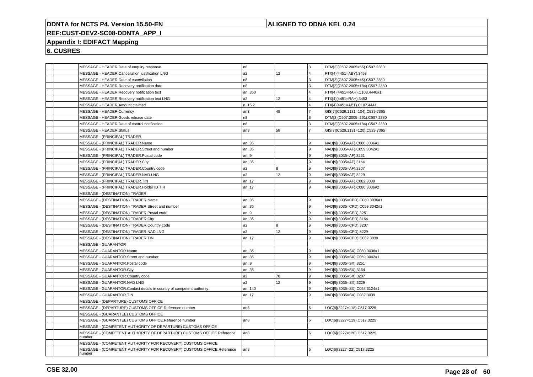## **ALIGNED TO DDNA KEL 0.24**

# **REF:CUST-DEV2-SC08-DDNTA\_APP\_I**

## **Appendix I: EDIFACT Mapping**

| MESSAGE - HEADER.Date of enquiry response                                       | n <sub>8</sub>  |     | l 3                     | DTM[3](C507.2005=55).C507.2380  |
|---------------------------------------------------------------------------------|-----------------|-----|-------------------------|---------------------------------|
| MESSAGE - HEADER.Cancellation justification LNG                                 | a2              | 12  | $\overline{\mathbf{A}}$ | FTX[4](4451=ABY).3453           |
| MESSAGE - HEADER.Date of cancellation                                           | n8              |     | 3                       | DTM[3](C507.2005=46).C507.2380  |
| MESSAGE - HEADER.Recovery notification date                                     | n8              |     | l 3                     | DTM[3](C507.2005=184).C507.2380 |
| MESSAGE - HEADER.Recovery notification text                                     | an350           |     | $\overline{4}$          | FTX[4](4451=RAH).C108.4440#1    |
| MESSAGE - HEADER.Recovery notification text LNG                                 | a2              | 12  | $\overline{4}$          | FTX[4](4451=RAH).3453           |
| MESSAGE - HEADER.Amount claimed                                                 | n.15,2          |     | $\overline{4}$          | FTX[4](4451=ABT).C107.4441      |
| MESSAGE - HEADER.Currency                                                       | an3             | 48  | $\overline{7}$          | GIS[7](C529.1131=104).C529.7365 |
| MESSAGE - HEADER.Goods release date                                             | n8              |     | l 3                     | DTM[3](C507.2005=261).C507.2380 |
| MESSAGE - HEADER.Date of control notification                                   | n8              |     | 3                       | DTM[3](C507.2005=184).C507.2380 |
| <b>MESSAGE - HEADER.Status</b>                                                  | an3             | 58  | $\overline{7}$          | GIS[7](C529.1131=120).C529.7365 |
| MESSAGE - (PRINCIPAL) TRADER                                                    |                 |     |                         |                                 |
| MESSAGE - (PRINCIPAL) TRADER.Name                                               | an35            |     | 9                       | NAD[9](3035=AF).C080.3036#1     |
| MESSAGE - (PRINCIPAL) TRADER.Street and number                                  | an35            |     | 9                       | NAD[9](3035=AF).C059.3042#1     |
| MESSAGE - (PRINCIPAL) TRADER.Postal code                                        | an9             |     | 9                       | NAD[9](3035=AF).3251            |
| MESSAGE - (PRINCIPAL) TRADER.City                                               | an35            |     | 9                       | NAD[9](3035=AF).3164            |
| MESSAGE - (PRINCIPAL) TRADER.Country code                                       | a2              | 8   | 9                       | NAD[9](3035=AF).3207            |
| MESSAGE - (PRINCIPAL) TRADER.NAD LNG                                            | a2              | 12  | l 9                     | NAD[9](3035=AF).3229            |
| MESSAGE - (PRINCIPAL) TRADER.TIN                                                | an17            |     | 9                       | NAD[9](3035=AF).C082.3039       |
| MESSAGE - (PRINCIPAL) TRADER.Holder ID TIR                                      | an17            |     | Q                       | NAD[9](3035=AF).C080.3036#2     |
| MESSAGE - (DESTINATION) TRADER                                                  |                 |     |                         |                                 |
| MESSAGE - (DESTINATION) TRADER.Name                                             | an35            |     | l 9.                    | NAD[9](3035=CPD).C080.3036#1    |
| MESSAGE - (DESTINATION) TRADER.Street and number                                | an35            |     | 9                       | NAD[9](3035=CPD).C059.3042#1    |
| MESSAGE - (DESTINATION) TRADER.Postal code                                      | an.9            |     | 9                       | NAD[9](3035=CPD).3251           |
| MESSAGE - (DESTINATION) TRADER.City                                             | an35            |     | 9                       | NAD[9](3035=CPD).3164           |
| MESSAGE - (DESTINATION) TRADER.Country code                                     | a2              | l 8 | 9                       | NAD[9](3035=CPD).3207           |
| MESSAGE - (DESTINATION) TRADER.NAD LNG                                          | a2              | 12  | l 9                     | NAD[9](3035=CPD).3229           |
| MESSAGE - (DESTINATION) TRADER.TIN                                              | an17            |     | 9                       | NAD[9](3035=CPD).C082.3039      |
| <b>MESSAGE - GUARANTOR</b>                                                      |                 |     |                         |                                 |
| MESSAGE - GUARANTOR.Name                                                        | an35            |     | 9                       | NAD[9](3035=SX).C080.3036#1     |
| MESSAGE - GUARANTOR.Street and number                                           | an35            |     | 9                       | NAD[9](3035=SX).C059.3042#1     |
| MESSAGE - GUARANTOR.Postal code                                                 | an9             |     | 9                       | NAD[9](3035=SX).3251            |
| MESSAGE - GUARANTOR.City                                                        | an35            |     | 9                       | NAD[9](3035=SX).3164            |
| MESSAGE - GUARANTOR.Country code                                                | a2              | 70  | 9                       | NAD[9](3035=SX).3207            |
| MESSAGE - GUARANTOR.NAD LNG                                                     | a2              | 12  | 9۱.                     | NAD[9](3035=SX).3229            |
| MESSAGE - GUARANTOR.Contact details in country of competent authority           | an140           |     | 9                       | NAD[9](3035=SX).C058.3124#1     |
| MESSAGE - GUARANTOR.TIN                                                         | an17            |     | 9                       | NAD[9](3035=SX).C082.3039       |
| MESSAGE - (DEPARTURE) CUSTOMS OFFICE                                            |                 |     |                         |                                 |
| MESSAGE - (DEPARTURE) CUSTOMS OFFICE.Reference number                           | an8             |     | 6                       | LOC[6](3227=118).C517.3225      |
| MESSAGE - (GUARANTEE) CUSTOMS OFFICE                                            |                 |     |                         |                                 |
| MESSAGE - (GUARANTEE) CUSTOMS OFFICE.Reference number                           | an <sub>8</sub> |     | 6                       | LOC[6](3227=119).C517.3225      |
| MESSAGE - (COMPETENT AUTHORITY OF DEPARTURE) CUSTOMS OFFICE                     |                 |     |                         |                                 |
| MESSAGE - (COMPETENT AUTHORITY OF DEPARTURE) CUSTOMS OFFICE.Reference           | an <sub>8</sub> |     | $6\overline{6}$         | LOC[6](3227=120).C517.3225      |
| number                                                                          |                 |     |                         |                                 |
| MESSAGE - (COMPETENT AUTHORITY FOR RECOVERY) CUSTOMS OFFICE                     |                 |     |                         |                                 |
| MESSAGE - (COMPETENT AUTHORITY FOR RECOVERY) CUSTOMS OFFICE.Reference<br>number | an <sub>8</sub> |     | 6                       | LOC[6](3227=22).C517.3225       |
|                                                                                 |                 |     |                         |                                 |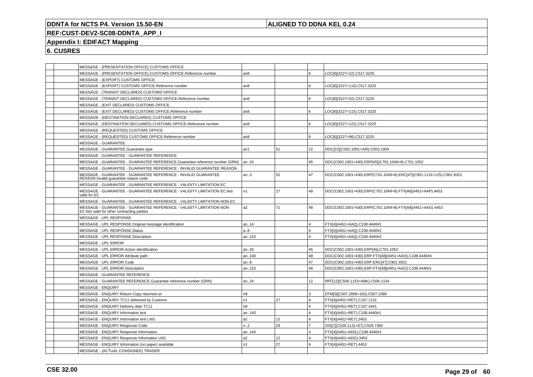## **ALIGNED TO DDNA KEL 0.24**

## **REF:CUST-DEV2-SC08-DDNTA\_APP\_I**

## **Appendix I: EDIFACT Mapping**

| MESSAGE - (PRESENTATION OFFICE) CUSTOMS OFFICE                                                                    |                 |    |                 |                                                                      |
|-------------------------------------------------------------------------------------------------------------------|-----------------|----|-----------------|----------------------------------------------------------------------|
| MESSAGE - (PRESENTATION OFFICE) CUSTOMS OFFICE.Reference number                                                   | an8             |    | l 6             | LOC[6](3227=22).C517.3225                                            |
| MESSAGE - (EXPORT) CUSTOMS OFFICE                                                                                 |                 |    |                 |                                                                      |
| MESSAGE - (EXPORT) CUSTOMS OFFICE.Reference number                                                                | an <sub>8</sub> |    | 6               | LOC[6](3227=116).C517.3225                                           |
| MESSAGE - (TRANSIT DECLARED) CUSTOMS OFFICE                                                                       |                 |    |                 |                                                                      |
| MESSAGE - (TRANSIT DECLARED) CUSTOMS OFFICE.Reference number                                                      | an8             |    | l 6             | LOC[6](3227=52).C517.3225                                            |
| MESSAGE - (EXIT DECLARED) CUSTOMS OFFICE                                                                          |                 |    |                 |                                                                      |
| MESSAGE - (EXIT DECLARED) CUSTOMS OFFICE.Reference number                                                         | an8             |    | 6               | LOC[6](3227=115).C517.3225                                           |
| MESSAGE - (DESTINATION DECLARED) CUSTOMS OFFICE                                                                   |                 |    |                 |                                                                      |
| MESSAGE - (DESTINATION DECLARED) CUSTOMS OFFICE.Reference number                                                  | an <sub>8</sub> |    | l 6             | LOC[6](3227=122).C517.3225                                           |
| MESSAGE - (REQUESTED) CUSTOMS OFFICE                                                                              |                 |    |                 |                                                                      |
| MESSAGE - (REQUESTED) CUSTOMS OFFICE.Reference number                                                             | an8             |    | l 6             | LOC[6](3227=96).C517.3225                                            |
| <b>MESSAGE - GUARANTEE</b>                                                                                        |                 |    |                 |                                                                      |
| MESSAGE - GUARANTEE.Guarantee type                                                                                | an1             | 51 | 22              | DOC[22](C002.1001=430).C503.1004                                     |
| MESSAGE - GUARANTEE - GUARANTEE REFERENCE                                                                         |                 |    |                 |                                                                      |
| MESSAGE - GUARANTEE - GUARANTEE REFERENCE.Guarantee reference number (GRN)                                        | an24            |    | 45              | DOC(C002.1001=430).ERP[45](C701.1049=8).C701.1052                    |
| MESSAGE - GUARANTEE - GUARANTEE REFERENCE - INVALID GUARANTEE REASON                                              |                 |    |                 |                                                                      |
| MESSAGE - GUARANTEE - GUARANTEE REFERENCE - INVALID GUARANTEE<br>REASON.Invalid quarantee reason code             | an.3            | 52 | 47              | DOC(C002.1001=430).ERP(C701.1049=8).ERC[47](C901.1131=125).C901.9321 |
| MESSAGE - GUARANTEE - GUARANTEE REFERENCE - VALIDITY LIMITATION EC                                                |                 |    |                 |                                                                      |
| MESSAGE - GUARANTEE - GUARANTEE REFERENCE - VALIDITY LIMITATION EC.Not<br>valid for EC                            | n1              | 27 | 48              | DOC(C002.1001=430).ERP(C701.1049=8).FTX[48](4451=AAP).4453           |
| MESSAGE - GUARANTEE - GUARANTEE REFERENCE - VALIDITY LIMITATION NON EC                                            |                 |    |                 |                                                                      |
| MESSAGE - GUARANTEE - GUARANTEE REFERENCE - VALIDITY LIMITATION NON<br>EC.Not valid for other contracting parties | a2              | 71 | 48              | DOC(C002.1001=430).ERP(C701.1049=8).FTX[48](4451=AAG).4453           |
| MESSAGE - UPL RESPONSE                                                                                            |                 |    |                 |                                                                      |
| MESSAGE - UPL RESPONSE.Original message identification                                                            | an14            |    | $\overline{4}$  | FTX[4](4451=AAQ).C108.4440#1                                         |
| MESSAGE - UPL RESPONSE.Status                                                                                     | a.8             |    | $\overline{4}$  | FTX[4](4451=AAQ).C108.4440#2                                         |
| MESSAGE - UPL RESPONSE.Description                                                                                | an210           |    | $\overline{4}$  | FTX[4](4451=AAQ).C108.4440#3                                         |
| <b>MESSAGE - UPL ERROR</b>                                                                                        |                 |    |                 |                                                                      |
| MESSAGE - UPL ERROR.Action identification                                                                         | an20            |    | 45              | DOC(C002.1001=430).ERP[45].C701.1052                                 |
| MESSAGE - UPL ERROR.Attribute path                                                                                | an140           |    | 48              | DOC(C002.1001=430).ERP.FTX[48](4451=AAO).C108.4440#4                 |
| MESSAGE - UPL ERROR.Code                                                                                          | an.8            |    | 47              | DOC(C002.1001=430).ERP.ERC[47].C901.9321                             |
| MESSAGE - UPL ERROR.Description                                                                                   | an210           |    | 48              | DOC(C002.1001=430).ERP.FTX[48](4451=AAO).C108.4440#1                 |
| MESSAGE - GUARANTEE REFERENCE                                                                                     |                 |    |                 |                                                                      |
| MESSAGE - GUARANTEE REFERENCE.Guarantee reference number (GRN)                                                    | an24            |    | 12 <sup>2</sup> | RFF[12](C506.1153=ABK).C506.1154                                     |
| MESSAGE - ENQUIRY                                                                                                 |                 |    |                 |                                                                      |
| MESSAGE - ENQUIRY.Return Copy returned on                                                                         | n <sub>8</sub>  |    | l 3             | DTM[3](C507.2005=162).C507.2380                                      |
| MESSAGE - ENQUIRY.TC11 delivered by Customs                                                                       | n1              | 27 | $\overline{4}$  | FTX[4](4451=RET).C107.1131                                           |
| MESSAGE - ENQUIRY. Delivery date TC11                                                                             | n8              |    | $\overline{4}$  | FTX[4](4451=RET).C107.4441                                           |
| MESSAGE - ENQUIRY.Information text                                                                                | an140           |    | $\overline{4}$  | FTX[4](4451=RET).C108.4440#1                                         |
| MESSAGE - ENQUIRY.Information text LNG                                                                            | a2              | 12 | $\overline{4}$  | FTX[4](4451=RET).3453                                                |
| MESSAGE - ENQUIRY.Response Code                                                                                   | n2              | 29 | $\overline{7}$  | GIS[7](C529.1131=67).C529.7365                                       |
| MESSAGE - ENQUIRY.Response Information                                                                            | an140           |    | $\overline{4}$  | FTX[4](4451=ADG).C108.4440#1                                         |
| MESSAGE - ENQUIRY.Response Information LNG                                                                        | a2              | 12 | $\overline{4}$  | FTX[4](4451=ADG).3453                                                |
| MESSAGE - ENQUIRY.Information (on paper) available                                                                | n1              | 27 | $\overline{4}$  | FTX[4](4451=RET).4453                                                |
| MESSAGE - (ACTUAL CONSIGNEE) TRADER                                                                               |                 |    |                 |                                                                      |
|                                                                                                                   |                 |    |                 |                                                                      |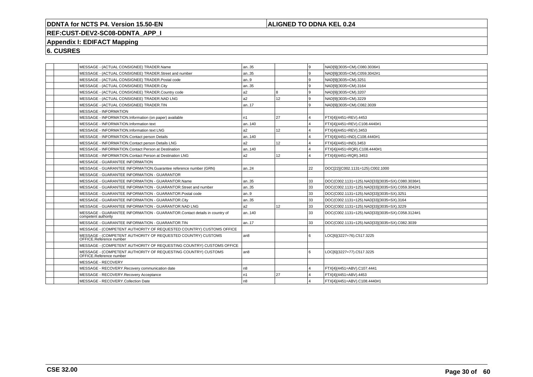## **ALIGNED TO DDNA KEL 0.24**

# **REF:CUST-DEV2-SC08-DDNTA\_APP\_I**

## **Appendix I: EDIFACT Mapping**

| MESSAGE - (ACTUAL CONSIGNEE) TRADER.Name                                                         | an35           |                 | l 9 | NAD[9](3035=CM).C080.3036#1                     |
|--------------------------------------------------------------------------------------------------|----------------|-----------------|-----|-------------------------------------------------|
| MESSAGE - (ACTUAL CONSIGNEE) TRADER.Street and number                                            | an35           |                 | l 9 | NAD[9](3035=CM).C059.3042#1                     |
| MESSAGE - (ACTUAL CONSIGNEE) TRADER.Postal code                                                  | an.9           |                 | l 9 | NAD[9](3035=CM).3251                            |
| MESSAGE - (ACTUAL CONSIGNEE) TRADER.City                                                         | an35           |                 | l 9 | NAD[9](3035=CM).3164                            |
| MESSAGE - (ACTUAL CONSIGNEE) TRADER.Country code                                                 | a2             | l 8             | l 9 | NAD[9](3035=CM).3207                            |
| MESSAGE - (ACTUAL CONSIGNEE) TRADER.NAD LNG                                                      | a2             | 12              | l 9 | NAD[9](3035=CM).3229                            |
| MESSAGE - (ACTUAL CONSIGNEE) TRADER.TIN                                                          | an17           |                 | 9 ا | NAD[9](3035=CM).C082.3039                       |
| <b>MESSAGE - INFORMATION</b>                                                                     |                |                 |     |                                                 |
| MESSAGE - INFORMATION.Information (on paper) available                                           | n1             | 27              | 14  | FTX[4](4451=REV).4453                           |
| MESSAGE - INFORMATION.Information text                                                           | an140          |                 | ا 4 | FTX[4](4451=REV).C108.4440#1                    |
| MESSAGE - INFORMATION.Information text LNG                                                       | a2             | 12 <sup>2</sup> | 14  | FTX[4](4451=REV).3453                           |
| MESSAGE - INFORMATION.Contact person Details                                                     | an140          |                 | 14  | FTX[4](4451=IND).C108.4440#1                    |
| MESSAGE - INFORMATION.Contact person Details LNG                                                 | a2             | 12 <sup>2</sup> | 14  | FTX[4](4451=IND).3453                           |
| MESSAGE - INFORMATION.Contact Person at Destination                                              | an140          |                 | 14  | FTX[4](4451=RQR).C108.4440#1                    |
| MESSAGE - INFORMATION.Contact Person at Destination LNG                                          | a2             | 12 <sup>2</sup> | 14  | FTX[4](4451=RQR).3453                           |
| MESSAGE - GUARANTEE INFORMATION                                                                  |                |                 |     |                                                 |
| MESSAGE - GUARANTEE INFORMATION.Guarantee reference number (GRN)                                 | an.24          |                 | 22  | DOC[22](C002.1131=125).C002.1000                |
| MESSAGE - GUARANTEE INFORMATION - GUARANTOR                                                      |                |                 |     |                                                 |
| MESSAGE - GUARANTEE INFORMATION - GUARANTOR.Name                                                 | an35           |                 | 33  | DOC(C002.1131=125).NAD[33](3035=SX).C080.3036#1 |
| MESSAGE - GUARANTEE INFORMATION - GUARANTOR.Street and number                                    | an35           |                 | 33  | DOC(C002.1131=125).NAD[33](3035=SX).C059.3042#1 |
| MESSAGE - GUARANTEE INFORMATION - GUARANTOR.Postal code                                          | an.9           |                 | 33  | DOC(C002.1131=125).NAD[33](3035=SX).3251        |
| MESSAGE - GUARANTEE INFORMATION - GUARANTOR.City                                                 | an35           |                 | 33  | DOC(C002.1131=125).NAD[33](3035=SX).3164        |
| MESSAGE - GUARANTEE INFORMATION - GUARANTOR.NAD LNG                                              | a <sub>2</sub> | 12 <sup>°</sup> | 33  | DOC(C002.1131=125).NAD[33](3035=SX).3229        |
| MESSAGE - GUARANTEE INFORMATION - GUARANTOR.Contact details in country of<br>competent authority | an140          |                 | 33  | DOC(C002.1131=125).NAD[33](3035=SX).C058.3124#1 |
| MESSAGE - GUARANTEE INFORMATION - GUARANTOR.TIN                                                  | an17           |                 | 33  | DOC(C002.1131=125).NAD[33](3035=SX).C082.3039   |
| MESSAGE - (COMPETENT AUTHORITY OF REQUESTED COUNTRY) CUSTOMS OFFICE                              |                |                 |     |                                                 |
| MESSAGE - (COMPETENT AUTHORITY OF REQUESTED COUNTRY) CUSTOMS<br>OFFICE.Reference number          | an8            |                 | l 6 | LOC[6](3227=76).C517.3225                       |
| MESSAGE - (COMPETENT AUTHORITY OF REQUESTING COUNTRY) CUSTOMS OFFICE                             |                |                 |     |                                                 |
| MESSAGE - (COMPETENT AUTHORITY OF REQUESTING COUNTRY) CUSTOMS<br>OFFICE.Reference number         | an8            |                 | l 6 | LOC[6](3227=77).C517.3225                       |
| MESSAGE - RECOVERY                                                                               |                |                 |     |                                                 |
| MESSAGE - RECOVERY.Recovery communication date                                                   | n8             |                 | 14  | FTX[4](4451=ABV).C107.4441                      |
| MESSAGE - RECOVERY.Recovery Acceptance                                                           | n1             | 27              | 14  | FTX[4](4451=ABV).4453                           |
| MESSAGE - RECOVERY.Collection Date                                                               | n <sub>8</sub> |                 | 14  | FTX[4](4451=ABV).C108.4440#1                    |
|                                                                                                  |                |                 |     |                                                 |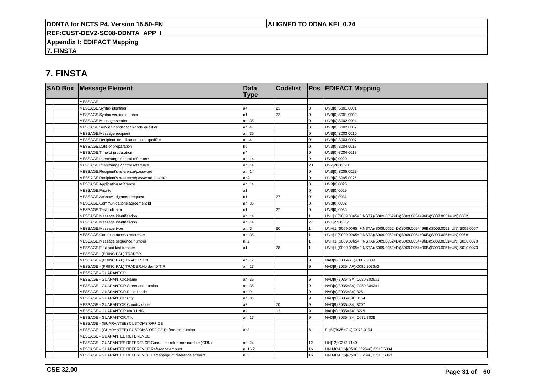## **ALIGNED TO DDNA KEL 0.24**

**REF:CUST-DEV2-SC08-DDNTA\_APP\_I**

**Appendix I: EDIFACT Mapping**

**7. FINSTA**

# **7. FINSTA**

| <b>SAD Box Message Element</b>                                 | <b>Data</b><br><b>Type</b> | <b>Codelist</b> |                | <b>Pos EDIFACT Mapping</b>                                                   |
|----------------------------------------------------------------|----------------------------|-----------------|----------------|------------------------------------------------------------------------------|
| <b>MESSAGE</b>                                                 |                            |                 |                |                                                                              |
| MESSAGE.Syntax identifier                                      | a4                         | 21              | $\mathbf 0$    | UNB[0].S001.0001                                                             |
| MESSAGE.Syntax version number                                  | n1                         | 22              | $\mathbf 0$    | UNB[0].S001.0002                                                             |
| MESSAGE.Message sender                                         | an35                       |                 | $\mathbf 0$    | UNB[0].S002.0004                                                             |
| MESSAGE.Sender identification code qualifier                   | an.4                       |                 | $\mathbf 0$    | UNB[0].S002.0007                                                             |
| MESSAGE.Message recipient                                      | an35                       |                 | $\mathbf{0}$   | UNB[0].S003.0010                                                             |
| MESSAGE.Recipient identification code qualifier                | an.4                       |                 | $\mathbf 0$    | UNB[0].S003.0007                                                             |
| MESSAGE.Date of preparation                                    | n6                         |                 | $\Omega$       | UNB[0].S004.0017                                                             |
| MESSAGE. Time of preparation                                   | n4                         |                 | $\Omega$       | UNB[0].S004.0019                                                             |
| MESSAGE.Interchange control reference                          | an14                       |                 | $\Omega$       | UNB[0].0020                                                                  |
| MESSAGE.Interchange control reference                          | an14                       |                 | 28             | UNZ[28].0020                                                                 |
| MESSAGE.Recipient's reference/password                         | an.14                      |                 | $\Omega$       | UNB[0].S005.0022                                                             |
| MESSAGE.Recipient's reference/password qualifier               | an2                        |                 | $\Omega$       | UNB[0].S005.0025                                                             |
| MESSAGE.Application reference                                  | an14                       |                 | $\Omega$       | UNB[0].0026                                                                  |
| MESSAGE.Priority                                               | a1                         |                 | $\Omega$       | UNB[0].0029                                                                  |
| MESSAGE.Acknowledgement request                                | n1                         | 27              | $\Omega$       | UNB[0].0031                                                                  |
| MESSAGE.Communications agreement id                            | an35                       |                 | $\mathbf 0$    | UNB[0].0032                                                                  |
| MESSAGE. Test indicator                                        | n1                         | 27              | $\overline{0}$ | UNB[0].0035                                                                  |
| MESSAGE.Message identification                                 | an14                       |                 |                | UNH[1](S009.0065=FINSTA)(S009.0052=D)(S009.0054=96B)(S009.0051=UN).0062      |
| MESSAGE.Message identification                                 | an14                       |                 | 27             | UNT[27].0062                                                                 |
| MESSAGE.Message type                                           | an.6                       | 60              |                | UNH[1](S009.0065=FINSTA)(S009.0052=D)(S009.0054=96B)(S009.0051=UN).S009.0057 |
| MESSAGE.Common access reference                                | an35                       |                 |                | UNH[1](S009.0065=FINSTA)(S009.0052=D)(S009.0054=96B)(S009.0051=UN).0068      |
| MESSAGE.Message sequence number                                | n.2                        |                 |                | UNH[1](S009.0065=FINSTA)(S009.0052=D)(S009.0054=96B)(S009.0051=UN).S010.0070 |
| MESSAGE.First and last transfer                                | a1                         | 28              |                | UNH[1](S009.0065=FINSTA)(S009.0052=D)(S009.0054=96B)(S009.0051=UN).S010.0073 |
| MESSAGE - (PRINCIPAL) TRADER                                   |                            |                 |                |                                                                              |
| MESSAGE - (PRINCIPAL) TRADER.TIN                               | an17                       |                 | g              | NAD[9](3035=AF).C082.3039                                                    |
| MESSAGE - (PRINCIPAL) TRADER.Holder ID TIR                     | an17                       |                 | 9              | NAD[9](3035=AF).C080.3036#2                                                  |
| <b>MESSAGE - GUARANTOR</b>                                     |                            |                 |                |                                                                              |
| MESSAGE - GUARANTOR.Name                                       | an35                       |                 | 9              | NAD[9](3035=SX).C080.3036#1                                                  |
| MESSAGE - GUARANTOR.Street and number                          | an35                       |                 | 9              | NAD[9](3035=SX).C059.3042#1                                                  |
| MESSAGE - GUARANTOR.Postal code                                | an.9                       |                 | 9              | NAD[9](3035=SX).3251                                                         |
| MESSAGE - GUARANTOR.City                                       | an35                       |                 | 9              | NAD[9](3035=SX).3164                                                         |
| MESSAGE - GUARANTOR.Country code                               | a2                         | 70              | 9              | NAD[9](3035=SX).3207                                                         |
| MESSAGE - GUARANTOR.NAD LNG                                    | a2                         | 12              | 9              | NAD[9](3035=SX).3229                                                         |
| MESSAGE - GUARANTOR.TIN                                        | an17                       |                 | 9              | NAD[9](3035=SX).C082.3039                                                    |
| MESSAGE - (GUARANTEE) CUSTOMS OFFICE                           |                            |                 |                |                                                                              |
| MESSAGE - (GUARANTEE) CUSTOMS OFFICE.Reference number          | an8                        |                 | 6              | FII[6](3035=GU).C078.3194                                                    |
| MESSAGE - GUARANTEE REFERENCE                                  |                            |                 |                |                                                                              |
| MESSAGE - GUARANTEE REFERENCE.Guarantee reference number (GRN) | an24                       |                 | 12             | LIN[12].C212.7140                                                            |
| MESSAGE - GUARANTEE REFERENCE.Reference amount                 | n.15,2                     |                 | 16             | LIN.MOA[16](C516.5025=6).C516.5004                                           |
| MESSAGE - GUARANTEE REFERENCE.Percentage of reference amount   | n.3                        |                 | 16             | LIN.MOA[16](C516.5025=6).C516.6343                                           |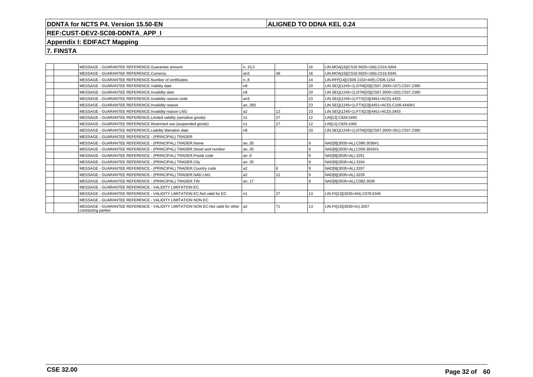## **ALIGNED TO DDNA KEL 0.24**

# **REF:CUST-DEV2-SC08-DDNTA\_APP\_I**

## **Appendix I: EDIFACT Mapping**

**7. FINSTA**

| MESSAGE - GUARANTEE REFERENCE.Guarantee amount                                                             | n15,2           |    | 16              | LIN.MOA[16](C516.5025=166).C516.5004             |
|------------------------------------------------------------------------------------------------------------|-----------------|----|-----------------|--------------------------------------------------|
| MESSAGE - GUARANTEE REFERENCE.Currency                                                                     | an <sub>3</sub> | 48 | 16              | LIN.MOA[16](C516.5025=166).C516.6345             |
| MESSAGE - GUARANTEE REFERENCE.Number of certificates                                                       | n.8             |    | 14              | LIN.RFF[14](C506.1153=AIR).C506.1154             |
| MESSAGE - GUARANTEE REFERENCE.Validity date                                                                | n <sub>8</sub>  |    | 20              | LIN.SEQ(1245=1).DTM[20](C507.2005=157).C507.2380 |
| MESSAGE - GUARANTEE REFERENCE.Invalidity date                                                              | n8              |    | 20              | LIN.SEQ(1245=1).DTM[20](C507.2005=192).C507.2380 |
| MESSAGE - GUARANTEE REFERENCE.Invalidity reason code                                                       | l an3           |    | 23              | LIN.SEQ(1245=1).FTX[23](4451=ACD).4453           |
| MESSAGE - GUARANTEE REFERENCE.Invalidity reason                                                            | an350           |    | 23              | LIN.SEQ(1245=1).FTX[23](4451=ACD).C108.4440#1    |
| MESSAGE - GUARANTEE REFERENCE.Invalidity reason LNG                                                        | a <sub>2</sub>  | 12 | 23              | LIN.SEQ(1245=1).FTX[23](4451=ACD).3453           |
| MESSAGE - GUARANTEE REFERENCE.Limited validity (sensitive goods)                                           | n1              | 27 | 12 <sup>°</sup> | LIN[12].C829.5495                                |
| MESSAGE - GUARANTEE REFERENCE.Restricted use (suspended goods)                                             | n1              | 27 | 12 <sup>°</sup> | LIN[12].C829.1082                                |
| MESSAGE - GUARANTEE REFERENCE.Liability liberation date                                                    | n8              |    | 20              | LIN.SEQ(1245=1).DTM[20](C507.2005=261).C507.2380 |
| MESSAGE - GUARANTEE REFERENCE - (PRINCIPAL) TRADER                                                         |                 |    |                 |                                                  |
| MESSAGE - GUARANTEE REFERENCE - (PRINCIPAL) TRADER.Name                                                    | an35            |    | و ا             | NAD[9](3035=AL).C080.3036#1                      |
| MESSAGE - GUARANTEE REFERENCE - (PRINCIPAL) TRADER.Street and number                                       | an35            |    | 9               | NAD[9](3035=AL).C059.3042#1                      |
| MESSAGE - GUARANTEE REFERENCE - (PRINCIPAL) TRADER.Postal code                                             | an9             |    | 9               | NAD[9](3035=AL).3251                             |
| MESSAGE - GUARANTEE REFERENCE - (PRINCIPAL) TRADER.City                                                    | an35            |    | و ا             | NAD[9](3035=AL).3164                             |
| MESSAGE - GUARANTEE REFERENCE - (PRINCIPAL) TRADER.Country code                                            | a <sub>2</sub>  |    | $\alpha$        | NAD[9](3035=AL).3207                             |
| MESSAGE - GUARANTEE REFERENCE - (PRINCIPAL) TRADER.NAD LNG                                                 | a <sub>2</sub>  | 12 | و ا             | NAD[9](3035=AL).3229                             |
| MESSAGE - GUARANTEE REFERENCE - (PRINCIPAL) TRADER.TIN                                                     | an17            |    | $\mathbf{Q}$    | NAD[9](3035=AL).C082.3039                        |
| MESSAGE - GUARANTEE REFERENCE - VALIDITY LIMITATION EC                                                     |                 |    |                 |                                                  |
| MESSAGE - GUARANTEE REFERENCE - VALIDITY LIMITATION EC. Not valid for EC                                   | n <sub>1</sub>  | 27 | 13              | LIN.FII[13](3035=AN).C078.6345                   |
| MESSAGE - GUARANTEE REFERENCE - VALIDITY LIMITATION NON EC                                                 |                 |    |                 |                                                  |
| MESSAGE - GUARANTEE REFERENCE - VALIDITY LIMITATION NON EC.Not valid for other   a2<br>contracting parties |                 | 71 | 13              | LIN.FII[13](3035=IU).3207                        |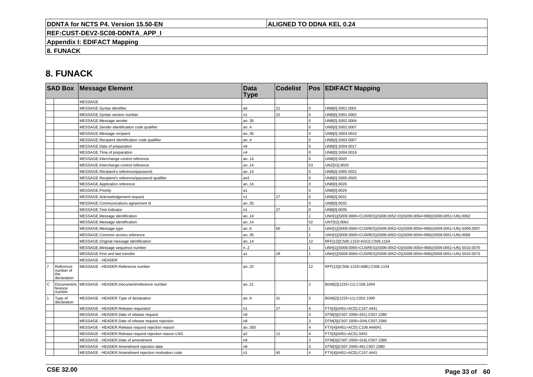## **ALIGNED TO DDNA KEL 0.24**

**REF:CUST-DEV2-SC08-DDNTA\_APP\_I**

**Appendix I: EDIFACT Mapping**

**8. FUNACK**

# **8. FUNACK**

|                |                                              | <b>SAD Box Message Element</b>                        | <b>Data</b><br><b>Type</b> | <b>Codelist</b>  |                         | <b>Pos EDIFACT Mapping</b>                                                   |
|----------------|----------------------------------------------|-------------------------------------------------------|----------------------------|------------------|-------------------------|------------------------------------------------------------------------------|
|                |                                              | <b>MESSAGE</b>                                        |                            |                  |                         |                                                                              |
|                |                                              | MESSAGE.Syntax identifier                             | a4                         | 21               | $\overline{0}$          | UNB[0].S001.0001                                                             |
|                |                                              | MESSAGE.Syntax version number                         | n1                         | 22               | $\mathbf 0$             | UNB[0].S001.0002                                                             |
|                |                                              | MESSAGE.Message sender                                | an35                       |                  | 0                       | UNB[0].S002.0004                                                             |
|                |                                              | MESSAGE.Sender identification code qualifier          | an.4                       |                  | $\mathbf 0$             | UNB[0].S002.0007                                                             |
|                |                                              | MESSAGE.Message recipient                             | an35                       |                  | $\mathbf 0$             | UNB[0].S003.0010                                                             |
|                |                                              | MESSAGE.Recipient identification code qualifier       | an.4                       |                  | $\mathbf 0$             | UNB[0].S003.0007                                                             |
|                |                                              | MESSAGE.Date of preparation                           | n6                         |                  | $\overline{0}$          | UNB[0].S004.0017                                                             |
|                |                                              | MESSAGE. Time of preparation                          | n4                         |                  | $\mathbf 0$             | UNB[0].S004.0019                                                             |
|                |                                              | MESSAGE.Interchange control reference                 | an14                       |                  | $\mathbf 0$             | UNB[0].0020                                                                  |
|                |                                              | MESSAGE.Interchange control reference                 | an14                       |                  | 53                      | UNZ[53].0020                                                                 |
|                |                                              | MESSAGE.Recipient's reference/password                | an14                       |                  | 0                       | UNB[0].S005.0022                                                             |
|                |                                              | MESSAGE.Recipient's reference/password qualifier      | an2                        |                  | $\Omega$                | UNB[0].S005.0025                                                             |
|                |                                              | MESSAGE.Application reference                         | an14                       |                  | $\overline{0}$          | UNB[0].0026                                                                  |
|                |                                              | MESSAGE.Priority                                      | a1                         |                  | $\mathbf 0$             | UNB[0].0029                                                                  |
|                |                                              | MESSAGE.Acknowledgement request                       | n1                         | 27               | $\mathbf 0$             | UNB[0].0031                                                                  |
|                |                                              | MESSAGE.Communications agreement id                   | an35                       |                  | $\Omega$                | UNB[0].0032                                                                  |
|                |                                              | MESSAGE.Test indicator                                | n1                         | 27               | $\overline{0}$          | UNB[0].0035                                                                  |
|                |                                              | MESSAGE.Message identification                        | an14                       |                  |                         | UNH[1](S009.0065=CUSRES)(S009.0052=D)(S009.0054=96B)(S009.0051=UN).0062      |
|                |                                              | MESSAGE.Message identification                        | an.14                      |                  | 52                      | UNT[52].0062                                                                 |
|                |                                              | MESSAGE.Message type                                  | an.6                       | 60               |                         | UNH[1](S009.0065=CUSRES)(S009.0052=D)(S009.0054=96B)(S009.0051=UN).S009.0057 |
|                |                                              | MESSAGE.Common access reference                       | an35                       |                  |                         | UNH[1](S009.0065=CUSRES)(S009.0052=D)(S009.0054=96B)(S009.0051=UN).0068      |
|                |                                              | MESSAGE.Original message identification               | an14                       |                  | 12                      | RFF[12](C506.1153=AGO).C506.1154                                             |
|                |                                              | MESSAGE.Message sequence number                       | n.2                        |                  |                         | UNH[1](S009.0065=CUSRES)(S009.0052=D)(S009.0054=96B)(S009.0051=UN).S010.0070 |
|                |                                              | MESSAGE.First and last transfer                       | a1                         | 28               |                         | UNH[1](S009.0065=CUSRES)(S009.0052=D)(S009.0054=96B)(S009.0051=UN).S010.0073 |
|                |                                              | <b>MESSAGE - HEADER</b>                               |                            |                  |                         |                                                                              |
| $\overline{7}$ | Reference<br>number of<br>the<br>declaration | MESSAGE - HEADER.Reference number                     | an22                       |                  | 12                      | RFF[12](C506.1153=ABE).C506.1154                                             |
| c              | Document/re<br>ference<br>number             | MESSAGE - HEADER.Document/reference number            | an21                       |                  | $\overline{2}$          | BGM[2](1225=11).C106.1004                                                    |
|                | Type of<br>declaration                       | MESSAGE - HEADER. Type of declaration                 | an.9                       | 31               | $\overline{2}$          | BGM[2](1225=11).C002.1000                                                    |
|                |                                              | MESSAGE - HEADER.Release requested                    | n1                         | 27               | $\overline{4}$          | FTX[4](4451=ACD).C107.4441                                                   |
|                |                                              | MESSAGE - HEADER.Date of release request              | n <sub>8</sub>             |                  | 3                       | DTM[3](C507.2005=261).C507.2380                                              |
|                |                                              | MESSAGE - HEADER.Date of release request rejection    | n <sub>8</sub>             |                  | 3                       | DTM[3](C507.2005=204).C507.2380                                              |
|                |                                              | MESSAGE - HEADER.Release request rejection reason     | an350                      |                  |                         | FTX[4](4451=ACD).C108.4440#1                                                 |
|                |                                              | MESSAGE - HEADER.Release request rejection reason LNG | a2                         | 12 <sup>12</sup> | $\overline{\mathbf{4}}$ | FTX[4](4451=ACD).3453                                                        |
|                |                                              | MESSAGE - HEADER.Date of amendment                    | n8                         |                  | 3                       | DTM[3](C507.2005=318).C507.2380                                              |
|                |                                              | MESSAGE - HEADER.Amendment rejection date             | n8                         |                  | 3                       | DTM[3](C507.2005=46).C507.2380                                               |
|                |                                              | MESSAGE - HEADER.Amendment rejection motivation code  | n1                         | 45               |                         | FTX[4](4451=ACD).C107.4441                                                   |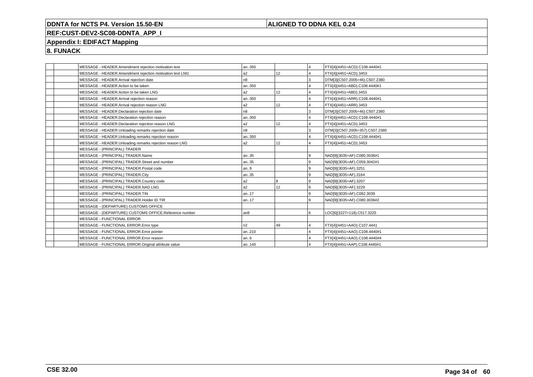## **ALIGNED TO DDNA KEL 0.24**

# **REF:CUST-DEV2-SC08-DDNTA\_APP\_I**

## **Appendix I: EDIFACT Mapping**

**8. FUNACK**

|  | MESSAGE - HEADER.Amendment rejection motivation text     | an350           |                 | 14             | FTX[4](4451=ACD).C108.4440#1    |
|--|----------------------------------------------------------|-----------------|-----------------|----------------|---------------------------------|
|  | MESSAGE - HEADER.Amendment rejection motivation text LNG | a2              | 12              | 14             | FTX[4](4451=ACD).3453           |
|  | MESSAGE - HEADER.Arrival rejection date                  | n <sub>8</sub>  |                 | Iз             | DTM[3](C507.2005=46).C507.2380  |
|  | MESSAGE - HEADER.Action to be taken                      | an350           |                 | $\overline{4}$ | FTX[4](4451=ABD).C108.4440#1    |
|  | MESSAGE - HEADER.Action to be taken LNG                  | a2              | 12              | 14             | FTX[4](4451=ABD).3453           |
|  | MESSAGE - HEADER.Arrival rejection reason                | an350           |                 | $\overline{4}$ | FTX[4](4451=ARR).C108.4440#1    |
|  | MESSAGE - HEADER.Arrival rejection reason LNG            | a2              | 12              | $\overline{4}$ | FTX[4](4451=ARR).3453           |
|  | MESSAGE - HEADER.Declaration rejection date              | n <sub>8</sub>  |                 | Iз             | DTM[3](C507.2005=46).C507.2380  |
|  | MESSAGE - HEADER.Declaration rejection reason            | an350           |                 | ا 4            | FTX[4](4451=ACD).C108.4440#1    |
|  | MESSAGE - HEADER.Declaration rejection reason LNG        | l a2            | 12 <sup>°</sup> | $\overline{4}$ | FTX[4](4451=ACD).3453           |
|  | MESSAGE - HEADER.Unloading remarks rejection date        | n8              |                 | l3             | DTM[3](C507.2005=357).C507.2380 |
|  | MESSAGE - HEADER.Unloading remarks rejection reason      | an350           |                 | $\overline{4}$ | FTX[4](4451=ACD).C108.4440#1    |
|  | MESSAGE - HEADER.Unloading remarks rejection reason LNG  | a2              | 12              | 14             | FTX[4](4451=ACD).3453           |
|  | MESSAGE - (PRINCIPAL) TRADER                             |                 |                 |                |                                 |
|  | MESSAGE - (PRINCIPAL) TRADER.Name                        | an35            |                 | l 9            | NAD[9](3035=AF).C080.3036#1     |
|  | MESSAGE - (PRINCIPAL) TRADER.Street and number           | an35            |                 | l 9            | NAD[9](3035=AF).C059.3042#1     |
|  | MESSAGE - (PRINCIPAL) TRADER.Postal code                 | an9             |                 | l 9            | NAD[9](3035=AF).3251            |
|  | MESSAGE - (PRINCIPAL) TRADER.City                        | an35            |                 | l 9            | NAD[9](3035=AF).3164            |
|  | MESSAGE - (PRINCIPAL) TRADER.Country code                | l a2            |                 | l 9            | NAD[9](3035=AF).3207            |
|  | MESSAGE - (PRINCIPAL) TRADER.NAD LNG                     | a2              | 12              | l 9            | NAD[9](3035=AF).3229            |
|  | MESSAGE - (PRINCIPAL) TRADER.TIN                         | an17            |                 | l 9            | NAD[9](3035=AF).C082.3039       |
|  | MESSAGE - (PRINCIPAL) TRADER.Holder ID TIR               | an17            |                 | l 9            | NAD[9](3035=AF).C080.3036#2     |
|  | MESSAGE - (DEPARTURE) CUSTOMS OFFICE                     |                 |                 |                |                                 |
|  | MESSAGE - (DEPARTURE) CUSTOMS OFFICE.Reference number    | an <sub>8</sub> |                 | l 6            | LOC[6](3227=118).C517.3225      |
|  | MESSAGE - FUNCTIONAL ERROR                               |                 |                 |                |                                 |
|  | MESSAGE - FUNCTIONAL ERROR. Error type                   | n2              | 49              | $\overline{4}$ | FTX[4](4451=AAO).C107.4441      |
|  | MESSAGE - FUNCTIONAL ERROR. Error pointer                | an210           |                 | $\overline{4}$ | FTX[4](4451=AAO).C108.4440#1    |
|  | MESSAGE - FUNCTIONAL ERROR.Error reason                  | an6             |                 | $\overline{4}$ | FTX[4](4451=AAO).C108.4440#4    |
|  | MESSAGE - FUNCTIONAL ERROR.Original attribute value      | an140           |                 | $\overline{4}$ | FTX[4](4451=AAP).C108.4440#1    |
|  |                                                          |                 |                 |                |                                 |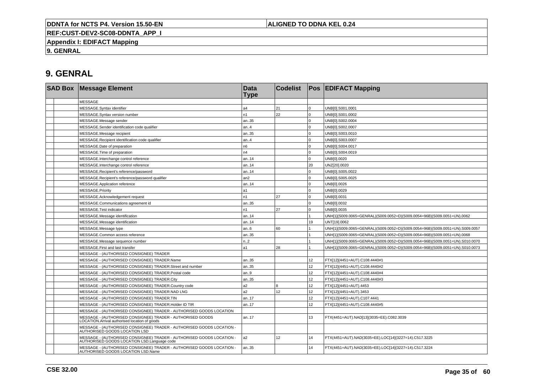## **ALIGNED TO DDNA KEL 0.24**

**REF:CUST-DEV2-SC08-DDNTA\_APP\_I**

**Appendix I: EDIFACT Mapping**

**9. GENRAL**

# **9. GENRAL**

|  | <b>SAD Box Message Element</b>                                                                                       | <b>Data</b><br>Type | <b>Codelist</b> |                  | <b>Pos EDIFACT Mapping</b>                                                   |
|--|----------------------------------------------------------------------------------------------------------------------|---------------------|-----------------|------------------|------------------------------------------------------------------------------|
|  | <b>MESSAGE</b>                                                                                                       |                     |                 |                  |                                                                              |
|  | MESSAGE.Syntax identifier                                                                                            | a <sub>4</sub>      | 21              | $\Omega$         | UNB[0].S001.0001                                                             |
|  | MESSAGE.Syntax version number                                                                                        | n1                  | 22              | $\Omega$         | UNB[0].S001.0002                                                             |
|  | MESSAGE.Message sender                                                                                               | an35                |                 | $\Omega$         | UNB[0].S002.0004                                                             |
|  | MESSAGE.Sender identification code qualifier                                                                         | an.4                |                 | $\Omega$         | UNB[0].S002.0007                                                             |
|  | MESSAGE.Message recipient                                                                                            | an35                |                 | $\Omega$         | UNB[0].S003.0010                                                             |
|  | MESSAGE.Recipient identification code qualifier                                                                      | an.4                |                 | $\Omega$         | UNB[0].S003.0007                                                             |
|  | MESSAGE.Date of preparation                                                                                          | n <sub>6</sub>      |                 | $\Omega$         | UNB[0].S004.0017                                                             |
|  | MESSAGE. Time of preparation                                                                                         | n4                  |                 | $\mathbf 0$      | UNB[0].S004.0019                                                             |
|  | MESSAGE.Interchange control reference                                                                                | an14                |                 | $\Omega$         | UNB[0].0020                                                                  |
|  | MESSAGE.Interchange control reference                                                                                | an14                |                 | 20               | UNZ[20].0020                                                                 |
|  | MESSAGE.Recipient's reference/password                                                                               | an14                |                 | $\Omega$         | UNB[0].S005.0022                                                             |
|  | MESSAGE.Recipient's reference/password qualifier                                                                     | an2                 |                 | $\Omega$         | UNB[0].S005.0025                                                             |
|  | MESSAGE.Application reference                                                                                        | an14                |                 | $\Omega$         | UNB[0].0026                                                                  |
|  | <b>MESSAGE.Priority</b>                                                                                              | a1                  |                 | $\Omega$         | UNB[0].0029                                                                  |
|  | MESSAGE.Acknowledgement request                                                                                      | n1                  | 27              | $\Omega$         | UNB[0].0031                                                                  |
|  | MESSAGE.Communications agreement id                                                                                  | an35                |                 | $\Omega$         | UNB[0].0032                                                                  |
|  | MESSAGE.Test indicator                                                                                               | n1                  | 27              | $\Omega$         | UNB[0].0035                                                                  |
|  | MESSAGE.Message identification                                                                                       | an14                |                 |                  | UNH[1](S009.0065=GENRAL)(S009.0052=D)(S009.0054=96B)(S009.0051=UN).0062      |
|  | MESSAGE.Message identification                                                                                       | an14                |                 | 19               | UNT[19].0062                                                                 |
|  | MESSAGE.Message type                                                                                                 | an6                 | 60              |                  | UNH[1](S009.0065=GENRAL)(S009.0052=D)(S009.0054=96B)(S009.0051=UN).S009.0057 |
|  | MESSAGE.Common access reference                                                                                      | an35                |                 |                  | UNH[1](S009.0065=GENRAL)(S009.0052=D)(S009.0054=96B)(S009.0051=UN).0068      |
|  | MESSAGE.Message sequence number                                                                                      | n2                  |                 |                  | UNH[1](S009.0065=GENRAL)(S009.0052=D)(S009.0054=96B)(S009.0051=UN).S010.0070 |
|  | MESSAGE. First and last transfer                                                                                     | a1                  | 28              |                  | UNH[1](S009.0065=GENRAL)(S009.0052=D)(S009.0054=96B)(S009.0051=UN).S010.0073 |
|  | MESSAGE - (AUTHORISED CONSIGNEE) TRADER                                                                              |                     |                 |                  |                                                                              |
|  | MESSAGE - (AUTHORISED CONSIGNEE) TRADER.Name                                                                         | an35                |                 | 12               | FTX[12](4451=AUT).C108.4440#1                                                |
|  | MESSAGE - (AUTHORISED CONSIGNEE) TRADER.Street and number                                                            | an35                |                 | 12 <sup>12</sup> | FTX[12](4451=AUT).C108.4440#2                                                |
|  | MESSAGE - (AUTHORISED CONSIGNEE) TRADER.Postal code                                                                  | an.9                |                 | 12 <sup>2</sup>  | FTX[12](4451=AUT).C108.4440#4                                                |
|  | MESSAGE - (AUTHORISED CONSIGNEE) TRADER.City                                                                         | an35                |                 | 12 <sup>2</sup>  | FTX[12](4451=AUT).C108.4440#3                                                |
|  | MESSAGE - (AUTHORISED CONSIGNEE) TRADER.Country code                                                                 | a2                  | 8               | 12               | FTX[12](4451=AUT).4453                                                       |
|  | MESSAGE - (AUTHORISED CONSIGNEE) TRADER.NAD LNG                                                                      | a2                  | 12              | 12 <sup>12</sup> | FTX[12](4451=AUT).3453                                                       |
|  | MESSAGE - (AUTHORISED CONSIGNEE) TRADER.TIN                                                                          | an17                |                 | 12 <sup>2</sup>  | FTX[12](4451=AUT).C107.4441                                                  |
|  | MESSAGE - (AUTHORISED CONSIGNEE) TRADER.Holder ID TIR                                                                | an17                |                 | 12 <sup>2</sup>  | FTX[12](4451=AUT).C108.4440#5                                                |
|  | MESSAGE - (AUTHORISED CONSIGNEE) TRADER - AUTHORISED GOODS LOCATION                                                  |                     |                 |                  |                                                                              |
|  | MESSAGE - (AUTHORISED CONSIGNEE) TRADER - AUTHORISED GOODS<br>LOCATION.Arrival authorised location of goods          | an17                |                 | 13               | FTX(4451=AUT).NAD[13](3035=EE).C082.3039                                     |
|  | MESSAGE - (AUTHORISED CONSIGNEE) TRADER - AUTHORISED GOODS LOCATION - AUTHORISED GOODS LOCATION LSD                  |                     |                 |                  |                                                                              |
|  | MESSAGE - (AUTHORISED CONSIGNEE) TRADER - AUTHORISED GOODS LOCATION -<br>AUTHORISED GOODS LOCATION LSD.Language code | a2                  | 12              | 14               | FTX(4451=AUT).NAD(3035=EE).LOC[14](3227=14).C517.3225                        |
|  | MESSAGE - (AUTHORISED CONSIGNEE) TRADER - AUTHORISED GOODS LOCATION -<br>AUTHORISED GOODS LOCATION LSD.Name          | an35                |                 | 14               | FTX(4451=AUT).NAD(3035=EE).LOC[14](3227=14).C517.3224                        |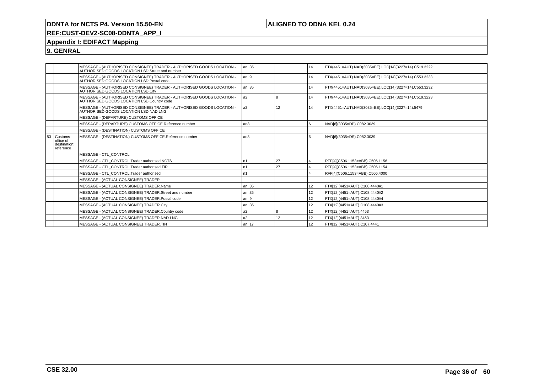## **ALIGNED TO DDNA KEL 0.24**

# **REF:CUST-DEV2-SC08-DDNTA\_APP\_I**

## **Appendix I: EDIFACT Mapping**

**9. GENRAL**

|    |                                                   | MESSAGE - (AUTHORISED CONSIGNEE) TRADER - AUTHORISED GOODS LOCATION -<br>AUTHORISED GOODS LOCATION LSD.Street and number | an35           |    | 14              | FTX(4451=AUT).NAD(3035=EE).LOC[14](3227=14).C519.3222 |
|----|---------------------------------------------------|--------------------------------------------------------------------------------------------------------------------------|----------------|----|-----------------|-------------------------------------------------------|
|    |                                                   | MESSAGE - (AUTHORISED CONSIGNEE) TRADER - AUTHORISED GOODS LOCATION -<br>AUTHORISED GOODS LOCATION LSD.Postal code       | lan9           |    | 14              | FTX(4451=AUT).NAD(3035=EE).LOC[14](3227=14).C553.3233 |
|    |                                                   | MESSAGE - (AUTHORISED CONSIGNEE) TRADER - AUTHORISED GOODS LOCATION -<br>AUTHORISED GOODS LOCATION LSD.City              | an35           |    | 14              | FTX(4451=AUT).NAD(3035=EE).LOC[14](3227=14).C553.3232 |
|    |                                                   | MESSAGE - (AUTHORISED CONSIGNEE) TRADER - AUTHORISED GOODS LOCATION -<br>AUTHORISED GOODS LOCATION LSD.Country code      | a <sub>2</sub> | 18 | 14              | FTX(4451=AUT).NAD(3035=EE).LOC[14](3227=14).C519.3223 |
|    |                                                   | MESSAGE - (AUTHORISED CONSIGNEE) TRADER - AUTHORISED GOODS LOCATION -<br>AUTHORISED GOODS LOCATION LSD.NAD LNG           | a <sub>2</sub> | 12 | 14              | FTX(4451=AUT).NAD(3035=EE).LOC[14](3227=14).5479      |
|    |                                                   | <b>MESSAGE - (DEPARTURE) CUSTOMS OFFICE</b>                                                                              |                |    |                 |                                                       |
|    |                                                   | MESSAGE - (DEPARTURE) CUSTOMS OFFICE.Reference number                                                                    | l an8          |    | 6               | NAD[6](3035=DP).C082.3039                             |
|    |                                                   | MESSAGE - (DESTINATION) CUSTOMS OFFICE                                                                                   |                |    |                 |                                                       |
| 53 | Customs<br>office of<br>destination:<br>reference | MESSAGE - (DESTINATION) CUSTOMS OFFICE.Reference number                                                                  | an8            |    |                 | NAD[6](3035=DS).C082.3039                             |
|    |                                                   | MESSAGE - CTL CONTROL                                                                                                    |                |    |                 |                                                       |
|    |                                                   | MESSAGE - CTL CONTROL.Trader authorised NCTS                                                                             | n1             | 27 | Δ               | RFF[4](C506.1153=ABB).C506.1156                       |
|    |                                                   | MESSAGE - CTL CONTROL.Trader authorised TIR                                                                              | n1             | 27 |                 | RFF[4](C506.1153=ABB).C506.1154                       |
|    |                                                   | MESSAGE - CTL CONTROL.Trader authorised                                                                                  | n1             |    |                 | RFF[4](C506.1153=ABB).C506.4000                       |
|    |                                                   | MESSAGE - (ACTUAL CONSIGNEE) TRADER                                                                                      |                |    |                 |                                                       |
|    |                                                   | MESSAGE - (ACTUAL CONSIGNEE) TRADER.Name                                                                                 | an35           |    | 12 <sup>2</sup> | FTX[12](4451=AUT).C108.4440#1                         |
|    |                                                   | MESSAGE - (ACTUAL CONSIGNEE) TRADER.Street and number                                                                    | an35           |    | 12              | FTX[12](4451=AUT).C108.4440#2                         |
|    |                                                   | MESSAGE - (ACTUAL CONSIGNEE) TRADER.Postal code                                                                          | lan9           |    | 12 <sup>°</sup> | FTX[12](4451=AUT).C108.4440#4                         |
|    |                                                   | MESSAGE - (ACTUAL CONSIGNEE) TRADER.City                                                                                 | an35           |    | 12              | FTX[12](4451=AUT).C108.4440#3                         |
|    |                                                   | MESSAGE - (ACTUAL CONSIGNEE) TRADER.Country code                                                                         | a <sub>2</sub> | 18 | 12 <sup>2</sup> | FTX[12](4451=AUT).4453                                |
|    |                                                   | MESSAGE - (ACTUAL CONSIGNEE) TRADER.NAD LNG                                                                              | a <sub>2</sub> | 12 | 12              | FTX[12](4451=AUT).3453                                |
|    |                                                   | MESSAGE - (ACTUAL CONSIGNEE) TRADER.TIN                                                                                  | an17           |    | 12              | FTX[12](4451=AUT).C107.4441                           |
|    |                                                   |                                                                                                                          |                |    |                 |                                                       |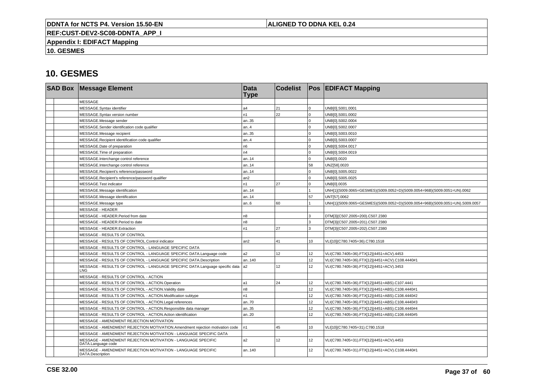## **ALIGNED TO DDNA KEL 0.24**

**REF:CUST-DEV2-SC08-DDNTA\_APP\_I**

**Appendix I: EDIFACT Mapping**

**10. GESMES**

|  | <b>SAD Box Message Element</b>                                                          | <b>Data</b><br><b>Type</b> | <b>Codelist</b> |                 | <b>Pos EDIFACT Mapping</b>                                                   |
|--|-----------------------------------------------------------------------------------------|----------------------------|-----------------|-----------------|------------------------------------------------------------------------------|
|  | <b>MESSAGE</b>                                                                          |                            |                 |                 |                                                                              |
|  | MESSAGE.Syntax identifier                                                               | a4                         | 21              | $\Omega$        | UNB[0].S001.0001                                                             |
|  | MESSAGE.Syntax version number                                                           | n <sub>1</sub>             | 22              | $\Omega$        | UNB[0].S001.0002                                                             |
|  | MESSAGE.Message sender                                                                  | an35                       |                 | $\Omega$        | UNB[0].S002.0004                                                             |
|  | MESSAGE.Sender identification code qualifier                                            | an4                        |                 | $\Omega$        | UNB[0].S002.0007                                                             |
|  | MESSAGE.Message recipient                                                               | an35                       |                 | $\Omega$        | UNB[0].S003.0010                                                             |
|  | MESSAGE.Recipient identification code qualifier                                         | an4                        |                 | $\Omega$        | UNB[0].S003.0007                                                             |
|  | MESSAGE.Date of preparation                                                             | n <sub>6</sub>             |                 | $\Omega$        | UNB[0].S004.0017                                                             |
|  | MESSAGE. Time of preparation                                                            | n4                         |                 |                 | UNB[0].S004.0019                                                             |
|  | MESSAGE.Interchange control reference                                                   | l an14                     |                 | $\Omega$        | UNB[0].0020                                                                  |
|  | MESSAGE.Interchange control reference                                                   | l an14                     |                 | 58              | UNZ[58].0020                                                                 |
|  | MESSAGE.Recipient's reference/password                                                  | l an14                     |                 | $\Omega$        | UNB[0].S005.0022                                                             |
|  | MESSAGE.Recipient's reference/password qualifier                                        | an2                        |                 | $\Omega$        | UNB[0].S005.0025                                                             |
|  | MESSAGE.Test indicator                                                                  | n <sub>1</sub>             | 27              | $\mathbf 0$     | UNB[0].0035                                                                  |
|  | MESSAGE.Message identification                                                          | an14                       |                 |                 | UNH[1](S009.0065=GESMES)(S009.0052=D)(S009.0054=96B)(S009.0051=UN).0062      |
|  | MESSAGE.Message identification                                                          | an14                       |                 | 57              | UNT[57].0062                                                                 |
|  | MESSAGE.Message type                                                                    | an.6                       | 60              |                 | UNH[1](S009.0065=GESMES)(S009.0052=D)(S009.0054=96B)(S009.0051=UN).S009.0057 |
|  | <b>MESSAGE - HEADER</b>                                                                 |                            |                 |                 |                                                                              |
|  | MESSAGE - HEADER.Period from date                                                       | n <sub>8</sub>             |                 | 3               | DTM[3](C507.2005=200).C507.2380                                              |
|  | MESSAGE - HEADER.Period to date                                                         | n8                         |                 | 3               | DTM[3](C507.2005=201).C507.2380                                              |
|  | MESSAGE - HEADER.Extraction                                                             | In1                        | 27              | 3               | DTM[3](C507.2005=202).C507.2380                                              |
|  | MESSAGE - RESULTS OF CONTROL                                                            |                            |                 |                 |                                                                              |
|  | MESSAGE - RESULTS OF CONTROL.Control indicator                                          | an <sub>2</sub>            | 41              | 10              | VLI[10](C780.7405=36).C780.1518                                              |
|  | MESSAGE - RESULTS OF CONTROL - LANGUAGE SPECIFIC DATA                                   |                            |                 |                 |                                                                              |
|  | MESSAGE - RESULTS OF CONTROL - LANGUAGE SPECIFIC DATA.Language code                     | a2                         | 12              | 12              | VLI(C780.7405=36).FTX[12](4451=ACV).4453                                     |
|  | MESSAGE - RESULTS OF CONTROL - LANGUAGE SPECIFIC DATA.Description                       | an140                      |                 | 12              | VLI(C780.7405=36).FTX[12](4451=ACV).C108.4440#1                              |
|  | MESSAGE - RESULTS OF CONTROL - LANGUAGE SPECIFIC DATA.Language specific data a2<br>LNG. |                            | 12              | 12              | VLI(C780.7405=36).FTX[12](4451=ACV).3453                                     |
|  | MESSAGE - RESULTS OF CONTROL - ACTION                                                   |                            |                 |                 |                                                                              |
|  | MESSAGE - RESULTS OF CONTROL - ACTION.Operation                                         | l a1                       | 24              | 12 <sup>2</sup> | VLI(C780.7405=36).FTX[12](4451=ABS).C107.4441                                |
|  | MESSAGE - RESULTS OF CONTROL - ACTION. Validity date                                    | n <sub>8</sub>             |                 | 12              | VLI(C780.7405=36).FTX[12](4451=ABS).C108.4440#1                              |
|  | MESSAGE - RESULTS OF CONTROL - ACTION.Modification subtype                              | n <sub>1</sub>             |                 | 12 <sup>2</sup> | VLI(C780.7405=36).FTX[12](4451=ABS).C108.4440#2                              |
|  | MESSAGE - RESULTS OF CONTROL - ACTION.Legal references                                  | an70                       |                 | 12              | VLI(C780.7405=36).FTX[12](4451=ABS).C108.4440#3                              |
|  | MESSAGE - RESULTS OF CONTROL - ACTION.Responsible data manager                          | an35                       |                 | 12              | VLI(C780.7405=36).FTX[12](4451=ABS).C108.4440#4                              |
|  | MESSAGE - RESULTS OF CONTROL - ACTION.Action identification                             | an20                       |                 | 12              | VLI(C780.7405=36).FTX[12](4451=ABS).C108.4440#5                              |
|  | MESSAGE - AMENDMENT REJECTION MOTIVATION                                                |                            |                 |                 |                                                                              |
|  | MESSAGE - AMENDMENT REJECTION MOTIVATION.Amendment rejection motivation code            | In1                        | 45              | 10              | VLI[10](C780.7405=31).C780.1518                                              |
|  | MESSAGE - AMENDMENT REJECTION MOTIVATION - LANGUAGE SPECIFIC DATA                       |                            |                 |                 |                                                                              |
|  | MESSAGE - AMENDMENT REJECTION MOTIVATION - LANGUAGE SPECIFIC<br>DATA.Language code      | a <sub>2</sub>             | 12              | 12 <sup>2</sup> | VLI(C780.7405=31).FTX[12](4451=ACV).4453                                     |
|  | MESSAGE - AMENDMENT REJECTION MOTIVATION - LANGUAGE SPECIFIC<br>DATA.Description        | lan140                     |                 | 12              | VLI(C780.7405=31).FTX[12](4451=ACV).C108.4440#1                              |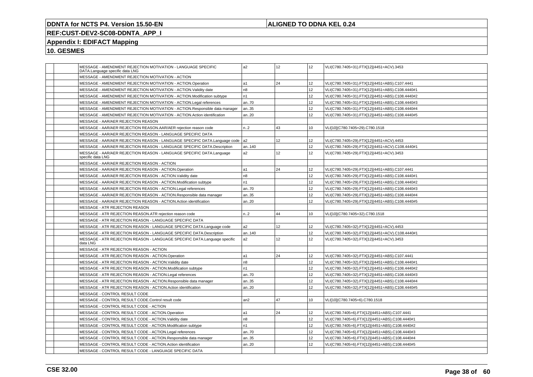## **ALIGNED TO DDNA KEL 0.24**

## **REF:CUST-DEV2-SC08-DDNTA\_APP\_I**

## **Appendix I: EDIFACT Mapping**

| MESSAGE - AMENDMENT REJECTION MOTIVATION - LANGUAGE SPECIFIC<br>DATA.Language specific data LNG | a <sub>2</sub> | 12              | 12              | VLI(C780.7405=31).FTX[12](4451=ACV).3453        |
|-------------------------------------------------------------------------------------------------|----------------|-----------------|-----------------|-------------------------------------------------|
| MESSAGE - AMENDMENT REJECTION MOTIVATION - ACTION                                               |                |                 |                 |                                                 |
| MESSAGE - AMENDMENT REJECTION MOTIVATION - ACTION.Operation                                     | a1             | 24              | 12              | VLI(C780.7405=31).FTX[12](4451=ABS).C107.4441   |
| MESSAGE - AMENDMENT REJECTION MOTIVATION - ACTION. Validity date                                | n <sub>8</sub> |                 | 12              | VLI(C780.7405=31).FTX[12](4451=ABS).C108.4440#1 |
| MESSAGE - AMENDMENT REJECTION MOTIVATION - ACTION. Modification subtype                         | n1             |                 | 12              | VLI(C780.7405=31).FTX[12](4451=ABS).C108.4440#2 |
| MESSAGE - AMENDMENT REJECTION MOTIVATION - ACTION.Legal references                              | an70           |                 | 12 <sup>2</sup> | VLI(C780.7405=31).FTX[12](4451=ABS).C108.4440#3 |
| MESSAGE - AMENDMENT REJECTION MOTIVATION - ACTION.Responsible data manager                      | an35           |                 | 12 <sup>2</sup> | VLI(C780.7405=31).FTX[12](4451=ABS).C108.4440#4 |
| MESSAGE - AMENDMENT REJECTION MOTIVATION - ACTION.Action identification                         | an20           |                 | 12              | VLI(C780.7405=31).FTX[12](4451=ABS).C108.4440#5 |
| MESSAGE - AAR/AER REJECTION REASON                                                              |                |                 |                 |                                                 |
| MESSAGE - AAR/AER REJECTION REASON.AAR/AER rejection reason code                                | n.2            | 43              | 10              | VLI[10](C780.7405=29).C780.1518                 |
| MESSAGE - AAR/AER REJECTION REASON - LANGUAGE SPECIFIC DATA                                     |                |                 |                 |                                                 |
| MESSAGE - AAR/AER REJECTION REASON - LANGUAGE SPECIFIC DATA.Language code                       | a <sub>2</sub> | 12              | 12              | VLI(C780.7405=29).FTX[12](4451=ACV).4453        |
| MESSAGE - AAR/AER REJECTION REASON - LANGUAGE SPECIFIC DATA.Description                         | an140          |                 | 12 <sup>2</sup> | VLI(C780.7405=29).FTX[12](4451=ACV).C108.4440#1 |
| MESSAGE - AAR/AER REJECTION REASON - LANGUAGE SPECIFIC DATA.Language<br>specific data LNG       | a2             | 12 <sup>°</sup> | 12 <sup>2</sup> | VLI(C780.7405=29).FTX[12](4451=ACV).3453        |
| MESSAGE - AAR/AER REJECTION REASON - ACTION                                                     |                |                 |                 |                                                 |
| MESSAGE - AAR/AER REJECTION REASON - ACTION.Operation                                           | a1             | 24              | 12              | VLI(C780.7405=29).FTX[12](4451=ABS).C107.4441   |
| MESSAGE - AAR/AER REJECTION REASON - ACTION. Validity date                                      | n8             |                 | 12 <sup>2</sup> | VLI(C780.7405=29).FTX[12](4451=ABS).C108.4440#1 |
| MESSAGE - AAR/AER REJECTION REASON - ACTION.Modification subtype                                | n <sub>1</sub> |                 | 12              | VLI(C780.7405=29).FTX[12](4451=ABS).C108.4440#2 |
| MESSAGE - AAR/AER REJECTION REASON - ACTION.Legal references                                    | an70           |                 | 12              | VLI(C780.7405=29).FTX[12](4451=ABS).C108.4440#3 |
| MESSAGE - AAR/AER REJECTION REASON - ACTION.Responsible data manager                            | an35           |                 | 12 <sup>2</sup> | VLI(C780.7405=29).FTX[12](4451=ABS).C108.4440#4 |
| MESSAGE - AAR/AER REJECTION REASON - ACTION.Action identification                               | an.20          |                 | 12 <sup>2</sup> | VLI(C780.7405=29).FTX[12](4451=ABS).C108.4440#5 |
| MESSAGE - ATR REJECTION REASON                                                                  |                |                 |                 |                                                 |
| MESSAGE - ATR REJECTION REASON.ATR rejection reason code                                        | n.2            | 44              | 10              | VLI[10](C780.7405=32).C780.1518                 |
| MESSAGE - ATR REJECTION REASON - LANGUAGE SPECIFIC DATA                                         |                |                 |                 |                                                 |
| MESSAGE - ATR REJECTION REASON - LANGUAGE SPECIFIC DATA.Language code                           | a2             | 12              | 12              | VLI(C780.7405=32).FTX[12](4451=ACV).4453        |
| MESSAGE - ATR REJECTION REASON - LANGUAGE SPECIFIC DATA.Description                             | an140          |                 | 12 <sup>2</sup> | VLI(C780.7405=32).FTX[12](4451=ACV).C108.4440#1 |
| MESSAGE - ATR REJECTION REASON - LANGUAGE SPECIFIC DATA.Language specific<br>data LNG           | a2             | 12 <sup>°</sup> | 12 <sup>2</sup> | VLI(C780.7405=32).FTX[12](4451=ACV).3453        |
| MESSAGE - ATR REJECTION REASON - ACTION                                                         |                |                 |                 |                                                 |
| MESSAGE - ATR REJECTION REASON - ACTION.Operation                                               | a1             | 24              | 12              | VLI(C780.7405=32).FTX[12](4451=ABS).C107.4441   |
| MESSAGE - ATR REJECTION REASON - ACTION. Validity date                                          | n <sub>8</sub> |                 | 12 <sup>2</sup> | VLI(C780.7405=32).FTX[12](4451=ABS).C108.4440#1 |
| MESSAGE - ATR REJECTION REASON - ACTION.Modification subtype                                    | n1             |                 | 12              | VLI(C780.7405=32).FTX[12](4451=ABS).C108.4440#2 |
| MESSAGE - ATR REJECTION REASON - ACTION.Legal references                                        | an70           |                 | 12 <sup>2</sup> | VLI(C780.7405=32).FTX[12](4451=ABS).C108.4440#3 |
| MESSAGE - ATR REJECTION REASON - ACTION.Responsible data manager                                | an35           |                 | 12              | VLI(C780.7405=32).FTX[12](4451=ABS).C108.4440#4 |
| MESSAGE - ATR REJECTION REASON - ACTION.Action identification                                   | an20           |                 | 12              | VLI(C780.7405=32).FTX[12](4451=ABS).C108.4440#5 |
| MESSAGE - CONTROL RESULT CODE                                                                   |                |                 |                 |                                                 |
| MESSAGE - CONTROL RESULT CODE.Control result code                                               | an2            | 47              | 10              | VLI[10](C780.7405=6).C780.1518                  |
| MESSAGE - CONTROL RESULT CODE - ACTION                                                          |                |                 |                 |                                                 |
| MESSAGE - CONTROL RESULT CODE - ACTION.Operation                                                | a1             | 24              | 12 <sup>2</sup> | VLI(C780.7405=6).FTX[12](4451=ABS).C107.4441    |
| MESSAGE - CONTROL RESULT CODE - ACTION. Validity date                                           | n <sub>8</sub> |                 | 12 <sup>2</sup> | VLI(C780.7405=6).FTX[12](4451=ABS).C108.4440#1  |
| MESSAGE - CONTROL RESULT CODE - ACTION.Modification subtype                                     | n1             |                 | 12              | VLI(C780.7405=6).FTX[12](4451=ABS).C108.4440#2  |
| MESSAGE - CONTROL RESULT CODE - ACTION.Legal references                                         | an70           |                 | 12              | VLI(C780.7405=6).FTX[12](4451=ABS).C108.4440#3  |
| MESSAGE - CONTROL RESULT CODE - ACTION.Responsible data manager                                 | an35           |                 | 12              | VLI(C780.7405=6).FTX[12](4451=ABS).C108.4440#4  |
| MESSAGE - CONTROL RESULT CODE - ACTION.Action identification                                    | an20           |                 | 12 <sup>2</sup> | VLI(C780.7405=6).FTX[12](4451=ABS).C108.4440#5  |
| MESSAGE - CONTROL RESULT CODE - LANGUAGE SPECIFIC DATA                                          |                |                 |                 |                                                 |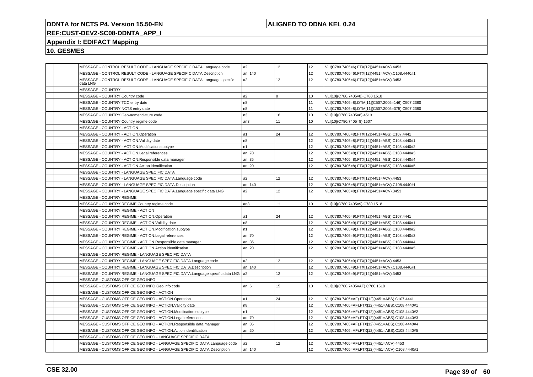## **ALIGNED TO DDNA KEL 0.24**

## **REF:CUST-DEV2-SC08-DDNTA\_APP\_I**

## **Appendix I: EDIFACT Mapping**

|          | MESSAGE - CONTROL RESULT CODE - LANGUAGE SPECIFIC DATA.Language code         | a2             | 12              | 12              | VLI(C780.7405=6).FTX[12](4451=ACV).4453           |
|----------|------------------------------------------------------------------------------|----------------|-----------------|-----------------|---------------------------------------------------|
|          | MESSAGE - CONTROL RESULT CODE - LANGUAGE SPECIFIC DATA.Description           | an140          |                 | 12 <sup>°</sup> | VLI(C780.7405=6).FTX[12](4451=ACV).C108.4440#1    |
| data LNG | MESSAGE - CONTROL RESULT CODE - LANGUAGE SPECIFIC DATA.Language specific     | a2             | 12 <sup>°</sup> | 12              | VLI(C780.7405=6).FTX[12](4451=ACV).3453           |
|          | MESSAGE - COUNTRY                                                            |                |                 |                 |                                                   |
|          | MESSAGE - COUNTRY.Country code                                               | a2             | 8               | 10              | VLI[10](C780.7405=8).C780.1518                    |
|          | MESSAGE - COUNTRY.TCC entry date                                             | n8             |                 | 11              | VLI(C780.7405=8).DTM[11](C507.2005=146).C507.2380 |
|          | MESSAGE - COUNTRY.NCTS entry date                                            | n8             |                 | 11              | VLI(C780.7405=8).DTM[11](C507.2005=375).C507.2380 |
|          | MESSAGE - COUNTRY.Geo-nomenclature code                                      | n3             | 16              | 10              | VLI[10](C780.7405=8).4513                         |
|          | MESSAGE - COUNTRY.Country regime code                                        | an3            | 11              | 10              | VLI[10](C780.7405=8).1507                         |
|          | MESSAGE - COUNTRY - ACTION                                                   |                |                 |                 |                                                   |
|          | MESSAGE - COUNTRY - ACTION.Operation                                         | a1             | 24              | 12              | VLI(C780.7405=8).FTX[12](4451=ABS).C107.4441      |
|          | MESSAGE - COUNTRY - ACTION.Validity date                                     | n <sub>8</sub> |                 | 12              | VLI(C780.7405=8).FTX[12](4451=ABS).C108.4440#1    |
|          | MESSAGE - COUNTRY - ACTION.Modification subtype                              | n1             |                 | 12              | VLI(C780.7405=8).FTX[12](4451=ABS).C108.4440#2    |
|          | MESSAGE - COUNTRY - ACTION.Legal references                                  | an70           |                 | 12              | VLI(C780.7405=8).FTX[12](4451=ABS).C108.4440#3    |
|          | MESSAGE - COUNTRY - ACTION.Responsible data manager                          | an35           |                 | 12              | VLI(C780.7405=8).FTX[12](4451=ABS).C108.4440#4    |
|          | MESSAGE - COUNTRY - ACTION.Action identification                             | an20           |                 | 12              | VLI(C780.7405=8).FTX[12](4451=ABS).C108.4440#5    |
|          | MESSAGE - COUNTRY - LANGUAGE SPECIFIC DATA                                   |                |                 |                 |                                                   |
|          | MESSAGE - COUNTRY - LANGUAGE SPECIFIC DATA.Language code                     | a2             | 12              | 12              | VLI(C780.7405=8).FTX[12](4451=ACV).4453           |
|          | MESSAGE - COUNTRY - LANGUAGE SPECIFIC DATA.Description                       | an140          |                 | 12              | VLI(C780.7405=8).FTX[12](4451=ACV).C108.4440#1    |
|          | MESSAGE - COUNTRY - LANGUAGE SPECIFIC DATA.Language specific data LNG        | a2             | 12              | 12              | VLI(C780.7405=8).FTX[12](4451=ACV).3453           |
|          | MESSAGE - COUNTRY REGIME                                                     |                |                 |                 |                                                   |
|          | MESSAGE - COUNTRY REGIME.Country regime code                                 | an3            | 11              | 10              | VLI[10](C780.7405=9).C780.1518                    |
|          | MESSAGE - COUNTRY REGIME - ACTION                                            |                |                 |                 |                                                   |
|          | MESSAGE - COUNTRY REGIME - ACTION.Operation                                  | la1            | 24              | 12              | VLI(C780.7405=9).FTX[12](4451=ABS).C107.4441      |
|          | MESSAGE - COUNTRY REGIME - ACTION. Validity date                             | n <sub>8</sub> |                 | 12              | VLI(C780.7405=9).FTX[12](4451=ABS).C108.4440#1    |
|          | MESSAGE - COUNTRY REGIME - ACTION.Modification subtype                       | n1             |                 | 12 <sup>°</sup> | VLI(C780.7405=9).FTX[12](4451=ABS).C108.4440#2    |
|          | MESSAGE - COUNTRY REGIME - ACTION.Legal references                           | an70           |                 | 12              | VLI(C780.7405=9).FTX[12](4451=ABS).C108.4440#3    |
|          | MESSAGE - COUNTRY REGIME - ACTION.Responsible data manager                   | an35           |                 | 12              | VLI(C780.7405=9).FTX[12](4451=ABS).C108.4440#4    |
|          | MESSAGE - COUNTRY REGIME - ACTION.Action identification                      | an20           |                 | 12              | VLI(C780.7405=9).FTX[12](4451=ABS).C108.4440#5    |
|          | MESSAGE - COUNTRY REGIME - LANGUAGE SPECIFIC DATA                            |                |                 |                 |                                                   |
|          | MESSAGE - COUNTRY REGIME - LANGUAGE SPECIFIC DATA.Language code              | a2             | 12              | 12              | VLI(C780.7405=9).FTX[12](4451=ACV).4453           |
|          | MESSAGE - COUNTRY REGIME - LANGUAGE SPECIFIC DATA.Description                | an140          |                 | 12              | VLI(C780.7405=9).FTX[12](4451=ACV).C108.4440#1    |
|          | MESSAGE - COUNTRY REGIME - LANGUAGE SPECIFIC DATA.Language specific data LNG | l a2           | 12              | 12              | VLI(C780.7405=9).FTX[12](4451=ACV).3453           |
|          | MESSAGE - CUSTOMS OFFICE GEO INFO                                            |                |                 |                 |                                                   |
|          | MESSAGE - CUSTOMS OFFICE GEO INFO.Geo info code                              | an.6           | 15              | 10              | VLI[10](C780.7405=AF).C780.1518                   |
|          | MESSAGE - CUSTOMS OFFICE GEO INFO - ACTION                                   |                |                 |                 |                                                   |
|          | MESSAGE - CUSTOMS OFFICE GEO INFO - ACTION.Operation                         | a1             | 24              | 12              | VLI(C780.7405=AF).FTX[12](4451=ABS).C107.4441     |
|          | MESSAGE - CUSTOMS OFFICE GEO INFO - ACTION. Validity date                    | n8             |                 | 12              | VLI(C780.7405=AF).FTX[12](4451=ABS).C108.4440#1   |
|          | MESSAGE - CUSTOMS OFFICE GEO INFO - ACTION.Modification subtype              | n1             |                 | 12 <sup>°</sup> | VLI(C780.7405=AF).FTX[12](4451=ABS).C108.4440#2   |
|          | MESSAGE - CUSTOMS OFFICE GEO INFO - ACTION.Legal references                  | an70           |                 | 12              | VLI(C780.7405=AF).FTX[12](4451=ABS).C108.4440#3   |
|          | MESSAGE - CUSTOMS OFFICE GEO INFO - ACTION.Responsible data manager          | an35           |                 | 12              | VLI(C780.7405=AF).FTX[12](4451=ABS).C108.4440#4   |
|          | MESSAGE - CUSTOMS OFFICE GEO INFO - ACTION.Action identification             | an20           |                 | 12              | VLI(C780.7405=AF).FTX[12](4451=ABS).C108.4440#5   |
|          | MESSAGE - CUSTOMS OFFICE GEO INFO - LANGUAGE SPECIFIC DATA                   |                |                 |                 |                                                   |
|          | MESSAGE - CUSTOMS OFFICE GEO INFO - LANGUAGE SPECIFIC DATA.Language code     | a2             | 12              | 12              | VLI(C780.7405=AF).FTX[12](4451=ACV).4453          |
|          | MESSAGE - CUSTOMS OFFICE GEO INFO - LANGUAGE SPECIFIC DATA.Description       | an140          |                 | 12              | VLI(C780.7405=AF).FTX[12](4451=ACV).C108.4440#1   |
|          |                                                                              |                |                 |                 |                                                   |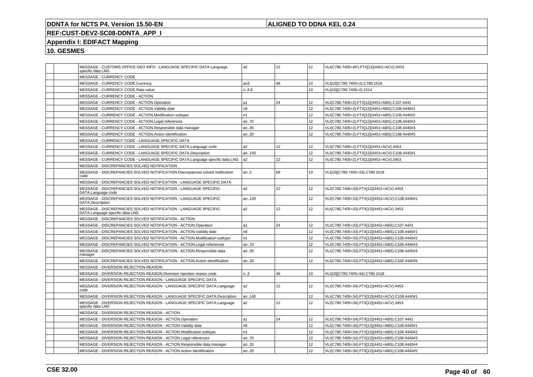## **ALIGNED TO DDNA KEL 0.24**

# **REF:CUST-DEV2-SC08-DDNTA\_APP\_I**

## **Appendix I: EDIFACT Mapping**

| MESSAGE - CUSTOMS OFFICE GEO INFO - LANGUAGE SPECIFIC DATA.Language<br>specific data LNG           | a <sub>2</sub>   | 12 | 12              | VLI(C780.7405=AF).FTX[12](4451=ACV).3453        |
|----------------------------------------------------------------------------------------------------|------------------|----|-----------------|-------------------------------------------------|
| MESSAGE - CURRENCY CODE                                                                            |                  |    |                 |                                                 |
| MESSAGE - CURRENCY CODE.Currency                                                                   | an3              | 48 | 10              | VLI[10](C780.7405=2).C780.1518                  |
| MESSAGE - CURRENCY CODE.Rate value                                                                 | n.86             |    | 10              | VLI[10](C780.7405=2).1514                       |
| MESSAGE - CURRENCY CODE - ACTION                                                                   |                  |    |                 |                                                 |
| MESSAGE - CURRENCY CODE - ACTION.Operation                                                         | la1              | 24 | 12              | VLI(C780.7405=2).FTX[12](4451=ABS).C107.4441    |
| MESSAGE - CURRENCY CODE - ACTION. Validity date                                                    | n <sub>8</sub>   |    | 12              | VLI(C780.7405=2).FTX[12](4451=ABS).C108.4440#1  |
| MESSAGE - CURRENCY CODE - ACTION.Modification subtype                                              | n1               |    | 12              | VLI(C780.7405=2).FTX[12](4451=ABS).C108.4440#2  |
| MESSAGE - CURRENCY CODE - ACTION.Legal references                                                  | an70             |    | 12              | VLI(C780.7405=2).FTX[12](4451=ABS).C108.4440#3  |
| MESSAGE - CURRENCY CODE - ACTION.Responsible data manager                                          | an35             |    | 12              | VLI(C780.7405=2).FTX[12](4451=ABS).C108.4440#4  |
| MESSAGE - CURRENCY CODE - ACTION.Action identification                                             | an20             |    | 12              | VLI(C780.7405=2).FTX[12](4451=ABS).C108.4440#5  |
| MESSAGE - CURRENCY CODE - LANGUAGE SPECIFIC DATA                                                   |                  |    |                 |                                                 |
| MESSAGE - CURRENCY CODE - LANGUAGE SPECIFIC DATA.Language code                                     | a2               | 12 | 12              | VLI(C780.7405=2).FTX[12](4451=ACV).4453         |
| MESSAGE - CURRENCY CODE - LANGUAGE SPECIFIC DATA.Description                                       | an140            |    | 12              | VLI(C780.7405=2).FTX[12](4451=ACV).C108.4440#1  |
| MESSAGE - CURRENCY CODE - LANGUAGE SPECIFIC DATA.Language specific data LNG                        | a <sub>2</sub>   | 12 | 12              | VLI(C780.7405=2).FTX[12](4451=ACV).3453         |
| MESSAGE - DISCREPANCIES SOLVED NOTIFICATION                                                        |                  |    |                 |                                                 |
| MESSAGE - DISCREPANCIES SOLVED NOTIFICATION.Discrepancies solved notification<br>code              | an.2             | 69 | 10              | VLI[10](C780.7405=33).C780.1518                 |
| MESSAGE - DISCREPANCIES SOLVED NOTIFICATION - LANGUAGE SPECIFIC DATA                               |                  |    |                 |                                                 |
| MESSAGE - DISCREPANCIES SOLVED NOTIFICATION - LANGUAGE SPECIFIC<br>DATA.Language code              | a2               | 12 | 12              | VLI(C780.7405=33).FTX[12](4451=ACV).4453        |
| MESSAGE - DISCREPANCIES SOLVED NOTIFICATION - LANGUAGE SPECIFIC<br>DATA.Description                | an140            |    | 12              | VLI(C780.7405=33).FTX[12](4451=ACV).C108.4440#1 |
| MESSAGE - DISCREPANCIES SOLVED NOTIFICATION - LANGUAGE SPECIFIC<br>DATA.Language specific data LNG | a2               | 12 | 12              | VLI(C780.7405=33).FTX[12](4451=ACV).3453        |
| MESSAGE - DISCREPANCIES SOLVED NOTIFICATION - ACTION                                               |                  |    |                 |                                                 |
| MESSAGE - DISCREPANCIES SOLVED NOTIFICATION - ACTION.Operation                                     | a1               | 24 | 12              | VLI(C780.7405=33).FTX[12](4451=ABS).C107.4441   |
| MESSAGE - DISCREPANCIES SOLVED NOTIFICATION - ACTION. Validity date                                | n <sub>8</sub>   |    | 12              | VLI(C780.7405=33).FTX[12](4451=ABS).C108.4440#1 |
| MESSAGE - DISCREPANCIES SOLVED NOTIFICATION - ACTION.Modification subtype                          | n <sub>1</sub>   |    | 12              | VLI(C780.7405=33).FTX[12](4451=ABS).C108.4440#2 |
| MESSAGE - DISCREPANCIES SOLVED NOTIFICATION - ACTION.Legal references                              | an70             |    | 12              | VLI(C780.7405=33).FTX[12](4451=ABS).C108.4440#3 |
| MESSAGE - DISCREPANCIES SOLVED NOTIFICATION - ACTION.Responsible data<br>manager                   | an35             |    | 12 <sup>°</sup> | VLI(C780.7405=33).FTX[12](4451=ABS).C108.4440#4 |
| MESSAGE - DISCREPANCIES SOLVED NOTIFICATION - ACTION.Action identification                         | an20             |    | 12              | VLI(C780.7405=33).FTX[12](4451=ABS).C108.4440#5 |
| MESSAGE - DIVERSION REJECTION REASON                                                               |                  |    |                 |                                                 |
| MESSAGE - DIVERSION REJECTION REASON.Diversion rejection reason code                               | n <sub>1</sub> 2 | 46 | 10              | VLI[10](C780.7405=34).C780.1518                 |
| MESSAGE - DIVERSION REJECTION REASON - LANGUAGE SPECIFIC DATA                                      |                  |    |                 |                                                 |
| MESSAGE - DIVERSION REJECTION REASON - LANGUAGE SPECIFIC DATA.Language<br>code                     | a2               | 12 | 12              | VLI(C780.7405=34).FTX[12](4451=ACV).4453        |
| MESSAGE - DIVERSION REJECTION REASON - LANGUAGE SPECIFIC DATA.Description                          | an140            |    | 12              | VLI(C780.7405=34).FTX[12](4451=ACV).C108.4440#1 |
| MESSAGE - DIVERSION REJECTION REASON - LANGUAGE SPECIFIC DATA.Language<br>specific data LNG        | a2               | 12 | 12              | VLI(C780.7405=34).FTX[12](4451=ACV).3453        |
| MESSAGE - DIVERSION REJECTION REASON - ACTION                                                      |                  |    |                 |                                                 |
| MESSAGE - DIVERSION REJECTION REASON - ACTION.Operation                                            | a1               | 24 | 12              | VLI(C780.7405=34).FTX[12](4451=ABS).C107.4441   |
| MESSAGE - DIVERSION REJECTION REASON - ACTION. Validity date                                       | n8               |    | 12              | VLI(C780.7405=34).FTX[12](4451=ABS).C108.4440#1 |
| MESSAGE - DIVERSION REJECTION REASON - ACTION.Modification subtype                                 | n1               |    | 12              | VLI(C780.7405=34).FTX[12](4451=ABS).C108.4440#2 |
| MESSAGE - DIVERSION REJECTION REASON - ACTION.Legal references                                     | an70             |    | 12              | VLI(C780.7405=34).FTX[12](4451=ABS).C108.4440#3 |
| MESSAGE - DIVERSION REJECTION REASON - ACTION.Responsible data manager                             | an35             |    | 12              | VLI(C780.7405=34).FTX[12](4451=ABS).C108.4440#4 |
| MESSAGE - DIVERSION REJECTION REASON - ACTION.Action identification                                | an20             |    | 12              | VLI(C780.7405=34).FTX[12](4451=ABS).C108.4440#5 |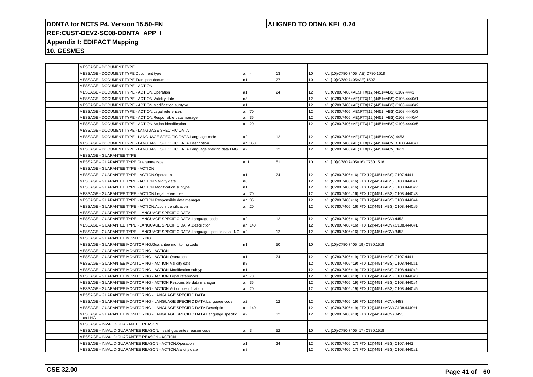## **ALIGNED TO DDNA KEL 0.24**

# **REF:CUST-DEV2-SC08-DDNTA\_APP\_I**

## **Appendix I: EDIFACT Mapping**

|  | MESSAGE - DOCUMENT TYPE                                                               |                |    |                 |                                                 |
|--|---------------------------------------------------------------------------------------|----------------|----|-----------------|-------------------------------------------------|
|  | MESSAGE - DOCUMENT TYPE.Document type                                                 | an.4           | 13 | 10              | VLI[10](C780.7405=AE).C780.1518                 |
|  | MESSAGE - DOCUMENT TYPE.Transport document                                            | n1             | 27 | 10              | VLI[10](C780.7405=AE).1507                      |
|  | MESSAGE - DOCUMENT TYPE - ACTION                                                      |                |    |                 |                                                 |
|  | MESSAGE - DOCUMENT TYPE - ACTION.Operation                                            | l a1           | 24 | 12              | VLI(C780.7405=AE).FTX[12](4451=ABS).C107.4441   |
|  | MESSAGE - DOCUMENT TYPE - ACTION.Validity date                                        | n8             |    | 12              | VLI(C780.7405=AE).FTX[12](4451=ABS).C108.4440#1 |
|  | MESSAGE - DOCUMENT TYPE - ACTION.Modification subtype                                 | n1             |    | 12              | VLI(C780.7405=AE).FTX[12](4451=ABS).C108.4440#2 |
|  | MESSAGE - DOCUMENT TYPE - ACTION.Legal references                                     | an70           |    | 12              | VLI(C780.7405=AE).FTX[12](4451=ABS).C108.4440#3 |
|  | MESSAGE - DOCUMENT TYPE - ACTION.Responsible data manager                             | an35           |    | 12              | VLI(C780.7405=AE).FTX[12](4451=ABS).C108.4440#4 |
|  | MESSAGE - DOCUMENT TYPE - ACTION.Action identification                                | an20           |    | 12              | VLI(C780.7405=AE).FTX[12](4451=ABS).C108.4440#5 |
|  | MESSAGE - DOCUMENT TYPE - LANGUAGE SPECIFIC DATA                                      |                |    |                 |                                                 |
|  | MESSAGE - DOCUMENT TYPE - LANGUAGE SPECIFIC DATA.Language code                        | a2             | 12 | 12              | VLI(C780.7405=AE).FTX[12](4451=ACV).4453        |
|  | MESSAGE - DOCUMENT TYPE - LANGUAGE SPECIFIC DATA.Description                          | an350          |    | 12              | VLI(C780.7405=AE).FTX[12](4451=ACV).C108.4440#1 |
|  | MESSAGE - DOCUMENT TYPE - LANGUAGE SPECIFIC DATA.Language specific data LNG           | a <sub>2</sub> | 12 | 12              | VLI(C780.7405=AE).FTX[12](4451=ACV).3453        |
|  | MESSAGE - GUARANTEE TYPE                                                              |                |    |                 |                                                 |
|  | MESSAGE - GUARANTEE TYPE.Guarantee type                                               | an1            | 51 | 10              | VLI[10](C780.7405=16).C780.1518                 |
|  | MESSAGE - GUARANTEE TYPE - ACTION                                                     |                |    |                 |                                                 |
|  | MESSAGE - GUARANTEE TYPE - ACTION.Operation                                           | a1             | 24 | 12              | VLI(C780.7405=16).FTX[12](4451=ABS).C107.4441   |
|  | MESSAGE - GUARANTEE TYPE - ACTION. Validity date                                      | n8             |    | 12              | VLI(C780.7405=16).FTX[12](4451=ABS).C108.4440#1 |
|  | MESSAGE - GUARANTEE TYPE - ACTION.Modification subtype                                | n <sub>1</sub> |    | 12              | VLI(C780.7405=16).FTX[12](4451=ABS).C108.4440#2 |
|  | MESSAGE - GUARANTEE TYPE - ACTION.Legal references                                    | an70           |    | 12              | VLI(C780.7405=16).FTX[12](4451=ABS).C108.4440#3 |
|  | MESSAGE - GUARANTEE TYPE - ACTION.Responsible data manager                            | an35           |    | 12              | VLI(C780.7405=16).FTX[12](4451=ABS).C108.4440#4 |
|  | MESSAGE - GUARANTEE TYPE - ACTION.Action identification                               | an20           |    | 12              | VLI(C780.7405=16).FTX[12](4451=ABS).C108.4440#5 |
|  | MESSAGE - GUARANTEE TYPE - LANGUAGE SPECIFIC DATA                                     |                |    |                 |                                                 |
|  | MESSAGE - GUARANTEE TYPE - LANGUAGE SPECIFIC DATA.Language code                       | a2             | 12 | 12              | VLI(C780.7405=16).FTX[12](4451=ACV).4453        |
|  | MESSAGE - GUARANTEE TYPE - LANGUAGE SPECIFIC DATA.Description                         | an140          |    | 12              | VLI(C780.7405=16).FTX[12](4451=ACV).C108.4440#1 |
|  | MESSAGE - GUARANTEE TYPE - LANGUAGE SPECIFIC DATA.Language specific data LNG  a2      |                | 12 | 12              | VLI(C780.7405=16).FTX[12](4451=ACV).3453        |
|  | MESSAGE - GUARANTEE MONITORING                                                        |                |    |                 |                                                 |
|  | MESSAGE - GUARANTEE MONITORING.Guarantee monitoring code                              | n1             | 50 | 10              | VLI[10](C780.7405=19).C780.1518                 |
|  | MESSAGE - GUARANTEE MONITORING - ACTION                                               |                |    |                 |                                                 |
|  | MESSAGE - GUARANTEE MONITORING - ACTION.Operation                                     | l a1           | 24 | 12              | VLI(C780.7405=19).FTX[12](4451=ABS).C107.4441   |
|  | MESSAGE - GUARANTEE MONITORING - ACTION.Validity date                                 | n8             |    | 12              | VLI(C780.7405=19).FTX[12](4451=ABS).C108.4440#1 |
|  | MESSAGE - GUARANTEE MONITORING - ACTION.Modification subtype                          | n1             |    | 12 <sup>°</sup> | VLI(C780.7405=19).FTX[12](4451=ABS).C108.4440#2 |
|  | MESSAGE - GUARANTEE MONITORING - ACTION.Legal references                              | an70           |    | 12              | VLI(C780.7405=19).FTX[12](4451=ABS).C108.4440#3 |
|  | MESSAGE - GUARANTEE MONITORING - ACTION.Responsible data manager                      | an35           |    | 12              | VLI(C780.7405=19).FTX[12](4451=ABS).C108.4440#4 |
|  | MESSAGE - GUARANTEE MONITORING - ACTION.Action identification                         | an20           |    | 12              | VLI(C780.7405=19).FTX[12](4451=ABS).C108.4440#5 |
|  | MESSAGE - GUARANTEE MONITORING - LANGUAGE SPECIFIC DATA                               |                |    |                 |                                                 |
|  | MESSAGE - GUARANTEE MONITORING - LANGUAGE SPECIFIC DATA.Language code                 | a2             | 12 | 12              | VLI(C780.7405=19).FTX[12](4451=ACV).4453        |
|  | MESSAGE - GUARANTEE MONITORING - LANGUAGE SPECIFIC DATA.Description                   | an140          |    | 12              | VLI(C780.7405=19).FTX[12](4451=ACV).C108.4440#1 |
|  | MESSAGE - GUARANTEE MONITORING - LANGUAGE SPECIFIC DATA.Language specific<br>data LNG | a <sub>2</sub> | 12 | 12              | VLI(C780.7405=19).FTX[12](4451=ACV).3453        |
|  | MESSAGE - INVALID GUARANTEE REASON                                                    |                |    |                 |                                                 |
|  | MESSAGE - INVALID GUARANTEE REASON.Invalid guarantee reason code                      | an.3           | 52 | 10              | VLI[10](C780.7405=17).C780.1518                 |
|  | MESSAGE - INVALID GUARANTEE REASON - ACTION                                           |                |    |                 |                                                 |
|  | MESSAGE - INVALID GUARANTEE REASON - ACTION.Operation                                 | l a1           | 24 | 12              | VLI(C780.7405=17).FTX[12](4451=ABS).C107.4441   |
|  | MESSAGE - INVALID GUARANTEE REASON - ACTION.Validity date                             | n8             |    | 12              | VLI(C780.7405=17).FTX[12](4451=ABS).C108.4440#1 |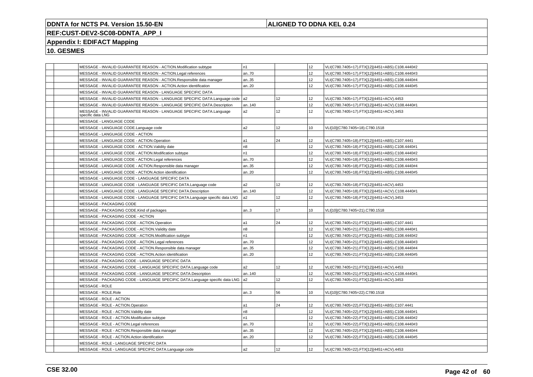## **ALIGNED TO DDNA KEL 0.24**

## **REF:CUST-DEV2-SC08-DDNTA\_APP\_I**

## **Appendix I: EDIFACT Mapping**

| MESSAGE - INVALID GUARANTEE REASON - ACTION.Modification subtype                          | n1             |                 | 12              | VLI(C780.7405=17).FTX[12](4451=ABS).C108.4440#2 |
|-------------------------------------------------------------------------------------------|----------------|-----------------|-----------------|-------------------------------------------------|
| MESSAGE - INVALID GUARANTEE REASON - ACTION.Legal references                              | an70           |                 | 12 <sup>°</sup> | VLI(C780.7405=17).FTX[12](4451=ABS).C108.4440#3 |
| MESSAGE - INVALID GUARANTEE REASON - ACTION.Responsible data manager                      | an35           |                 | 12              | VLI(C780.7405=17).FTX[12](4451=ABS).C108.4440#4 |
| MESSAGE - INVALID GUARANTEE REASON - ACTION.Action identification                         | an20           |                 | 12              | VLI(C780.7405=17).FTX[12](4451=ABS).C108.4440#5 |
| MESSAGE - INVALID GUARANTEE REASON - LANGUAGE SPECIFIC DATA                               |                |                 |                 |                                                 |
| MESSAGE - INVALID GUARANTEE REASON - LANGUAGE SPECIFIC DATA.Language code   a2            |                | 12              | 12              | VLI(C780.7405=17).FTX[12](4451=ACV).4453        |
| MESSAGE - INVALID GUARANTEE REASON - LANGUAGE SPECIFIC DATA.Description                   | an140          |                 | 12              | VLI(C780.7405=17).FTX[12](4451=ACV).C108.4440#1 |
| MESSAGE - INVALID GUARANTEE REASON - LANGUAGE SPECIFIC DATA.Language<br>specific data LNG | a <sub>2</sub> | 12              | 12              | VLI(C780.7405=17).FTX[12](4451=ACV).3453        |
| MESSAGE - LANGUAGE CODE                                                                   |                |                 |                 |                                                 |
| MESSAGE - LANGUAGE CODE.Language code                                                     | a <sub>2</sub> | 12 <sup>°</sup> | 10              | VLI[10](C780.7405=18).C780.1518                 |
| MESSAGE - LANGUAGE CODE - ACTION                                                          |                |                 |                 |                                                 |
| MESSAGE - LANGUAGE CODE - ACTION.Operation                                                | a1             | 24              | 12              | VLI(C780.7405=18).FTX[12](4451=ABS).C107.4441   |
| MESSAGE - LANGUAGE CODE - ACTION. Validity date                                           | n8             |                 | 12              | VLI(C780.7405=18).FTX[12](4451=ABS).C108.4440#1 |
| MESSAGE - LANGUAGE CODE - ACTION.Modification subtype                                     | n1             |                 | 12              | VLI(C780.7405=18).FTX[12](4451=ABS).C108.4440#2 |
| MESSAGE - LANGUAGE CODE - ACTION.Legal references                                         | an70           |                 | 12              | VLI(C780.7405=18).FTX[12](4451=ABS).C108.4440#3 |
| MESSAGE - LANGUAGE CODE - ACTION.Responsible data manager                                 | an35           |                 | 12              | VLI(C780.7405=18).FTX[12](4451=ABS).C108.4440#4 |
| MESSAGE - LANGUAGE CODE - ACTION.Action identification                                    | an20           |                 | 12              | VLI(C780.7405=18).FTX[12](4451=ABS).C108.4440#5 |
| MESSAGE - LANGUAGE CODE - LANGUAGE SPECIFIC DATA                                          |                |                 |                 |                                                 |
| MESSAGE - LANGUAGE CODE - LANGUAGE SPECIFIC DATA.Language code                            | a2             | 12              | 12              | VLI(C780.7405=18).FTX[12](4451=ACV).4453        |
| MESSAGE - LANGUAGE CODE - LANGUAGE SPECIFIC DATA.Description                              | an140          |                 | 12              | VLI(C780.7405=18).FTX[12](4451=ACV).C108.4440#1 |
| MESSAGE - LANGUAGE CODE - LANGUAGE SPECIFIC DATA.Language specific data LNG               | a <sub>2</sub> | 12 <sup>°</sup> | 12              | VLI(C780.7405=18).FTX[12](4451=ACV).3453        |
| MESSAGE - PACKAGING CODE                                                                  |                |                 |                 |                                                 |
| MESSAGE - PACKAGING CODE.Kind of packages                                                 | an.3           | 17              | 10              | VLI[10](C780.7405=21).C780.1518                 |
| MESSAGE - PACKAGING CODE - ACTION                                                         |                |                 |                 |                                                 |
| MESSAGE - PACKAGING CODE - ACTION.Operation                                               | a1             | 24              | 12              | VLI(C780.7405=21).FTX[12](4451=ABS).C107.4441   |
| MESSAGE - PACKAGING CODE - ACTION. Validity date                                          | n8             |                 | 12              | VLI(C780.7405=21).FTX[12](4451=ABS).C108.4440#1 |
| MESSAGE - PACKAGING CODE - ACTION.Modification subtype                                    | n1             |                 | 12              | VLI(C780.7405=21).FTX[12](4451=ABS).C108.4440#2 |
| MESSAGE - PACKAGING CODE - ACTION.Legal references                                        | an70           |                 | 12              | VLI(C780.7405=21).FTX[12](4451=ABS).C108.4440#3 |
| MESSAGE - PACKAGING CODE - ACTION.Responsible data manager                                | an35           |                 | 12              | VLI(C780.7405=21).FTX[12](4451=ABS).C108.4440#4 |
| MESSAGE - PACKAGING CODE - ACTION.Action identification                                   | an20           |                 | 12              | VLI(C780.7405=21).FTX[12](4451=ABS).C108.4440#5 |
| MESSAGE - PACKAGING CODE - LANGUAGE SPECIFIC DATA                                         |                |                 |                 |                                                 |
| MESSAGE - PACKAGING CODE - LANGUAGE SPECIFIC DATA.Language code                           | a2             | 12 <sup>°</sup> | 12              | VLI(C780.7405=21).FTX[12](4451=ACV).4453        |
| MESSAGE - PACKAGING CODE - LANGUAGE SPECIFIC DATA.Description                             | an140          |                 | 12              | VLI(C780.7405=21).FTX[12](4451=ACV).C108.4440#1 |
| MESSAGE - PACKAGING CODE - LANGUAGE SPECIFIC DATA.Language specific data LNG              | a <sub>2</sub> | 12              | 12              | VLI(C780.7405=21).FTX[12](4451=ACV).3453        |
| MESSAGE - ROLE                                                                            |                |                 |                 |                                                 |
| MESSAGE - ROLE.Role                                                                       | an.3           | 56              | 10              | VLI[10](C780.7405=22).C780.1518                 |
| MESSAGE - ROLE - ACTION                                                                   |                |                 |                 |                                                 |
| MESSAGE - ROLE - ACTION.Operation                                                         | a1             | 24              | 12              | VLI(C780.7405=22).FTX[12](4451=ABS).C107.4441   |
| MESSAGE - ROLE - ACTION. Validity date                                                    | n <sub>8</sub> |                 | 12              | VLI(C780.7405=22).FTX[12](4451=ABS).C108.4440#1 |
| MESSAGE - ROLE - ACTION.Modification subtype                                              | n1             |                 | 12              | VLI(C780.7405=22).FTX[12](4451=ABS).C108.4440#2 |
| MESSAGE - ROLE - ACTION.Legal references                                                  | an70           |                 | 12              | VLI(C780.7405=22).FTX[12](4451=ABS).C108.4440#3 |
| MESSAGE - ROLE - ACTION.Responsible data manager                                          | an35           |                 | 12              | VLI(C780.7405=22).FTX[12](4451=ABS).C108.4440#4 |
| MESSAGE - ROLE - ACTION.Action identification                                             | an20           |                 | 12              | VLI(C780.7405=22).FTX[12](4451=ABS).C108.4440#5 |
| MESSAGE - ROLE - LANGUAGE SPECIFIC DATA                                                   |                |                 |                 |                                                 |
| MESSAGE - ROLE - LANGUAGE SPECIFIC DATA.Language code                                     | a2             | 12              | 12              | VLI(C780.7405=22).FTX[12](4451=ACV).4453        |
|                                                                                           |                |                 |                 |                                                 |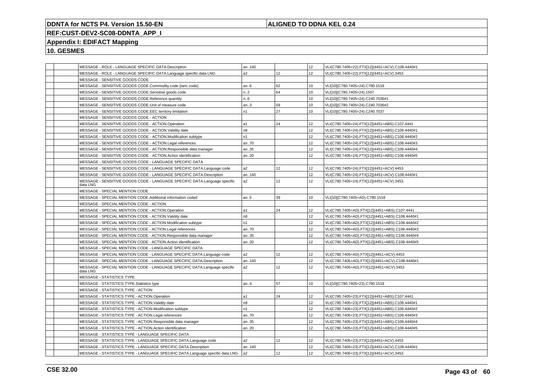## **ALIGNED TO DDNA KEL 0.24**

## **REF:CUST-DEV2-SC08-DDNTA\_APP\_I**

## **Appendix I: EDIFACT Mapping**

|  | MESSAGE - ROLE - LANGUAGE SPECIFIC DATA.Description                                   | an140          |                 | 12               | VLI(C780.7405=22).FTX[12](4451=ACV).C108.4440#1 |
|--|---------------------------------------------------------------------------------------|----------------|-----------------|------------------|-------------------------------------------------|
|  | MESSAGE - ROLE - LANGUAGE SPECIFIC DATA.Language specific data LNG                    | a2             | 12              | 12               | VLI(C780.7405=22).FTX[12](4451=ACV).3453        |
|  | MESSAGE - SENSITIVE GOODS CODE                                                        |                |                 |                  |                                                 |
|  | MESSAGE - SENSITIVE GOODS CODE.Commodity code (taric code)                            | an.6           | 62              | 10               | VLI[10](C780.7405=24).C780.1518                 |
|  | MESSAGE - SENSITIVE GOODS CODE.Sensitive goods code                                   | n.2            | 64              | 10               | VLI[10](C780.7405=24).1507                      |
|  | MESSAGE - SENSITIVE GOODS CODE.Reference quantity                                     | n.6            |                 | 10               | VLI[10](C780.7405=24).C240.7036#1               |
|  | MESSAGE - SENSITIVE GOODS CODE.Unit of measure code                                   | an3            | 59              | 10               | VLI[10](C780.7405=24).C240.7036#2               |
|  | MESSAGE - SENSITIVE GOODS CODE.EEC territory limitation                               | n1             | 27              | 10               | VLI[10](C780.7405=24).C240.7037                 |
|  | MESSAGE - SENSITIVE GOODS CODE - ACTION                                               |                |                 |                  |                                                 |
|  | MESSAGE - SENSITIVE GOODS CODE - ACTION.Operation                                     | a1             | 24              | 12               | VLI(C780.7405=24).FTX[12](4451=ABS).C107.4441   |
|  | MESSAGE - SENSITIVE GOODS CODE - ACTION. Validity date                                | n <sub>8</sub> |                 | 12               | VLI(C780.7405=24).FTX[12](4451=ABS).C108.4440#1 |
|  | MESSAGE - SENSITIVE GOODS CODE - ACTION.Modification subtype                          | n <sub>1</sub> |                 | 12               | VLI(C780.7405=24).FTX[12](4451=ABS).C108.4440#2 |
|  | MESSAGE - SENSITIVE GOODS CODE - ACTION.Legal references                              | an70           |                 | 12               | VLI(C780.7405=24).FTX[12](4451=ABS).C108.4440#3 |
|  | MESSAGE - SENSITIVE GOODS CODE - ACTION.Responsible data manager                      | an35           |                 | 12               | VLI(C780.7405=24).FTX[12](4451=ABS).C108.4440#4 |
|  | MESSAGE - SENSITIVE GOODS CODE - ACTION.Action identification                         | an.20          |                 | 12               | VLI(C780.7405=24).FTX[12](4451=ABS).C108.4440#5 |
|  | MESSAGE - SENSITIVE GOODS CODE - LANGUAGE SPECIFIC DATA                               |                |                 |                  |                                                 |
|  | MESSAGE - SENSITIVE GOODS CODE - LANGUAGE SPECIFIC DATA.Language code                 | a <sub>2</sub> | 12 <sup>°</sup> | 12               | VLI(C780.7405=24).FTX[12](4451=ACV).4453        |
|  | MESSAGE - SENSITIVE GOODS CODE - LANGUAGE SPECIFIC DATA.Description                   | an140          |                 | 12               | VLI(C780.7405=24).FTX[12](4451=ACV).C108.4440#1 |
|  | MESSAGE - SENSITIVE GOODS CODE - LANGUAGE SPECIFIC DATA.Language specific<br>data LNG | a2             | 12 <sup>2</sup> | 12 <sup>2</sup>  | VLI(C780.7405=24).FTX[12](4451=ACV).3453        |
|  | MESSAGE - SPECIAL MENTION CODE                                                        |                |                 |                  |                                                 |
|  | MESSAGE - SPECIAL MENTION CODE.Additional information coded                           | an5            | 39              | 10 <sup>10</sup> | VLI[10](C780.7405=AD).C780.1518                 |
|  | MESSAGE - SPECIAL MENTION CODE - ACTION                                               |                |                 |                  |                                                 |
|  | MESSAGE - SPECIAL MENTION CODE - ACTION.Operation                                     | a1             | 24              | 12 <sup>2</sup>  | VLI(C780.7405=AD).FTX[12](4451=ABS).C107.4441   |
|  | MESSAGE - SPECIAL MENTION CODE - ACTION. Validity date                                | n8             |                 | 12               | VLI(C780.7405=AD).FTX[12](4451=ABS).C108.4440#1 |
|  | MESSAGE - SPECIAL MENTION CODE - ACTION.Modification subtype                          | n1             |                 | 12               | VLI(C780.7405=AD).FTX[12](4451=ABS).C108.4440#2 |
|  | MESSAGE - SPECIAL MENTION CODE - ACTION.Legal references                              | an70           |                 | 12               | VLI(C780.7405=AD).FTX[12](4451=ABS).C108.4440#3 |
|  | MESSAGE - SPECIAL MENTION CODE - ACTION.Responsible data manager                      | an35           |                 | 12               | VLI(C780.7405=AD).FTX[12](4451=ABS).C108.4440#4 |
|  | MESSAGE - SPECIAL MENTION CODE - ACTION.Action identification                         | an.20          |                 | 12               | VLI(C780.7405=AD).FTX[12](4451=ABS).C108.4440#5 |
|  | MESSAGE - SPECIAL MENTION CODE - LANGUAGE SPECIFIC DATA                               |                |                 |                  |                                                 |
|  | MESSAGE - SPECIAL MENTION CODE - LANGUAGE SPECIFIC DATA.Language code                 | a <sub>2</sub> | 12 <sup>°</sup> | 12               | VLI(C780.7405=AD).FTX[12](4451=ACV).4453        |
|  | MESSAGE - SPECIAL MENTION CODE - LANGUAGE SPECIFIC DATA.Description                   | an140          |                 | 12               | VLI(C780.7405=AD).FTX[12](4451=ACV).C108.4440#1 |
|  | MESSAGE - SPECIAL MENTION CODE - LANGUAGE SPECIFIC DATA.Language specific<br>data LNG | a2             | 12 <sup>2</sup> | 12 <sup>2</sup>  | VLI(C780.7405=AD).FTX[12](4451=ACV).3453        |
|  | MESSAGE - STATISTICS TYPE                                                             |                |                 |                  |                                                 |
|  | MESSAGE - STATISTICS TYPE.Statistics type                                             | an.4           | 57              | 10 <sup>10</sup> | VLI[10](C780.7405=23).C780.1518                 |
|  | MESSAGE - STATISTICS TYPE - ACTION                                                    |                |                 |                  |                                                 |
|  | MESSAGE - STATISTICS TYPE - ACTION.Operation                                          | a1             | 24              | 12               | VLI(C780.7405=23).FTX[12](4451=ABS).C107.4441   |
|  | MESSAGE - STATISTICS TYPE - ACTION. Validity date                                     | n <sub>8</sub> |                 | 12               | VLI(C780.7405=23).FTX[12](4451=ABS).C108.4440#1 |
|  | MESSAGE - STATISTICS TYPE - ACTION.Modification subtype                               | n1             |                 | 12               | VLI(C780.7405=23).FTX[12](4451=ABS).C108.4440#2 |
|  | MESSAGE - STATISTICS TYPE - ACTION.Legal references                                   | an70           |                 | 12               | VLI(C780.7405=23).FTX[12](4451=ABS).C108.4440#3 |
|  | MESSAGE - STATISTICS TYPE - ACTION.Responsible data manager                           | an35           |                 | 12               | VLI(C780.7405=23).FTX[12](4451=ABS).C108.4440#4 |
|  | MESSAGE - STATISTICS TYPE - ACTION.Action identification                              | an20           |                 | 12               | VLI(C780.7405=23).FTX[12](4451=ABS).C108.4440#5 |
|  | MESSAGE - STATISTICS TYPE - LANGUAGE SPECIFIC DATA                                    |                |                 |                  |                                                 |
|  | MESSAGE - STATISTICS TYPE - LANGUAGE SPECIFIC DATA.Language code                      | a2             | 12              | 12               | VLI(C780.7405=23).FTX[12](4451=ACV).4453        |
|  | MESSAGE - STATISTICS TYPE - LANGUAGE SPECIFIC DATA.Description                        | an140          |                 | 12 <sup>2</sup>  | VLI(C780.7405=23).FTX[12](4451=ACV).C108.4440#1 |
|  | MESSAGE - STATISTICS TYPE - LANGUAGE SPECIFIC DATA.Language specific data LNG         | a <sub>2</sub> | 12              | 12               | VLI(C780.7405=23).FTX[12](4451=ACV).3453        |
|  |                                                                                       |                |                 |                  |                                                 |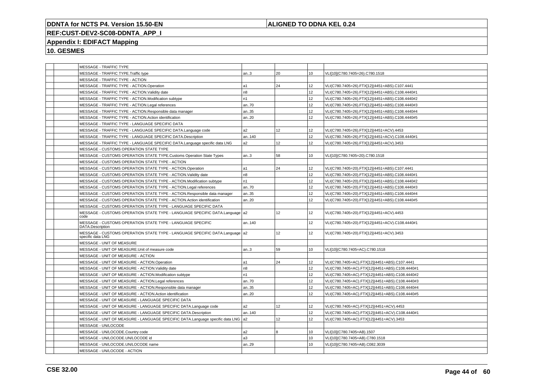## **ALIGNED TO DDNA KEL 0.24**

# **REF:CUST-DEV2-SC08-DDNTA\_APP\_I**

## **Appendix I: EDIFACT Mapping**

|  | <b>MESSAGE - TRAFFIC TYPE</b>                                                                    |                |    |                 |                                                 |
|--|--------------------------------------------------------------------------------------------------|----------------|----|-----------------|-------------------------------------------------|
|  | MESSAGE - TRAFFIC TYPE.Traffic type                                                              | an.3           | 20 | 10              | VLI[10](C780.7405=26).C780.1518                 |
|  | MESSAGE - TRAFFIC TYPE - ACTION                                                                  |                |    |                 |                                                 |
|  | MESSAGE - TRAFFIC TYPE - ACTION.Operation                                                        | a1             | 24 | 12              | VLI(C780.7405=26).FTX[12](4451=ABS).C107.4441   |
|  | MESSAGE - TRAFFIC TYPE - ACTION. Validity date                                                   | n <sub>8</sub> |    | 12              | VLI(C780.7405=26).FTX[12](4451=ABS).C108.4440#1 |
|  | MESSAGE - TRAFFIC TYPE - ACTION.Modification subtype                                             | n1             |    | 12              | VLI(C780.7405=26).FTX[12](4451=ABS).C108.4440#2 |
|  | MESSAGE - TRAFFIC TYPE - ACTION.Legal references                                                 | an70           |    | 12              | VLI(C780.7405=26).FTX[12](4451=ABS).C108.4440#3 |
|  | MESSAGE - TRAFFIC TYPE - ACTION.Responsible data manager                                         | an35           |    | 12              | VLI(C780.7405=26).FTX[12](4451=ABS).C108.4440#4 |
|  | MESSAGE - TRAFFIC TYPE - ACTION.Action identification                                            | an20           |    | 12              | VLI(C780.7405=26).FTX[12](4451=ABS).C108.4440#5 |
|  | MESSAGE - TRAFFIC TYPE - LANGUAGE SPECIFIC DATA                                                  |                |    |                 |                                                 |
|  | MESSAGE - TRAFFIC TYPE - LANGUAGE SPECIFIC DATA.Language code                                    | a2             | 12 | 12              | VLI(C780.7405=26).FTX[12](4451=ACV).4453        |
|  | MESSAGE - TRAFFIC TYPE - LANGUAGE SPECIFIC DATA.Description                                      | an140          |    | 12              | VLI(C780.7405=26).FTX[12](4451=ACV).C108.4440#1 |
|  | MESSAGE - TRAFFIC TYPE - LANGUAGE SPECIFIC DATA.Language specific data LNG                       | a <sub>2</sub> | 12 | 12              | VLI(C780.7405=26).FTX[12](4451=ACV).3453        |
|  | MESSAGE - CUSTOMS OPERATION STATE TYPE                                                           |                |    |                 |                                                 |
|  | MESSAGE - CUSTOMS OPERATION STATE TYPE.Customs Operation State Types                             | an.3           | 58 | 10              | VLI[10](C780.7405=20).C780.1518                 |
|  | MESSAGE - CUSTOMS OPERATION STATE TYPE - ACTION                                                  |                |    |                 |                                                 |
|  | MESSAGE - CUSTOMS OPERATION STATE TYPE - ACTION.Operation                                        | la1            | 24 | 12              | VLI(C780.7405=20).FTX[12](4451=ABS).C107.4441   |
|  | MESSAGE - CUSTOMS OPERATION STATE TYPE - ACTION.Validity date                                    | n <sub>8</sub> |    | 12              | VLI(C780.7405=20).FTX[12](4451=ABS).C108.4440#1 |
|  | MESSAGE - CUSTOMS OPERATION STATE TYPE - ACTION.Modification subtype                             | n <sub>1</sub> |    | 12              | VLI(C780.7405=20).FTX[12](4451=ABS).C108.4440#2 |
|  | MESSAGE - CUSTOMS OPERATION STATE TYPE - ACTION.Legal references                                 | an70           |    | 12 <sup>°</sup> | VLI(C780.7405=20).FTX[12](4451=ABS).C108.4440#3 |
|  | MESSAGE - CUSTOMS OPERATION STATE TYPE - ACTION.Responsible data manager                         | an35           |    | 12              | VLI(C780.7405=20).FTX[12](4451=ABS).C108.4440#4 |
|  | MESSAGE - CUSTOMS OPERATION STATE TYPE - ACTION.Action identification                            | an20           |    | 12              | VLI(C780.7405=20).FTX[12](4451=ABS).C108.4440#5 |
|  | MESSAGE - CUSTOMS OPERATION STATE TYPE - LANGUAGE SPECIFIC DATA                                  |                |    |                 |                                                 |
|  | MESSAGE - CUSTOMS OPERATION STATE TYPE - LANGUAGE SPECIFIC DATA.Language a2<br>code              |                | 12 | 12              | VLI(C780.7405=20).FTX[12](4451=ACV).4453        |
|  | MESSAGE - CUSTOMS OPERATION STATE TYPE - LANGUAGE SPECIFIC<br>DATA.Description                   | an140          |    | 12              | VLI(C780.7405=20).FTX[12](4451=ACV).C108.4440#1 |
|  | MESSAGE - CUSTOMS OPERATION STATE TYPE - LANGUAGE SPECIFIC DATA.Language a2<br>specific data LNG |                | 12 | 12 <sup>°</sup> | VLI(C780.7405=20).FTX[12](4451=ACV).3453        |
|  | MESSAGE - UNIT OF MEASURE                                                                        |                |    |                 |                                                 |
|  | MESSAGE - UNIT OF MEASURE.Unit of measure code                                                   | an3            | 59 | 10              | VLI[10](C780.7405=AC).C780.1518                 |
|  | MESSAGE - UNIT OF MEASURE - ACTION                                                               |                |    |                 |                                                 |
|  | MESSAGE - UNIT OF MEASURE - ACTION.Operation                                                     | a1             | 24 | 12              | VLI(C780.7405=AC).FTX[12](4451=ABS).C107.4441   |
|  | MESSAGE - UNIT OF MEASURE - ACTION. Validity date                                                | n8             |    | 12              | VLI(C780.7405=AC).FTX[12](4451=ABS).C108.4440#1 |
|  | MESSAGE - UNIT OF MEASURE - ACTION.Modification subtype                                          | n1             |    | 12              | VLI(C780.7405=AC).FTX[12](4451=ABS).C108.4440#2 |
|  | MESSAGE - UNIT OF MEASURE - ACTION.Legal references                                              | an70           |    | 12              | VLI(C780.7405=AC).FTX[12](4451=ABS).C108.4440#3 |
|  | MESSAGE - UNIT OF MEASURE - ACTION.Responsible data manager                                      | an35           |    | 12              | VLI(C780.7405=AC).FTX[12](4451=ABS).C108.4440#4 |
|  | MESSAGE - UNIT OF MEASURE - ACTION.Action identification                                         | an20           |    | 12              | VLI(C780.7405=AC).FTX[12](4451=ABS).C108.4440#5 |
|  | MESSAGE - UNIT OF MEASURE - LANGUAGE SPECIFIC DATA                                               |                |    |                 |                                                 |
|  | MESSAGE - UNIT OF MEASURE - LANGUAGE SPECIFIC DATA.Language code                                 | a2             | 12 | 12              | VLI(C780.7405=AC).FTX[12](4451=ACV).4453        |
|  | MESSAGE - UNIT OF MEASURE - LANGUAGE SPECIFIC DATA.Description                                   | an140          |    | 12              | VLI(C780.7405=AC).FTX[12](4451=ACV).C108.4440#1 |
|  | MESSAGE - UNIT OF MEASURE - LANGUAGE SPECIFIC DATA.Language specific data LNG   a2               |                | 12 | 12              | VLI(C780.7405=AC).FTX[12](4451=ACV).3453        |
|  | MESSAGE - UN/LOCODE                                                                              |                |    |                 |                                                 |
|  | MESSAGE - UN/LOCODE.Country code                                                                 | a <sub>2</sub> | 8  | 10              | VLI[10](C780.7405=AB).1507                      |
|  | MESSAGE - UN/LOCODE.UN/LOCODE id                                                                 | a3             |    | 10              | VLI[10](C780.7405=AB).C780.1518                 |
|  | MESSAGE - UN/LOCODE.UN/LOCODE name                                                               | an29           |    | 10              | VLI[10](C780.7405=AB).C082.3039                 |
|  | MESSAGE - UN/LOCODE - ACTION                                                                     |                |    |                 |                                                 |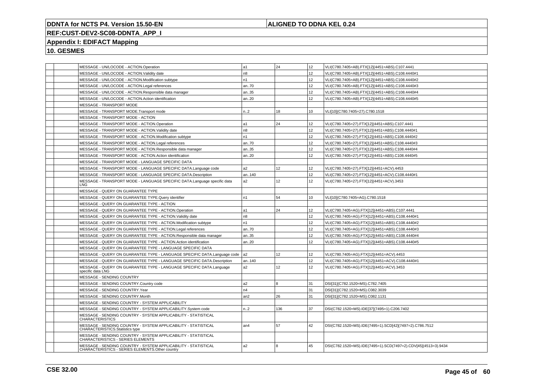## **ALIGNED TO DDNA KEL 0.24**

# **REF:CUST-DEV2-SC08-DDNTA\_APP\_I**

## **Appendix I: EDIFACT Mapping**

| MESSAGE - UN/LOCODE - ACTION.Operation                                                                            | a1             | 24  | 12              | VLI(C780.7405=AB).FTX[12](4451=ABS).C107.4441                  |
|-------------------------------------------------------------------------------------------------------------------|----------------|-----|-----------------|----------------------------------------------------------------|
| MESSAGE - UN/LOCODE - ACTION.Validity date                                                                        | n8             |     | 12              | VLI(C780.7405=AB).FTX[12](4451=ABS).C108.4440#1                |
| MESSAGE - UN/LOCODE - ACTION.Modification subtype                                                                 | n1             |     | 12              | VLI(C780.7405=AB).FTX[12](4451=ABS).C108.4440#2                |
| MESSAGE - UN/LOCODE - ACTION.Legal references                                                                     | an70           |     | 12              | VLI(C780.7405=AB).FTX[12](4451=ABS).C108.4440#3                |
| MESSAGE - UN/LOCODE - ACTION.Responsible data manager                                                             | an35           |     | 12              | VLI(C780.7405=AB).FTX[12](4451=ABS).C108.4440#4                |
| MESSAGE - UN/LOCODE - ACTION.Action identification                                                                | an20           |     | 12              | VLI(C780.7405=AB).FTX[12](4451=ABS).C108.4440#5                |
| MESSAGE - TRANSPORT MODE                                                                                          |                |     |                 |                                                                |
| MESSAGE - TRANSPORT MODE.Transport mode                                                                           | n2             | 18  | 10              | VLI[10](C780.7405=27).C780.1518                                |
| MESSAGE - TRANSPORT MODE - ACTION                                                                                 |                |     |                 |                                                                |
| MESSAGE - TRANSPORT MODE - ACTION.Operation                                                                       | a1             | 24  | 12              | VLI(C780.7405=27).FTX[12](4451=ABS).C107.4441                  |
| MESSAGE - TRANSPORT MODE - ACTION. Validity date                                                                  | n8             |     | 12              | VLI(C780.7405=27).FTX[12](4451=ABS).C108.4440#1                |
| MESSAGE - TRANSPORT MODE - ACTION.Modification subtype                                                            | n <sub>1</sub> |     | 12              | VLI(C780.7405=27).FTX[12](4451=ABS).C108.4440#2                |
| MESSAGE - TRANSPORT MODE - ACTION.Legal references                                                                | an70           |     | 12              | VLI(C780.7405=27).FTX[12](4451=ABS).C108.4440#3                |
| MESSAGE - TRANSPORT MODE - ACTION.Responsible data manager                                                        | an35           |     | 12 <sup>2</sup> | VLI(C780.7405=27).FTX[12](4451=ABS).C108.4440#4                |
| MESSAGE - TRANSPORT MODE - ACTION.Action identification                                                           | an20           |     | 12              | VLI(C780.7405=27).FTX[12](4451=ABS).C108.4440#5                |
| MESSAGE - TRANSPORT MODE - LANGUAGE SPECIFIC DATA                                                                 |                |     |                 |                                                                |
| MESSAGE - TRANSPORT MODE - LANGUAGE SPECIFIC DATA.Language code                                                   | a2             | 12  | 12              | VLI(C780.7405=27).FTX[12](4451=ACV).4453                       |
| MESSAGE - TRANSPORT MODE - LANGUAGE SPECIFIC DATA.Description                                                     | an140          |     | 12              | VLI(C780.7405=27).FTX[12](4451=ACV).C108.4440#1                |
| MESSAGE - TRANSPORT MODE - LANGUAGE SPECIFIC DATA.Language specific data<br>LNG                                   | a2             | 12  | 12              | VLI(C780.7405=27).FTX[12](4451=ACV).3453                       |
| MESSAGE - QUERY ON GUARANTEE TYPE                                                                                 |                |     |                 |                                                                |
| MESSAGE - QUERY ON GUARANTEE TYPE.Query identifier                                                                | n1             | 54  | 10              | VLI[10](C780.7405=AG).C780.1518                                |
| MESSAGE - QUERY ON GUARANTEE TYPE - ACTION                                                                        |                |     |                 |                                                                |
| MESSAGE - QUERY ON GUARANTEE TYPE - ACTION.Operation                                                              | a1             | 24  | 12              | VLI(C780.7405=AG).FTX[12](4451=ABS).C107.4441                  |
| MESSAGE - QUERY ON GUARANTEE TYPE - ACTION. Validity date                                                         | n <sub>8</sub> |     | 12              | VLI(C780.7405=AG).FTX[12](4451=ABS).C108.4440#1                |
| MESSAGE - QUERY ON GUARANTEE TYPE - ACTION.Modification subtype                                                   | n1             |     | 12              | VLI(C780.7405=AG).FTX[12](4451=ABS).C108.4440#2                |
| MESSAGE - QUERY ON GUARANTEE TYPE - ACTION.Legal references                                                       | an70           |     | 12              | VLI(C780.7405=AG).FTX[12](4451=ABS).C108.4440#3                |
| MESSAGE - QUERY ON GUARANTEE TYPE - ACTION.Responsible data manager                                               | an35           |     | 12              | VLI(C780.7405=AG).FTX[12](4451=ABS).C108.4440#4                |
| MESSAGE - QUERY ON GUARANTEE TYPE - ACTION.Action identification                                                  | an20           |     | 12              | VLI(C780.7405=AG).FTX[12](4451=ABS).C108.4440#5                |
| MESSAGE - QUERY ON GUARANTEE TYPE - LANGUAGE SPECIFIC DATA                                                        |                |     |                 |                                                                |
| MESSAGE - QUERY ON GUARANTEE TYPE - LANGUAGE SPECIFIC DATA.Language code                                          | a <sub>2</sub> | 12  | 12              | VLI(C780.7405=AG).FTX[12](4451=ACV).4453                       |
| MESSAGE - QUERY ON GUARANTEE TYPE - LANGUAGE SPECIFIC DATA. Description                                           | an140          |     | 12              | VLI(C780.7405=AG).FTX[12](4451=ACV).C108.4440#1                |
| MESSAGE - QUERY ON GUARANTEE TYPE - LANGUAGE SPECIFIC DATA.Language<br>specific data LNG                          | a2             | 12  | 12              | VLI(C780.7405=AG).FTX[12](4451=ACV).3453                       |
| MESSAGE - SENDING COUNTRY                                                                                         |                |     |                 |                                                                |
| MESSAGE - SENDING COUNTRY.Country code                                                                            | a2             | 8   | 31              | DSI[31](C782.1520=MS).C782.7405                                |
| MESSAGE - SENDING COUNTRY.Year                                                                                    | n4             |     | 31              | DSI[31](C782.1520=MS).C082.3039                                |
| MESSAGE - SENDING COUNTRY.Month                                                                                   | an2            | 26  | 31              | DSI[31](C782.1520=MS).C082.1131                                |
| MESSAGE - SENDING COUNTRY - SYSTEM APPLICABILITY                                                                  |                |     |                 |                                                                |
| MESSAGE - SENDING COUNTRY - SYSTEM APPLICABILITY.System code                                                      | n.2            | 136 | 37              | DSI(C782.1520=MS).IDE[37](7495=1).C206.7402                    |
| MESSAGE - SENDING COUNTRY - SYSTEM APPLICABILITY - STATISTICAL<br><b>CHARACTERISTICS</b>                          |                |     |                 |                                                                |
| MESSAGE - SENDING COUNTRY - SYSTEM APPLICABILITY - STATISTICAL<br>CHARACTERISTICS.Statistics type                 | an4            | 57  | 42              | DSI(C782.1520=MS).IDE(7495=1).SCD[42](7497=2).C786.7512        |
| MESSAGE - SENDING COUNTRY - SYSTEM APPLICABILITY - STATISTICAL<br><b>CHARACTERISTICS - SERIES ELEMENTS</b>        |                |     |                 |                                                                |
| MESSAGE - SENDING COUNTRY - SYSTEM APPLICABILITY - STATISTICAL<br>CHARACTERISTICS - SERIES ELEMENTS.Other country | a2             | 8   | 45              | DSI(C782.1520=MS).IDE(7495=1).SCD(7497=2).CDV[45](4513=3).9434 |
|                                                                                                                   |                |     |                 |                                                                |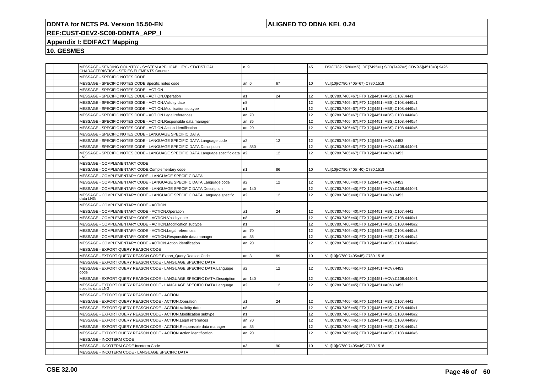## **ALIGNED TO DDNA KEL 0.24**

# **REF:CUST-DEV2-SC08-DDNTA\_APP\_I**

## **Appendix I: EDIFACT Mapping**

| MESSAGE - SENDING COUNTRY - SYSTEM APPLICABILITY - STATISTICAL<br>CHARACTERISTICS - SERIES ELEMENTS.Counter | n.9            |                 | 45              | DSI(C782.1520=MS).IDE(7495=1).SCD(7497=2).CDV[45](4513=3).9426 |
|-------------------------------------------------------------------------------------------------------------|----------------|-----------------|-----------------|----------------------------------------------------------------|
| MESSAGE - SPECIFIC NOTES CODE                                                                               |                |                 |                 |                                                                |
| MESSAGE - SPECIFIC NOTES CODE.Specific notes code                                                           | an6            | 67              | 10              | VLI[10](C780.7405=67).C780.1518                                |
| MESSAGE - SPECIFIC NOTES CODE - ACTION                                                                      |                |                 |                 |                                                                |
| MESSAGE - SPECIFIC NOTES CODE - ACTION.Operation                                                            | a1             | 24              | 12 <sup>2</sup> | VLI(C780.7405=67).FTX[12](4451=ABS).C107.4441                  |
| MESSAGE - SPECIFIC NOTES CODE - ACTION. Validity date                                                       | n <sub>8</sub> |                 | 12 <sup>2</sup> | VLI(C780.7405=67).FTX[12](4451=ABS).C108.4440#1                |
| MESSAGE - SPECIFIC NOTES CODE - ACTION.Modification subtype                                                 | n1             |                 | 12              | VLI(C780.7405=67).FTX[12](4451=ABS).C108.4440#2                |
| MESSAGE - SPECIFIC NOTES CODE - ACTION.Legal references                                                     | an70           |                 | 12              | VLI(C780.7405=67).FTX[12](4451=ABS).C108.4440#3                |
| MESSAGE - SPECIFIC NOTES CODE - ACTION.Responsible data manager                                             | an35           |                 | 12              | VLI(C780.7405=67).FTX[12](4451=ABS).C108.4440#4                |
| MESSAGE - SPECIFIC NOTES CODE - ACTION.Action identification                                                | an.20          |                 | 12 <sup>2</sup> | VLI(C780.7405=67).FTX[12](4451=ABS).C108.4440#5                |
| MESSAGE - SPECIFIC NOTES CODE - LANGUAGE SPECIFIC DATA                                                      |                |                 |                 |                                                                |
| MESSAGE - SPECIFIC NOTES CODE - LANGUAGE SPECIFIC DATA.Language code                                        | a2             | 12              | 12 <sup>2</sup> | VLI(C780.7405=67).FTX[12](4451=ACV).4453                       |
| MESSAGE - SPECIFIC NOTES CODE - LANGUAGE SPECIFIC DATA.Description                                          | an350          |                 | 12              | VLI(C780.7405=67).FTX[12](4451=ACV).C108.4440#1                |
| MESSAGE - SPECIFIC NOTES CODE - LANGUAGE SPECIFIC DATA.Language specific data  a2<br>LNG.                   |                | 12 <sup>°</sup> | 12 <sup>2</sup> | VLI(C780.7405=67).FTX[12](4451=ACV).3453                       |
| MESSAGE - COMPLEMENTARY CODE                                                                                |                |                 |                 |                                                                |
| MESSAGE - COMPLEMENTARY CODE.Complementary code                                                             | n1             | 86              | 10              | VLI[10](C780.7405=40).C780.1518                                |
| MESSAGE - COMPLEMENTARY CODE - LANGUAGE SPECIFIC DATA                                                       |                |                 |                 |                                                                |
| MESSAGE - COMPLEMENTARY CODE - LANGUAGE SPECIFIC DATA.Language code                                         | a2             | 12 <sup>°</sup> | 12              | VLI(C780.7405=40).FTX[12](4451=ACV).4453                       |
| MESSAGE - COMPLEMENTARY CODE - LANGUAGE SPECIFIC DATA.Description                                           | an140          |                 | 12 <sup>2</sup> | VLI(C780.7405=40).FTX[12](4451=ACV).C108.4440#1                |
| MESSAGE - COMPLEMENTARY CODE - LANGUAGE SPECIFIC DATA.Language specific<br>data LNG                         | a2             | 12 <sup>2</sup> | 12              | VLI(C780.7405=40).FTX[12](4451=ACV).3453                       |
| MESSAGE - COMPLEMENTARY CODE - ACTION                                                                       |                |                 |                 |                                                                |
| MESSAGE - COMPLEMENTARY CODE - ACTION.Operation                                                             | a1             | 24              | 12 <sup>2</sup> | VLI(C780.7405=40).FTX[12](4451=ABS).C107.4441                  |
| MESSAGE - COMPLEMENTARY CODE - ACTION. Validity date                                                        | n <sub>8</sub> |                 | 12              | VLI(C780.7405=40).FTX[12](4451=ABS).C108.4440#1                |
| MESSAGE - COMPLEMENTARY CODE - ACTION.Modification subtype                                                  | n1             |                 | 12              | VLI(C780.7405=40).FTX[12](4451=ABS).C108.4440#2                |
| MESSAGE - COMPLEMENTARY CODE - ACTION.Legal references                                                      | an70           |                 | 12 <sup>2</sup> | VLI(C780.7405=40).FTX[12](4451=ABS).C108.4440#3                |
| MESSAGE - COMPLEMENTARY CODE - ACTION.Responsible data manager                                              | an35           |                 | 12 <sup>2</sup> | VLI(C780.7405=40).FTX[12](4451=ABS).C108.4440#4                |
| MESSAGE - COMPLEMENTARY CODE - ACTION.Action identification                                                 | an20           |                 | 12 <sup>2</sup> | VLI(C780.7405=40).FTX[12](4451=ABS).C108.4440#5                |
| MESSAGE - EXPORT QUERY REASON CODE                                                                          |                |                 |                 |                                                                |
| MESSAGE - EXPORT QUERY REASON CODE.Export_Query Reason Code                                                 | an.3           | 89              | 10              | VLI[10](C780.7405=45).C780.1518                                |
| MESSAGE - EXPORT QUERY REASON CODE - LANGUAGE SPECIFIC DATA                                                 |                |                 |                 |                                                                |
| MESSAGE - EXPORT QUERY REASON CODE - LANGUAGE SPECIFIC DATA.Language<br>code                                | a <sub>2</sub> | 12 <sup>2</sup> | 12 <sup>2</sup> | VLI(C780.7405=45).FTX[12](4451=ACV).4453                       |
| MESSAGE - EXPORT QUERY REASON CODE - LANGUAGE SPECIFIC DATA.Description                                     | an140          |                 | 12 <sup>2</sup> | VLI(C780.7405=45).FTX[12](4451=ACV).C108.4440#1                |
| MESSAGE - EXPORT QUERY REASON CODE - LANGUAGE SPECIFIC DATA.Language<br>specific data LNG                   | a2             | 12 <sup>2</sup> | 12 <sup>2</sup> | VLI(C780.7405=45).FTX[12](4451=ACV).3453                       |
| MESSAGE - EXPORT QUERY REASON CODE - ACTION                                                                 |                |                 |                 |                                                                |
| MESSAGE - EXPORT QUERY REASON CODE - ACTION.Operation                                                       | a1             | 24              | 12              | VLI(C780.7405=45).FTX[12](4451=ABS).C107.4441                  |
| MESSAGE - EXPORT QUERY REASON CODE - ACTION. Validity date                                                  | n <sub>8</sub> |                 | 12              | VLI(C780.7405=45).FTX[12](4451=ABS).C108.4440#1                |
| MESSAGE - EXPORT QUERY REASON CODE - ACTION.Modification subtype                                            | n1             |                 | 12 <sup>2</sup> | VLI(C780.7405=45).FTX[12](4451=ABS).C108.4440#2                |
| MESSAGE - EXPORT QUERY REASON CODE - ACTION.Legal references                                                | an70           |                 | 12              | VLI(C780.7405=45).FTX[12](4451=ABS).C108.4440#3                |
| MESSAGE - EXPORT QUERY REASON CODE - ACTION.Responsible data manager                                        | an35           |                 | 12 <sup>2</sup> | VLI(C780.7405=45).FTX[12](4451=ABS).C108.4440#4                |
| MESSAGE - EXPORT QUERY REASON CODE - ACTION.Action identification                                           | an20           |                 | 12 <sup>2</sup> | VLI(C780.7405=45).FTX[12](4451=ABS).C108.4440#5                |
| MESSAGE - INCOTERM CODE                                                                                     |                |                 |                 |                                                                |
| MESSAGE - INCOTERM CODE.Incoterm Code                                                                       | a3             | 90              | 10              | VLI[10](C780.7405=46).C780.1518                                |
| MESSAGE - INCOTERM CODE - LANGUAGE SPECIFIC DATA                                                            |                |                 |                 |                                                                |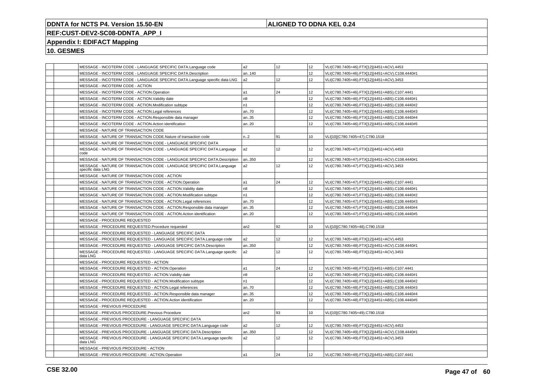## **ALIGNED TO DDNA KEL 0.24**

# **REF:CUST-DEV2-SC08-DDNTA\_APP\_I**

## **Appendix I: EDIFACT Mapping**

|  | MESSAGE - INCOTERM CODE - LANGUAGE SPECIFIC DATA.Language code                              | a2             | 12 <sup>°</sup> | 12 <sup>2</sup>  | VLI(C780.7405=46).FTX[12](4451=ACV).4453        |
|--|---------------------------------------------------------------------------------------------|----------------|-----------------|------------------|-------------------------------------------------|
|  | MESSAGE - INCOTERM CODE - LANGUAGE SPECIFIC DATA.Description                                | an140          |                 | 12 <sup>2</sup>  | VLI(C780.7405=46).FTX[12](4451=ACV).C108.4440#1 |
|  | MESSAGE - INCOTERM CODE - LANGUAGE SPECIFIC DATA.Language specific data LNG                 | a <sub>2</sub> | 12              | 12 <sup>2</sup>  | VLI(C780.7405=46).FTX[12](4451=ACV).3453        |
|  | MESSAGE - INCOTERM CODE - ACTION                                                            |                |                 |                  |                                                 |
|  | MESSAGE - INCOTERM CODE - ACTION.Operation                                                  | a1             | 24              | 12 <sup>2</sup>  | VLI(C780.7405=46).FTX[12](4451=ABS).C107.4441   |
|  | MESSAGE - INCOTERM CODE - ACTION. Validity date                                             | n <sub>8</sub> |                 | 12 <sup>2</sup>  | VLI(C780.7405=46).FTX[12](4451=ABS).C108.4440#1 |
|  | MESSAGE - INCOTERM CODE - ACTION.Modification subtype                                       | n1             |                 | 12 <sup>2</sup>  | VLI(C780.7405=46).FTX[12](4451=ABS).C108.4440#2 |
|  | MESSAGE - INCOTERM CODE - ACTION.Legal references                                           | an70           |                 | 12 <sup>2</sup>  | VLI(C780.7405=46).FTX[12](4451=ABS).C108.4440#3 |
|  | MESSAGE - INCOTERM CODE - ACTION.Responsible data manager                                   | an35           |                 | 12               | VLI(C780.7405=46).FTX[12](4451=ABS).C108.4440#4 |
|  | MESSAGE - INCOTERM CODE - ACTION.Action identification                                      | an.20          |                 | 12 <sup>2</sup>  | VLI(C780.7405=46).FTX[12](4451=ABS).C108.4440#5 |
|  | MESSAGE - NATURE OF TRANSACTION CODE                                                        |                |                 |                  |                                                 |
|  | MESSAGE - NATURE OF TRANSACTION CODE.Nature of transaction code                             | n.2            | 91              | 10               | VLI[10](C780.7405=47).C780.1518                 |
|  | MESSAGE - NATURE OF TRANSACTION CODE - LANGUAGE SPECIFIC DATA                               |                |                 |                  |                                                 |
|  | MESSAGE - NATURE OF TRANSACTION CODE - LANGUAGE SPECIFIC DATA.Language<br>code              | a2             | 12 <sup>2</sup> | 12               | VLI(C780.7405=47).FTX[12](4451=ACV).4453        |
|  | MESSAGE - NATURE OF TRANSACTION CODE - LANGUAGE SPECIFIC DATA.Description                   | an350          |                 | 12               | VLI(C780.7405=47).FTX[12](4451=ACV).C108.4440#1 |
|  | MESSAGE - NATURE OF TRANSACTION CODE - LANGUAGE SPECIFIC DATA.Language<br>specific data LNG | a2             | 12 <sup>°</sup> | 12 <sup>2</sup>  | VLI(C780.7405=47).FTX[12](4451=ACV).3453        |
|  | MESSAGE - NATURE OF TRANSACTION CODE - ACTION                                               |                |                 |                  |                                                 |
|  | MESSAGE - NATURE OF TRANSACTION CODE - ACTION.Operation                                     | a1             | 24              | 12               | VLI(C780.7405=47).FTX[12](4451=ABS).C107.4441   |
|  | MESSAGE - NATURE OF TRANSACTION CODE - ACTION. Validity date                                | n <sub>8</sub> |                 | 12 <sup>2</sup>  | VLI(C780.7405=47).FTX[12](4451=ABS).C108.4440#1 |
|  | MESSAGE - NATURE OF TRANSACTION CODE - ACTION.Modification subtype                          | n1             |                 | 12 <sup>2</sup>  | VLI(C780.7405=47).FTX[12](4451=ABS).C108.4440#2 |
|  | MESSAGE - NATURE OF TRANSACTION CODE - ACTION.Legal references                              | an70           |                 | 12 <sup>2</sup>  | VLI(C780.7405=47).FTX[12](4451=ABS).C108.4440#3 |
|  | MESSAGE - NATURE OF TRANSACTION CODE - ACTION.Responsible data manager                      | an35           |                 | 12               | VLI(C780.7405=47).FTX[12](4451=ABS).C108.4440#4 |
|  | MESSAGE - NATURE OF TRANSACTION CODE - ACTION.Action identification                         | an20           |                 | 12 <sup>2</sup>  | VLI(C780.7405=47).FTX[12](4451=ABS).C108.4440#5 |
|  | MESSAGE - PROCEDURE REQUESTED                                                               |                |                 |                  |                                                 |
|  | MESSAGE - PROCEDURE REQUESTED. Procedure requested                                          | an2            | 92              | 10 <sup>10</sup> | VLI[10](C780.7405=48).C780.1518                 |
|  | MESSAGE - PROCEDURE REQUESTED - LANGUAGE SPECIFIC DATA                                      |                |                 |                  |                                                 |
|  | MESSAGE - PROCEDURE REQUESTED - LANGUAGE SPECIFIC DATA.Language code                        | a <sub>2</sub> | 12              | 12               | VLI(C780.7405=48).FTX[12](4451=ACV).4453        |
|  | MESSAGE - PROCEDURE REQUESTED - LANGUAGE SPECIFIC DATA.Description                          | an350          |                 | 12               | VLI(C780.7405=48).FTX[12](4451=ACV).C108.4440#1 |
|  | MESSAGE - PROCEDURE REQUESTED - LANGUAGE SPECIFIC DATA.Language specific<br>data LNG        | a <sub>2</sub> | 12 <sup>2</sup> | 12 <sup>2</sup>  | VLI(C780.7405=48).FTX[12](4451=ACV).3453        |
|  | MESSAGE - PROCEDURE REQUESTED - ACTION                                                      |                |                 |                  |                                                 |
|  | MESSAGE - PROCEDURE REQUESTED - ACTION.Operation                                            | a1             | 24              | 12 <sup>2</sup>  | VLI(C780.7405=48).FTX[12](4451=ABS).C107.4441   |
|  | MESSAGE - PROCEDURE REQUESTED - ACTION. Validity date                                       | n <sub>8</sub> |                 | 12 <sup>2</sup>  | VLI(C780.7405=48).FTX[12](4451=ABS).C108.4440#1 |
|  | MESSAGE - PROCEDURE REQUESTED - ACTION.Modification subtype                                 | n1             |                 | 12 <sup>2</sup>  | VLI(C780.7405=48).FTX[12](4451=ABS).C108.4440#2 |
|  | MESSAGE - PROCEDURE REQUESTED - ACTION.Legal references                                     | an70           |                 | 12 <sup>2</sup>  | VLI(C780.7405=48).FTX[12](4451=ABS).C108.4440#3 |
|  | MESSAGE - PROCEDURE REQUESTED - ACTION.Responsible data manager                             | an35           |                 | 12               | VLI(C780.7405=48).FTX[12](4451=ABS).C108.4440#4 |
|  | MESSAGE - PROCEDURE REQUESTED - ACTION.Action identification                                | an20           |                 | 12 <sup>2</sup>  | VLI(C780.7405=48).FTX[12](4451=ABS).C108.4440#5 |
|  | MESSAGE - PREVIOUS PROCEDURE                                                                |                |                 |                  |                                                 |
|  | MESSAGE - PREVIOUS PROCEDURE.Previous Procedure                                             | an2            | 93              | 10               | VLI[10](C780.7405=49).C780.1518                 |
|  | MESSAGE - PREVIOUS PROCEDURE - LANGUAGE SPECIFIC DATA                                       |                |                 |                  |                                                 |
|  | MESSAGE - PREVIOUS PROCEDURE - LANGUAGE SPECIFIC DATA.Language code                         | a2             | 12              | 12               | VLI(C780.7405=49).FTX[12](4451=ACV).4453        |
|  | MESSAGE - PREVIOUS PROCEDURE - LANGUAGE SPECIFIC DATA.Description                           | an350          |                 | 12 <sup>2</sup>  | VLI(C780.7405=49).FTX[12](4451=ACV).C108.4440#1 |
|  | MESSAGE - PREVIOUS PROCEDURE - LANGUAGE SPECIFIC DATA.Language specific<br>data LNG         | a2             | 12              | 12               | VLI(C780.7405=49).FTX[12](4451=ACV).3453        |
|  | MESSAGE - PREVIOUS PROCEDURE - ACTION                                                       |                |                 |                  |                                                 |
|  | MESSAGE - PREVIOUS PROCEDURE - ACTION.Operation                                             | a1             | 24              | 12               | VLI(C780.7405=49).FTX[12](4451=ABS).C107.4441   |
|  |                                                                                             |                |                 |                  |                                                 |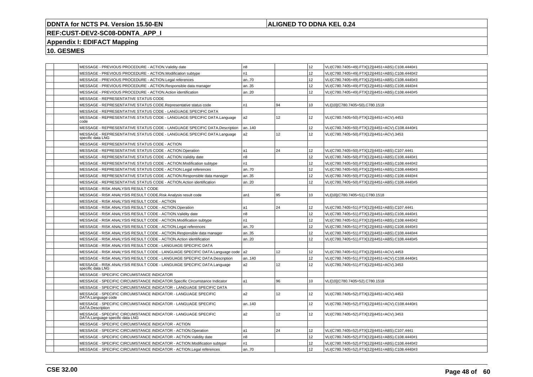## **ALIGNED TO DDNA KEL 0.24**

## **REF:CUST-DEV2-SC08-DDNTA\_APP\_I**

## **Appendix I: EDIFACT Mapping**

| MESSAGE - PREVIOUS PROCEDURE - ACTION. Validity date                                             | n <sub>8</sub> |                 | 12 <sup>2</sup>  | VLI(C780.7405=49).FTX[12](4451=ABS).C108.4440#1 |
|--------------------------------------------------------------------------------------------------|----------------|-----------------|------------------|-------------------------------------------------|
| MESSAGE - PREVIOUS PROCEDURE - ACTION.Modification subtype                                       | n1             |                 | 12               | VLI(C780.7405=49).FTX[12](4451=ABS).C108.4440#2 |
| MESSAGE - PREVIOUS PROCEDURE - ACTION.Legal references                                           | an70           |                 | 12 <sup>2</sup>  | VLI(C780.7405=49).FTX[12](4451=ABS).C108.4440#3 |
| MESSAGE - PREVIOUS PROCEDURE - ACTION.Responsible data manager                                   | an35           |                 | 12               | VLI(C780.7405=49).FTX[12](4451=ABS).C108.4440#4 |
| MESSAGE - PREVIOUS PROCEDURE - ACTION.Action identification                                      | an20           |                 | 12 <sup>2</sup>  | VLI(C780.7405=49).FTX[12](4451=ABS).C108.4440#5 |
| MESSAGE - REPRESENTATIVE STATUS CODE                                                             |                |                 |                  |                                                 |
| MESSAGE - REPRESENTATIVE STATUS CODE.Representative status code                                  | n1             | 94              | 10               | VLI[10](C780.7405=50).C780.1518                 |
| MESSAGE - REPRESENTATIVE STATUS CODE - LANGUAGE SPECIFIC DATA                                    |                |                 |                  |                                                 |
| MESSAGE - REPRESENTATIVE STATUS CODE - LANGUAGE SPECIFIC DATA.Language<br>code                   | a2             | 12 <sup>2</sup> | 12 <sup>2</sup>  | VLI(C780.7405=50).FTX[12](4451=ACV).4453        |
| MESSAGE - REPRESENTATIVE STATUS CODE - LANGUAGE SPECIFIC DATA.Description                        | an140          |                 | 12 <sup>2</sup>  | VLI(C780.7405=50).FTX[12](4451=ACV).C108.4440#1 |
| MESSAGE - REPRESENTATIVE STATUS CODE - LANGUAGE SPECIFIC DATA.Language<br>specific data LNG      | a <sub>2</sub> | 12 <sup>2</sup> | 12 <sup>2</sup>  | VLI(C780.7405=50).FTX[12](4451=ACV).3453        |
| MESSAGE - REPRESENTATIVE STATUS CODE - ACTION                                                    |                |                 |                  |                                                 |
| MESSAGE - REPRESENTATIVE STATUS CODE - ACTION.Operation                                          | a1             | 24              | 12               | VLI(C780.7405=50).FTX[12](4451=ABS).C107.4441   |
| MESSAGE - REPRESENTATIVE STATUS CODE - ACTION. Validity date                                     | n <sub>8</sub> |                 | 12               | VLI(C780.7405=50).FTX[12](4451=ABS).C108.4440#1 |
| MESSAGE - REPRESENTATIVE STATUS CODE - ACTION.Modification subtype                               | n1             |                 | 12 <sup>2</sup>  | VLI(C780.7405=50).FTX[12](4451=ABS).C108.4440#2 |
| MESSAGE - REPRESENTATIVE STATUS CODE - ACTION.Legal references                                   | an70           |                 | 12               | VLI(C780.7405=50).FTX[12](4451=ABS).C108.4440#3 |
| MESSAGE - REPRESENTATIVE STATUS CODE - ACTION.Responsible data manager                           | an35           |                 | 12 <sup>2</sup>  | VLI(C780.7405=50).FTX[12](4451=ABS).C108.4440#4 |
| MESSAGE - REPRESENTATIVE STATUS CODE - ACTION.Action identification                              | an20           |                 | 12 <sup>2</sup>  | VLI(C780.7405=50).FTX[12](4451=ABS).C108.4440#5 |
| MESSAGE - RISK ANALYSIS RESULT CODE                                                              |                |                 |                  |                                                 |
| MESSAGE - RISK ANALYSIS RESULT CODE.Risk Analysis result code                                    | an1            | 95              | 10 <sup>10</sup> | VLI[10](C780.7405=51).C780.1518                 |
| MESSAGE - RISK ANALYSIS RESULT CODE - ACTION                                                     |                |                 |                  |                                                 |
| MESSAGE - RISK ANALYSIS RESULT CODE - ACTION.Operation                                           | a1             | 24              | 12 <sup>2</sup>  | VLI(C780.7405=51).FTX[12](4451=ABS).C107.4441   |
| MESSAGE - RISK ANALYSIS RESULT CODE - ACTION. Validity date                                      | n8             |                 | 12               | VLI(C780.7405=51).FTX[12](4451=ABS).C108.4440#1 |
| MESSAGE - RISK ANALYSIS RESULT CODE - ACTION.Modification subtype                                | n <sub>1</sub> |                 | 12 <sup>2</sup>  | VLI(C780.7405=51).FTX[12](4451=ABS).C108.4440#2 |
| MESSAGE - RISK ANALYSIS RESULT CODE - ACTION.Legal references                                    | an70           |                 | 12               | VLI(C780.7405=51).FTX[12](4451=ABS).C108.4440#3 |
| MESSAGE - RISK ANALYSIS RESULT CODE - ACTION.Responsible data manager                            | an35           |                 | 12 <sup>2</sup>  | VLI(C780.7405=51).FTX[12](4451=ABS).C108.4440#4 |
| MESSAGE - RISK ANALYSIS RESULT CODE - ACTION.Action identification                               | an20           |                 | 12               | VLI(C780.7405=51).FTX[12](4451=ABS).C108.4440#5 |
| MESSAGE - RISK ANALYSIS RESULT CODE - LANGUAGE SPECIFIC DATA                                     |                |                 |                  |                                                 |
| MESSAGE - RISK ANALYSIS RESULT CODE - LANGUAGE SPECIFIC DATA.Language code                       | a <sub>2</sub> | 12              | 12               | VLI(C780.7405=51).FTX[12](4451=ACV).4453        |
| MESSAGE - RISK ANALYSIS RESULT CODE - LANGUAGE SPECIFIC DATA.Description                         | an140          |                 | 12               | VLI(C780.7405=51).FTX[12](4451=ACV).C108.4440#1 |
| MESSAGE - RISK ANALYSIS RESULT CODE - LANGUAGE SPECIFIC DATA.Language<br>specific data LNG       | a2             | 12 <sup>2</sup> | 12               | VLI(C780.7405=51).FTX[12](4451=ACV).3453        |
| MESSAGE - SPECIFIC CIRCUMSTANCE INDICATOR                                                        |                |                 |                  |                                                 |
| MESSAGE - SPECIFIC CIRCUMSTANCE INDICATOR.Specific Circumstance Indicator                        | a1             | 96              | 10               | VLI[10](C780.7405=52).C780.1518                 |
| MESSAGE - SPECIFIC CIRCUMSTANCE INDICATOR - LANGUAGE SPECIFIC DATA                               |                |                 |                  |                                                 |
| MESSAGE - SPECIFIC CIRCUMSTANCE INDICATOR - LANGUAGE SPECIFIC<br>DATA.Language code              | a <sub>2</sub> | 12              | 12               | VLI(C780.7405=52).FTX[12](4451=ACV).4453        |
| MESSAGE - SPECIFIC CIRCUMSTANCE INDICATOR - LANGUAGE SPECIFIC<br>DATA.Description                | an140          |                 | 12 <sup>2</sup>  | VLI(C780.7405=52).FTX[12](4451=ACV).C108.4440#1 |
| MESSAGE - SPECIFIC CIRCUMSTANCE INDICATOR - LANGUAGE SPECIFIC<br>DATA.Language specific data LNG | a2             | 12              | 12 <sup>2</sup>  | VLI(C780.7405=52).FTX[12](4451=ACV).3453        |
| MESSAGE - SPECIFIC CIRCUMSTANCE INDICATOR - ACTION                                               |                |                 |                  |                                                 |
| MESSAGE - SPECIFIC CIRCUMSTANCE INDICATOR - ACTION.Operation                                     | a1             | 24              | 12               | VLI(C780.7405=52).FTX[12](4451=ABS).C107.4441   |
| MESSAGE - SPECIFIC CIRCUMSTANCE INDICATOR - ACTION. Validity date                                | n <sub>8</sub> |                 | 12               | VLI(C780.7405=52).FTX[12](4451=ABS).C108.4440#1 |
| MESSAGE - SPECIFIC CIRCUMSTANCE INDICATOR - ACTION.Modification subtype                          | n1             |                 | 12 <sup>2</sup>  | VLI(C780.7405=52).FTX[12](4451=ABS).C108.4440#2 |
| MESSAGE - SPECIFIC CIRCUMSTANCE INDICATOR - ACTION.Legal references                              | an70           |                 | 12 <sup>2</sup>  | VLI(C780.7405=52).FTX[12](4451=ABS).C108.4440#3 |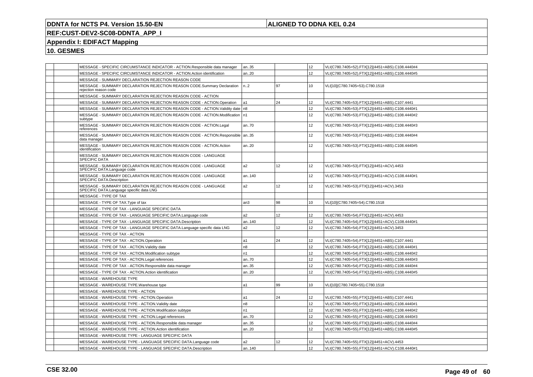## **ALIGNED TO DDNA KEL 0.24**

## **REF:CUST-DEV2-SC08-DDNTA\_APP\_I**

## **Appendix I: EDIFACT Mapping**

| MESSAGE - SPECIFIC CIRCUMSTANCE INDICATOR - ACTION.Responsible data manager                                | an35           |    | 12               | VLI(C780.7405=52).FTX[12](4451=ABS).C108.4440#4 |
|------------------------------------------------------------------------------------------------------------|----------------|----|------------------|-------------------------------------------------|
| MESSAGE - SPECIFIC CIRCUMSTANCE INDICATOR - ACTION.Action identification                                   | an20           |    | 12               | VLI(C780.7405=52).FTX[12](4451=ABS).C108.4440#5 |
| MESSAGE - SUMMARY DECLARATION REJECTION REASON CODE                                                        |                |    |                  |                                                 |
| MESSAGE - SUMMARY DECLARATION REJECTION REASON CODE.Summary Declaration<br>rejection reason code           | n <sub>2</sub> | 97 | 10               | VLI[10](C780.7405=53).C780.1518                 |
| MESSAGE - SUMMARY DECLARATION REJECTION REASON CODE - ACTION                                               |                |    |                  |                                                 |
| MESSAGE - SUMMARY DECLARATION REJECTION REASON CODE - ACTION.Operation                                     | a1             | 24 | 12               | VLI(C780.7405=53).FTX[12](4451=ABS).C107.4441   |
| MESSAGE - SUMMARY DECLARATION REJECTION REASON CODE - ACTION.Validity date   n8                            |                |    | 12               | VLI(C780.7405=53).FTX[12](4451=ABS).C108.4440#1 |
| MESSAGE - SUMMARY DECLARATION REJECTION REASON CODE - ACTION.Modification   n1<br>subtype                  |                |    | 12               | VLI(C780.7405=53).FTX[12](4451=ABS).C108.4440#2 |
| MESSAGE - SUMMARY DECLARATION REJECTION REASON CODE - ACTION.Legal<br>references                           | an70           |    | 12               | VLI(C780.7405=53).FTX[12](4451=ABS).C108.4440#3 |
| MESSAGE - SUMMARY DECLARATION REJECTION REASON CODE - ACTION.Responsible   an35<br>data manager            |                |    | 12 <sup>°</sup>  | VLI(C780.7405=53).FTX[12](4451=ABS).C108.4440#4 |
| MESSAGE - SUMMARY DECLARATION REJECTION REASON CODE - ACTION Action<br>identification                      | an20           |    | 12               | VLI(C780.7405=53).FTX[12](4451=ABS).C108.4440#5 |
| MESSAGE - SUMMARY DECLARATION REJECTION REASON CODE - LANGUAGE<br>SPECIFIC DATA                            |                |    |                  |                                                 |
| MESSAGE - SUMMARY DECLARATION REJECTION REASON CODE - LANGUAGE<br>SPECIFIC DATA.Language code              | a <sub>2</sub> | 12 | 12               | VLI(C780.7405=53).FTX[12](4451=ACV).4453        |
| MESSAGE - SUMMARY DECLARATION REJECTION REASON CODE - LANGUAGE<br>SPECIFIC DATA.Description                | an140          |    | 12               | VLI(C780.7405=53).FTX[12](4451=ACV).C108.4440#1 |
| MESSAGE - SUMMARY DECLARATION REJECTION REASON CODE - LANGUAGE<br>SPECIFIC DATA.Language specific data LNG | a <sub>2</sub> | 12 | 12               | VLI(C780.7405=53).FTX[12](4451=ACV).3453        |
| MESSAGE - TYPE OF TAX                                                                                      |                |    |                  |                                                 |
| MESSAGE - TYPE OF TAX. Type of tax                                                                         | an3            | 98 | 10 <sup>1</sup>  | VLI[10](C780.7405=54).C780.1518                 |
| MESSAGE - TYPE OF TAX - LANGUAGE SPECIFIC DATA                                                             |                |    |                  |                                                 |
| MESSAGE - TYPE OF TAX - LANGUAGE SPECIFIC DATA.Language code                                               | a <sub>2</sub> | 12 | 12               | VLI(C780.7405=54).FTX[12](4451=ACV).4453        |
| MESSAGE - TYPE OF TAX - LANGUAGE SPECIFIC DATA.Description                                                 | an140          |    | 12 <sup>2</sup>  | VLI(C780.7405=54).FTX[12](4451=ACV).C108.4440#1 |
| MESSAGE - TYPE OF TAX - LANGUAGE SPECIFIC DATA.Language specific data LNG                                  | a <sub>2</sub> | 12 | 12               | VLI(C780.7405=54).FTX[12](4451=ACV).3453        |
| MESSAGE - TYPE OF TAX - ACTION                                                                             |                |    |                  |                                                 |
| MESSAGE - TYPE OF TAX - ACTION.Operation                                                                   | a1             | 24 | 12               | VLI(C780.7405=54).FTX[12](4451=ABS).C107.4441   |
| MESSAGE - TYPE OF TAX - ACTION. Validity date                                                              | n <sub>8</sub> |    | 12               | VLI(C780.7405=54).FTX[12](4451=ABS).C108.4440#1 |
| MESSAGE - TYPE OF TAX - ACTION.Modification subtype                                                        | n <sub>1</sub> |    | 12               | VLI(C780.7405=54).FTX[12](4451=ABS).C108.4440#2 |
| MESSAGE - TYPE OF TAX - ACTION.Legal references                                                            | an70           |    | 12               | VLI(C780.7405=54).FTX[12](4451=ABS).C108.4440#3 |
| MESSAGE - TYPE OF TAX - ACTION.Responsible data manager                                                    | an35           |    | 12 <sup>°</sup>  | VLI(C780.7405=54).FTX[12](4451=ABS).C108.4440#4 |
| MESSAGE - TYPE OF TAX - ACTION.Action identification                                                       | an20           |    | 12               | VLI(C780.7405=54).FTX[12](4451=ABS).C108.4440#5 |
| MESSAGE - WAREHOUSE TYPE                                                                                   |                |    |                  |                                                 |
| MESSAGE - WAREHOUSE TYPE. Warehouse type                                                                   | la1            | 99 | 10 <sup>10</sup> | VLI[10](C780.7405=55).C780.1518                 |
| MESSAGE - WAREHOUSE TYPE - ACTION                                                                          |                |    |                  |                                                 |
| MESSAGE - WAREHOUSE TYPE - ACTION.Operation                                                                | a1             | 24 | 12               | VLI(C780.7405=55).FTX[12](4451=ABS).C107.4441   |
| MESSAGE - WAREHOUSE TYPE - ACTION. Validity date                                                           | n <sub>8</sub> |    | 12               | VLI(C780.7405=55).FTX[12](4451=ABS).C108.4440#1 |
| MESSAGE - WAREHOUSE TYPE - ACTION.Modification subtype                                                     | n <sub>1</sub> |    | 12 <sup>°</sup>  | VLI(C780.7405=55).FTX[12](4451=ABS).C108.4440#2 |
| MESSAGE - WAREHOUSE TYPE - ACTION.Legal references                                                         | an70           |    | 12               | VLI(C780.7405=55).FTX[12](4451=ABS).C108.4440#3 |
| MESSAGE - WAREHOUSE TYPE - ACTION.Responsible data manager                                                 | an35           |    | 12               | VLI(C780.7405=55).FTX[12](4451=ABS).C108.4440#4 |
| MESSAGE - WAREHOUSE TYPE - ACTION.Action identification                                                    | an20           |    | 12               | VLI(C780.7405=55).FTX[12](4451=ABS).C108.4440#5 |
| MESSAGE - WAREHOUSE TYPE - LANGUAGE SPECIFIC DATA                                                          |                |    |                  |                                                 |
| MESSAGE - WAREHOUSE TYPE - LANGUAGE SPECIFIC DATA.Language code                                            | a2             | 12 | 12               | VLI(C780.7405=55).FTX[12](4451=ACV).4453        |
| MESSAGE - WAREHOUSE TYPE - LANGUAGE SPECIFIC DATA.Description                                              | an140          |    | 12               | VLI(C780.7405=55).FTX[12](4451=ACV).C108.4440#1 |
|                                                                                                            |                |    |                  |                                                 |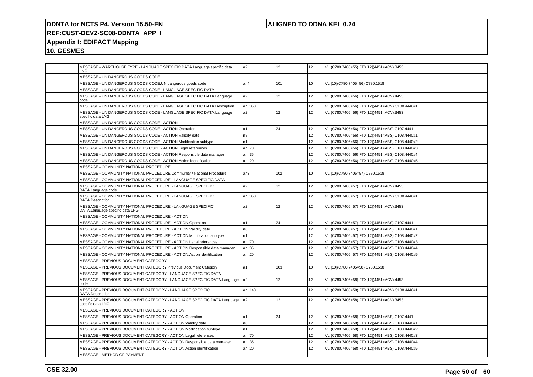## **ALIGNED TO DDNA KEL 0.24**

## **REF:CUST-DEV2-SC08-DDNTA\_APP\_I**

## **Appendix I: EDIFACT Mapping**

|  | MESSAGE - WAREHOUSE TYPE - LANGUAGE SPECIFIC DATA.Language specific data<br>LNG               | a <sub>2</sub> | 12              | 12               | VLI(C780.7405=55).FTX[12](4451=ACV).3453        |
|--|-----------------------------------------------------------------------------------------------|----------------|-----------------|------------------|-------------------------------------------------|
|  | MESSAGE - UN DANGEROUS GOODS CODE                                                             |                |                 |                  |                                                 |
|  | MESSAGE - UN DANGEROUS GOODS CODE.UN dangerous goods code                                     | an4            | 101             | 10               | VLI[10](C780.7405=56).C780.1518                 |
|  | MESSAGE - UN DANGEROUS GOODS CODE - LANGUAGE SPECIFIC DATA                                    |                |                 |                  |                                                 |
|  | MESSAGE - UN DANGEROUS GOODS CODE - LANGUAGE SPECIFIC DATA.Language<br>code                   | a2             | 12              | 12 <sup>2</sup>  | VLI(C780.7405=56).FTX[12](4451=ACV).4453        |
|  | MESSAGE - UN DANGEROUS GOODS CODE - LANGUAGE SPECIFIC DATA.Description                        | an350          |                 | 12               | VLI(C780.7405=56).FTX[12](4451=ACV).C108.4440#1 |
|  | MESSAGE - UN DANGEROUS GOODS CODE - LANGUAGE SPECIFIC DATA.Language<br>specific data LNG      | a2             | 12 <sup>2</sup> | 12               | VLI(C780.7405=56).FTX[12](4451=ACV).3453        |
|  | MESSAGE - UN DANGEROUS GOODS CODE - ACTION                                                    |                |                 |                  |                                                 |
|  | MESSAGE - UN DANGEROUS GOODS CODE - ACTION.Operation                                          | a1             | 24              | 12               | VLI(C780.7405=56).FTX[12](4451=ABS).C107.4441   |
|  | MESSAGE - UN DANGEROUS GOODS CODE - ACTION.Validity date                                      | n <sub>8</sub> |                 | 12               | VLI(C780.7405=56).FTX[12](4451=ABS).C108.4440#1 |
|  | MESSAGE - UN DANGEROUS GOODS CODE - ACTION.Modification subtype                               | n1             |                 | 12               | VLI(C780.7405=56).FTX[12](4451=ABS).C108.4440#2 |
|  | MESSAGE - UN DANGEROUS GOODS CODE - ACTION.Legal references                                   | an70           |                 | 12               | VLI(C780.7405=56).FTX[12](4451=ABS).C108.4440#3 |
|  | MESSAGE - UN DANGEROUS GOODS CODE - ACTION.Responsible data manager                           | an35           |                 | 12               | VLI(C780.7405=56).FTX[12](4451=ABS).C108.4440#4 |
|  | MESSAGE - UN DANGEROUS GOODS CODE - ACTION.Action identification                              | an20           |                 | 12               | VLI(C780.7405=56).FTX[12](4451=ABS).C108.4440#5 |
|  | MESSAGE - COMMUNITY NATIONAL PROCEDURE                                                        |                |                 |                  |                                                 |
|  | MESSAGE - COMMUNITY NATIONAL PROCEDURE.Community / National Procedure                         | an3            | 102             | 10 <sup>10</sup> | VLI[10](C780.7405=57).C780.1518                 |
|  | MESSAGE - COMMUNITY NATIONAL PROCEDURE - LANGUAGE SPECIFIC DATA                               |                |                 |                  |                                                 |
|  | MESSAGE - COMMUNITY NATIONAL PROCEDURE - LANGUAGE SPECIFIC<br>DATA.Language code              | a2             | 12 <sup>2</sup> | 12               | VLI(C780.7405=57).FTX[12](4451=ACV).4453        |
|  | MESSAGE - COMMUNITY NATIONAL PROCEDURE - LANGUAGE SPECIFIC<br>DATA.Description                | an350          |                 | 12 <sup>2</sup>  | VLI(C780.7405=57).FTX[12](4451=ACV).C108.4440#1 |
|  | MESSAGE - COMMUNITY NATIONAL PROCEDURE - LANGUAGE SPECIFIC<br>DATA.Language specific data LNG | a2             | 12              | 12               | VLI(C780.7405=57).FTX[12](4451=ACV).3453        |
|  | MESSAGE - COMMUNITY NATIONAL PROCEDURE - ACTION                                               |                |                 |                  |                                                 |
|  | MESSAGE - COMMUNITY NATIONAL PROCEDURE - ACTION.Operation                                     | a1             | 24              | 12               | VLI(C780.7405=57).FTX[12](4451=ABS).C107.4441   |
|  | MESSAGE - COMMUNITY NATIONAL PROCEDURE - ACTION. Validity date                                | n8             |                 | 12               | VLI(C780.7405=57).FTX[12](4451=ABS).C108.4440#1 |
|  | MESSAGE - COMMUNITY NATIONAL PROCEDURE - ACTION.Modification subtype                          | n <sub>1</sub> |                 | 12 <sup>2</sup>  | VLI(C780.7405=57).FTX[12](4451=ABS).C108.4440#2 |
|  | MESSAGE - COMMUNITY NATIONAL PROCEDURE - ACTION.Legal references                              | an70           |                 | 12               | VLI(C780.7405=57).FTX[12](4451=ABS).C108.4440#3 |
|  | MESSAGE - COMMUNITY NATIONAL PROCEDURE - ACTION.Responsible data manager                      | an35           |                 | 12               | VLI(C780.7405=57).FTX[12](4451=ABS).C108.4440#4 |
|  | MESSAGE - COMMUNITY NATIONAL PROCEDURE - ACTION.Action identification                         | an20           |                 | 12               | VLI(C780.7405=57).FTX[12](4451=ABS).C108.4440#5 |
|  | MESSAGE - PREVIOUS DOCUMENT CATEGORY                                                          |                |                 |                  |                                                 |
|  | MESSAGE - PREVIOUS DOCUMENT CATEGORY. Previous Document Category                              | a1             | 103             | 10               | VLI[10](C780.7405=58).C780.1518                 |
|  | MESSAGE - PREVIOUS DOCUMENT CATEGORY - LANGUAGE SPECIFIC DATA                                 |                |                 |                  |                                                 |
|  | MESSAGE - PREVIOUS DOCUMENT CATEGORY - LANGUAGE SPECIFIC DATA.Language<br>code                | a <sub>2</sub> | 12 <sup>2</sup> | 12               | VLI(C780.7405=58).FTX[12](4451=ACV).4453        |
|  | MESSAGE - PREVIOUS DOCUMENT CATEGORY - LANGUAGE SPECIFIC<br>DATA.Description                  | an140          |                 | 12 <sup>2</sup>  | VLI(C780.7405=58).FTX[12](4451=ACV).C108.4440#1 |
|  | MESSAGE - PREVIOUS DOCUMENT CATEGORY - LANGUAGE SPECIFIC DATA.Language<br>specific data LNG   | a <sub>2</sub> | 12 <sup>2</sup> | 12 <sup>2</sup>  | VLI(C780.7405=58).FTX[12](4451=ACV).3453        |
|  | MESSAGE - PREVIOUS DOCUMENT CATEGORY - ACTION                                                 |                |                 |                  |                                                 |
|  | MESSAGE - PREVIOUS DOCUMENT CATEGORY - ACTION.Operation                                       | a1             | 24              | 12 <sup>2</sup>  | VLI(C780.7405=58).FTX[12](4451=ABS).C107.4441   |
|  | MESSAGE - PREVIOUS DOCUMENT CATEGORY - ACTION. Validity date                                  | n8             |                 | 12 <sup>2</sup>  | VLI(C780.7405=58).FTX[12](4451=ABS).C108.4440#1 |
|  | MESSAGE - PREVIOUS DOCUMENT CATEGORY - ACTION.Modification subtype                            | n <sub>1</sub> |                 | 12               | VLI(C780.7405=58).FTX[12](4451=ABS).C108.4440#2 |
|  | MESSAGE - PREVIOUS DOCUMENT CATEGORY - ACTION.Legal references                                | an70           |                 | 12               | VLI(C780.7405=58).FTX[12](4451=ABS).C108.4440#3 |
|  | MESSAGE - PREVIOUS DOCUMENT CATEGORY - ACTION.Responsible data manager                        | an35           |                 | 12               | VLI(C780.7405=58).FTX[12](4451=ABS).C108.4440#4 |
|  | MESSAGE - PREVIOUS DOCUMENT CATEGORY - ACTION.Action identification                           | an20           |                 | 12               | VLI(C780.7405=58).FTX[12](4451=ABS).C108.4440#5 |
|  | MESSAGE - METHOD OF PAYMENT                                                                   |                |                 |                  |                                                 |
|  |                                                                                               |                |                 |                  |                                                 |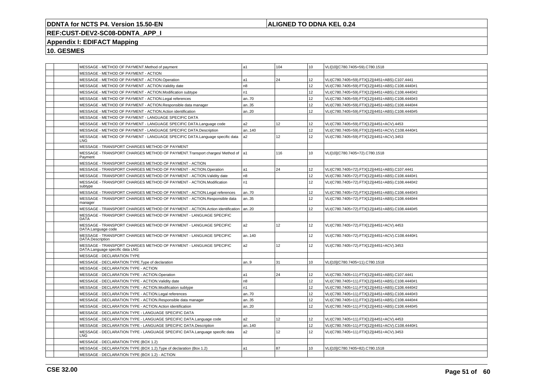## **ALIGNED TO DDNA KEL 0.24**

# **REF:CUST-DEV2-SC08-DDNTA\_APP\_I**

## **Appendix I: EDIFACT Mapping**

| MESSAGE - METHOD OF PAYMENT. Method of payment                                                       | a1             | 104 | 10 <sup>1</sup> | VLI[10](C780.7405=59).C780.1518                 |
|------------------------------------------------------------------------------------------------------|----------------|-----|-----------------|-------------------------------------------------|
| MESSAGE - METHOD OF PAYMENT - ACTION                                                                 |                |     |                 |                                                 |
| MESSAGE - METHOD OF PAYMENT - ACTION.Operation                                                       | a <sub>1</sub> | 24  | 12              | VLI(C780.7405=59).FTX[12](4451=ABS).C107.4441   |
| MESSAGE - METHOD OF PAYMENT - ACTION. Validity date                                                  | n <sub>8</sub> |     | 12 <sup>2</sup> | VLI(C780.7405=59).FTX[12](4451=ABS).C108.4440#1 |
| MESSAGE - METHOD OF PAYMENT - ACTION.Modification subtype                                            | n1             |     | 12 <sup>2</sup> | VLI(C780.7405=59).FTX[12](4451=ABS).C108.4440#2 |
| MESSAGE - METHOD OF PAYMENT - ACTION.Legal references                                                | an70           |     | 12              | VLI(C780.7405=59).FTX[12](4451=ABS).C108.4440#3 |
| MESSAGE - METHOD OF PAYMENT - ACTION.Responsible data manager                                        | an35           |     | 12              | VLI(C780.7405=59).FTX[12](4451=ABS).C108.4440#4 |
| MESSAGE - METHOD OF PAYMENT - ACTION.Action identification                                           | an20           |     | 12              | VLI(C780.7405=59).FTX[12](4451=ABS).C108.4440#5 |
| MESSAGE - METHOD OF PAYMENT - LANGUAGE SPECIFIC DATA                                                 |                |     |                 |                                                 |
| MESSAGE - METHOD OF PAYMENT - LANGUAGE SPECIFIC DATA.Language code                                   | a2             | 12  | 12              | VLI(C780.7405=59).FTX[12](4451=ACV).4453        |
| MESSAGE - METHOD OF PAYMENT - LANGUAGE SPECIFIC DATA.Description                                     | an140          |     | 12              | VLI(C780.7405=59).FTX[12](4451=ACV).C108.4440#1 |
| MESSAGE - METHOD OF PAYMENT - LANGUAGE SPECIFIC DATA.Language specific data<br>LNG                   | a2             | 12  | 12              | VLI(C780.7405=59).FTX[12](4451=ACV).3453        |
| MESSAGE - TRANSPORT CHARGES METHOD OF PAYMENT                                                        |                |     |                 |                                                 |
| MESSAGE - TRANSPORT CHARGES METHOD OF PAYMENT. Transport charges/ Method of  a1<br>Payment           |                | 116 | 10              | VLI[10](C780.7405=72).C780.1518                 |
| MESSAGE - TRANSPORT CHARGES METHOD OF PAYMENT - ACTION                                               |                |     |                 |                                                 |
| MESSAGE - TRANSPORT CHARGES METHOD OF PAYMENT - ACTION.Operation                                     | a1             | 24  | 12              | VLI(C780.7405=72).FTX[12](4451=ABS).C107.4441   |
| MESSAGE - TRANSPORT CHARGES METHOD OF PAYMENT - ACTION. Validity date                                | n8             |     | 12              | VLI(C780.7405=72).FTX[12](4451=ABS).C108.4440#1 |
| MESSAGE - TRANSPORT CHARGES METHOD OF PAYMENT - ACTION.Modification<br>subtype                       | n1             |     | 12              | VLI(C780.7405=72).FTX[12](4451=ABS).C108.4440#2 |
| MESSAGE - TRANSPORT CHARGES METHOD OF PAYMENT - ACTION. Legal references                             | an70           |     | 12 <sup>2</sup> | VLI(C780.7405=72).FTX[12](4451=ABS).C108.4440#3 |
| MESSAGE - TRANSPORT CHARGES METHOD OF PAYMENT - ACTION.Responsible data<br>manager                   | an35           |     | 12 <sup>2</sup> | VLI(C780.7405=72).FTX[12](4451=ABS).C108.4440#4 |
| MESSAGE - TRANSPORT CHARGES METHOD OF PAYMENT - ACTION.Action identification   an20                  |                |     | 12 <sup>2</sup> | VLI(C780.7405=72).FTX[12](4451=ABS).C108.4440#5 |
| MESSAGE - TRANSPORT CHARGES METHOD OF PAYMENT - LANGUAGE SPECIFIC<br><b>DATA</b>                     |                |     |                 |                                                 |
| MESSAGE - TRANSPORT CHARGES METHOD OF PAYMENT - LANGUAGE SPECIFIC<br>DATA.Language code              | a2             | 12  | 12 <sup>2</sup> | VLI(C780.7405=72).FTX[12](4451=ACV).4453        |
| MESSAGE - TRANSPORT CHARGES METHOD OF PAYMENT - LANGUAGE SPECIFIC<br>DATA.Description                | an140          |     | 12              | VLI(C780.7405=72).FTX[12](4451=ACV).C108.4440#1 |
| MESSAGE - TRANSPORT CHARGES METHOD OF PAYMENT - LANGUAGE SPECIFIC<br>DATA.Language specific data LNG | a2             | 12  | 12 <sup>2</sup> | VLI(C780.7405=72).FTX[12](4451=ACV).3453        |
| MESSAGE - DECLARATION TYPE                                                                           |                |     |                 |                                                 |
| MESSAGE - DECLARATION TYPE. Type of declaration                                                      | an.9           | 31  | 10 <sup>1</sup> | VLI[10](C780.7405=11).C780.1518                 |
| MESSAGE - DECLARATION TYPE - ACTION                                                                  |                |     |                 |                                                 |
| MESSAGE - DECLARATION TYPE - ACTION.Operation                                                        | a1             | 24  | 12 <sup>2</sup> | VLI(C780.7405=11).FTX[12](4451=ABS).C107.4441   |
| MESSAGE - DECLARATION TYPE - ACTION. Validity date                                                   | n8             |     | 12 <sup>2</sup> | VLI(C780.7405=11).FTX[12](4451=ABS).C108.4440#1 |
| MESSAGE - DECLARATION TYPE - ACTION.Modification subtype                                             | n1             |     | 12              | VLI(C780.7405=11).FTX[12](4451=ABS).C108.4440#2 |
| MESSAGE - DECLARATION TYPE - ACTION.Legal references                                                 | an70           |     | 12              | VLI(C780.7405=11).FTX[12](4451=ABS).C108.4440#3 |
| MESSAGE - DECLARATION TYPE - ACTION.Responsible data manager                                         | an35           |     | 12              | VLI(C780.7405=11).FTX[12](4451=ABS).C108.4440#4 |
| MESSAGE - DECLARATION TYPE - ACTION.Action identification                                            | an20           |     | 12              | VLI(C780.7405=11).FTX[12](4451=ABS).C108.4440#5 |
| MESSAGE - DECLARATION TYPE - LANGUAGE SPECIFIC DATA                                                  |                |     |                 |                                                 |
| MESSAGE - DECLARATION TYPE - LANGUAGE SPECIFIC DATA.Language code                                    | a2             | 12  | 12 <sup>2</sup> | VLI(C780.7405=11).FTX[12](4451=ACV).4453        |
| MESSAGE - DECLARATION TYPE - LANGUAGE SPECIFIC DATA.Description                                      | an140          |     | 12              | VLI(C780.7405=11).FTX[12](4451=ACV).C108.4440#1 |
| MESSAGE - DECLARATION TYPE - LANGUAGE SPECIFIC DATA.Language specific data<br><b>LNG</b>             | a2             | 12  | 12 <sup>2</sup> | VLI(C780.7405=11).FTX[12](4451=ACV).3453        |
| MESSAGE - DECLARATION TYPE (BOX 1.2)                                                                 |                |     |                 |                                                 |
| MESSAGE - DECLARATION TYPE (BOX 1.2). Type of declaration (Box 1.2)                                  | a1             | 87  | 10              | VLI[10](C780.7405=82).C780.1518                 |
| MESSAGE - DECLARATION TYPE (BOX 1.2) - ACTION                                                        |                |     |                 |                                                 |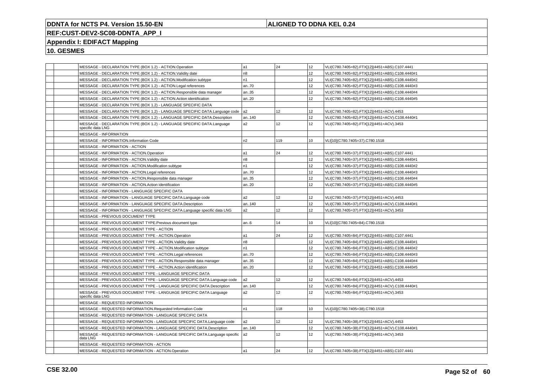## **ALIGNED TO DDNA KEL 0.24**

## **REF:CUST-DEV2-SC08-DDNTA\_APP\_I**

## **Appendix I: EDIFACT Mapping**

| MESSAGE - DECLARATION TYPE (BOX 1.2) - ACTION.Operation                                     | l a1           | 24              | 12 | VLI(C780.7405=82).FTX[12](4451=ABS).C107.4441   |
|---------------------------------------------------------------------------------------------|----------------|-----------------|----|-------------------------------------------------|
| MESSAGE - DECLARATION TYPE (BOX 1.2) - ACTION. Validity date                                | n <sub>8</sub> |                 | 12 | VLI(C780.7405=82).FTX[12](4451=ABS).C108.4440#1 |
| MESSAGE - DECLARATION TYPE (BOX 1.2) - ACTION.Modification subtype                          | n <sub>1</sub> |                 | 12 | VLI(C780.7405=82).FTX[12](4451=ABS).C108.4440#2 |
| MESSAGE - DECLARATION TYPE (BOX 1.2) - ACTION.Legal references                              | an70           |                 | 12 | VLI(C780.7405=82).FTX[12](4451=ABS).C108.4440#3 |
| MESSAGE - DECLARATION TYPE (BOX 1.2) - ACTION.Responsible data manager                      | an35           |                 | 12 | VLI(C780.7405=82).FTX[12](4451=ABS).C108.4440#4 |
| MESSAGE - DECLARATION TYPE (BOX 1.2) - ACTION.Action identification                         | an20           |                 | 12 | VLI(C780.7405=82).FTX[12](4451=ABS).C108.4440#5 |
| MESSAGE - DECLARATION TYPE (BOX 1.2) - LANGUAGE SPECIFIC DATA                               |                |                 |    |                                                 |
| MESSAGE - DECLARATION TYPE (BOX 1.2) - LANGUAGE SPECIFIC DATA.Language code                 | a2             | 12              | 12 | VLI(C780.7405=82).FTX[12](4451=ACV).4453        |
| MESSAGE - DECLARATION TYPE (BOX 1.2) - LANGUAGE SPECIFIC DATA.Description                   | an140          |                 | 12 | VLI(C780.7405=82).FTX[12](4451=ACV).C108.4440#1 |
| MESSAGE - DECLARATION TYPE (BOX 1.2) - LANGUAGE SPECIFIC DATA.Language<br>specific data LNG | a <sub>2</sub> | 12              | 12 | VLI(C780.7405=82).FTX[12](4451=ACV).3453        |
| <b>MESSAGE - INFORMATION</b>                                                                |                |                 |    |                                                 |
| MESSAGE - INFORMATION.Information Code                                                      | n2             | 119             | 10 | VLI[10](C780.7405=37).C780.1518                 |
| MESSAGE - INFORMATION - ACTION                                                              |                |                 |    |                                                 |
| MESSAGE - INFORMATION - ACTION.Operation                                                    | a1             | 24              | 12 | VLI(C780.7405=37).FTX[12](4451=ABS).C107.4441   |
| MESSAGE - INFORMATION - ACTION. Validity date                                               | n <sub>8</sub> |                 | 12 | VLI(C780.7405=37).FTX[12](4451=ABS).C108.4440#1 |
| MESSAGE - INFORMATION - ACTION.Modification subtype                                         | n1             |                 | 12 | VLI(C780.7405=37).FTX[12](4451=ABS).C108.4440#2 |
| MESSAGE - INFORMATION - ACTION.Legal references                                             | an70           |                 | 12 | VLI(C780.7405=37).FTX[12](4451=ABS).C108.4440#3 |
| MESSAGE - INFORMATION - ACTION.Responsible data manager                                     | an35           |                 | 12 | VLI(C780.7405=37).FTX[12](4451=ABS).C108.4440#4 |
| MESSAGE - INFORMATION - ACTION.Action identification                                        | an20           |                 | 12 | VLI(C780.7405=37).FTX[12](4451=ABS).C108.4440#5 |
| MESSAGE - INFORMATION - LANGUAGE SPECIFIC DATA                                              |                |                 |    |                                                 |
| MESSAGE - INFORMATION - LANGUAGE SPECIFIC DATA.Language code                                | a <sub>2</sub> | 12              | 12 | VLI(C780.7405=37).FTX[12](4451=ACV).4453        |
| MESSAGE - INFORMATION - LANGUAGE SPECIFIC DATA.Description                                  | an140          |                 | 12 | VLI(C780.7405=37).FTX[12](4451=ACV).C108.4440#1 |
| MESSAGE - INFORMATION - LANGUAGE SPECIFIC DATA.Language specific data LNG                   | a <sub>2</sub> | 12              | 12 | VLI(C780.7405=37).FTX[12](4451=ACV).3453        |
| MESSAGE - PREVIOUS DOCUMENT TYPE                                                            |                |                 |    |                                                 |
| MESSAGE - PREVIOUS DOCUMENT TYPE. Previous document type                                    | an.6           | 14              | 10 | VLI[10](C780.7405=84).C780.1518                 |
| MESSAGE - PREVIOUS DOCUMENT TYPE - ACTION                                                   |                |                 |    |                                                 |
| MESSAGE - PREVIOUS DOCUMENT TYPE - ACTION.Operation                                         | l a1           | 24              | 12 | VLI(C780.7405=84).FTX[12](4451=ABS).C107.4441   |
| MESSAGE - PREVIOUS DOCUMENT TYPE - ACTION. Validity date                                    | n8             |                 | 12 | VLI(C780.7405=84).FTX[12](4451=ABS).C108.4440#1 |
| MESSAGE - PREVIOUS DOCUMENT TYPE - ACTION.Modification subtype                              | n1             |                 | 12 | VLI(C780.7405=84).FTX[12](4451=ABS).C108.4440#2 |
| MESSAGE - PREVIOUS DOCUMENT TYPE - ACTION.Legal references                                  | an70           |                 | 12 | VLI(C780.7405=84).FTX[12](4451=ABS).C108.4440#3 |
| MESSAGE - PREVIOUS DOCUMENT TYPE - ACTION. Responsible data manager                         | an35           |                 | 12 | VLI(C780.7405=84).FTX[12](4451=ABS).C108.4440#4 |
| MESSAGE - PREVIOUS DOCUMENT TYPE - ACTION.Action identification                             | an20           |                 | 12 | VLI(C780.7405=84).FTX[12](4451=ABS).C108.4440#5 |
| MESSAGE - PREVIOUS DOCUMENT TYPE - LANGUAGE SPECIFIC DATA                                   |                |                 |    |                                                 |
| MESSAGE - PREVIOUS DOCUMENT TYPE - LANGUAGE SPECIFIC DATA.Language code                     | a <sub>2</sub> | 12              | 12 | VLI(C780.7405=84).FTX[12](4451=ACV).4453        |
| MESSAGE - PREVIOUS DOCUMENT TYPE - LANGUAGE SPECIFIC DATA.Description                       | an140          |                 | 12 | VLI(C780.7405=84).FTX[12](4451=ACV).C108.4440#1 |
| MESSAGE - PREVIOUS DOCUMENT TYPE - LANGUAGE SPECIFIC DATA.Language<br>specific data LNG     | a2             | 12              | 12 | VLI(C780.7405=84).FTX[12](4451=ACV).3453        |
| MESSAGE - REQUESTED INFORMATION                                                             |                |                 |    |                                                 |
| MESSAGE - REQUESTED INFORMATION.Requested Information Code                                  | n <sub>1</sub> | 118             | 10 | VLI[10](C780.7405=38).C780.1518                 |
| MESSAGE - REQUESTED INFORMATION - LANGUAGE SPECIFIC DATA                                    |                |                 |    |                                                 |
| MESSAGE - REQUESTED INFORMATION - LANGUAGE SPECIFIC DATA.Language code                      | a2             | 12 <sup>2</sup> | 12 | VLI(C780.7405=38).FTX[12](4451=ACV).4453        |
| MESSAGE - REQUESTED INFORMATION - LANGUAGE SPECIFIC DATA.Description                        | an140          |                 | 12 | VLI(C780.7405=38).FTX[12](4451=ACV).C108.4440#1 |
| MESSAGE - REQUESTED INFORMATION - LANGUAGE SPECIFIC DATA.Language specific<br>data LNG      | a <sub>2</sub> | 12              | 12 | VLI(C780.7405=38).FTX[12](4451=ACV).3453        |
| MESSAGE - REQUESTED INFORMATION - ACTION                                                    |                |                 |    |                                                 |
| MESSAGE - REQUESTED INFORMATION - ACTION.Operation                                          | a1             | 24              | 12 | VLI(C780.7405=38).FTX[12](4451=ABS).C107.4441   |
|                                                                                             |                |                 |    |                                                 |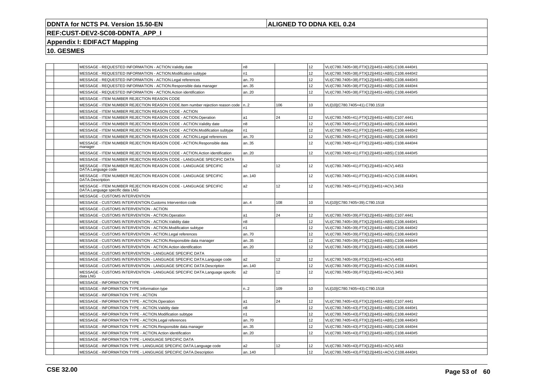## **ALIGNED TO DDNA KEL 0.24**

## **REF:CUST-DEV2-SC08-DDNTA\_APP\_I**

## **Appendix I: EDIFACT Mapping**

|  | MESSAGE - REQUESTED INFORMATION - ACTION. Validity date                                            | n8             |     | 12 <sup>2</sup> | VLI(C780.7405=38).FTX[12](4451=ABS).C108.4440#1 |
|--|----------------------------------------------------------------------------------------------------|----------------|-----|-----------------|-------------------------------------------------|
|  | MESSAGE - REQUESTED INFORMATION - ACTION.Modification subtype                                      | n1             |     | 12 <sup>2</sup> | VLI(C780.7405=38).FTX[12](4451=ABS).C108.4440#2 |
|  | MESSAGE - REQUESTED INFORMATION - ACTION.Legal references                                          | an70           |     | 12              | VLI(C780.7405=38).FTX[12](4451=ABS).C108.4440#3 |
|  | MESSAGE - REQUESTED INFORMATION - ACTION.Responsible data manager                                  | an35           |     | 12 <sup>2</sup> | VLI(C780.7405=38).FTX[12](4451=ABS).C108.4440#4 |
|  | MESSAGE - REQUESTED INFORMATION - ACTION.Action identification                                     | an20           |     | 12              | VLI(C780.7405=38).FTX[12](4451=ABS).C108.4440#5 |
|  | MESSAGE - ITEM NUMBER REJECTION REASON CODE                                                        |                |     |                 |                                                 |
|  | MESSAGE - ITEM NUMBER REJECTION REASON CODE. Item number rejection reason code   n2                |                | 106 | 10              | VLI[10](C780.7405=41).C780.1518                 |
|  | MESSAGE - ITEM NUMBER REJECTION REASON CODE - ACTION                                               |                |     |                 |                                                 |
|  | MESSAGE - ITEM NUMBER REJECTION REASON CODE - ACTION.Operation                                     | a1             | 24  | 12              | VLI(C780.7405=41).FTX[12](4451=ABS).C107.4441   |
|  | MESSAGE - ITEM NUMBER REJECTION REASON CODE - ACTION. Validity date                                | n <sub>8</sub> |     | 12              | VLI(C780.7405=41).FTX[12](4451=ABS).C108.4440#1 |
|  | MESSAGE - ITEM NUMBER REJECTION REASON CODE - ACTION.Modification subtype                          | n1             |     | 12 <sup>2</sup> | VLI(C780.7405=41).FTX[12](4451=ABS).C108.4440#2 |
|  | MESSAGE - ITEM NUMBER REJECTION REASON CODE - ACTION.Legal references                              | an70           |     | 12              | VLI(C780.7405=41).FTX[12](4451=ABS).C108.4440#3 |
|  | MESSAGE - ITEM NUMBER REJECTION REASON CODE - ACTION.Responsible data<br>manager                   | an35           |     | 12              | VLI(C780.7405=41).FTX[12](4451=ABS).C108.4440#4 |
|  | MESSAGE - ITEM NUMBER REJECTION REASON CODE - ACTION. Action identification                        | an20           |     | 12 <sup>2</sup> | VLI(C780.7405=41).FTX[12](4451=ABS).C108.4440#5 |
|  | MESSAGE - ITEM NUMBER REJECTION REASON CODE - LANGUAGE SPECIFIC DATA                               |                |     |                 |                                                 |
|  | MESSAGE - ITEM NUMBER REJECTION REASON CODE - LANGUAGE SPECIFIC<br>DATA.Language code              | a2             | 12  | 12 <sup>2</sup> | VLI(C780.7405=41).FTX[12](4451=ACV).4453        |
|  | MESSAGE - ITEM NUMBER REJECTION REASON CODE - LANGUAGE SPECIFIC<br>DATA.Description                | an140          |     | 12              | VLI(C780.7405=41).FTX[12](4451=ACV).C108.4440#1 |
|  | MESSAGE - ITEM NUMBER REJECTION REASON CODE - LANGUAGE SPECIFIC<br>DATA.Language specific data LNG | a2             | 12  | 12              | VLI(C780.7405=41).FTX[12](4451=ACV).3453        |
|  | MESSAGE - CUSTOMS INTERVENTION                                                                     |                |     |                 |                                                 |
|  | MESSAGE - CUSTOMS INTERVENTION.Customs Intervention code                                           | an4            | 108 | 10              | VLI[10](C780.7405=39).C780.1518                 |
|  | MESSAGE - CUSTOMS INTERVENTION - ACTION                                                            |                |     |                 |                                                 |
|  | MESSAGE - CUSTOMS INTERVENTION - ACTION.Operation                                                  | a1             | 24  | 12              | VLI(C780.7405=39).FTX[12](4451=ABS).C107.4441   |
|  | MESSAGE - CUSTOMS INTERVENTION - ACTION. Validity date                                             | n <sub>8</sub> |     | 12              | VLI(C780.7405=39).FTX[12](4451=ABS).C108.4440#1 |
|  | MESSAGE - CUSTOMS INTERVENTION - ACTION.Modification subtype                                       | n1             |     | 12              | VLI(C780.7405=39).FTX[12](4451=ABS).C108.4440#2 |
|  | MESSAGE - CUSTOMS INTERVENTION - ACTION.Legal references                                           | an70           |     | 12              | VLI(C780.7405=39).FTX[12](4451=ABS).C108.4440#3 |
|  | MESSAGE - CUSTOMS INTERVENTION - ACTION.Responsible data manager                                   | an35           |     | 12              | VLI(C780.7405=39).FTX[12](4451=ABS).C108.4440#4 |
|  | MESSAGE - CUSTOMS INTERVENTION - ACTION.Action identification                                      | an.20          |     | 12 <sup>2</sup> | VLI(C780.7405=39).FTX[12](4451=ABS).C108.4440#5 |
|  | MESSAGE - CUSTOMS INTERVENTION - LANGUAGE SPECIFIC DATA                                            |                |     |                 |                                                 |
|  | MESSAGE - CUSTOMS INTERVENTION - LANGUAGE SPECIFIC DATA.Language code                              | a2             | 12  | 12              | VLI(C780.7405=39).FTX[12](4451=ACV).4453        |
|  | MESSAGE - CUSTOMS INTERVENTION - LANGUAGE SPECIFIC DATA.Description                                | an140          |     | 12              | VLI(C780.7405=39).FTX[12](4451=ACV).C108.4440#1 |
|  | MESSAGE - CUSTOMS INTERVENTION - LANGUAGE SPECIFIC DATA.Language specific<br>data LNG              | a2             | 12  | 12 <sup>2</sup> | VLI(C780.7405=39).FTX[12](4451=ACV).3453        |
|  | <b>MESSAGE - INFORMATION TYPE</b>                                                                  |                |     |                 |                                                 |
|  | MESSAGE - INFORMATION TYPE.Information type                                                        | n.2            | 109 | 10              | VLI[10](C780.7405=43).C780.1518                 |
|  | MESSAGE - INFORMATION TYPE - ACTION                                                                |                |     |                 |                                                 |
|  | MESSAGE - INFORMATION TYPE - ACTION.Operation                                                      | a1             | 24  | 12              | VLI(C780.7405=43).FTX[12](4451=ABS).C107.4441   |
|  | MESSAGE - INFORMATION TYPE - ACTION. Validity date                                                 | n <sub>8</sub> |     | 12 <sup>2</sup> | VLI(C780.7405=43).FTX[12](4451=ABS).C108.4440#1 |
|  | MESSAGE - INFORMATION TYPE - ACTION.Modification subtype                                           | n <sub>1</sub> |     | 12              | VLI(C780.7405=43).FTX[12](4451=ABS).C108.4440#2 |
|  | MESSAGE - INFORMATION TYPE - ACTION.Legal references                                               | an70           |     | 12              | VLI(C780.7405=43).FTX[12](4451=ABS).C108.4440#3 |
|  | MESSAGE - INFORMATION TYPE - ACTION.Responsible data manager                                       | an35           |     | 12 <sup>2</sup> | VLI(C780.7405=43).FTX[12](4451=ABS).C108.4440#4 |
|  | MESSAGE - INFORMATION TYPE - ACTION.Action identification                                          | an20           |     | 12 <sup>2</sup> | VLI(C780.7405=43).FTX[12](4451=ABS).C108.4440#5 |
|  | MESSAGE - INFORMATION TYPE - LANGUAGE SPECIFIC DATA                                                |                |     |                 |                                                 |
|  | MESSAGE - INFORMATION TYPE - LANGUAGE SPECIFIC DATA.Language code                                  | a2             | 12  | 12              | VLI(C780.7405=43).FTX[12](4451=ACV).4453        |
|  | MESSAGE - INFORMATION TYPE - LANGUAGE SPECIFIC DATA.Description                                    | an140          |     | 12              | VLI(C780.7405=43).FTX[12](4451=ACV).C108.4440#1 |
|  |                                                                                                    |                |     |                 |                                                 |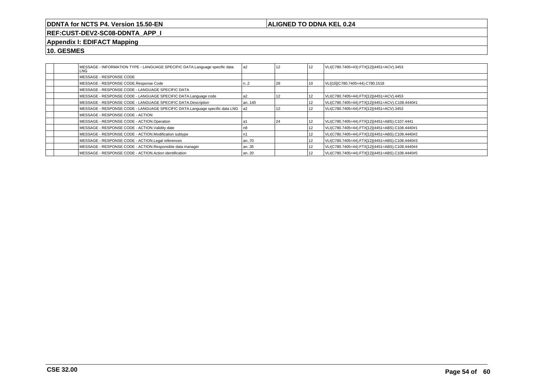## **ALIGNED TO DDNA KEL 0.24**

# **REF:CUST-DEV2-SC08-DDNTA\_APP\_I**

## **Appendix I: EDIFACT Mapping**

|  | MESSAGE - INFORMATION TYPE - LANGUAGE SPECIFIC DATA.Language specific data<br>LNG | a <sub>2</sub> | 12 | 12 | VLI(C780.7405=43).FTX[12](4451=ACV).3453        |
|--|-----------------------------------------------------------------------------------|----------------|----|----|-------------------------------------------------|
|  | MESSAGE - RESPONSE CODE                                                           |                |    |    |                                                 |
|  | MESSAGE - RESPONSE CODE.Response Code                                             | n2             | 29 | 10 | VLI[10](C780.7405=44).C780.1518                 |
|  | MESSAGE - RESPONSE CODE - LANGUAGE SPECIFIC DATA                                  |                |    |    |                                                 |
|  | MESSAGE - RESPONSE CODE - LANGUAGE SPECIFIC DATA.Language code                    | a2             | 12 | 12 | VLI(C780.7405=44).FTX[12](4451=ACV).4453        |
|  | MESSAGE - RESPONSE CODE - LANGUAGE SPECIFIC DATA.Description                      | an140          |    | 12 | VLI(C780.7405=44).FTX[12](4451=ACV).C108.4440#1 |
|  | MESSAGE - RESPONSE CODE - LANGUAGE SPECIFIC DATA.Language specific data LNG       | l a2           | 12 | 12 | VLI(C780.7405=44).FTX[12](4451=ACV).3453        |
|  | MESSAGE - RESPONSE CODE - ACTION                                                  |                |    |    |                                                 |
|  | MESSAGE - RESPONSE CODE - ACTION.Operation                                        |                | 24 | 12 | VLI(C780.7405=44).FTX[12](4451=ABS).C107.4441   |
|  | MESSAGE - RESPONSE CODE - ACTION. Validity date                                   | n8             |    | 12 | VLI(C780.7405=44).FTX[12](4451=ABS).C108.4440#1 |
|  | MESSAGE - RESPONSE CODE - ACTION.Modification subtype                             |                |    | 12 | VLI(C780.7405=44).FTX[12](4451=ABS).C108.4440#2 |
|  | MESSAGE - RESPONSE CODE - ACTION.Legal references                                 | an70           |    | 12 | VLI(C780.7405=44).FTX[12](4451=ABS).C108.4440#3 |
|  | MESSAGE - RESPONSE CODE - ACTION.Responsible data manager                         | an35           |    | 12 | VLI(C780.7405=44).FTX[12](4451=ABS).C108.4440#4 |
|  | MESSAGE - RESPONSE CODE - ACTION Action identification                            | an20           |    | 12 | VLI(C780.7405=44).FTX[12](4451=ABS).C108.4440#5 |
|  |                                                                                   |                |    |    |                                                 |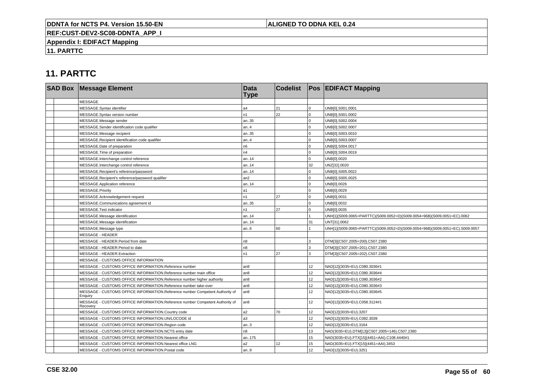## **ALIGNED TO DDNA KEL 0.24**

**REF:CUST-DEV2-SC08-DDNTA\_APP\_I**

**Appendix I: EDIFACT Mapping**

**11. PARTTC**

| <b>SAD Box Message Element</b>                                                           | <b>Data</b><br><b>Type</b> | <b>Codelist</b> |                 | <b>Pos EDIFACT Mapping</b>                                                   |
|------------------------------------------------------------------------------------------|----------------------------|-----------------|-----------------|------------------------------------------------------------------------------|
| <b>MESSAGE</b>                                                                           |                            |                 |                 |                                                                              |
| MESSAGE.Syntax identifier                                                                | a4                         | 21              | $\Omega$        | UNB[0].S001.0001                                                             |
| MESSAGE.Syntax version number                                                            | n <sub>1</sub>             | 22              | $\Omega$        | UNB[0].S001.0002                                                             |
| MESSAGE.Message sender                                                                   | an35                       |                 | $\Omega$        | UNB[0].S002.0004                                                             |
| MESSAGE.Sender identification code qualifier                                             | an4                        |                 | $\Omega$        | UNB[0].S002.0007                                                             |
| MESSAGE.Message recipient                                                                | an35                       |                 | $\Omega$        | UNB[0].S003.0010                                                             |
| MESSAGE.Recipient identification code qualifier                                          | an4                        |                 | $\Omega$        | UNB[0].S003.0007                                                             |
| MESSAGE.Date of preparation                                                              | n <sub>6</sub>             |                 | $\Omega$        | UNB[0].S004.0017                                                             |
| MESSAGE. Time of preparation                                                             | n4                         |                 | $\Omega$        | UNB[0].S004.0019                                                             |
| MESSAGE.Interchange control reference                                                    | an14                       |                 | $\Omega$        | UNB[0].0020                                                                  |
| MESSAGE.Interchange control reference                                                    | l an14                     |                 | 32              | UNZ[32].0020                                                                 |
| MESSAGE.Recipient's reference/password                                                   | an14                       |                 | $\Omega$        | UNB[0].S005.0022                                                             |
| MESSAGE.Recipient's reference/password qualifier                                         | lan2                       |                 | $\Omega$        | UNB[0].S005.0025                                                             |
| MESSAGE.Application reference                                                            | an14                       |                 | $\Omega$        | UNB[0].0026                                                                  |
| MESSAGE.Priority                                                                         | l a1                       |                 | $\Omega$        | UNB[0].0029                                                                  |
| MESSAGE.Acknowledgement request                                                          | n <sub>1</sub>             | 27              | $\Omega$        | UNB[0].0031                                                                  |
| MESSAGE.Communications agreement id                                                      | an35                       |                 | $\Omega$        | UNB[0].0032                                                                  |
| MESSAGE.Test indicator                                                                   | n1                         | 27              | $\Omega$        | UNB[0].0035                                                                  |
| MESSAGE.Message identification                                                           | l an14                     |                 |                 | UNH[1](S009.0065=PARTTC)(S009.0052=D)(S009.0054=96B)(S009.0051=EC).0062      |
| MESSAGE.Message identification                                                           | an14                       |                 | 31              | UNT[31].0062                                                                 |
| MESSAGE.Message type                                                                     | an6                        | 60              |                 | UNH[1](S009.0065=PARTTC)(S009.0052=D)(S009.0054=96B)(S009.0051=EC).S009.0057 |
| <b>MESSAGE - HEADER</b>                                                                  |                            |                 |                 |                                                                              |
| MESSAGE - HEADER.Period from date                                                        | n <sub>8</sub>             |                 | 3               | DTM[3](C507.2005=200).C507.2380                                              |
| MESSAGE - HEADER.Period to date                                                          | n8                         |                 | 3               | DTM[3](C507.2005=201).C507.2380                                              |
| MESSAGE - HEADER.Extraction                                                              | n <sub>1</sub>             | 27              | વ               | DTM[3](C507.2005=202).C507.2380                                              |
| MESSAGE - CUSTOMS OFFICE INFORMATION                                                     |                            |                 |                 |                                                                              |
| MESSAGE - CUSTOMS OFFICE INFORMATION.Reference number                                    | l an8                      |                 | 12              | NAD[12](3035=EU).C080.3036#1                                                 |
| MESSAGE - CUSTOMS OFFICE INFORMATION.Reference number main office                        | an <sub>8</sub>            |                 | 12              | NAD[12](3035=EU).C080.3036#4                                                 |
| MESSAGE - CUSTOMS OFFICE INFORMATION. Reference number higher authority                  | l an8                      |                 | 12 <sup>2</sup> | NAD[12](3035=EU).C080.3036#2                                                 |
| MESSAGE - CUSTOMS OFFICE INFORMATION.Reference number take-over                          | an <sub>8</sub>            |                 | 12              | NAD[12](3035=EU).C080.3036#3                                                 |
| MESSAGE - CUSTOMS OFFICE INFORMATION.Reference number Competent Authority of<br>Enguiry  | l an8                      |                 | 12 <sup>2</sup> | NAD[12](3035=EU).C080.3036#5                                                 |
| MESSAGE - CUSTOMS OFFICE INFORMATION.Reference number Competent Authority of<br>Recovery | an <sub>8</sub>            |                 | 12              | NAD[12](3035=EU).C058.3124#1                                                 |
| MESSAGE - CUSTOMS OFFICE INFORMATION.Country code                                        | a <sub>2</sub>             | 70              | 12              | NAD[12](3035=EU).3207                                                        |
| MESSAGE - CUSTOMS OFFICE INFORMATION.UN/LOCODE id                                        | a3                         |                 | 12              | NAD[12](3035=EU).C082.3039                                                   |
| MESSAGE - CUSTOMS OFFICE INFORMATION.Region code                                         | an3                        |                 | 12              | NAD[12](3035=EU).3164                                                        |
| MESSAGE - CUSTOMS OFFICE INFORMATION.NCTS entry date                                     | n8                         |                 | 13              | NAD(3035=EU).DTM[13](C507.2005=146).C507.2380                                |
| MESSAGE - CUSTOMS OFFICE INFORMATION.Nearest office                                      | an175                      |                 | 15              | NAD(3035=EU).FTX[15](4451=AAI).C108.4440#1                                   |
| MESSAGE - CUSTOMS OFFICE INFORMATION.Nearest office LNG                                  | a2                         | 12              | 15              | NAD(3035=EU).FTX[15](4451=AAI).3453                                          |
| MESSAGE - CUSTOMS OFFICE INFORMATION. Postal code                                        | an9                        |                 | 12              | NAD[12](3035=EU).3251                                                        |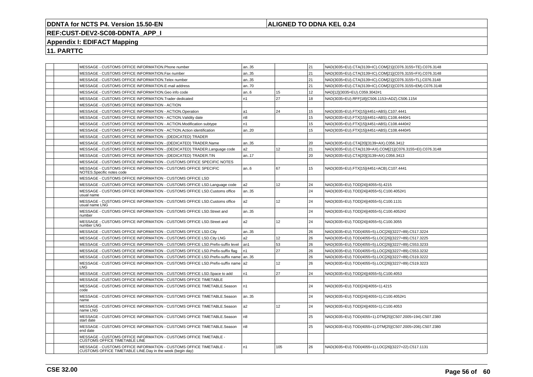## **ALIGNED TO DDNA KEL 0.24**

# **REF:CUST-DEV2-SC08-DDNTA\_APP\_I**

## **Appendix I: EDIFACT Mapping**

|  | MESSAGE - CUSTOMS OFFICE INFORMATION.Phone number                                                                              | an35           |     | 21 | NAD(3035=EU).CTA(3139=IC).COM[21](C076.3155=TE).C076.3148 |
|--|--------------------------------------------------------------------------------------------------------------------------------|----------------|-----|----|-----------------------------------------------------------|
|  | MESSAGE - CUSTOMS OFFICE INFORMATION. Fax number                                                                               | an35           |     | 21 | NAD(3035=EU).CTA(3139=IC).COM[21](C076.3155=FX).C076.3148 |
|  | MESSAGE - CUSTOMS OFFICE INFORMATION. Telex number                                                                             | an35           |     | 21 | NAD(3035=EU).CTA(3139=IC).COM[21](C076.3155=TL).C076.3148 |
|  | MESSAGE - CUSTOMS OFFICE INFORMATION.E-mail address                                                                            | an70           |     | 21 | NAD(3035=EU).CTA(3139=IC).COM[21](C076.3155=EM).C076.3148 |
|  | MESSAGE - CUSTOMS OFFICE INFORMATION.Geo info code                                                                             | an.6           | 15  | 12 | NAD[12](3035=EU).C059.3042#1                              |
|  | MESSAGE - CUSTOMS OFFICE INFORMATION. Trader dedicated                                                                         | n <sub>1</sub> | 27  | 18 | NAD(3035=EU).RFF[18](C506.1153=ADZ).C506.1154             |
|  | MESSAGE - CUSTOMS OFFICE INFORMATION - ACTION                                                                                  |                |     |    |                                                           |
|  | MESSAGE - CUSTOMS OFFICE INFORMATION - ACTION.Operation                                                                        | a <sub>1</sub> | 24  | 15 | NAD(3035=EU).FTX[15](4451=ABS).C107.4441                  |
|  | MESSAGE - CUSTOMS OFFICE INFORMATION - ACTION. Validity date                                                                   | n8             |     | 15 | NAD(3035=EU).FTX[15](4451=ABS).C108.4440#1                |
|  | MESSAGE - CUSTOMS OFFICE INFORMATION - ACTION.Modification subtype                                                             | n1             |     | 15 | NAD(3035=EU).FTX[15](4451=ABS).C108.4440#2                |
|  | MESSAGE - CUSTOMS OFFICE INFORMATION - ACTION.Action identification                                                            | an20           |     | 15 | NAD(3035=EU).FTX[15](4451=ABS).C108.4440#5                |
|  | MESSAGE - CUSTOMS OFFICE INFORMATION - (DEDICATED) TRADER                                                                      |                |     |    |                                                           |
|  | MESSAGE - CUSTOMS OFFICE INFORMATION - (DEDICATED) TRADER.Name                                                                 | an35           |     | 20 | NAD(3035=EU).CTA[20](3139=AX).C056.3412                   |
|  | MESSAGE - CUSTOMS OFFICE INFORMATION - (DEDICATED) TRADER.Language code                                                        | a2             | 12  | 21 | NAD(3035=EU).CTA(3139=AX).COM[21](C076.3155=EI).C076.3148 |
|  | MESSAGE - CUSTOMS OFFICE INFORMATION - (DEDICATED) TRADER.TIN                                                                  | an17           |     | 20 | NAD(3035=EU).CTA[20](3139=AX).C056.3413                   |
|  | MESSAGE - CUSTOMS OFFICE INFORMATION - CUSTOMS OFFICE SPECIFIC NOTES                                                           |                |     |    |                                                           |
|  | MESSAGE - CUSTOMS OFFICE INFORMATION - CUSTOMS OFFICE SPECIFIC<br>NOTES.Specific notes code                                    | an.6           | 67  | 15 | NAD(3035=EU).FTX[15](4451=ACB).C107.4441                  |
|  | MESSAGE - CUSTOMS OFFICE INFORMATION - CUSTOMS OFFICE LSD                                                                      |                |     |    |                                                           |
|  | MESSAGE - CUSTOMS OFFICE INFORMATION - CUSTOMS OFFICE LSD.Language code                                                        | a2             | 12  | 24 | NAD(3035=EU).TOD[24](4055=5).4215                         |
|  | MESSAGE - CUSTOMS OFFICE INFORMATION - CUSTOMS OFFICE LSD.Customs office<br>usual name                                         | an35           |     | 24 | NAD(3035=EU).TOD[24](4055=5).C100.4052#1                  |
|  | MESSAGE - CUSTOMS OFFICE INFORMATION - CUSTOMS OFFICE LSD.Customs office<br>usual name LNG                                     | a2             | 12  | 24 | NAD(3035=EU).TOD[24](4055=5).C100.1131                    |
|  | MESSAGE - CUSTOMS OFFICE INFORMATION - CUSTOMS OFFICE LSD. Street and<br>number                                                | an35           |     | 24 | NAD(3035=EU).TOD[24](4055=5).C100.4052#2                  |
|  | MESSAGE - CUSTOMS OFFICE INFORMATION - CUSTOMS OFFICE LSD.Street and<br>number LNG                                             | a2             | 12  | 24 | NAD(3035=EU).TOD[24](4055=5).C100.3055                    |
|  | MESSAGE - CUSTOMS OFFICE INFORMATION - CUSTOMS OFFICE LSD.City                                                                 | an35           |     | 26 | NAD(3035=EU).TOD(4055=5).LOC[26](3227=89).C517.3224       |
|  | MESSAGE - CUSTOMS OFFICE INFORMATION - CUSTOMS OFFICE LSD.City LNG                                                             | a <sub>2</sub> | 12  | 26 | NAD(3035=EU).TOD(4055=5).LOC[26](3227=89).C517.3225       |
|  | MESSAGE - CUSTOMS OFFICE INFORMATION - CUSTOMS OFFICE LSD. Prefix-suffix level                                                 | an1            | 53  | 26 | NAD(3035=EU).TOD(4055=5).LOC[26](3227=89).C553.3233       |
|  | MESSAGE - CUSTOMS OFFICE INFORMATION - CUSTOMS OFFICE LSD. Prefix-suffix flag                                                  | n <sub>1</sub> | 27  | 26 | NAD(3035=EU).TOD(4055=5).LOC[26](3227=89).C553.3232       |
|  | MESSAGE - CUSTOMS OFFICE INFORMATION - CUSTOMS OFFICE LSD.Prefix-suffix name   an35                                            |                |     | 26 | NAD(3035=EU).TOD(4055=5).LOC[26](3227=89).C519.3222       |
|  | MESSAGE - CUSTOMS OFFICE INFORMATION - CUSTOMS OFFICE LSD. Prefix-suffix name a2<br>LNG                                        |                | 12  | 26 | NAD(3035=EU).TOD(4055=5).LOC[26](3227=89).C519.3223       |
|  | MESSAGE - CUSTOMS OFFICE INFORMATION - CUSTOMS OFFICE LSD. Space to add                                                        | n1             | 27  | 24 | NAD(3035=EU).TOD[24](4055=5).C100.4053                    |
|  | MESSAGE - CUSTOMS OFFICE INFORMATION - CUSTOMS OFFICE TIMETABLE                                                                |                |     |    |                                                           |
|  | MESSAGE - CUSTOMS OFFICE INFORMATION - CUSTOMS OFFICE TIMETABLE.Season<br>code                                                 | n1             |     | 24 | NAD(3035=EU).TOD[24](4055=1).4215                         |
|  | MESSAGE - CUSTOMS OFFICE INFORMATION - CUSTOMS OFFICE TIMETABLE. Season<br>name                                                | an35           |     | 24 | NAD(3035=EU).TOD[24](4055=1).C100.4052#1                  |
|  | MESSAGE - CUSTOMS OFFICE INFORMATION - CUSTOMS OFFICE TIMETABLE.Season<br>name LNG                                             | a2             | 12  | 24 | NAD(3035=EU).TOD[24](4055=1).C100.4053                    |
|  | MESSAGE - CUSTOMS OFFICE INFORMATION - CUSTOMS OFFICE TIMETABLE.Season<br>start date                                           | n8             |     | 25 | NAD(3035=EU).TOD(4055=1).DTM[25](C507.2005=194).C507.2380 |
|  | MESSAGE - CUSTOMS OFFICE INFORMATION - CUSTOMS OFFICE TIMETABLE.Season<br>end date                                             | n8             |     | 25 | NAD(3035=EU).TOD(4055=1).DTM[25](C507.2005=206).C507.2380 |
|  | MESSAGE - CUSTOMS OFFICE INFORMATION - CUSTOMS OFFICE TIMETABLE -<br>CUSTOMS OFFICE TIMETABLE LINE                             |                |     |    |                                                           |
|  | MESSAGE - CUSTOMS OFFICE INFORMATION - CUSTOMS OFFICE TIMETABLE -<br>CUSTOMS OFFICE TIMETABLE LINE.Day in the week (begin day) | n1             | 105 | 26 | NAD(3035=EU).TOD(4055=1).LOC[26](3227=22).C517.1131       |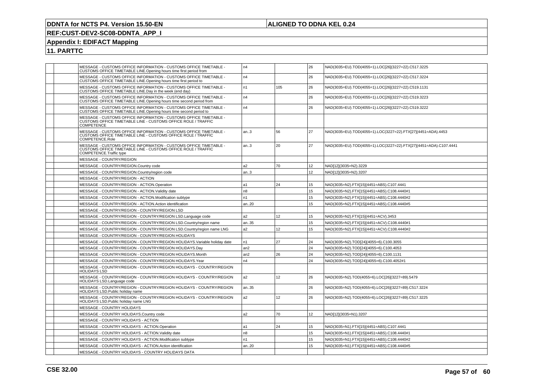## **ALIGNED TO DDNA KEL 0.24**

# **REF:CUST-DEV2-SC08-DDNTA\_APP\_I**

## **Appendix I: EDIFACT Mapping**

|  | MESSAGE - CUSTOMS OFFICE INFORMATION - CUSTOMS OFFICE TIMETABLE -<br>CUSTOMS OFFICE TIMETABLE LINE.Opening hours time first period from                       | n4             |                 | 26              | NAD(3035=EU).TOD(4055=1).LOC[26](3227=22).C517.3225               |
|--|---------------------------------------------------------------------------------------------------------------------------------------------------------------|----------------|-----------------|-----------------|-------------------------------------------------------------------|
|  | MESSAGE - CUSTOMS OFFICE INFORMATION - CUSTOMS OFFICE TIMETABLE -<br>CUSTOMS OFFICE TIMETABLE LINE.Opening hours time first period to                         | n4             |                 | 26              | NAD(3035=EU).TOD(4055=1).LOC[26](3227=22).C517.3224               |
|  | MESSAGE - CUSTOMS OFFICE INFORMATION - CUSTOMS OFFICE TIMETABLE -<br>CUSTOMS OFFICE TIMETABLE LINE.Day in the week (end day)                                  | n1             | 105             | 26              | NAD(3035=EU).TOD(4055=1).LOC[26](3227=22).C519.1131               |
|  | MESSAGE - CUSTOMS OFFICE INFORMATION - CUSTOMS OFFICE TIMETABLE -<br>CUSTOMS OFFICE TIMETABLE LINE.Opening hours time second period from                      | n4             |                 | 26              | NAD(3035=EU).TOD(4055=1).LOC[26](3227=22).C519.3223               |
|  | MESSAGE - CUSTOMS OFFICE INFORMATION - CUSTOMS OFFICE TIMETABLE -<br>CUSTOMS OFFICE TIMETABLE LINE.Opening hours time second period to                        | n4             |                 | 26              | NAD(3035=EU).TOD(4055=1).LOC[26](3227=22).C519.3222               |
|  | MESSAGE - CUSTOMS OFFICE INFORMATION - CUSTOMS OFFICE TIMETABLE -<br>CUSTOMS OFFICE TIMETABLE LINE - CUSTOMS OFFICE ROLE / TRAFFIC<br>COMPETENCE              |                |                 |                 |                                                                   |
|  | MESSAGE - CUSTOMS OFFICE INFORMATION - CUSTOMS OFFICE TIMETABLE -<br>CUSTOMS OFFICE TIMETABLE LINE - CUSTOMS OFFICE ROLE / TRAFFIC<br>COMPETENCE.Role         | an.3           | 56              | 27              | NAD(3035=EU).TOD(4055=1).LOC(3227=22).FTX[27](4451=ADA).4453      |
|  | MESSAGE - CUSTOMS OFFICE INFORMATION - CUSTOMS OFFICE TIMETABLE -<br>CUSTOMS OFFICE TIMETABLE LINE - CUSTOMS OFFICE ROLE / TRAFFIC<br>COMPETENCE.Traffic type | an.3           | 20              | 27              | NAD(3035=EU).TOD(4055=1).LOC(3227=22).FTX[27](4451=ADA).C107.4441 |
|  | MESSAGE - COUNTRY/REGION                                                                                                                                      |                |                 |                 |                                                                   |
|  | MESSAGE - COUNTRY/REGION.Country code                                                                                                                         | a <sub>2</sub> | 70              | 12 <sup>2</sup> | NAD[12](3035=N2).3229                                             |
|  | MESSAGE - COUNTRY/REGION.Country/region code                                                                                                                  | an.3           |                 | 12 <sup>2</sup> | NAD[12](3035=N2).3207                                             |
|  | MESSAGE - COUNTRY/REGION - ACTION                                                                                                                             |                |                 |                 |                                                                   |
|  | MESSAGE - COUNTRY/REGION - ACTION.Operation                                                                                                                   | a1             | 24              | 15 <sub>1</sub> | NAD(3035=N2).FTX[15](4451=ABS).C107.4441                          |
|  | MESSAGE - COUNTRY/REGION - ACTION.Validity date                                                                                                               | n <sub>8</sub> |                 | 15              | NAD(3035=N2).FTX[15](4451=ABS).C108.4440#1                        |
|  | MESSAGE - COUNTRY/REGION - ACTION.Modification subtype                                                                                                        | n1             |                 | 15              | NAD(3035=N2).FTX[15](4451=ABS).C108.4440#2                        |
|  | MESSAGE - COUNTRY/REGION - ACTION.Action identification                                                                                                       | an20           |                 | 15              | NAD(3035=N2).FTX[15](4451=ABS).C108.4440#5                        |
|  | MESSAGE - COUNTRY/REGION - COUNTRY/REGION LSD                                                                                                                 |                |                 |                 |                                                                   |
|  | MESSAGE - COUNTRY/REGION - COUNTRY/REGION LSD.Language code                                                                                                   | a2             | 12 <sup>°</sup> | 15              | NAD(3035=N2).FTX[15](4451=ACV).3453                               |
|  | MESSAGE - COUNTRY/REGION - COUNTRY/REGION LSD.Country/region name                                                                                             | an35           |                 | 15              | NAD(3035=N2).FTX[15](4451=ACV).C108.4440#1                        |
|  | MESSAGE - COUNTRY/REGION - COUNTRY/REGION LSD.Country/region name LNG                                                                                         | a2             | 12              | 15              | NAD(3035=N2).FTX[15](4451=ACV).C108.4440#2                        |
|  | MESSAGE - COUNTRY/REGION - COUNTRY/REGION HOLIDAYS                                                                                                            |                |                 |                 |                                                                   |
|  | MESSAGE - COUNTRY/REGION - COUNTRY/REGION HOLIDAYS.Variable holiday date                                                                                      | n1             | 27              | 24              | NAD(3035=N2).TOD[24](4055=6).C100.3055                            |
|  | MESSAGE - COUNTRY/REGION - COUNTRY/REGION HOLIDAYS.Day                                                                                                        | an2            |                 | 24              | NAD(3035=N2).TOD[24](4055=6).C100.4053                            |
|  | MESSAGE - COUNTRY/REGION - COUNTRY/REGION HOLIDAYS.Month                                                                                                      | an2            | 26              | 24              | NAD(3035=N2).TOD[24](4055=6).C100.1131                            |
|  | MESSAGE - COUNTRY/REGION - COUNTRY/REGION HOLIDAYS.Year                                                                                                       | n4             |                 | 24              | NAD(3035=N2).TOD[24](4055=6).C100.4052#1                          |
|  | MESSAGE - COUNTRY/REGION - COUNTRY/REGION HOLIDAYS - COUNTRY/REGION<br><b>HOLIDAYS LSD</b>                                                                    |                |                 |                 |                                                                   |
|  | MESSAGE - COUNTRY/REGION - COUNTRY/REGION HOLIDAYS - COUNTRY/REGION<br>HOLIDAYS LSD.Language code                                                             | a2             | 12              | 26              | NAD(3035=N2).TOD(4055=6).LOC[26](3227=89).5479                    |
|  | MESSAGE - COUNTRY/REGION - COUNTRY/REGION HOLIDAYS - COUNTRY/REGION<br>HOLIDAYS LSD.Public holiday name                                                       | an35           |                 | 26              | NAD(3035=N2).TOD(4055=6).LOC[26](3227=89).C517.3224               |
|  | MESSAGE - COUNTRY/REGION - COUNTRY/REGION HOLIDAYS - COUNTRY/REGION<br>HOLIDAYS LSD.Public holiday name LNG                                                   | a2             | 12 <sup>°</sup> | 26              | NAD(3035=N2).TOD(4055=6).LOC[26](3227=89).C517.3225               |
|  | MESSAGE - COUNTRY HOLIDAYS                                                                                                                                    |                |                 |                 |                                                                   |
|  | MESSAGE - COUNTRY HOLIDAYS.Country code                                                                                                                       | a2             | 70              | 12 <sup>2</sup> | NAD[12](3035=N1).3207                                             |
|  | MESSAGE - COUNTRY HOLIDAYS - ACTION                                                                                                                           |                |                 |                 |                                                                   |
|  | MESSAGE - COUNTRY HOLIDAYS - ACTION.Operation                                                                                                                 | a1             | 24              | 15              | NAD(3035=N1).FTX[15](4451=ABS).C107.4441                          |
|  | MESSAGE - COUNTRY HOLIDAYS - ACTION. Validity date                                                                                                            | n8             |                 | 15              | NAD(3035=N1).FTX[15](4451=ABS).C108.4440#1                        |
|  | MESSAGE - COUNTRY HOLIDAYS - ACTION.Modification subtype                                                                                                      | n1             |                 | 15              | NAD(3035=N1).FTX[15](4451=ABS).C108.4440#2                        |
|  | MESSAGE - COUNTRY HOLIDAYS - ACTION.Action identification                                                                                                     | an.20          |                 | 15              | NAD(3035=N1).FTX[15](4451=ABS).C108.4440#5                        |
|  | MESSAGE - COUNTRY HOLIDAYS - COUNTRY HOLIDAYS DATA                                                                                                            |                |                 |                 |                                                                   |
|  |                                                                                                                                                               |                |                 |                 |                                                                   |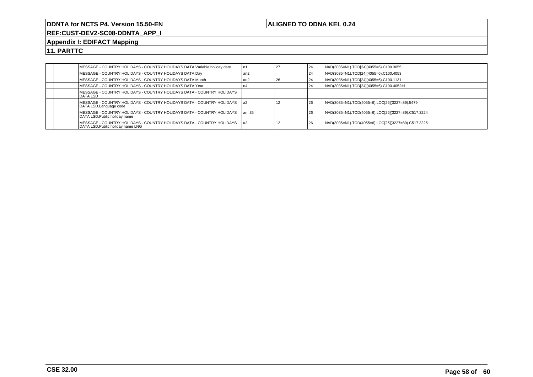## **ALIGNED TO DDNA KEL 0.24**

**REF:CUST-DEV2-SC08-DDNTA\_APP\_I**

## **Appendix I: EDIFACT Mapping**

|  | MESSAGE - COUNTRY HOLIDAYS - COUNTRY HOLIDAYS DATA.Variable holiday date                               | n1    |    | 24 | NAD(3035=N1).TOD[24](4055=6).C100.3055              |
|--|--------------------------------------------------------------------------------------------------------|-------|----|----|-----------------------------------------------------|
|  | MESSAGE - COUNTRY HOLIDAYS - COUNTRY HOLIDAYS DATA.Day                                                 | l an2 |    | 24 | NAD(3035=N1).TOD[24](4055=6).C100.4053              |
|  | MESSAGE - COUNTRY HOLIDAYS - COUNTRY HOLIDAYS DATA.Month                                               | l an2 | 26 | 24 | NAD(3035=N1).TOD[24](4055=6).C100.1131              |
|  | IMESSAGE - COUNTRY HOLIDAYS - COUNTRY HOLIDAYS DATA.Year                                               | 114   |    | 24 | NAD(3035=N1).TOD[24](4055=6).C100.4052#1            |
|  | IMESSAGE - COUNTRY HOLIDAYS - COUNTRY HOLIDAYS DATA - COUNTRY HOLIDAYS<br><b>IDATA LSD</b>             |       |    |    |                                                     |
|  | MESSAGE - COUNTRY HOLIDAYS - COUNTRY HOLIDAYS DATA - COUNTRY HOLIDAYS   a2<br>DATA LSD.Language code   |       |    | 26 | NAD(3035=N1).TOD(4055=6).LOC[26](3227=89).5479      |
|  | IMESSAGE - COUNTRY HOLIDAYS - COUNTRY HOLIDAYS DATA - COUNTRY HOLIDAYS<br>DATA LSD.Public holiday name | lan35 |    | 26 | NAD(3035=N1).TOD(4055=6).LOC[26](3227=89).C517.3224 |
|  | DATA LSD. Public holiday name LNG                                                                      |       |    | 26 | NAD(3035=N1).TOD(4055=6).LOC[26](3227=89).C517.3225 |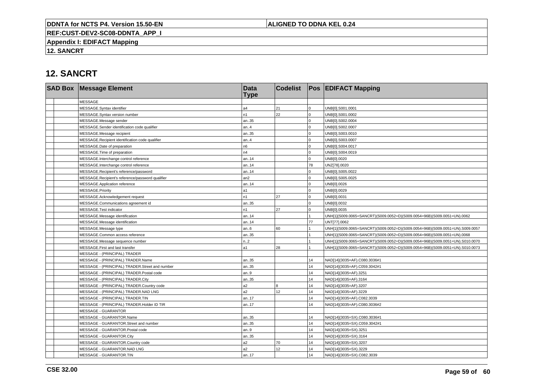## **ALIGNED TO DDNA KEL 0.24**

**REF:CUST-DEV2-SC08-DDNTA\_APP\_I**

**Appendix I: EDIFACT Mapping**

**12. SANCRT**

# **12. SANCRT**

| <b>SAD Box Message Element</b>                   | <b>Data</b><br><b>Type</b> | <b>Codelist</b> |             | <b>Pos EDIFACT Mapping</b>                                                   |
|--------------------------------------------------|----------------------------|-----------------|-------------|------------------------------------------------------------------------------|
| <b>MESSAGE</b>                                   |                            |                 |             |                                                                              |
| MESSAGE.Syntax identifier                        | a <sub>4</sub>             | 21              | $\mathbf 0$ | UNB[0].S001.0001                                                             |
| MESSAGE.Syntax version number                    | n <sub>1</sub>             | 22              | $\Omega$    | UNB[0].S001.0002                                                             |
| MESSAGE.Message sender                           | an35                       |                 | $\Omega$    | UNB[0].S002.0004                                                             |
| MESSAGE.Sender identification code qualifier     | an.4                       |                 | $\Omega$    | UNB[0].S002.0007                                                             |
| MESSAGE.Message recipient                        | an35                       |                 | $\mathbf 0$ | UNB[0].S003.0010                                                             |
| MESSAGE.Recipient identification code qualifier  | an.4                       |                 | $\Omega$    | UNB[0].S003.0007                                                             |
| MESSAGE.Date of preparation                      | n6                         |                 | $\Omega$    | UNB[0].S004.0017                                                             |
| MESSAGE. Time of preparation                     | n4                         |                 | $\Omega$    | UNB[0].S004.0019                                                             |
| MESSAGE.Interchange control reference            | an14                       |                 | $\Omega$    | UNB[0].0020                                                                  |
| MESSAGE.Interchange control reference            | an14                       |                 | 78          | UNZ[78].0020                                                                 |
| MESSAGE.Recipient's reference/password           | an14                       |                 | $\Omega$    | UNB[0].S005.0022                                                             |
| MESSAGE.Recipient's reference/password qualifier | an <sub>2</sub>            |                 | $\Omega$    | UNB[0].S005.0025                                                             |
| MESSAGE.Application reference                    | an14                       |                 | $\Omega$    | UNB[0].0026                                                                  |
| MESSAGE.Priority                                 | l a1                       |                 | $\Omega$    | UNB[0].0029                                                                  |
| MESSAGE.Acknowledgement request                  | n1                         | 27              | $\Omega$    | UNB[0].0031                                                                  |
| MESSAGE.Communications agreement id              | an35                       |                 | $\mathbf 0$ | UNB[0].0032                                                                  |
| MESSAGE.Test indicator                           | n <sub>1</sub>             | 27              | $\mathbf 0$ | UNB[0].0035                                                                  |
| MESSAGE.Message identification                   | an14                       |                 |             | UNH[1](S009.0065=SANCRT)(S009.0052=D)(S009.0054=96B)(S009.0051=UN).0062      |
| MESSAGE.Message identification                   | an14                       |                 | 77          | UNT[77].0062                                                                 |
| MESSAGE.Message type                             | an.6                       | 60              |             | UNH[1](S009.0065=SANCRT)(S009.0052=D)(S009.0054=96B)(S009.0051=UN).S009.0057 |
| MESSAGE.Common access reference                  | an35                       |                 |             | UNH[1](S009.0065=SANCRT)(S009.0052=D)(S009.0054=96B)(S009.0051=UN).0068      |
| MESSAGE.Message sequence number                  | n.2                        |                 |             | UNH[1](S009.0065=SANCRT)(S009.0052=D)(S009.0054=96B)(S009.0051=UN).S010.0070 |
| MESSAGE.First and last transfer                  | la1                        | 28              |             | UNH[1](S009.0065=SANCRT)(S009.0052=D)(S009.0054=96B)(S009.0051=UN).S010.0073 |
| MESSAGE - (PRINCIPAL) TRADER                     |                            |                 |             |                                                                              |
| MESSAGE - (PRINCIPAL) TRADER.Name                | an35                       |                 | 14          | NAD[14](3035=AF).C080.3036#1                                                 |
| MESSAGE - (PRINCIPAL) TRADER.Street and number   | an35                       |                 | 14          | NAD[14](3035=AF).C059.3042#1                                                 |
| MESSAGE - (PRINCIPAL) TRADER.Postal code         | an.9                       |                 | 14          | NAD[14](3035=AF).3251                                                        |
| MESSAGE - (PRINCIPAL) TRADER.City                | an35                       |                 | 14          | NAD[14](3035=AF).3164                                                        |
| MESSAGE - (PRINCIPAL) TRADER.Country code        | a2                         | 8               | 14          | NAD[14](3035=AF).3207                                                        |
| MESSAGE - (PRINCIPAL) TRADER.NAD LNG             | a <sub>2</sub>             | 12              | 14          | NAD[14](3035=AF).3229                                                        |
| MESSAGE - (PRINCIPAL) TRADER.TIN                 | an17                       |                 | 14          | NAD[14](3035=AF).C082.3039                                                   |
| MESSAGE - (PRINCIPAL) TRADER.Holder ID TIR       | an17                       |                 | 14          | NAD[14](3035=AF).C080.3036#2                                                 |
| MESSAGE - GUARANTOR                              |                            |                 |             |                                                                              |
| MESSAGE - GUARANTOR.Name                         | an35                       |                 | 14          | NAD[14](3035=SX).C080.3036#1                                                 |
| MESSAGE - GUARANTOR.Street and number            | an35                       |                 | 14          | NAD[14](3035=SX).C059.3042#1                                                 |
| MESSAGE - GUARANTOR.Postal code                  | an.9                       |                 | 14          | NAD[14](3035=SX).3251                                                        |
| MESSAGE - GUARANTOR.City                         | an35                       |                 | 14          | NAD[14](3035=SX).3164                                                        |
| MESSAGE - GUARANTOR.Country code                 | a <sub>2</sub>             | 70              | 14          | NAD[14](3035=SX).3207                                                        |
| MESSAGE - GUARANTOR.NAD LNG                      | a2                         | 12              | 14          | NAD[14](3035=SX).3229                                                        |
| MESSAGE - GUARANTOR.TIN                          | an17                       |                 | 14          | NAD[14](3035=SX).C082.3039                                                   |